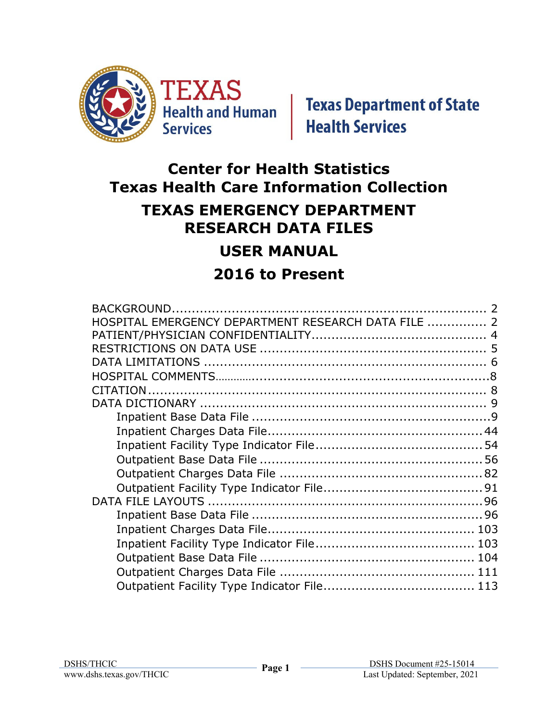

# **Center for Health Statistics Texas Health Care Information Collection**

### **TEXAS EMERGENCY DEPARTMENT RESEARCH DATA FILES**

## **USER MANUAL**

## **2016 to Present**

| HOSPITAL EMERGENCY DEPARTMENT RESEARCH DATA FILE  2 |  |
|-----------------------------------------------------|--|
|                                                     |  |
|                                                     |  |
|                                                     |  |
|                                                     |  |
|                                                     |  |
|                                                     |  |
|                                                     |  |
|                                                     |  |
|                                                     |  |
|                                                     |  |
|                                                     |  |
|                                                     |  |
|                                                     |  |
|                                                     |  |
|                                                     |  |
|                                                     |  |
|                                                     |  |
|                                                     |  |
|                                                     |  |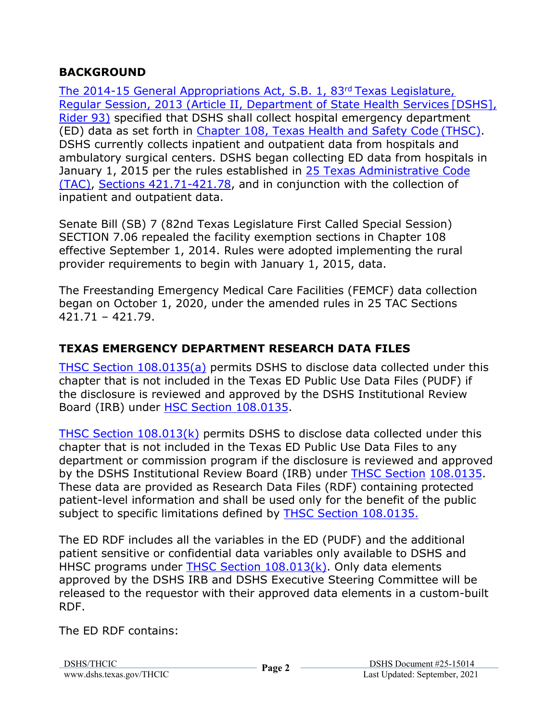#### **BACKGROUND**

The 2014-15 General Appropriations Act, S.B. 1, 83rd Texas Legislature, Regular Session, 2013 (Article II, Department of State Health Services [DSHS], Rider 93) specified that DSHS shall collect hospital emergency department (ED) data as set forth in Chapter 108, Texas Health and Safety Code (THSC). DSHS currently collects inpatient and outpatient data from hospitals and ambulatory surgical centers. DSHS began collecting ED data from hospitals in January 1, 2015 per the rules established in 25 Texas Administrative Code (TAC), Sections 421.71-421.78, and in conjunction with the collection of inpatient and outpatient data.

Senate Bill (SB) 7 (82nd Texas Legislature First Called Special Session) SECTION 7.06 repealed the facility exemption sections in Chapter 108 effective September 1, 2014. Rules were adopted implementing the rural provider requirements to begin with January 1, 2015, data.

The Freestanding Emergency Medical Care Facilities (FEMCF) data collection began on October 1, 2020, under the amended rules in 25 TAC Sections 421.71 – 421.79.

#### **TEXAS EMERGENCY DEPARTMENT RESEARCH DATA FILES**

THSC Section 108.0135(a) permits DSHS to disclose data collected under this chapter that is not included in the Texas ED Public Use Data Files (PUDF) if the disclosure is reviewed and approved by the DSHS Institutional Review Board (IRB) under HSC Section 108.0135.

THSC Section 108.013(k) permits DSHS to disclose data collected under this chapter that is not included in the Texas ED Public Use Data Files to any department or commission program if the disclosure is reviewed and approved by the DSHS Institutional Review Board (IRB) under THSC Section 108.0135. These data are provided as Research Data Files (RDF) containing protected patient-level information and shall be used only for the benefit of the public subject to specific limitations defined by THSC Section 108.0135.

The ED RDF includes all the variables in the ED (PUDF) and the additional patient sensitive or confidential data variables only available to DSHS and HHSC programs under THSC Section 108.013(k). Only data elements approved by the DSHS IRB and DSHS Executive Steering Committee will be released to the requestor with their approved data elements in a custom-built RDF.

The ED RDF contains: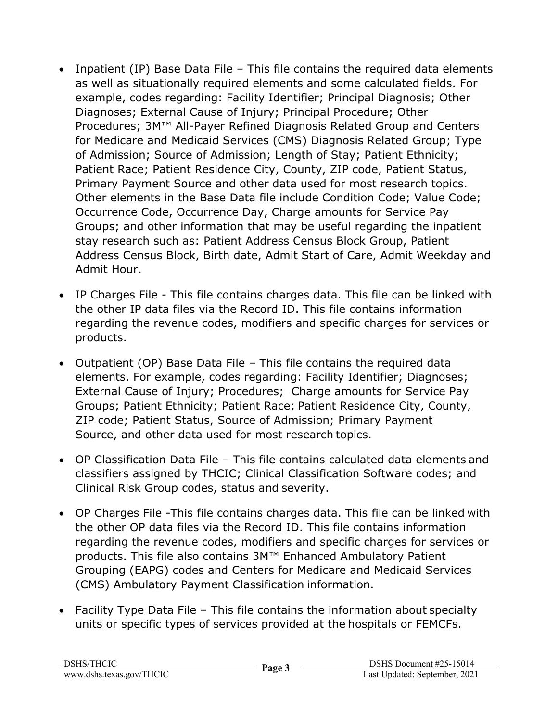- Inpatient (IP) Base Data File This file contains the required data elements as well as situationally required elements and some calculated fields. For example, codes regarding: Facility Identifier; Principal Diagnosis; Other Diagnoses; External Cause of Injury; Principal Procedure; Other Procedures; 3M™ All-Payer Refined Diagnosis Related Group and Centers for Medicare and Medicaid Services (CMS) Diagnosis Related Group; Type of Admission; Source of Admission; Length of Stay; Patient Ethnicity; Patient Race; Patient Residence City, County, ZIP code, Patient Status, Primary Payment Source and other data used for most research topics. Other elements in the Base Data file include Condition Code; Value Code; Occurrence Code, Occurrence Day, Charge amounts for Service Pay Groups; and other information that may be useful regarding the inpatient stay research such as: Patient Address Census Block Group, Patient Address Census Block, Birth date, Admit Start of Care, Admit Weekday and Admit Hour.
- IP Charges File This file contains charges data. This file can be linked with the other IP data files via the Record ID. This file contains information regarding the revenue codes, modifiers and specific charges for services or products.
- Outpatient (OP) Base Data File This file contains the required data elements. For example, codes regarding: Facility Identifier; Diagnoses; External Cause of Injury; Procedures; Charge amounts for Service Pay Groups; Patient Ethnicity; Patient Race; Patient Residence City, County, ZIP code; Patient Status, Source of Admission; Primary Payment Source, and other data used for most research topics.
- OP Classification Data File This file contains calculated data elements and classifiers assigned by THCIC; Clinical Classification Software codes; and Clinical Risk Group codes, status and severity.
- OP Charges File -This file contains charges data. This file can be linked with the other OP data files via the Record ID. This file contains information regarding the revenue codes, modifiers and specific charges for services or products. This file also contains 3M™ Enhanced Ambulatory Patient Grouping (EAPG) codes and Centers for Medicare and Medicaid Services (CMS) Ambulatory Payment Classification information.
- Facility Type Data File This file contains the information about specialty units or specific types of services provided at the hospitals or FEMCFs.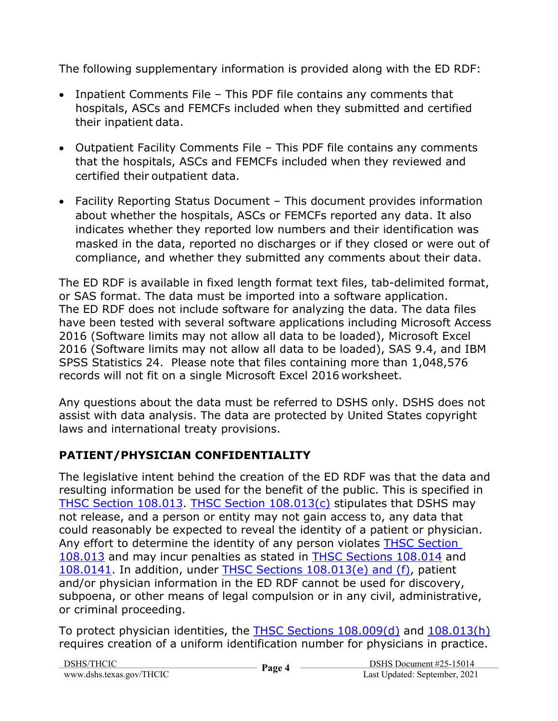The following supplementary information is provided along with the ED RDF:

- Inpatient Comments File This PDF file contains any comments that hospitals, ASCs and FEMCFs included when they submitted and certified their inpatient data.
- Outpatient Facility Comments File This PDF file contains any comments that the hospitals, ASCs and FEMCFs included when they reviewed and certified their outpatient data.
- Facility Reporting Status Document This document provides information about whether the hospitals, ASCs or FEMCFs reported any data. It also indicates whether they reported low numbers and their identification was masked in the data, reported no discharges or if they closed or were out of compliance, and whether they submitted any comments about their data.

The ED RDF is available in fixed length format text files, tab-delimited format, or SAS format. The data must be imported into a software application. The ED RDF does not include software for analyzing the data. The data files have been tested with several software applications including Microsoft Access 2016 (Software limits may not allow all data to be loaded), Microsoft Excel 2016 (Software limits may not allow all data to be loaded), SAS 9.4, and IBM SPSS Statistics 24. Please note that files containing more than 1,048,576 records will not fit on a single Microsoft Excel 2016 worksheet.

Any questions about the data must be referred to DSHS only. DSHS does not assist with data analysis. The data are protected by United States copyright laws and international treaty provisions.

### **PATIENT/PHYSICIAN CONFIDENTIALITY**

The legislative intent behind the creation of the ED RDF was that the data and resulting information be used for the benefit of the public. This is specified in THSC Section 108.013. THSC Section 108.013(c) stipulates that DSHS may not release, and a person or entity may not gain access to, any data that could reasonably be expected to reveal the identity of a patient or physician. Any effort to determine the identity of any person violates THSC Section 108.013 and may incur penalties as stated in THSC Sections 108.014 and 108.0141. In addition, under THSC Sections 108.013(e) and (f), patient and/or physician information in the ED RDF cannot be used for discovery, subpoena, or other means of legal compulsion or in any civil, administrative, or criminal proceeding.

To protect physician identities, the THSC Sections 108.009(d) and 108.013(h) requires creation of a uniform identification number for physicians in practice.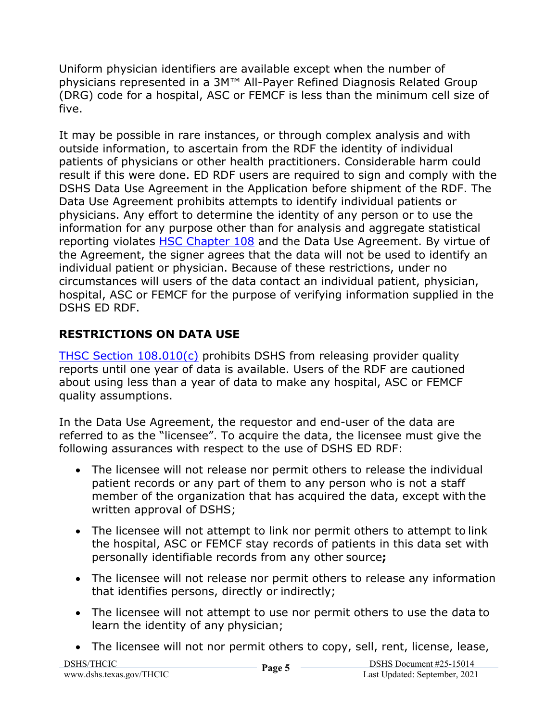Uniform physician identifiers are available except when the number of physicians represented in a 3M<sup>™</sup> All-Payer Refined Diagnosis Related Group (DRG) code for a hospital, ASC or FEMCF is less than the minimum cell size of five.

It may be possible in rare instances, or through complex analysis and with outside information, to ascertain from the RDF the identity of individual patients of physicians or other health practitioners. Considerable harm could result if this were done. ED RDF users are required to sign and comply with the DSHS Data Use Agreement in the Application before shipment of the RDF. The Data Use Agreement prohibits attempts to identify individual patients or physicians. Any effort to determine the identity of any person or to use the information for any purpose other than for analysis and aggregate statistical reporting violates HSC Chapter 108 and the Data Use Agreement. By virtue of the Agreement, the signer agrees that the data will not be used to identify an individual patient or physician. Because of these restrictions, under no circumstances will users of the data contact an individual patient, physician, hospital, ASC or FEMCF for the purpose of verifying information supplied in the DSHS ED RDF.

### **RESTRICTIONS ON DATA USE**

THSC Section 108.010(c) prohibits DSHS from releasing provider quality reports until one year of data is available. Users of the RDF are cautioned about using less than a year of data to make any hospital, ASC or FEMCF quality assumptions.

In the Data Use Agreement, the requestor and end-user of the data are referred to as the "licensee". To acquire the data, the licensee must give the following assurances with respect to the use of DSHS ED RDF:

- The licensee will not release nor permit others to release the individual patient records or any part of them to any person who is not a staff member of the organization that has acquired the data, except with the written approval of DSHS;
- The licensee will not attempt to link nor permit others to attempt to link the hospital, ASC or FEMCF stay records of patients in this data set with personally identifiable records from any other source**;**
- The licensee will not release nor permit others to release any information that identifies persons, directly or indirectly;
- The licensee will not attempt to use nor permit others to use the data to learn the identity of any physician;
- The licensee will not nor permit others to copy, sell, rent, license, lease,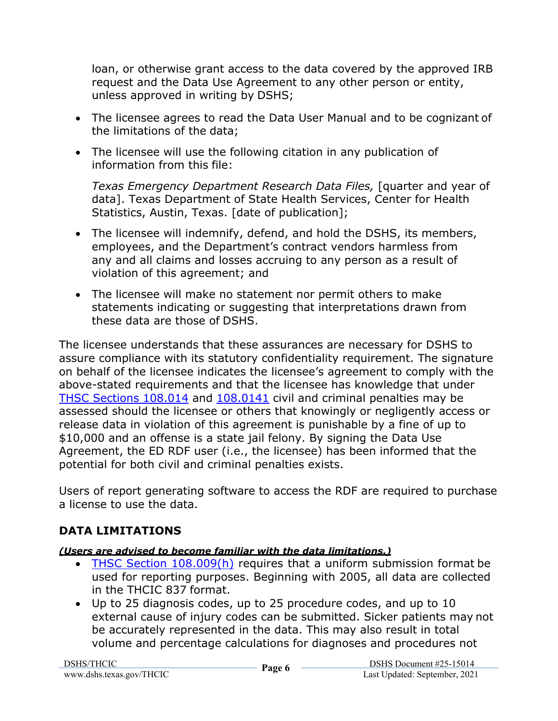loan, or otherwise grant access to the data covered by the approved IRB request and the Data Use Agreement to any other person or entity, unless approved in writing by DSHS;

- The licensee agrees to read the Data User Manual and to be cognizant of the limitations of the data;
- The licensee will use the following citation in any publication of information from this file:

*Texas Emergency Department Research Data Files,* [quarter and year of data]. Texas Department of State Health Services, Center for Health Statistics, Austin, Texas. [date of publication];

- The licensee will indemnify, defend, and hold the DSHS, its members, employees, and the Department's contract vendors harmless from any and all claims and losses accruing to any person as a result of violation of this agreement; and
- The licensee will make no statement nor permit others to make statements indicating or suggesting that interpretations drawn from these data are those of DSHS.

The licensee understands that these assurances are necessary for DSHS to assure compliance with its statutory confidentiality requirement. The signature on behalf of the licensee indicates the licensee's agreement to comply with the above-stated requirements and that the licensee has knowledge that under THSC Sections 108.014 and 108.0141 civil and criminal penalties may be assessed should the licensee or others that knowingly or negligently access or release data in violation of this agreement is punishable by a fine of up to \$10,000 and an offense is a state jail felony. By signing the Data Use Agreement, the ED RDF user (i.e., the licensee) has been informed that the potential for both civil and criminal penalties exists.

Users of report generating software to access the RDF are required to purchase a license to use the data.

### **DATA LIMITATIONS**

#### *(Users are advised to become familiar with the data limitations.)*

- THSC Section 108.009(h) requires that a uniform submission format be used for reporting purposes. Beginning with 2005, all data are collected in the THCIC 837 format.
- Up to 25 diagnosis codes, up to 25 procedure codes, and up to 10 external cause of injury codes can be submitted. Sicker patients may not be accurately represented in the data. This may also result in total volume and percentage calculations for diagnoses and procedures not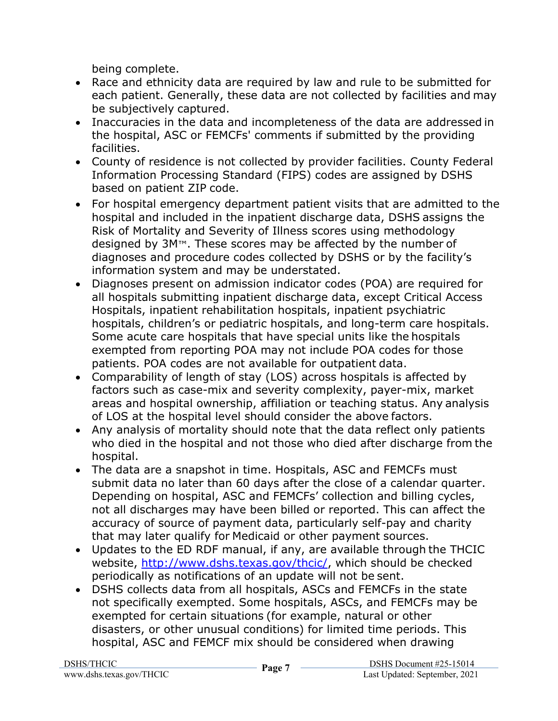being complete.

- Race and ethnicity data are required by law and rule to be submitted for each patient. Generally, these data are not collected by facilities and may be subjectively captured.
- Inaccuracies in the data and incompleteness of the data are addressed in the hospital, ASC or FEMCFs' comments if submitted by the providing facilities.
- County of residence is not collected by provider facilities. County Federal Information Processing Standard (FIPS) codes are assigned by DSHS based on patient ZIP code.
- For hospital emergency department patient visits that are admitted to the hospital and included in the inpatient discharge data, DSHS assigns the Risk of Mortality and Severity of Illness scores using methodology designed by 3M™. These scores may be affected by the number of diagnoses and procedure codes collected by DSHS or by the facility's information system and may be understated.
- Diagnoses present on admission indicator codes (POA) are required for all hospitals submitting inpatient discharge data, except Critical Access Hospitals, inpatient rehabilitation hospitals, inpatient psychiatric hospitals, children's or pediatric hospitals, and long-term care hospitals. Some acute care hospitals that have special units like the hospitals exempted from reporting POA may not include POA codes for those patients. POA codes are not available for outpatient data.
- Comparability of length of stay (LOS) across hospitals is affected by factors such as case-mix and severity complexity, payer-mix, market areas and hospital ownership, affiliation or teaching status. Any analysis of LOS at the hospital level should consider the above factors.
- Any analysis of mortality should note that the data reflect only patients who died in the hospital and not those who died after discharge from the hospital.
- The data are a snapshot in time. Hospitals, ASC and FEMCFs must submit data no later than 60 days after the close of a calendar quarter. Depending on hospital, ASC and FEMCFs' collection and billing cycles, not all discharges may have been billed or reported. This can affect the accuracy of source of payment data, particularly self-pay and charity that may later qualify for Medicaid or other payment sources.
- Updates to the ED RDF manual, if any, are available through the THCIC website, http://www.dshs.texas.gov/thcic/, which should be checked periodically as notifications of an update will not be sent.
- DSHS collects data from all hospitals, ASCs and FEMCFs in the state not specifically exempted. Some hospitals, ASCs, and FEMCFs may be exempted for certain situations (for example, natural or other disasters, or other unusual conditions) for limited time periods. This hospital, ASC and FEMCF mix should be considered when drawing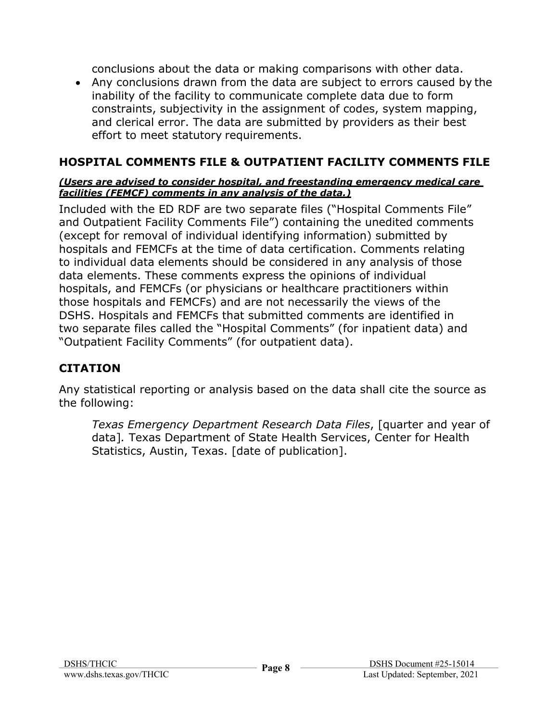conclusions about the data or making comparisons with other data.

 Any conclusions drawn from the data are subject to errors caused by the inability of the facility to communicate complete data due to form constraints, subjectivity in the assignment of codes, system mapping, and clerical error. The data are submitted by providers as their best effort to meet statutory requirements.

#### **HOSPITAL COMMENTS FILE & OUTPATIENT FACILITY COMMENTS FILE**

#### *(Users are advised to consider hospital, and freestanding emergency medical care facilities (FEMCF) comments in any analysis of the data.)*

Included with the ED RDF are two separate files ("Hospital Comments File" and Outpatient Facility Comments File") containing the unedited comments (except for removal of individual identifying information) submitted by hospitals and FEMCFs at the time of data certification. Comments relating to individual data elements should be considered in any analysis of those data elements. These comments express the opinions of individual hospitals, and FEMCFs (or physicians or healthcare practitioners within those hospitals and FEMCFs) and are not necessarily the views of the DSHS. Hospitals and FEMCFs that submitted comments are identified in two separate files called the "Hospital Comments" (for inpatient data) and "Outpatient Facility Comments" (for outpatient data).

#### **CITATION**

Any statistical reporting or analysis based on the data shall cite the source as the following:

*Texas Emergency Department Research Data Files*, [quarter and year of data]*.* Texas Department of State Health Services, Center for Health Statistics, Austin, Texas. [date of publication].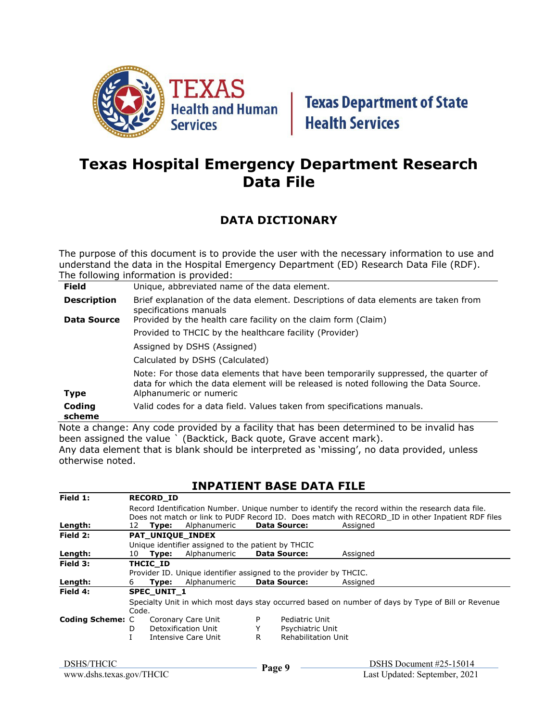

### **Texas Hospital Emergency Department Research Data File**

#### **DATA DICTIONARY**

The purpose of this document is to provide the user with the necessary information to use and understand the data in the Hospital Emergency Department (ED) Research Data File (RDF). The following information is provided:

| <b>Field</b>       | Unique, abbreviated name of the data element.                                                                                                                                                          |
|--------------------|--------------------------------------------------------------------------------------------------------------------------------------------------------------------------------------------------------|
| <b>Description</b> | Brief explanation of the data element. Descriptions of data elements are taken from<br>specifications manuals                                                                                          |
| Data Source        | Provided by the health care facility on the claim form (Claim)                                                                                                                                         |
|                    | Provided to THCIC by the healthcare facility (Provider)                                                                                                                                                |
|                    | Assigned by DSHS (Assigned)                                                                                                                                                                            |
|                    | Calculated by DSHS (Calculated)                                                                                                                                                                        |
| <b>Type</b>        | Note: For those data elements that have been temporarily suppressed, the quarter of<br>data for which the data element will be released is noted following the Data Source.<br>Alphanumeric or numeric |
| Coding<br>scheme   | Valid codes for a data field. Values taken from specifications manuals.                                                                                                                                |

Note a change: Any code provided by a facility that has been determined to be invalid has been assigned the value ` (Backtick, Back quote, Grave accent mark). Any data element that is blank should be interpreted as 'missing', no data provided, unless otherwise noted.

#### **INPATIENT BASE DATA FILE**

| Field 1:                | <b>RECORD ID</b>         |                    |                                                                   |    |                     |          |                                                                                                    |
|-------------------------|--------------------------|--------------------|-------------------------------------------------------------------|----|---------------------|----------|----------------------------------------------------------------------------------------------------|
|                         |                          |                    |                                                                   |    |                     |          | Record Identification Number. Unique number to identify the record within the research data file.  |
|                         |                          |                    |                                                                   |    |                     |          | Does not match or link to PUDF Record ID. Does match with RECORD ID in other Inpatient RDF files   |
| Length:                 |                          | 12 <b>Type:</b>    | Alphanumeric                                                      |    | <b>Data Source:</b> | Assigned |                                                                                                    |
| Field 2:                | PAT_UNIQUE_INDEX         |                    |                                                                   |    |                     |          |                                                                                                    |
|                         |                          |                    | Unique identifier assigned to the patient by THCIC                |    |                     |          |                                                                                                    |
| Length:                 |                          | 10 <b>Type:</b>    | Alphanumeric                                                      |    | <b>Data Source:</b> | Assigned |                                                                                                    |
| Field 3:                |                          | THCIC ID           |                                                                   |    |                     |          |                                                                                                    |
|                         |                          |                    | Provider ID. Unique identifier assigned to the provider by THCIC. |    |                     |          |                                                                                                    |
| Length:                 | 6                        | Type:              | Alphanumeric                                                      |    | Data Source:        | Assigned |                                                                                                    |
| Field 4:                |                          | <b>SPEC UNIT 1</b> |                                                                   |    |                     |          |                                                                                                    |
|                         |                          |                    |                                                                   |    |                     |          |                                                                                                    |
|                         | Code.                    |                    |                                                                   |    |                     |          |                                                                                                    |
|                         |                          |                    | Coronary Care Unit                                                | P  | Pediatric Unit      |          |                                                                                                    |
|                         | Detoxification Unit<br>D |                    |                                                                   | Y  | Psychiatric Unit    |          |                                                                                                    |
|                         |                          |                    | Intensive Care Unit                                               | R. | Rehabilitation Unit |          |                                                                                                    |
|                         |                          |                    |                                                                   |    |                     |          |                                                                                                    |
| <b>Coding Scheme: C</b> |                          |                    |                                                                   |    |                     |          | Specialty Unit in which most days stay occurred based on number of days by Type of Bill or Revenue |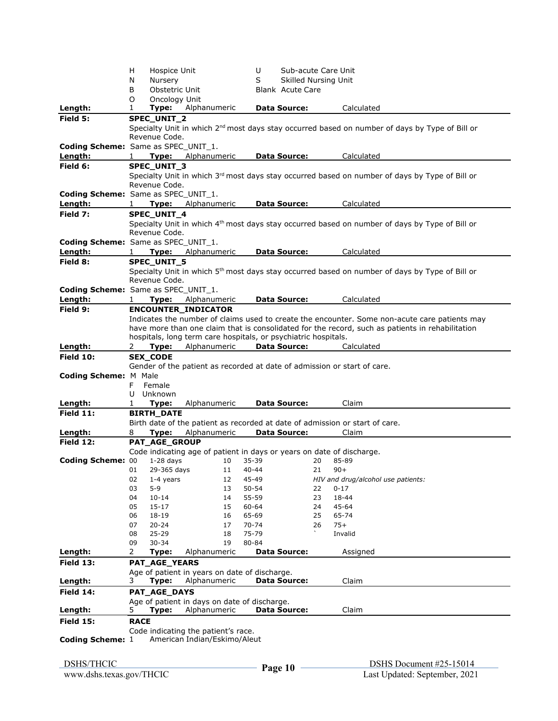|                                            | H            | Hospice Unit         |                                                                       | U                  | Sub-acute Care Unit         |                                                                                                            |  |
|--------------------------------------------|--------------|----------------------|-----------------------------------------------------------------------|--------------------|-----------------------------|------------------------------------------------------------------------------------------------------------|--|
|                                            | N            | Nursery              |                                                                       | S                  | <b>Skilled Nursing Unit</b> |                                                                                                            |  |
|                                            | B            | Obstetric Unit       |                                                                       |                    | <b>Blank</b> Acute Care     |                                                                                                            |  |
|                                            | O            | Oncology Unit        |                                                                       |                    |                             |                                                                                                            |  |
| Length:                                    | 1            | Type:                | Alphanumeric                                                          |                    | <b>Data Source:</b>         | Calculated                                                                                                 |  |
| Field 5:                                   |              | <b>SPEC UNIT 2</b>   |                                                                       |                    |                             |                                                                                                            |  |
|                                            |              | Revenue Code.        |                                                                       |                    |                             | Specialty Unit in which 2 <sup>nd</sup> most days stay occurred based on number of days by Type of Bill or |  |
| <b>Coding Scheme:</b> Same as SPEC UNIT 1. |              |                      |                                                                       |                    |                             |                                                                                                            |  |
| Length:                                    |              |                      | Type: Alphanumeric                                                    |                    | <b>Data Source:</b>         | Calculated                                                                                                 |  |
| Field 6:                                   |              | <b>SPEC UNIT 3</b>   |                                                                       |                    |                             |                                                                                                            |  |
|                                            |              |                      |                                                                       |                    |                             | Specialty Unit in which 3 <sup>rd</sup> most days stay occurred based on number of days by Type of Bill or |  |
|                                            |              | Revenue Code.        |                                                                       |                    |                             |                                                                                                            |  |
| Coding Scheme: Same as SPEC_UNIT_1.        |              |                      |                                                                       |                    |                             |                                                                                                            |  |
| Length:                                    | $\mathbf{1}$ |                      | Type: Alphanumeric                                                    |                    | Data Source:                | Calculated                                                                                                 |  |
| Field 7:                                   |              | <b>SPEC UNIT 4</b>   |                                                                       |                    |                             |                                                                                                            |  |
|                                            |              |                      |                                                                       |                    |                             | Specialty Unit in which 4 <sup>th</sup> most days stay occurred based on number of days by Type of Bill or |  |
|                                            |              | Revenue Code.        |                                                                       |                    |                             |                                                                                                            |  |
| <b>Coding Scheme:</b> Same as SPEC UNIT 1. |              |                      |                                                                       |                    |                             |                                                                                                            |  |
| Length:                                    |              | Type:                | Alphanumeric                                                          |                    | Data Source:                | Calculated                                                                                                 |  |
| Field 8:                                   |              | <b>SPEC UNIT 5</b>   |                                                                       |                    |                             |                                                                                                            |  |
|                                            |              |                      |                                                                       |                    |                             | Specialty Unit in which 5 <sup>th</sup> most days stay occurred based on number of days by Type of Bill or |  |
|                                            |              | Revenue Code.        |                                                                       |                    |                             |                                                                                                            |  |
| <b>Coding Scheme:</b> Same as SPEC UNIT 1. |              |                      |                                                                       |                    |                             |                                                                                                            |  |
| Length:                                    | $\mathbf{1}$ |                      | <b>Type:</b> Alphanumeric<br><b>ENCOUNTER INDICATOR</b>               |                    | <b>Data Source:</b>         | Calculated                                                                                                 |  |
| Field 9:                                   |              |                      |                                                                       |                    |                             | Indicates the number of claims used to create the encounter. Some non-acute care patients may              |  |
|                                            |              |                      |                                                                       |                    |                             | have more than one claim that is consolidated for the record, such as patients in rehabilitation           |  |
|                                            |              |                      | hospitals, long term care hospitals, or psychiatric hospitals.        |                    |                             |                                                                                                            |  |
| Length:                                    | 2            | Type:                | Alphanumeric                                                          |                    | <b>Data Source:</b>         | Calculated                                                                                                 |  |
| <b>Field 10:</b>                           |              | <b>SEX CODE</b>      |                                                                       |                    |                             |                                                                                                            |  |
|                                            |              |                      |                                                                       |                    |                             | Gender of the patient as recorded at date of admission or start of care.                                   |  |
| Coding Scheme: M Male                      |              |                      |                                                                       |                    |                             |                                                                                                            |  |
|                                            | F.           | Female               |                                                                       |                    |                             |                                                                                                            |  |
|                                            | U            | Unknown              |                                                                       |                    |                             |                                                                                                            |  |
| Length:                                    | 1            | Type:                | Alphanumeric                                                          |                    | <b>Data Source:</b>         | Claim                                                                                                      |  |
| Field 11:                                  |              | <b>BIRTH_DATE</b>    |                                                                       |                    |                             |                                                                                                            |  |
|                                            |              |                      |                                                                       |                    |                             | Birth date of the patient as recorded at date of admission or start of care.                               |  |
| Length:                                    | 8            | Type:                | Alphanumeric                                                          |                    | <b>Data Source:</b>         |                                                                                                            |  |
| Field 12:                                  |              | PAT_AGE_GROUP        |                                                                       |                    |                             | Claim                                                                                                      |  |
| <b>Coding Scheme: 00</b>                   |              |                      |                                                                       |                    |                             |                                                                                                            |  |
|                                            |              |                      | Code indicating age of patient in days or years on date of discharge. |                    |                             |                                                                                                            |  |
|                                            |              | $1-28$ days          | 10                                                                    | 35-39              | 20                          | 85-89                                                                                                      |  |
|                                            | 01           | 29-365 days          | 11                                                                    | $40 - 44$          | 21                          | $90+$                                                                                                      |  |
|                                            | 02           | 1-4 years            | 12                                                                    | 45-49              |                             | HIV and drug/alcohol use patients:                                                                         |  |
|                                            | 03<br>04     | $5 - 9$<br>$10 - 14$ | 13<br>14                                                              | $50 - 54$<br>55-59 | 22<br>23                    | $0 - 17$<br>18-44                                                                                          |  |
|                                            | 05           | $15 - 17$            | 15                                                                    | 60-64              | 24                          | 45-64                                                                                                      |  |
|                                            | 06           | 18-19                | 16                                                                    | 65-69              | 25                          | 65-74                                                                                                      |  |
|                                            | 07           | $20 - 24$            | 17                                                                    | 70-74              | 26                          | $75+$                                                                                                      |  |
|                                            | 08           | $25 - 29$            | 18                                                                    | 75-79              |                             | Invalid                                                                                                    |  |
|                                            | 09           | $30 - 34$            | 19                                                                    | 80-84              |                             |                                                                                                            |  |
|                                            | 2            | Type:                | Alphanumeric                                                          |                    | <b>Data Source:</b>         | Assigned                                                                                                   |  |
|                                            |              | PAT_AGE_YEARS        |                                                                       |                    |                             |                                                                                                            |  |
|                                            |              |                      | Age of patient in years on date of discharge.                         |                    |                             |                                                                                                            |  |
| Length:                                    | 3.           | Type:                | Alphanumeric                                                          |                    | <b>Data Source:</b>         | Claim                                                                                                      |  |
| Length:<br>Field 13:<br>Field 14:          |              | PAT_AGE_DAYS         |                                                                       |                    |                             |                                                                                                            |  |
|                                            |              |                      | Age of patient in days on date of discharge.                          |                    |                             |                                                                                                            |  |
| Length:                                    | 5.           | Type:                | Alphanumeric                                                          |                    | <b>Data Source:</b>         | Claim                                                                                                      |  |
| <b>Field 15:</b>                           | <b>RACE</b>  |                      |                                                                       |                    |                             |                                                                                                            |  |
|                                            |              |                      | Code indicating the patient's race.                                   |                    |                             |                                                                                                            |  |
| <b>Coding Scheme: 1</b>                    |              |                      | American Indian/Eskimo/Aleut                                          |                    |                             |                                                                                                            |  |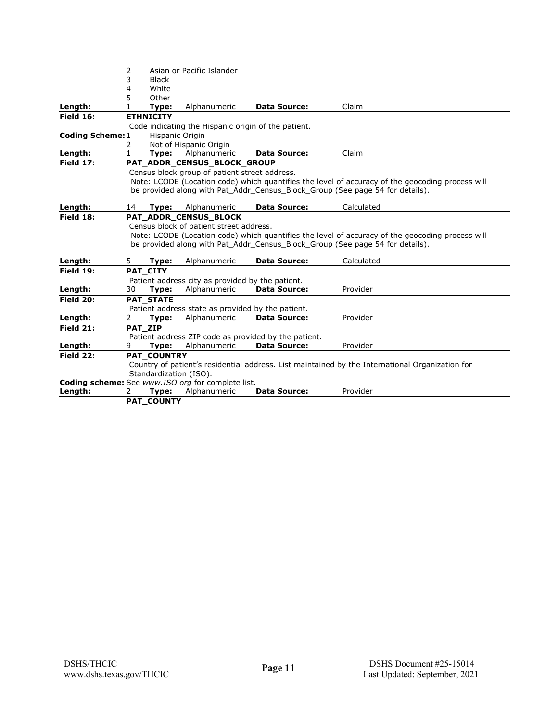|                         | 2  |                        | Asian or Pacific Islander                         |                                                      |                                                                                                  |
|-------------------------|----|------------------------|---------------------------------------------------|------------------------------------------------------|--------------------------------------------------------------------------------------------------|
|                         | 3  | <b>Black</b>           |                                                   |                                                      |                                                                                                  |
|                         | 4  | White                  |                                                   |                                                      |                                                                                                  |
|                         | 5  | Other                  |                                                   |                                                      |                                                                                                  |
| Length:                 |    | Type:                  | Alphanumeric                                      | <b>Data Source:</b>                                  | Claim                                                                                            |
| Field 16:               |    | <b>ETHNICITY</b>       |                                                   |                                                      |                                                                                                  |
|                         |    |                        |                                                   | Code indicating the Hispanic origin of the patient.  |                                                                                                  |
| <b>Coding Scheme: 1</b> |    | Hispanic Origin        |                                                   |                                                      |                                                                                                  |
|                         | 2  |                        | Not of Hispanic Origin                            |                                                      |                                                                                                  |
| Length:                 | 1  | Type:                  | Alphanumeric                                      | <b>Data Source:</b>                                  | Claim                                                                                            |
| Field 17:               |    |                        | PAT_ADDR_CENSUS_BLOCK_GROUP                       |                                                      |                                                                                                  |
|                         |    |                        | Census block group of patient street address.     |                                                      |                                                                                                  |
|                         |    |                        |                                                   |                                                      | Note: LCODE (Location code) which quantifies the level of accuracy of the geocoding process will |
|                         |    |                        |                                                   |                                                      | be provided along with Pat_Addr_Census_Block_Group (See page 54 for details).                    |
|                         |    |                        |                                                   |                                                      |                                                                                                  |
| Length:                 | 14 | Type:                  | Alphanumeric                                      | <b>Data Source:</b>                                  | Calculated                                                                                       |
| Field 18:               |    |                        | PAT ADDR CENSUS BLOCK                             |                                                      |                                                                                                  |
|                         |    |                        | Census block of patient street address.           |                                                      |                                                                                                  |
|                         |    |                        |                                                   |                                                      | Note: LCODE (Location code) which quantifies the level of accuracy of the geocoding process will |
|                         |    |                        |                                                   |                                                      | be provided along with Pat Addr Census Block Group (See page 54 for details).                    |
| Length:                 | 5. | Type:                  | Alphanumeric                                      | <b>Data Source:</b>                                  | Calculated                                                                                       |
| Field 19:               |    | PAT CITY               |                                                   |                                                      |                                                                                                  |
|                         |    |                        | Patient address city as provided by the patient.  |                                                      |                                                                                                  |
| Length:                 | 30 | Type:                  | Alphanumeric                                      | Data Source:                                         | Provider                                                                                         |
| <b>Field 20:</b>        |    | PAT_STATE              |                                                   |                                                      |                                                                                                  |
|                         |    |                        | Patient address state as provided by the patient. |                                                      |                                                                                                  |
| Length:                 | 2  | Type:                  | Alphanumeric                                      | <b>Data Source:</b>                                  | Provider                                                                                         |
| Field 21:               |    | PAT ZIP                |                                                   |                                                      |                                                                                                  |
|                         |    |                        |                                                   | Patient address ZIP code as provided by the patient. |                                                                                                  |
| Length:                 | 9. | Type:                  | Alphanumeric                                      | <b>Data Source:</b>                                  | Provider                                                                                         |
| Field 22:               |    | <b>PAT COUNTRY</b>     |                                                   |                                                      |                                                                                                  |
|                         |    |                        |                                                   |                                                      | Country of patient's residential address. List maintained by the International Organization for  |
|                         |    | Standardization (ISO). |                                                   |                                                      |                                                                                                  |
|                         |    |                        | Coding scheme: See www.ISO.org for complete list. |                                                      |                                                                                                  |
| Length:                 | 2  | Type:                  | Alphanumeric                                      | <b>Data Source:</b>                                  | Provider                                                                                         |
|                         |    | <b>PAT COUNTY</b>      |                                                   |                                                      |                                                                                                  |
|                         |    |                        |                                                   |                                                      |                                                                                                  |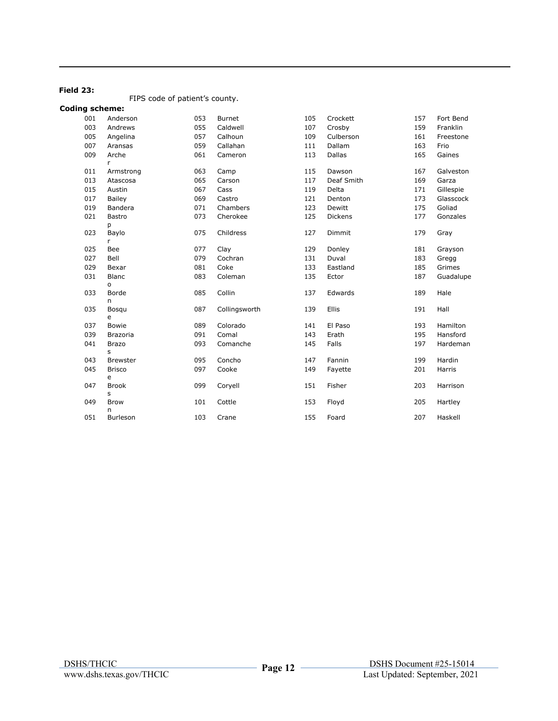#### **Field 23:**

FIPS code of patient's county.

#### **Coding scheme:**

| 001 | Anderson              | 053 | <b>Burnet</b> | 105 | Crockett   | 157 | Fort Bend |
|-----|-----------------------|-----|---------------|-----|------------|-----|-----------|
| 003 | Andrews               | 055 | Caldwell      | 107 | Crosby     | 159 | Franklin  |
| 005 | Angelina              | 057 | Calhoun       | 109 | Culberson  | 161 | Freestone |
| 007 | Aransas               | 059 | Callahan      | 111 | Dallam     | 163 | Frio      |
| 009 | Arche<br>$\mathsf{r}$ | 061 | Cameron       | 113 | Dallas     | 165 | Gaines    |
| 011 | Armstrong             | 063 | Camp          | 115 | Dawson     | 167 | Galveston |
| 013 | Atascosa              | 065 | Carson        | 117 | Deaf Smith | 169 | Garza     |
| 015 | Austin                | 067 | Cass          | 119 | Delta      | 171 | Gillespie |
| 017 | Bailey                | 069 | Castro        | 121 | Denton     | 173 | Glasscock |
| 019 | Bandera               | 071 | Chambers      | 123 | Dewitt     | 175 | Goliad    |
| 021 | Bastro                | 073 | Cherokee      | 125 | Dickens    | 177 | Gonzales  |
|     | р                     |     |               |     |            |     |           |
| 023 | Baylo<br>r            | 075 | Childress     | 127 | Dimmit     | 179 | Gray      |
| 025 | Bee                   | 077 | Clay          | 129 | Donley     | 181 | Grayson   |
| 027 | Bell                  | 079 | Cochran       | 131 | Duval      | 183 | Gregg     |
| 029 | Bexar                 | 081 | Coke          | 133 | Eastland   | 185 | Grimes    |
| 031 | Blanc                 | 083 | Coleman       | 135 | Ector      | 187 | Guadalupe |
|     | o                     |     |               |     |            |     |           |
| 033 | Borde<br>n            | 085 | Collin        | 137 | Edwards    | 189 | Hale      |
| 035 | Bosqu                 | 087 | Collingsworth | 139 | Ellis      | 191 | Hall      |
|     | e                     |     |               |     |            |     |           |
| 037 | <b>Bowie</b>          | 089 | Colorado      | 141 | El Paso    | 193 | Hamilton  |
| 039 | <b>Brazoria</b>       | 091 | Comal         | 143 | Erath      | 195 | Hansford  |
| 041 | <b>Brazo</b>          | 093 | Comanche      | 145 | Falls      | 197 | Hardeman  |
|     | s                     |     |               |     |            |     |           |
| 043 | <b>Brewster</b>       | 095 | Concho        | 147 | Fannin     | 199 | Hardin    |
| 045 | <b>Brisco</b><br>e    | 097 | Cooke         | 149 | Fayette    | 201 | Harris    |
| 047 | <b>Brook</b>          | 099 | Coryell       | 151 | Fisher     | 203 | Harrison  |
|     | s                     |     |               |     |            |     |           |
| 049 | <b>Brow</b>           | 101 | Cottle        | 153 | Floyd      | 205 | Hartley   |
| 051 | n<br>Burleson         | 103 | Crane         | 155 | Foard      | 207 | Haskell   |
|     |                       |     |               |     |            |     |           |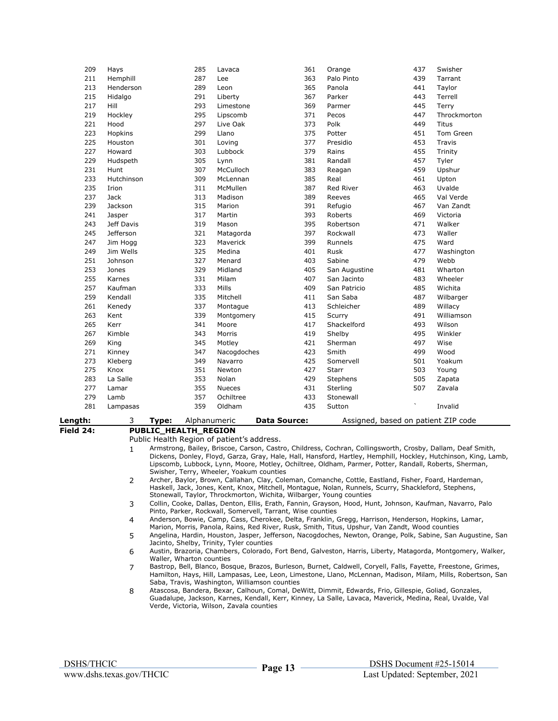| 209       | Hays       | 285                                           | Lavaca        | 361                                                                                                        | Orange        | 437                                 | Swisher                                                                                                        |
|-----------|------------|-----------------------------------------------|---------------|------------------------------------------------------------------------------------------------------------|---------------|-------------------------------------|----------------------------------------------------------------------------------------------------------------|
| 211       | Hemphill   | 287                                           | Lee           | 363                                                                                                        | Palo Pinto    | 439                                 | Tarrant                                                                                                        |
| 213       | Henderson  | 289                                           | Leon          | 365                                                                                                        | Panola        | 441                                 | Taylor                                                                                                         |
| 215       | Hidalgo    | 291                                           | Liberty       | 367                                                                                                        | Parker        | 443                                 | Terrell                                                                                                        |
| 217       | Hill       | 293                                           | Limestone     | 369                                                                                                        | Parmer        | 445                                 | Terry                                                                                                          |
| 219       | Hockley    | 295                                           | Lipscomb      | 371                                                                                                        | Pecos         | 447                                 | Throckmorton                                                                                                   |
| 221       | Hood       | 297                                           | Live Oak      | 373                                                                                                        | Polk          | 449                                 | <b>Titus</b>                                                                                                   |
| 223       | Hopkins    | 299                                           | Llano         | 375                                                                                                        | Potter        | 451                                 | Tom Green                                                                                                      |
| 225       | Houston    | 301                                           | Loving        | 377                                                                                                        | Presidio      | 453                                 | Travis                                                                                                         |
| 227       | Howard     | 303                                           | Lubbock       | 379                                                                                                        | Rains         | 455                                 | Trinity                                                                                                        |
|           |            |                                               |               |                                                                                                            |               |                                     |                                                                                                                |
| 229       | Hudspeth   | 305                                           | Lynn          | 381                                                                                                        | Randall       | 457                                 | Tyler                                                                                                          |
| 231       | Hunt       | 307                                           | McCulloch     | 383                                                                                                        | Reagan        | 459                                 | Upshur                                                                                                         |
| 233       | Hutchinson | 309                                           | McLennan      | 385                                                                                                        | Real          | 461                                 | Upton                                                                                                          |
| 235       | Irion      | 311                                           | McMullen      | 387                                                                                                        | Red River     | 463                                 | Uvalde                                                                                                         |
| 237       | Jack       | 313                                           | Madison       | 389                                                                                                        | Reeves        | 465                                 | Val Verde                                                                                                      |
| 239       | Jackson    | 315                                           | Marion        | 391                                                                                                        | Refugio       | 467                                 | Van Zandt                                                                                                      |
| 241       | Jasper     | 317                                           | Martin        | 393                                                                                                        | Roberts       | 469                                 | Victoria                                                                                                       |
| 243       | Jeff Davis | 319                                           | Mason         | 395                                                                                                        | Robertson     | 471                                 | Walker                                                                                                         |
| 245       | Jefferson  | 321                                           | Matagorda     | 397                                                                                                        | Rockwall      | 473                                 | Waller                                                                                                         |
| 247       | Jim Hogg   | 323                                           | Maverick      | 399                                                                                                        | Runnels       | 475                                 | Ward                                                                                                           |
| 249       | Jim Wells  | 325                                           | Medina        | 401                                                                                                        | Rusk          | 477                                 | Washington                                                                                                     |
| 251       | Johnson    | 327                                           | Menard        | 403                                                                                                        | Sabine        | 479                                 | Webb                                                                                                           |
| 253       | Jones      | 329                                           | Midland       | 405                                                                                                        | San Augustine | 481                                 | Wharton                                                                                                        |
| 255       | Karnes     | 331                                           | Milam         | 407                                                                                                        | San Jacinto   | 483                                 | Wheeler                                                                                                        |
| 257       | Kaufman    | 333                                           | Mills         | 409                                                                                                        | San Patricio  | 485                                 | Wichita                                                                                                        |
| 259       | Kendall    | 335                                           | Mitchell      | 411                                                                                                        | San Saba      | 487                                 | Wilbarger                                                                                                      |
| 261       | Kenedy     | 337                                           | Montaque      | 413                                                                                                        | Schleicher    | 489                                 | Willacy                                                                                                        |
| 263       | Kent       | 339                                           | Montgomery    | 415                                                                                                        | Scurry        | 491                                 | Williamson                                                                                                     |
|           |            |                                               | Moore         |                                                                                                            | Shackelford   |                                     |                                                                                                                |
| 265       | Kerr       | 341                                           |               | 417                                                                                                        |               | 493                                 | Wilson                                                                                                         |
| 267       | Kimble     | 343                                           | Morris        | 419                                                                                                        | Shelby        | 495                                 | Winkler                                                                                                        |
| 269       | King       | 345                                           | Motley        | 421                                                                                                        | Sherman       | 497                                 | Wise                                                                                                           |
| 271       | Kinney     | 347                                           | Nacogdoches   | 423                                                                                                        | Smith         | 499                                 | Wood                                                                                                           |
| 273       | Kleberg    | 349                                           | Navarro       | 425                                                                                                        | Somervell     | 501                                 | Yoakum                                                                                                         |
| 275       | Knox       | 351                                           | Newton        | 427                                                                                                        | <b>Starr</b>  | 503                                 | Young                                                                                                          |
| 283       | La Salle   | 353                                           | Nolan         | 429                                                                                                        | Stephens      | 505                                 | Zapata                                                                                                         |
| 277       | Lamar      | 355                                           | <b>Nueces</b> | 431                                                                                                        | Sterling      | 507                                 | Zavala                                                                                                         |
| 279       | Lamb       | 357                                           | Ochiltree     | 433                                                                                                        | Stonewall     |                                     |                                                                                                                |
| 281       | Lampasas   | 359                                           | Oldham        | 435                                                                                                        | Sutton        |                                     | Invalid                                                                                                        |
|           |            |                                               |               |                                                                                                            |               |                                     |                                                                                                                |
| Length:   | 3          | Type:                                         | Alphanumeric  | <b>Data Source:</b>                                                                                        |               | Assigned, based on patient ZIP code |                                                                                                                |
| Field 24: |            | PUBLIC_HEALTH_REGION                          |               |                                                                                                            |               |                                     |                                                                                                                |
|           |            | Public Health Region of patient's address.    |               |                                                                                                            |               |                                     |                                                                                                                |
|           | 1          |                                               |               | Armstrong, Bailey, Briscoe, Carson, Castro, Childress, Cochran, Collingsworth, Crosby, Dallam, Deaf Smith, |               |                                     | Dickens, Donley, Floyd, Garza, Gray, Hale, Hall, Hansford, Hartley, Hemphill, Hockley, Hutchinson, King, Lamb, |
|           |            |                                               |               | Lipscomb, Lubbock, Lynn, Moore, Motley, Ochiltree, Oldham, Parmer, Potter, Randall, Roberts, Sherman,      |               |                                     |                                                                                                                |
|           |            | Swisher, Terry, Wheeler, Yoakum counties      |               |                                                                                                            |               |                                     |                                                                                                                |
|           | 2          |                                               |               | Archer, Baylor, Brown, Callahan, Clay, Coleman, Comanche, Cottle, Eastland, Fisher, Foard, Hardeman,       |               |                                     |                                                                                                                |
|           |            |                                               |               | Haskell, Jack, Jones, Kent, Knox, Mitchell, Montague, Nolan, Runnels, Scurry, Shackleford, Stephens,       |               |                                     |                                                                                                                |
|           |            |                                               |               | Stonewall, Taylor, Throckmorton, Wichita, Wilbarger, Young counties                                        |               |                                     |                                                                                                                |
|           | 3          |                                               |               | Collin, Cooke, Dallas, Denton, Ellis, Erath, Fannin, Grayson, Hood, Hunt, Johnson, Kaufman, Navarro, Palo  |               |                                     |                                                                                                                |
|           |            |                                               |               | Pinto, Parker, Rockwall, Somervell, Tarrant, Wise counties                                                 |               |                                     |                                                                                                                |
|           | 4          |                                               |               | Anderson, Bowie, Camp, Cass, Cherokee, Delta, Franklin, Gregg, Harrison, Henderson, Hopkins, Lamar,        |               |                                     |                                                                                                                |
|           |            |                                               |               | Marion, Morris, Panola, Rains, Red River, Rusk, Smith, Titus, Upshur, Van Zandt, Wood counties             |               |                                     |                                                                                                                |
|           | 5          |                                               |               |                                                                                                            |               |                                     | Angelina, Hardin, Houston, Jasper, Jefferson, Nacogdoches, Newton, Orange, Polk, Sabine, San Augustine, San    |
|           |            | Jacinto, Shelby, Trinity, Tyler counties      |               |                                                                                                            |               |                                     |                                                                                                                |
|           | 6          | Waller, Wharton counties                      |               |                                                                                                            |               |                                     | Austin, Brazoria, Chambers, Colorado, Fort Bend, Galveston, Harris, Liberty, Matagorda, Montgomery, Walker,    |
|           | 7          |                                               |               |                                                                                                            |               |                                     | Bastrop, Bell, Blanco, Bosque, Brazos, Burleson, Burnet, Caldwell, Coryell, Falls, Fayette, Freestone, Grimes, |
|           |            |                                               |               |                                                                                                            |               |                                     | Hamilton, Hays, Hill, Lampasas, Lee, Leon, Limestone, Llano, McLennan, Madison, Milam, Mills, Robertson, San   |
|           |            | Saba, Travis, Washington, Williamson counties |               |                                                                                                            |               |                                     |                                                                                                                |
|           | 8          |                                               |               | Atascosa, Bandera, Bexar, Calhoun, Comal, DeWitt, Dimmit, Edwards, Frio, Gillespie, Goliad, Gonzales,      |               |                                     |                                                                                                                |
|           |            |                                               |               | Guadalupe, Jackson, Karnes, Kendall, Kerr, Kinney, La Salle, Lavaca, Maverick, Medina, Real, Uvalde, Val   |               |                                     |                                                                                                                |
|           |            | Verde, Victoria, Wilson, Zavala counties      |               |                                                                                                            |               |                                     |                                                                                                                |
|           |            |                                               |               |                                                                                                            |               |                                     |                                                                                                                |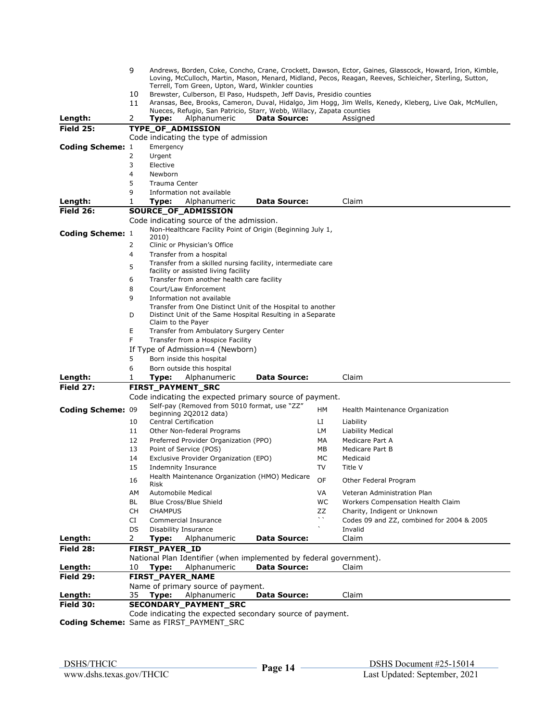|                                                 | 9                                                                                                                                                            |                                                                       |                                                                                  |                     |              | Andrews, Borden, Coke, Concho, Crane, Crockett, Dawson, Ector, Gaines, Glasscock, Howard, Irion, Kimble, |  |  |  |  |
|-------------------------------------------------|--------------------------------------------------------------------------------------------------------------------------------------------------------------|-----------------------------------------------------------------------|----------------------------------------------------------------------------------|---------------------|--------------|----------------------------------------------------------------------------------------------------------|--|--|--|--|
|                                                 | Loving, McCulloch, Martin, Mason, Menard, Midland, Pecos, Reagan, Reeves, Schleicher, Sterling, Sutton,<br>Terrell, Tom Green, Upton, Ward, Winkler counties |                                                                       |                                                                                  |                     |              |                                                                                                          |  |  |  |  |
|                                                 | 10                                                                                                                                                           | Brewster, Culberson, El Paso, Hudspeth, Jeff Davis, Presidio counties |                                                                                  |                     |              |                                                                                                          |  |  |  |  |
|                                                 | 11                                                                                                                                                           |                                                                       |                                                                                  |                     |              | Aransas, Bee, Brooks, Cameron, Duval, Hidalgo, Jim Hogg, Jim Wells, Kenedy, Kleberg, Live Oak, McMullen, |  |  |  |  |
|                                                 |                                                                                                                                                              |                                                                       | Nueces, Refugio, San Patricio, Starr, Webb, Willacy, Zapata counties             |                     |              |                                                                                                          |  |  |  |  |
| Length:                                         | 2                                                                                                                                                            | Type:                                                                 | Alphanumeric                                                                     | <b>Data Source:</b> |              | Assigned                                                                                                 |  |  |  |  |
| <b>Field 25:</b>                                |                                                                                                                                                              |                                                                       | TYPE_OF_ADMISSION                                                                |                     |              |                                                                                                          |  |  |  |  |
|                                                 |                                                                                                                                                              |                                                                       | Code indicating the type of admission                                            |                     |              |                                                                                                          |  |  |  |  |
| <b>Coding Scheme: 1</b>                         |                                                                                                                                                              | Emergency                                                             |                                                                                  |                     |              |                                                                                                          |  |  |  |  |
|                                                 | 2                                                                                                                                                            | Urgent                                                                |                                                                                  |                     |              |                                                                                                          |  |  |  |  |
|                                                 | 3                                                                                                                                                            | Elective                                                              |                                                                                  |                     |              |                                                                                                          |  |  |  |  |
|                                                 | 4                                                                                                                                                            | Newborn                                                               |                                                                                  |                     |              |                                                                                                          |  |  |  |  |
|                                                 | 5                                                                                                                                                            | Trauma Center                                                         |                                                                                  |                     |              |                                                                                                          |  |  |  |  |
|                                                 | 9                                                                                                                                                            |                                                                       | Information not available                                                        |                     |              |                                                                                                          |  |  |  |  |
| Length:                                         | 1                                                                                                                                                            | Type:                                                                 | Alphanumeric                                                                     | <b>Data Source:</b> |              | Claim                                                                                                    |  |  |  |  |
| Field 26:                                       |                                                                                                                                                              |                                                                       | SOURCE_OF_ADMISSION                                                              |                     |              |                                                                                                          |  |  |  |  |
|                                                 |                                                                                                                                                              |                                                                       | Code indicating source of the admission.                                         |                     |              |                                                                                                          |  |  |  |  |
| Coding Scheme: 1                                |                                                                                                                                                              | 2010)                                                                 | Non-Healthcare Facility Point of Origin (Beginning July 1,                       |                     |              |                                                                                                          |  |  |  |  |
|                                                 | 2                                                                                                                                                            |                                                                       | Clinic or Physician's Office                                                     |                     |              |                                                                                                          |  |  |  |  |
|                                                 | 4                                                                                                                                                            |                                                                       | Transfer from a hospital                                                         |                     |              |                                                                                                          |  |  |  |  |
|                                                 |                                                                                                                                                              |                                                                       | Transfer from a skilled nursing facility, intermediate care                      |                     |              |                                                                                                          |  |  |  |  |
|                                                 | 5                                                                                                                                                            |                                                                       | facility or assisted living facility                                             |                     |              |                                                                                                          |  |  |  |  |
|                                                 | 6                                                                                                                                                            |                                                                       | Transfer from another health care facility                                       |                     |              |                                                                                                          |  |  |  |  |
|                                                 | 8                                                                                                                                                            |                                                                       | Court/Law Enforcement                                                            |                     |              |                                                                                                          |  |  |  |  |
|                                                 | 9                                                                                                                                                            |                                                                       | Information not available                                                        |                     |              |                                                                                                          |  |  |  |  |
|                                                 |                                                                                                                                                              |                                                                       | Transfer from One Distinct Unit of the Hospital to another                       |                     |              |                                                                                                          |  |  |  |  |
|                                                 | D                                                                                                                                                            |                                                                       | Distinct Unit of the Same Hospital Resulting in a Separate<br>Claim to the Payer |                     |              |                                                                                                          |  |  |  |  |
|                                                 | E                                                                                                                                                            |                                                                       | Transfer from Ambulatory Surgery Center                                          |                     |              |                                                                                                          |  |  |  |  |
|                                                 | F                                                                                                                                                            | Transfer from a Hospice Facility                                      |                                                                                  |                     |              |                                                                                                          |  |  |  |  |
|                                                 |                                                                                                                                                              |                                                                       | If Type of Admission=4 (Newborn)                                                 |                     |              |                                                                                                          |  |  |  |  |
|                                                 | 5                                                                                                                                                            |                                                                       | Born inside this hospital                                                        |                     |              |                                                                                                          |  |  |  |  |
|                                                 | 6                                                                                                                                                            |                                                                       | Born outside this hospital                                                       |                     |              |                                                                                                          |  |  |  |  |
| Length:                                         | 1                                                                                                                                                            | Type:                                                                 | Alphanumeric                                                                     | <b>Data Source:</b> |              | Claim                                                                                                    |  |  |  |  |
| <b>Field 27:</b>                                |                                                                                                                                                              |                                                                       | <b>FIRST_PAYMENT_SRC</b>                                                         |                     |              |                                                                                                          |  |  |  |  |
|                                                 |                                                                                                                                                              |                                                                       | Code indicating the expected primary source of payment.                          |                     |              |                                                                                                          |  |  |  |  |
| Coding Scheme: 09                               |                                                                                                                                                              |                                                                       | Self-pay (Removed from 5010 format, use "ZZ"                                     |                     | <b>HM</b>    | Health Maintenance Organization                                                                          |  |  |  |  |
|                                                 | 10                                                                                                                                                           |                                                                       | beginning 2Q2012 data)<br><b>Central Certification</b>                           |                     | LI           |                                                                                                          |  |  |  |  |
|                                                 | 11                                                                                                                                                           |                                                                       | Other Non-federal Programs                                                       |                     | LМ           | Liability<br>Liability Medical                                                                           |  |  |  |  |
|                                                 | 12                                                                                                                                                           |                                                                       | Preferred Provider Organization (PPO)                                            |                     | МA           | Medicare Part A                                                                                          |  |  |  |  |
|                                                 | 13                                                                                                                                                           |                                                                       | Point of Service (POS)                                                           |                     | MВ           | Medicare Part B                                                                                          |  |  |  |  |
|                                                 | 14                                                                                                                                                           |                                                                       | Exclusive Provider Organization (EPO)                                            |                     | МC           | Medicaid                                                                                                 |  |  |  |  |
|                                                 | 15                                                                                                                                                           |                                                                       | Indemnity Insurance                                                              |                     | TV           | Title V                                                                                                  |  |  |  |  |
|                                                 |                                                                                                                                                              |                                                                       | Health Maintenance Organization (HMO) Medicare                                   |                     |              |                                                                                                          |  |  |  |  |
|                                                 | 16                                                                                                                                                           | Risk                                                                  |                                                                                  |                     | OF           | Other Federal Program                                                                                    |  |  |  |  |
|                                                 | ΑМ                                                                                                                                                           |                                                                       | Automobile Medical                                                               |                     | VA           | Veteran Administration Plan                                                                              |  |  |  |  |
|                                                 | BL                                                                                                                                                           |                                                                       | Blue Cross/Blue Shield                                                           |                     | WC           | Workers Compensation Health Claim                                                                        |  |  |  |  |
|                                                 | CH                                                                                                                                                           | <b>CHAMPUS</b>                                                        |                                                                                  |                     | ZZ           | Charity, Indigent or Unknown                                                                             |  |  |  |  |
|                                                 | CI                                                                                                                                                           |                                                                       | Commercial Insurance                                                             |                     | $\mathbf{v}$ | Codes 09 and ZZ, combined for 2004 & 2005                                                                |  |  |  |  |
|                                                 | DS                                                                                                                                                           |                                                                       | Disability Insurance                                                             |                     |              | Invalid                                                                                                  |  |  |  |  |
| Length:                                         | 2                                                                                                                                                            | Type:                                                                 | Alphanumeric                                                                     | <b>Data Source:</b> |              | Claim                                                                                                    |  |  |  |  |
| Field 28:                                       |                                                                                                                                                              | <b>FIRST PAYER ID</b>                                                 |                                                                                  |                     |              |                                                                                                          |  |  |  |  |
|                                                 |                                                                                                                                                              |                                                                       | National Plan Identifier (when implemented by federal government).               |                     |              |                                                                                                          |  |  |  |  |
| Length:                                         | 10                                                                                                                                                           | Type:                                                                 | Alphanumeric                                                                     | <b>Data Source:</b> |              | Claim                                                                                                    |  |  |  |  |
| Field 29:                                       |                                                                                                                                                              |                                                                       | <b>FIRST_PAYER_NAME</b>                                                          |                     |              |                                                                                                          |  |  |  |  |
|                                                 |                                                                                                                                                              |                                                                       | Name of primary source of payment.                                               |                     |              |                                                                                                          |  |  |  |  |
| Length:                                         | 35                                                                                                                                                           | Type:                                                                 | Alphanumeric                                                                     | Data Source:        |              | Claim                                                                                                    |  |  |  |  |
| Field 30:                                       |                                                                                                                                                              |                                                                       | SECONDARY_PAYMENT_SRC                                                            |                     |              |                                                                                                          |  |  |  |  |
|                                                 |                                                                                                                                                              |                                                                       | Code indicating the expected secondary source of payment.                        |                     |              |                                                                                                          |  |  |  |  |
| <b>Coding Scheme:</b> Same as FIRST PAYMENT SRC |                                                                                                                                                              |                                                                       |                                                                                  |                     |              |                                                                                                          |  |  |  |  |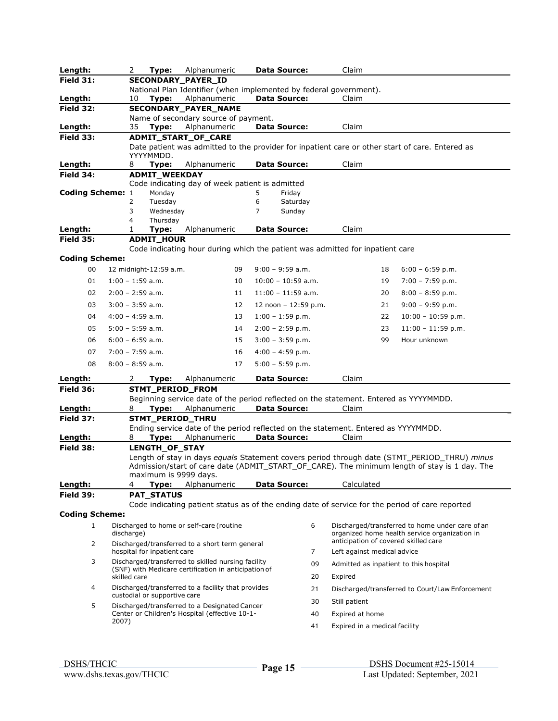| Length:                 |                    | 2                  | Type:                        | Alphanumeric                                         |    |   | <b>Data Source:</b>   |    | Claim                                                                                 |    |                                                                                                  |
|-------------------------|--------------------|--------------------|------------------------------|------------------------------------------------------|----|---|-----------------------|----|---------------------------------------------------------------------------------------|----|--------------------------------------------------------------------------------------------------|
| <b>Field 31:</b>        |                    |                    |                              | SECONDARY_PAYER_ID                                   |    |   |                       |    |                                                                                       |    |                                                                                                  |
|                         |                    |                    |                              |                                                      |    |   |                       |    | National Plan Identifier (when implemented by federal government).                    |    |                                                                                                  |
| Length:                 |                    | 10                 | Type:                        | Alphanumeric                                         |    |   | Data Source:          |    | Claim                                                                                 |    |                                                                                                  |
| Field 32:               |                    |                    |                              | SECONDARY_PAYER_NAME                                 |    |   |                       |    |                                                                                       |    |                                                                                                  |
| Length:                 |                    | 35                 | Type:                        | Name of secondary source of payment.<br>Alphanumeric |    |   | <b>Data Source:</b>   |    | Claim                                                                                 |    |                                                                                                  |
|                         |                    |                    |                              |                                                      |    |   |                       |    |                                                                                       |    |                                                                                                  |
| Field 33:               |                    |                    |                              | ADMIT_START_OF_CARE                                  |    |   |                       |    |                                                                                       |    | Date patient was admitted to the provider for inpatient care or other start of care. Entered as  |
|                         |                    |                    | YYYYMMDD.                    |                                                      |    |   |                       |    |                                                                                       |    |                                                                                                  |
| Length:                 |                    | 8                  | Type:                        | Alphanumeric                                         |    |   | <b>Data Source:</b>   |    | Claim                                                                                 |    |                                                                                                  |
| Field 34:               |                    |                    | <b>ADMIT_WEEKDAY</b>         |                                                      |    |   |                       |    |                                                                                       |    |                                                                                                  |
|                         |                    |                    |                              | Code indicating day of week patient is admitted      |    |   |                       |    |                                                                                       |    |                                                                                                  |
| <b>Coding Scheme: 1</b> |                    |                    | Monday                       |                                                      |    | 5 | Friday                |    |                                                                                       |    |                                                                                                  |
|                         |                    | 2                  | Tuesday                      |                                                      |    | 6 | Saturday              |    |                                                                                       |    |                                                                                                  |
|                         |                    | 3                  | Wednesday                    |                                                      |    | 7 | Sunday                |    |                                                                                       |    |                                                                                                  |
|                         |                    | 4                  | Thursday                     |                                                      |    |   |                       |    |                                                                                       |    |                                                                                                  |
| Length:                 |                    | 1                  | Type:                        | Alphanumeric                                         |    |   | <b>Data Source:</b>   |    | Claim                                                                                 |    |                                                                                                  |
| <b>Field 35:</b>        |                    |                    | <b>ADMIT_HOUR</b>            |                                                      |    |   |                       |    |                                                                                       |    |                                                                                                  |
| <b>Coding Scheme:</b>   |                    |                    |                              |                                                      |    |   |                       |    | Code indicating hour during which the patient was admitted for inpatient care         |    |                                                                                                  |
| 00                      |                    |                    | 12 midnight-12:59 a.m.       |                                                      | 09 |   | $9:00 - 9:59$ a.m.    |    |                                                                                       | 18 | $6:00 - 6:59$ p.m.                                                                               |
|                         |                    |                    |                              |                                                      |    |   |                       |    |                                                                                       |    |                                                                                                  |
| 01                      | $1:00 - 1:59$ a.m. |                    |                              |                                                      | 10 |   | $10:00 - 10:59$ a.m.  |    |                                                                                       | 19 | $7:00 - 7:59$ p.m.                                                                               |
| 02                      | $2:00 - 2:59$ a.m. |                    |                              |                                                      | 11 |   | $11:00 - 11:59$ a.m.  |    |                                                                                       | 20 | $8:00 - 8:59$ p.m.                                                                               |
| 03                      |                    | $3:00 - 3:59$ a.m. |                              |                                                      | 12 |   | 12 noon $-12:59$ p.m. |    |                                                                                       | 21 | $9:00 - 9:59$ p.m.                                                                               |
| 04                      | $4:00 - 4:59$ a.m. |                    |                              |                                                      | 13 |   | $1:00 - 1:59$ p.m.    |    |                                                                                       | 22 | $10:00 - 10:59$ p.m.                                                                             |
| 05                      | $5:00 - 5:59$ a.m. |                    |                              |                                                      | 14 |   | $2:00 - 2:59$ p.m.    |    |                                                                                       | 23 | $11:00 - 11:59$ p.m.                                                                             |
| 06                      | $6:00 - 6:59$ a.m. |                    |                              |                                                      | 15 |   | $3:00 - 3:59$ p.m.    |    |                                                                                       | 99 | Hour unknown                                                                                     |
|                         |                    |                    |                              |                                                      |    |   |                       |    |                                                                                       |    |                                                                                                  |
| 07                      | $7:00 - 7:59$ a.m. |                    |                              |                                                      | 16 |   | $4:00 - 4:59$ p.m.    |    |                                                                                       |    |                                                                                                  |
| 08                      | $8:00 - 8:59$ a.m. |                    |                              |                                                      | 17 |   | $5:00 - 5:59$ p.m.    |    |                                                                                       |    |                                                                                                  |
| Length:                 |                    | 2                  | Type:                        | Alphanumeric                                         |    |   | <b>Data Source:</b>   |    | Claim                                                                                 |    |                                                                                                  |
| Field 36:               |                    |                    | STMT_PERIOD_FROM             |                                                      |    |   |                       |    |                                                                                       |    |                                                                                                  |
|                         |                    |                    |                              |                                                      |    |   |                       |    | Beginning service date of the period reflected on the statement. Entered as YYYYMMDD. |    |                                                                                                  |
| Length:                 |                    | 8                  | Type:                        | Alphanumeric                                         |    |   | <b>Data Source:</b>   |    | Claim                                                                                 |    |                                                                                                  |
| Field 37:               |                    |                    | STMT_PERIOD_THRU             |                                                      |    |   |                       |    |                                                                                       |    |                                                                                                  |
|                         |                    |                    |                              |                                                      |    |   |                       |    | Ending service date of the period reflected on the statement. Entered as YYYYMMDD.    |    |                                                                                                  |
| Length:                 |                    | 8                  | Type:                        | Alphanumeric                                         |    |   | <b>Data Source:</b>   |    | Claim                                                                                 |    |                                                                                                  |
| Field 38:               |                    |                    | LENGTH_OF_STAY               |                                                      |    |   |                       |    |                                                                                       |    |                                                                                                  |
|                         |                    |                    |                              |                                                      |    |   |                       |    |                                                                                       |    | Length of stay in days equals Statement covers period through date (STMT_PERIOD_THRU) minus      |
|                         |                    |                    |                              |                                                      |    |   |                       |    |                                                                                       |    | Admission/start of care date (ADMIT_START_OF_CARE). The minimum length of stay is 1 day. The     |
| Length:                 |                    | 4                  | maximum is 9999 days.        | Type: Alphanumeric                                   |    |   | Data Source:          |    | Calculated                                                                            |    |                                                                                                  |
| Field 39:               |                    |                    | <b>PAT_STATUS</b>            |                                                      |    |   |                       |    |                                                                                       |    |                                                                                                  |
|                         |                    |                    |                              |                                                      |    |   |                       |    |                                                                                       |    | Code indicating patient status as of the ending date of service for the period of care reported  |
| <b>Coding Scheme:</b>   |                    |                    |                              |                                                      |    |   |                       |    |                                                                                       |    |                                                                                                  |
|                         |                    |                    |                              |                                                      |    |   |                       | 6  |                                                                                       |    |                                                                                                  |
| 1                       |                    | discharge)         |                              | Discharged to home or self-care (routine             |    |   |                       |    |                                                                                       |    | Discharged/transferred to home under care of an<br>organized home health service organization in |
| 2                       |                    |                    |                              | Discharged/transferred to a short term general       |    |   |                       |    | anticipation of covered skilled care                                                  |    |                                                                                                  |
|                         |                    |                    | hospital for inpatient care  |                                                      |    |   |                       | 7  | Left against medical advice                                                           |    |                                                                                                  |
| 3                       |                    |                    |                              | Discharged/transferred to skilled nursing facility   |    |   |                       | 09 | Admitted as inpatient to this hospital                                                |    |                                                                                                  |
|                         |                    |                    |                              | (SNF) with Medicare certification in anticipation of |    |   |                       |    |                                                                                       |    |                                                                                                  |
|                         |                    | skilled care       |                              |                                                      |    |   |                       | 20 | Expired                                                                               |    |                                                                                                  |
| 4                       |                    |                    | custodial or supportive care | Discharged/transferred to a facility that provides   |    |   |                       | 21 |                                                                                       |    | Discharged/transferred to Court/Law Enforcement                                                  |
| 5                       |                    |                    |                              | Discharged/transferred to a Designated Cancer        |    |   |                       | 30 | Still patient                                                                         |    |                                                                                                  |
|                         |                    |                    |                              | Center or Children's Hospital (effective 10-1-       |    |   |                       | 40 | Expired at home                                                                       |    |                                                                                                  |
|                         | 2007)              |                    |                              |                                                      |    |   |                       |    |                                                                                       |    |                                                                                                  |
|                         |                    |                    |                              |                                                      |    |   |                       | 41 | Expired in a medical facility                                                         |    |                                                                                                  |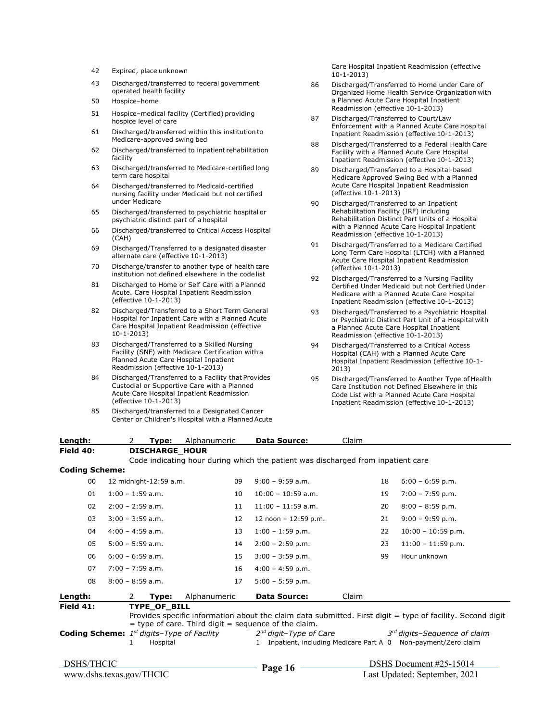- 42 Expired, place unknown
- 43 Discharged/transferred to federal government operated health facility
- 50 Hospice–home
- 51 Hospice–medical facility (Certified) providing hospice level of care
- 61 Discharged/transferred within this institution to Medicare-approved swing bed
- 62 Discharged/transferred to inpatient rehabilitation facility
- 63 Discharged/transferred to Medicare-certified long term care hospital
- 64 Discharged/transferred to Medicaid-certified nursing facility under Medicaid but not certified under Medicare
- 65 Discharged/transferred to psychiatric hospital or psychiatric distinct part of a hospital
- 66 Discharged/transferred to Critical Access Hospital (CAH)
- 69 Discharged/Transferred to a designated disaster alternate care (effective 10-1-2013)
- 70 Discharge/transfer to another type of health care institution not defined elsewhere in the code list
- 81 Discharged to Home or Self Care with a Planned Acute. Care Hospital Inpatient Readmission (effective 10-1-2013)
- 82 Discharged/Transferred to a Short Term General Hospital for Inpatient Care with a Planned Acute Care Hospital Inpatient Readmission (effective 10-1-2013)
- 83 Discharged/Transferred to a Skilled Nursing Facility (SNF) with Medicare Certification with a Planned Acute Care Hospital Inpatient Readmission (effective 10-1-2013)
- 84 Discharged/Transferred to a Facility that Provides Custodial or Supportive Care with a Planned Acute Care Hospital Inpatient Readmission (effective 10-1-2013)
- 85 Discharged/transferred to a Designated Cancer Center or Children's Hospital with a Planned Acute

Care Hospital Inpatient Readmission (effective 10-1-2013)

- 86 Discharged/Transferred to Home under Care of Organized Home Health Service Organization with a Planned Acute Care Hospital Inpatient Readmission (effective 10-1-2013)
- 87 Discharged/Transferred to Court/Law Enforcement with a Planned Acute Care Hospital Inpatient Readmission (effective 10-1-2013)
- 88 Discharged/Transferred to a Federal Health Care Facility with a Planned Acute Care Hospital Inpatient Readmission (effective 10-1-2013)
- 89 Discharged/Transferred to a Hospital-based Medicare Approved Swing Bed with a Planned Acute Care Hospital Inpatient Readmission (effective 10-1-2013)
- 90 Discharged/Transferred to an Inpatient Rehabilitation Facility (IRF) including Rehabilitation Distinct Part Units of a Hospital with a Planned Acute Care Hospital Inpatient Readmission (effective 10-1-2013)
- 91 Discharged/Transferred to a Medicare Certified Long Term Care Hospital (LTCH) with a Planned Acute Care Hospital Inpatient Readmission (effective 10-1-2013)
- 92 Discharged/Transferred to a Nursing Facility Certified Under Medicaid but not Certified Under Medicare with a Planned Acute Care Hospital Inpatient Readmission (effective 10-1-2013)
- 93 Discharged/Transferred to a Psychiatric Hospital or Psychiatric Distinct Part Unit of a Hospital with a Planned Acute Care Hospital Inpatient Readmission (effective 10-1-2013)
- 94 Discharged/Transferred to a Critical Access Hospital (CAH) with a Planned Acute Care Hospital Inpatient Readmission (effective 10-1- 2013)
- 95 Discharged/Transferred to Another Type of Health Care Institution not Defined Elsewhere in this Code List with a Planned Acute Care Hospital Inpatient Readmission (effective 10-1-2013)

| Length:                                                             |                    | 2 | Type:                           | Alphanumeric | <b>Data Source:</b>                                                                                                               | Claim |    |                                                                                                                                                                          |
|---------------------------------------------------------------------|--------------------|---|---------------------------------|--------------|-----------------------------------------------------------------------------------------------------------------------------------|-------|----|--------------------------------------------------------------------------------------------------------------------------------------------------------------------------|
| Field 40:                                                           |                    |   | <b>DISCHARGE HOUR</b>           |              |                                                                                                                                   |       |    |                                                                                                                                                                          |
| <b>Coding Scheme:</b>                                               |                    |   |                                 |              | Code indicating hour during which the patient was discharged from inpatient care                                                  |       |    |                                                                                                                                                                          |
|                                                                     |                    |   |                                 |              |                                                                                                                                   |       |    |                                                                                                                                                                          |
| 00                                                                  |                    |   | 12 midnight-12:59 a.m.          | 09           | $9:00 - 9:59$ a.m.                                                                                                                |       | 18 | $6:00 - 6:59$ p.m.                                                                                                                                                       |
| 01                                                                  | $1:00 - 1:59$ a.m. |   |                                 | 10           | $10:00 - 10:59$ a.m.                                                                                                              |       | 19 | $7:00 - 7:59$ p.m.                                                                                                                                                       |
| 02                                                                  | $2:00 - 2:59$ a.m. |   |                                 | 11           | $11:00 - 11:59$ a.m.                                                                                                              |       | 20 | $8:00 - 8:59$ p.m.                                                                                                                                                       |
| 03                                                                  | $3:00 - 3:59$ a.m. |   |                                 | 12           | 12 noon $-12:59$ p.m.                                                                                                             |       | 21 | $9:00 - 9:59$ p.m.                                                                                                                                                       |
| 04                                                                  | $4:00 - 4:59$ a.m. |   |                                 | 13           | $1:00 - 1:59$ p.m.                                                                                                                |       | 22 | $10:00 - 10:59$ p.m.                                                                                                                                                     |
| 05                                                                  | $5:00 - 5:59$ a.m. |   |                                 | 14           | $2:00 - 2:59$ p.m.                                                                                                                |       | 23 | $11:00 - 11:59 p.m.$                                                                                                                                                     |
| 06                                                                  | $6:00 - 6:59$ a.m. |   |                                 | 15           | $3:00 - 3:59$ p.m.                                                                                                                |       | 99 | Hour unknown                                                                                                                                                             |
| 07                                                                  | $7:00 - 7:59$ a.m. |   |                                 | 16           | $4:00 - 4:59$ p.m.                                                                                                                |       |    |                                                                                                                                                                          |
| 08                                                                  | $8:00 - 8:59$ a.m. |   |                                 | 17           | $5:00 - 5:59$ p.m.                                                                                                                |       |    |                                                                                                                                                                          |
| Length:                                                             |                    | 2 | Type:                           | Alphanumeric | <b>Data Source:</b>                                                                                                               | Claim |    |                                                                                                                                                                          |
| Field 41:<br><b>Coding Scheme:</b> $1^{st}$ digits-Type of Facility |                    |   | <b>TYPE OF BILL</b><br>Hospital |              | $=$ type of care. Third digit $=$ sequence of the claim.<br>$2^{nd}$ digit-Type of Care<br>Inpatient, including Medicare Part A 0 |       |    | Provides specific information about the claim data submitted. First digit $=$ type of facility. Second digit<br>$3rd$ digits-Sequence of claim<br>Non-payment/Zero claim |
| <b>DSHS/THCIC</b>                                                   |                    |   |                                 |              | Page 16                                                                                                                           |       |    | DSHS Document #25-15014                                                                                                                                                  |
| www.dshs.texas.gov/THCIC                                            |                    |   |                                 |              |                                                                                                                                   |       |    | Last Updated: September, 2021                                                                                                                                            |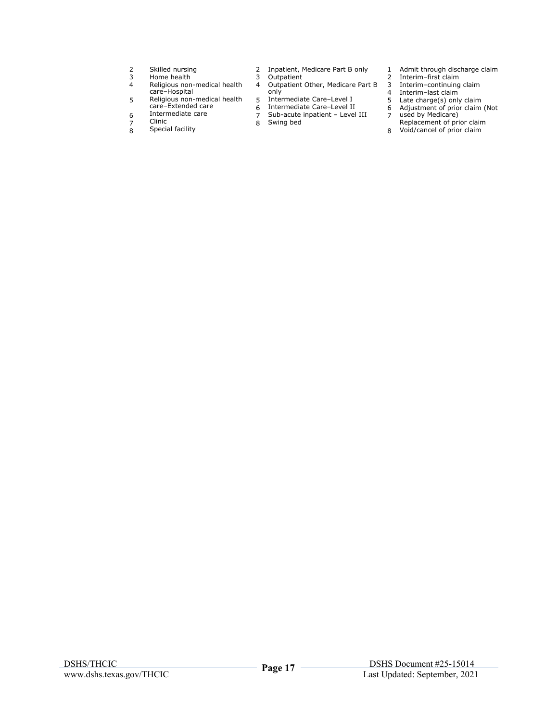- 2 Skilled nursing
- 3 Home health
- 4 Religious non-medical health care–Hospital
- 5 Religious non-medical health care–Extended care
- 6 Intermediate care
- 7 Clinic
- $\frac{1}{8}$ Special facility
- 2 Inpatient, Medicare Part B only
- 3 Outpatient
- 4 Outpatient Other, Medicare Part B only
- 5 Intermediate Care–Level I
- 6 7 Intermediate Care–Level II
- 8 Sub-acute inpatient – Level III
	- Swing bed
- 1 Admit through discharge claim
- 2 3 Interim–first claim
- 4 Interim–continuing claim
- 5 Interim–last claim
- 6 Adjustment of prior claim (Not Late charge(s) only claim
- 7 used by Medicare)
- Replacement of prior claim
- 8 Void/cancel of prior claim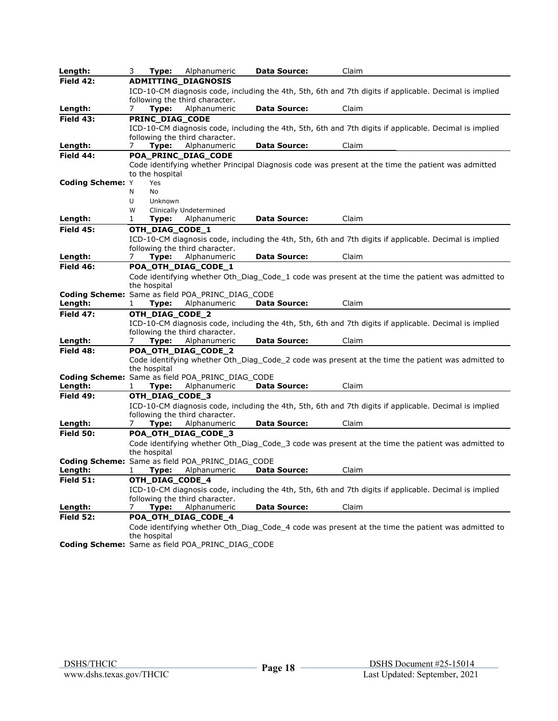| Length:                                                 | 3<br>Type:        | Alphanumeric                                   | <b>Data Source:</b> | Claim                                                                                                  |
|---------------------------------------------------------|-------------------|------------------------------------------------|---------------------|--------------------------------------------------------------------------------------------------------|
| Field 42:                                               |                   | <b>ADMITTING DIAGNOSIS</b>                     |                     |                                                                                                        |
|                                                         |                   |                                                |                     | ICD-10-CM diagnosis code, including the 4th, 5th, 6th and 7th digits if applicable. Decimal is implied |
|                                                         |                   | following the third character.                 |                     |                                                                                                        |
| Length:                                                 | Type:<br>7        | Alphanumeric                                   | <b>Data Source:</b> | Claim                                                                                                  |
| <b>Field 43:</b>                                        | PRINC_DIAG_CODE   |                                                |                     |                                                                                                        |
|                                                         |                   |                                                |                     | ICD-10-CM diagnosis code, including the 4th, 5th, 6th and 7th digits if applicable. Decimal is implied |
|                                                         |                   | following the third character.                 |                     |                                                                                                        |
| Length:                                                 | Type:<br>$\prime$ | Alphanumeric                                   | <b>Data Source:</b> | Claim                                                                                                  |
| Field 44:                                               |                   | POA_PRINC_DIAG_CODE                            |                     |                                                                                                        |
|                                                         |                   |                                                |                     | Code identifying whether Principal Diagnosis code was present at the time the patient was admitted     |
|                                                         | to the hospital   |                                                |                     |                                                                                                        |
| <b>Coding Scheme: Y</b>                                 | Yes               |                                                |                     |                                                                                                        |
|                                                         | N<br>No           |                                                |                     |                                                                                                        |
|                                                         | U<br>Unknown<br>W | Clinically Undetermined                        |                     |                                                                                                        |
| Length:                                                 | 1<br>Type:        | Alphanumeric                                   | <b>Data Source:</b> | Claim                                                                                                  |
|                                                         |                   |                                                |                     |                                                                                                        |
| <b>Field 45:</b>                                        | OTH_DIAG_CODE_1   |                                                |                     |                                                                                                        |
|                                                         |                   |                                                |                     | ICD-10-CM diagnosis code, including the 4th, 5th, 6th and 7th digits if applicable. Decimal is implied |
| Length:                                                 | Type:<br>7        | following the third character.<br>Alphanumeric | <b>Data Source:</b> | Claim                                                                                                  |
| <b>Field 46:</b>                                        |                   | POA_OTH_DIAG_CODE_1                            |                     |                                                                                                        |
|                                                         |                   |                                                |                     | Code identifying whether Oth Diag Code 1 code was present at the time the patient was admitted to      |
|                                                         | the hospital      |                                                |                     |                                                                                                        |
| <b>Coding Scheme:</b> Same as field POA PRINC DIAG CODE |                   |                                                |                     |                                                                                                        |
| Length:                                                 | Type:<br>1        | Alphanumeric                                   | <b>Data Source:</b> | Claim                                                                                                  |
| <b>Field 47:</b>                                        | OTH DIAG CODE 2   |                                                |                     |                                                                                                        |
|                                                         |                   |                                                |                     | ICD-10-CM diagnosis code, including the 4th, 5th, 6th and 7th digits if applicable. Decimal is implied |
|                                                         |                   | following the third character.                 |                     |                                                                                                        |
| Length:                                                 | Type:<br>7        | Alphanumeric                                   | <b>Data Source:</b> | Claim                                                                                                  |
| Field 48:                                               |                   | POA_OTH_DIAG_CODE_2                            |                     |                                                                                                        |
|                                                         |                   |                                                |                     | Code identifying whether Oth_Diag_Code_2 code was present at the time the patient was admitted to      |
|                                                         | the hospital      |                                                |                     |                                                                                                        |
| <b>Coding Scheme:</b> Same as field POA PRINC DIAG CODE |                   |                                                |                     |                                                                                                        |
| Length:                                                 | Type:             | Alphanumeric                                   | <b>Data Source:</b> | Claim                                                                                                  |
| Field 49:                                               | OTH_DIAG_CODE_3   |                                                |                     |                                                                                                        |
|                                                         |                   |                                                |                     | ICD-10-CM diagnosis code, including the 4th, 5th, 6th and 7th digits if applicable. Decimal is implied |
|                                                         |                   | following the third character.                 |                     |                                                                                                        |
| Length:                                                 | 7.<br>Type:       | Alphanumeric                                   | <b>Data Source:</b> | Claim                                                                                                  |
| <b>Field 50:</b>                                        |                   | POA_OTH_DIAG_CODE_3                            |                     |                                                                                                        |
|                                                         |                   |                                                |                     | Code identifying whether Oth_Diag_Code_3 code was present at the time the patient was admitted to      |
|                                                         | the hospital      |                                                |                     |                                                                                                        |
| Coding Scheme: Same as field POA PRINC DIAG CODE        |                   |                                                |                     |                                                                                                        |
| Length:                                                 | 1<br>Type:        | Alphanumeric                                   | <b>Data Source:</b> | Claim                                                                                                  |
| Field 51:                                               | OTH_DIAG_CODE_4   |                                                |                     |                                                                                                        |
|                                                         |                   |                                                |                     | ICD-10-CM diagnosis code, including the 4th, 5th, 6th and 7th digits if applicable. Decimal is implied |
|                                                         |                   | following the third character.                 |                     |                                                                                                        |
| Length:                                                 | Type:             | Alphanumeric                                   | <b>Data Source:</b> | Claim                                                                                                  |
| <b>Field 52:</b>                                        |                   | POA_OTH_DIAG_CODE_4                            |                     |                                                                                                        |
|                                                         |                   |                                                |                     | Code identifying whether Oth_Diag_Code_4 code was present at the time the patient was admitted to      |
|                                                         | the hospital      |                                                |                     |                                                                                                        |
| Coding Scheme: Same as field POA_PRINC_DIAG_CODE        |                   |                                                |                     |                                                                                                        |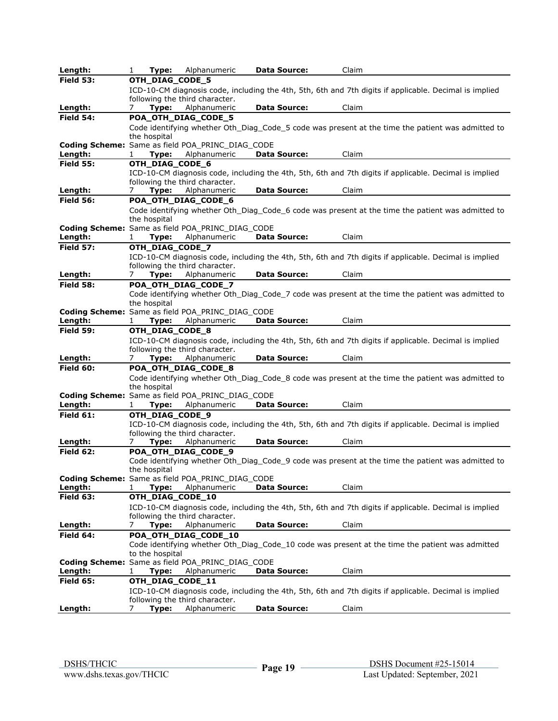| Length:                     | 1<br>Type:                    | Alphanumeric                                                     | <b>Data Source:</b> | Claim                                                                                                  |
|-----------------------------|-------------------------------|------------------------------------------------------------------|---------------------|--------------------------------------------------------------------------------------------------------|
| <b>Field 53:</b>            | OTH_DIAG_CODE_5               |                                                                  |                     |                                                                                                        |
|                             |                               |                                                                  |                     | ICD-10-CM diagnosis code, including the 4th, 5th, 6th and 7th digits if applicable. Decimal is implied |
|                             |                               | following the third character.                                   |                     |                                                                                                        |
| Length:                     | Type:<br>7                    | Alphanumeric                                                     | <b>Data Source:</b> | Claim                                                                                                  |
| Field 54:                   |                               | POA_OTH_DIAG_CODE_5                                              |                     |                                                                                                        |
|                             |                               |                                                                  |                     | Code identifying whether Oth Diag Code 5 code was present at the time the patient was admitted to      |
|                             | the hospital                  |                                                                  |                     |                                                                                                        |
|                             |                               | Coding Scheme: Same as field POA_PRINC_DIAG_CODE<br>Alphanumeric | <b>Data Source:</b> | Claim                                                                                                  |
| Length:<br><b>Field 55:</b> | Type:<br>1<br>OTH_DIAG_CODE_6 |                                                                  |                     |                                                                                                        |
|                             |                               |                                                                  |                     | ICD-10-CM diagnosis code, including the 4th, 5th, 6th and 7th digits if applicable. Decimal is implied |
|                             |                               | following the third character.                                   |                     |                                                                                                        |
| Length:                     | Type:<br>7                    | Alphanumeric                                                     | <b>Data Source:</b> | Claim                                                                                                  |
| <b>Field 56:</b>            |                               | POA_OTH_DIAG_CODE_6                                              |                     |                                                                                                        |
|                             |                               |                                                                  |                     | Code identifying whether Oth_Diag_Code_6 code was present at the time the patient was admitted to      |
|                             | the hospital                  |                                                                  |                     |                                                                                                        |
|                             |                               | Coding Scheme: Same as field POA_PRINC_DIAG_CODE                 |                     |                                                                                                        |
| Length:                     | Type:<br>1                    | Alphanumeric                                                     | <b>Data Source:</b> | Claim                                                                                                  |
| <b>Field 57:</b>            | OTH_DIAG_CODE_7               |                                                                  |                     |                                                                                                        |
|                             |                               |                                                                  |                     | ICD-10-CM diagnosis code, including the 4th, 5th, 6th and 7th digits if applicable. Decimal is implied |
|                             |                               | following the third character.                                   |                     |                                                                                                        |
| Length:                     | Type:<br>7.                   | Alphanumeric                                                     | <b>Data Source:</b> | Claim                                                                                                  |
| Field 58:                   |                               | POA_OTH_DIAG_CODE_7                                              |                     |                                                                                                        |
|                             | the hospital                  |                                                                  |                     | Code identifying whether Oth_Diag_Code_7 code was present at the time the patient was admitted to      |
|                             |                               | <b>Coding Scheme:</b> Same as field POA PRINC DIAG CODE          |                     |                                                                                                        |
| Length:                     | Type:<br>1                    | Alphanumeric                                                     | <b>Data Source:</b> | Claim                                                                                                  |
| Field 59:                   | OTH_DIAG_CODE_8               |                                                                  |                     |                                                                                                        |
|                             |                               |                                                                  |                     | ICD-10-CM diagnosis code, including the 4th, 5th, 6th and 7th digits if applicable. Decimal is implied |
|                             |                               | following the third character.                                   |                     |                                                                                                        |
| Length:                     | Type:<br>7                    | Alphanumeric                                                     | <b>Data Source:</b> | Claim                                                                                                  |
| Field 60:                   |                               | POA_OTH_DIAG_CODE_8                                              |                     |                                                                                                        |
|                             |                               |                                                                  |                     | Code identifying whether Oth_Diag_Code_8 code was present at the time the patient was admitted to      |
|                             | the hospital                  |                                                                  |                     |                                                                                                        |
|                             |                               | <b>Coding Scheme:</b> Same as field POA PRINC DIAG CODE          |                     |                                                                                                        |
| Length:                     | 1<br>Type:                    | Alphanumeric                                                     | <b>Data Source:</b> | Claim                                                                                                  |
| Field 61:                   | OTH_DIAG_CODE_9               |                                                                  |                     |                                                                                                        |
|                             |                               | following the third character.                                   |                     | ICD-10-CM diagnosis code, including the 4th, 5th, 6th and 7th digits if applicable. Decimal is implied |
| Length:                     | Type:<br>$\prime$             | Alphanumeric                                                     | <b>Data Source:</b> | Claim                                                                                                  |
| Field 62:                   |                               | POA_OTH_DIAG_CODE_9                                              |                     |                                                                                                        |
|                             |                               |                                                                  |                     | Code identifying whether Oth_Diag_Code_9 code was present at the time the patient was admitted to      |
|                             | the hospital                  |                                                                  |                     |                                                                                                        |
|                             |                               | Coding Scheme: Same as field POA_PRINC_DIAG_CODE                 |                     |                                                                                                        |
| Length:                     | Type:<br>1                    | Alphanumeric                                                     | <b>Data Source:</b> | Claim                                                                                                  |
| Field 63:                   | OTH_DIAG_CODE_10              |                                                                  |                     |                                                                                                        |
|                             |                               |                                                                  |                     | ICD-10-CM diagnosis code, including the 4th, 5th, 6th and 7th digits if applicable. Decimal is implied |
|                             | Type:                         | following the third character.                                   | <b>Data Source:</b> | Claim                                                                                                  |
| Length:<br>Field 64:        | 7.                            | Alphanumeric<br>POA_OTH_DIAG_CODE_10                             |                     |                                                                                                        |
|                             |                               |                                                                  |                     | Code identifying whether Oth_Diag_Code_10 code was present at the time the patient was admitted        |
|                             | to the hospital               |                                                                  |                     |                                                                                                        |
|                             |                               | <b>Coding Scheme:</b> Same as field POA PRINC DIAG CODE          |                     |                                                                                                        |
| Length:                     | Type:<br>1                    | Alphanumeric                                                     | <b>Data Source:</b> | Claim                                                                                                  |
| <b>Field 65:</b>            | OTH_DIAG_CODE_11              |                                                                  |                     |                                                                                                        |
|                             |                               |                                                                  |                     | ICD-10-CM diagnosis code, including the 4th, 5th, 6th and 7th digits if applicable. Decimal is implied |
|                             |                               | following the third character.                                   |                     |                                                                                                        |
| Length:                     | Type:<br>7                    | Alphanumeric                                                     | <b>Data Source:</b> | Claim                                                                                                  |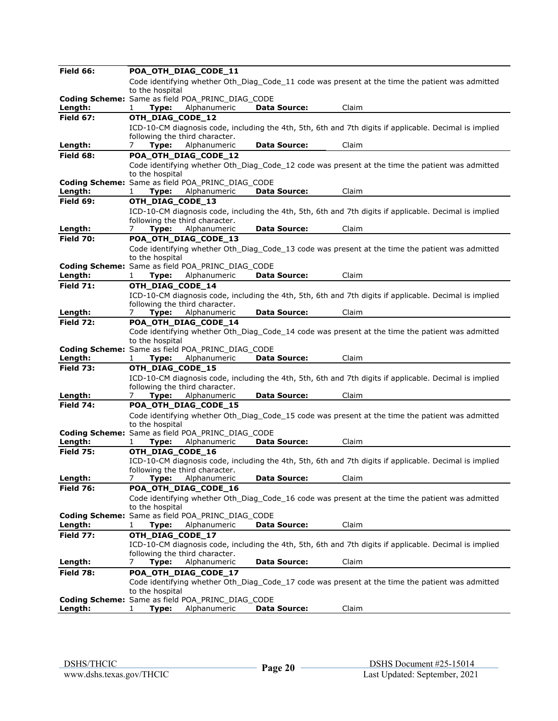| Field 66:        | POA_OTH_DIAG_CODE_11                         |                                                         |                     |                                                                                                        |
|------------------|----------------------------------------------|---------------------------------------------------------|---------------------|--------------------------------------------------------------------------------------------------------|
|                  |                                              |                                                         |                     | Code identifying whether Oth Diag Code 11 code was present at the time the patient was admitted        |
|                  | to the hospital                              |                                                         |                     |                                                                                                        |
|                  |                                              | <b>Coding Scheme:</b> Same as field POA PRINC DIAG CODE |                     |                                                                                                        |
| Length:          | Type:<br>1                                   | Alphanumeric                                            | <b>Data Source:</b> | Claim                                                                                                  |
| <b>Field 67:</b> | OTH_DIAG_CODE_12                             |                                                         |                     |                                                                                                        |
|                  |                                              |                                                         |                     | ICD-10-CM diagnosis code, including the 4th, 5th, 6th and 7th digits if applicable. Decimal is implied |
|                  | following the third character.               |                                                         |                     |                                                                                                        |
| Length:          | 7<br>Type:                                   | Alphanumeric                                            | <b>Data Source:</b> | Claim                                                                                                  |
| Field 68:        | POA_OTH_DIAG_CODE_12                         |                                                         |                     |                                                                                                        |
|                  |                                              |                                                         |                     | Code identifying whether Oth_Diag_Code_12 code was present at the time the patient was admitted        |
|                  | to the hospital                              | Coding Scheme: Same as field POA_PRINC_DIAG_CODE        |                     |                                                                                                        |
| Length:          | Type:                                        | Alphanumeric                                            | <b>Data Source:</b> | Claim                                                                                                  |
| Field 69:        | OTH_DIAG_CODE_13                             |                                                         |                     |                                                                                                        |
|                  |                                              |                                                         |                     |                                                                                                        |
|                  | following the third character.               |                                                         |                     | ICD-10-CM diagnosis code, including the 4th, 5th, 6th and 7th digits if applicable. Decimal is implied |
| Length:          | Type:<br>$\prime$                            | Alphanumeric                                            | <b>Data Source:</b> | Claim                                                                                                  |
| <b>Field 70:</b> | POA_OTH_DIAG_CODE_13                         |                                                         |                     |                                                                                                        |
|                  |                                              |                                                         |                     | Code identifying whether Oth Diag Code 13 code was present at the time the patient was admitted        |
|                  | to the hospital                              |                                                         |                     |                                                                                                        |
|                  |                                              | <b>Coding Scheme:</b> Same as field POA PRINC DIAG CODE |                     |                                                                                                        |
| Length:          | Type:<br>1                                   | Alphanumeric                                            | <b>Data Source:</b> | Claim                                                                                                  |
| <b>Field 71:</b> | OTH DIAG CODE 14                             |                                                         |                     |                                                                                                        |
|                  |                                              |                                                         |                     | ICD-10-CM diagnosis code, including the 4th, 5th, 6th and 7th digits if applicable. Decimal is implied |
|                  | following the third character.               |                                                         |                     |                                                                                                        |
| Length:          | Type:<br>7                                   | Alphanumeric                                            | <b>Data Source:</b> | Claim                                                                                                  |
| Field 72:        | POA_OTH_DIAG_CODE_14                         |                                                         |                     |                                                                                                        |
|                  |                                              |                                                         |                     | Code identifying whether Oth Diag Code 14 code was present at the time the patient was admitted        |
|                  | to the hospital                              |                                                         |                     |                                                                                                        |
|                  |                                              | <b>Coding Scheme:</b> Same as field POA PRINC DIAG CODE |                     |                                                                                                        |
| Length:          | Type:<br>1                                   | Alphanumeric                                            | <b>Data Source:</b> | Claim                                                                                                  |
| <b>Field 73:</b> | OTH_DIAG_CODE_15                             |                                                         |                     |                                                                                                        |
|                  |                                              |                                                         |                     | ICD-10-CM diagnosis code, including the 4th, 5th, 6th and 7th digits if applicable. Decimal is implied |
| Length:          | following the third character.<br>Type:<br>7 | Alphanumeric                                            | <b>Data Source:</b> | Claim                                                                                                  |
| Field 74:        | POA_OTH_DIAG_CODE_15                         |                                                         |                     |                                                                                                        |
|                  |                                              |                                                         |                     | Code identifying whether Oth_Diag_Code_15 code was present at the time the patient was admitted        |
|                  | to the hospital                              |                                                         |                     |                                                                                                        |
|                  |                                              | Coding Scheme: Same as field POA_PRINC_DIAG_CODE        |                     |                                                                                                        |
| Length:          | Type:                                        | Alphanumeric                                            | <b>Data Source:</b> | Claim                                                                                                  |
| <b>Field 75:</b> | OTH_DIAG_CODE_16                             |                                                         |                     |                                                                                                        |
|                  |                                              |                                                         |                     | ICD-10-CM diagnosis code, including the 4th, 5th, 6th and 7th digits if applicable. Decimal is implied |
|                  | following the third character.               |                                                         |                     |                                                                                                        |
| Length:          | Type:<br>7                                   | Alphanumeric                                            | <b>Data Source:</b> | Claim                                                                                                  |
| <b>Field 76:</b> | POA_OTH_DIAG_CODE_16                         |                                                         |                     |                                                                                                        |
|                  |                                              |                                                         |                     | Code identifying whether Oth_Diag_Code_16 code was present at the time the patient was admitted        |
|                  | to the hospital                              |                                                         |                     |                                                                                                        |
|                  |                                              | Coding Scheme: Same as field POA PRINC DIAG CODE        |                     |                                                                                                        |
| Length:          | Type:<br>1                                   | Alphanumeric                                            | <b>Data Source:</b> | Claim                                                                                                  |
| <b>Field 77:</b> | OTH_DIAG_CODE_17                             |                                                         |                     |                                                                                                        |
|                  |                                              |                                                         |                     | ICD-10-CM diagnosis code, including the 4th, 5th, 6th and 7th digits if applicable. Decimal is implied |
| Length:          | following the third character.<br>7          | Alphanumeric                                            | Data Source:        | Claim                                                                                                  |
| <b>Field 78:</b> | Type:                                        |                                                         |                     |                                                                                                        |
|                  | POA_OTH_DIAG_CODE_17                         |                                                         |                     | Code identifying whether Oth Diag Code 17 code was present at the time the patient was admitted        |
|                  | to the hospital                              |                                                         |                     |                                                                                                        |
|                  |                                              | Coding Scheme: Same as field POA_PRINC_DIAG_CODE        |                     |                                                                                                        |
| Length:          | 1<br>Type:                                   | Alphanumeric                                            | <b>Data Source:</b> | Claim                                                                                                  |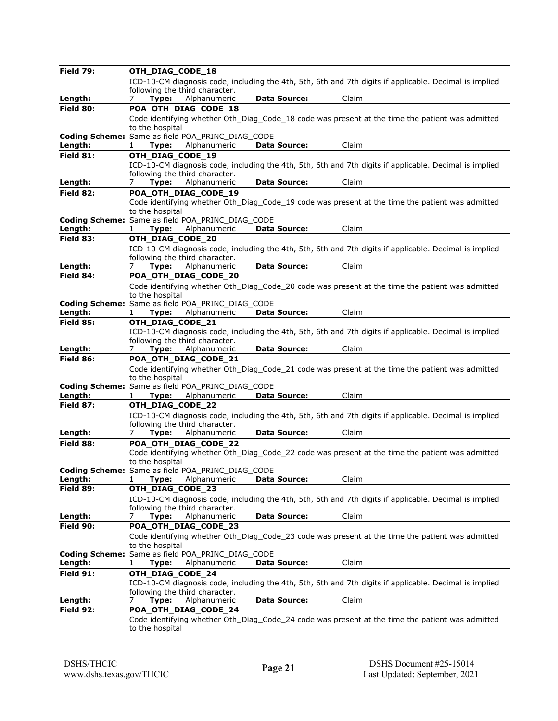| <b>Field 79:</b> | OTH_DIAG_CODE_18                                                                                                                         |
|------------------|------------------------------------------------------------------------------------------------------------------------------------------|
|                  | ICD-10-CM diagnosis code, including the 4th, 5th, 6th and 7th digits if applicable. Decimal is implied                                   |
|                  | following the third character.                                                                                                           |
| Length:          | Alphanumeric<br><b>Data Source:</b><br>Claim<br>Type:<br>$\prime$                                                                        |
| Field 80:        | POA_OTH_DIAG_CODE_18                                                                                                                     |
|                  | Code identifying whether Oth Diag Code 18 code was present at the time the patient was admitted                                          |
|                  | to the hospital                                                                                                                          |
|                  | <b>Coding Scheme:</b> Same as field POA PRINC DIAG CODE                                                                                  |
| Length:          | Alphanumeric<br><b>Data Source:</b><br>Claim<br>Type:<br>1                                                                               |
| Field 81:        | OTH_DIAG_CODE_19                                                                                                                         |
|                  | ICD-10-CM diagnosis code, including the 4th, 5th, 6th and 7th digits if applicable. Decimal is implied                                   |
|                  | following the third character.                                                                                                           |
| Length:          | <b>Data Source:</b><br>Claim<br>Type:<br>Alphanumeric<br>7                                                                               |
| Field 82:        | POA_OTH_DIAG_CODE_19                                                                                                                     |
|                  | Code identifying whether Oth_Diag_Code_19 code was present at the time the patient was admitted                                          |
|                  | to the hospital                                                                                                                          |
|                  | Coding Scheme: Same as field POA_PRINC_DIAG_CODE                                                                                         |
| <u>Length:</u>   | Claim<br>Type:<br>Alphanumeric<br><b>Data Source:</b><br>1                                                                               |
| Field 83:        | OTH_DIAG_CODE_20                                                                                                                         |
|                  | ICD-10-CM diagnosis code, including the 4th, 5th, 6th and 7th digits if applicable. Decimal is implied                                   |
|                  | following the third character.                                                                                                           |
| Length:          | Alphanumeric<br><b>Data Source:</b><br>Claim<br>7<br>Type:                                                                               |
| Field 84:        | POA_OTH_DIAG_CODE_20                                                                                                                     |
|                  | Code identifying whether Oth Diag Code 20 code was present at the time the patient was admitted                                          |
|                  | to the hospital                                                                                                                          |
|                  | Coding Scheme: Same as field POA_PRINC_DIAG_CODE                                                                                         |
| Length:          | Claim<br>Type:<br>Alphanumeric<br><b>Data Source:</b>                                                                                    |
| <b>Field 85:</b> | OTH DIAG CODE 21                                                                                                                         |
|                  |                                                                                                                                          |
|                  | ICD-10-CM diagnosis code, including the 4th, 5th, 6th and 7th digits if applicable. Decimal is implied<br>following the third character. |
| Length:          | Claim<br>Type:<br>Alphanumeric<br><b>Data Source:</b><br>7                                                                               |
| Field 86:        | POA OTH DIAG CODE 21                                                                                                                     |
|                  | Code identifying whether Oth_Diag_Code_21 code was present at the time the patient was admitted                                          |
|                  |                                                                                                                                          |
|                  |                                                                                                                                          |
|                  | to the hospital                                                                                                                          |
|                  | Coding Scheme: Same as field POA_PRINC_DIAG_CODE                                                                                         |
| Length:          | <b>Data Source:</b><br>Claim<br>Type:<br>Alphanumeric<br>1                                                                               |
| <b>Field 87:</b> | OTH_DIAG_CODE_22                                                                                                                         |
|                  | ICD-10-CM diagnosis code, including the 4th, 5th, 6th and 7th digits if applicable. Decimal is implied                                   |
|                  | following the third character.                                                                                                           |
| Length:          | <b>Data Source:</b><br>Claim<br>Alphanumeric<br>7<br>Type:                                                                               |
| Field 88:        | POA_OTH_DIAG_CODE_22                                                                                                                     |
|                  | Code identifying whether Oth Diag Code 22 code was present at the time the patient was admitted                                          |
|                  | to the hospital                                                                                                                          |
|                  | <b>Coding Scheme:</b> Same as field POA PRINC DIAG CODE                                                                                  |
| Length:          | Claim<br>Type:<br><b>Data Source:</b><br>1<br>Alphanumeric                                                                               |
| Field 89:        | OTH DIAG CODE 23                                                                                                                         |
|                  | ICD-10-CM diagnosis code, including the 4th, 5th, 6th and 7th digits if applicable. Decimal is implied                                   |
|                  | following the third character.                                                                                                           |
| Length:          | Type:<br>Alphanumeric<br><b>Data Source:</b><br>Claim<br>$\prime$                                                                        |
| Field 90:        | POA_OTH_DIAG_CODE_23                                                                                                                     |
|                  | Code identifying whether Oth_Diag_Code_23 code was present at the time the patient was admitted                                          |
|                  | to the hospital                                                                                                                          |
|                  | Coding Scheme: Same as field POA PRINC DIAG CODE                                                                                         |
| Length:          | Type:<br>Alphanumeric<br><b>Data Source:</b><br>Claim<br>1                                                                               |
| Field 91:        | OTH_DIAG_CODE_24                                                                                                                         |
|                  | ICD-10-CM diagnosis code, including the 4th, 5th, 6th and 7th digits if applicable. Decimal is implied                                   |
|                  | following the third character.                                                                                                           |
| Length:          | Alphanumeric<br><b>Data Source:</b><br>Claim<br>Type:<br>$\prime$                                                                        |
| Field 92:        | POA_OTH_DIAG_CODE_24                                                                                                                     |
|                  | Code identifying whether Oth Diag Code 24 code was present at the time the patient was admitted<br>to the hospital                       |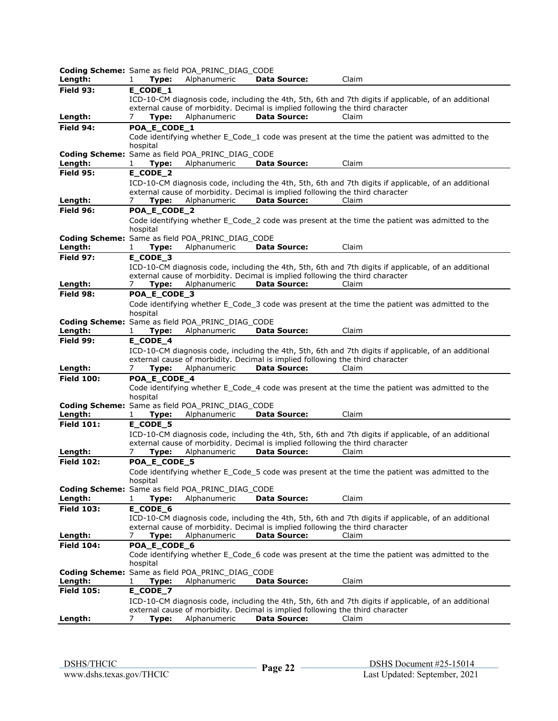|                   |                       | Coding Scheme: Same as field POA_PRINC_DIAG_CODE                        |                                                                                                      |                                                                                                      |
|-------------------|-----------------------|-------------------------------------------------------------------------|------------------------------------------------------------------------------------------------------|------------------------------------------------------------------------------------------------------|
| Length:           | 1<br>Type:            | Alphanumeric                                                            | <b>Data Source:</b>                                                                                  | Claim                                                                                                |
| Field 93:         | E_CODE_1              |                                                                         |                                                                                                      |                                                                                                      |
|                   |                       |                                                                         |                                                                                                      | ICD-10-CM diagnosis code, including the 4th, 5th, 6th and 7th digits if applicable, of an additional |
| Length:           | 7<br>Type:            | Alphanumeric                                                            | external cause of morbidity. Decimal is implied following the third character<br><b>Data Source:</b> | Claim                                                                                                |
| Field 94:         | POA_E_CODE_1          |                                                                         |                                                                                                      |                                                                                                      |
|                   |                       |                                                                         |                                                                                                      | Code identifying whether E_Code_1 code was present at the time the patient was admitted to the       |
|                   | hospital              |                                                                         |                                                                                                      |                                                                                                      |
|                   |                       | Coding Scheme: Same as field POA_PRINC_DIAG_CODE                        |                                                                                                      |                                                                                                      |
| Length:           | Type:<br>1            | Alphanumeric                                                            | <b>Data Source:</b>                                                                                  | Claim                                                                                                |
| <b>Field 95:</b>  | E_CODE_2              |                                                                         |                                                                                                      |                                                                                                      |
|                   |                       |                                                                         |                                                                                                      | ICD-10-CM diagnosis code, including the 4th, 5th, 6th and 7th digits if applicable, of an additional |
|                   |                       |                                                                         | external cause of morbidity. Decimal is implied following the third character                        |                                                                                                      |
| Length:           | Type:<br>$\prime$     | Alphanumeric                                                            | <b>Data Source:</b>                                                                                  | Claim                                                                                                |
| Field 96:         | POA_E_CODE_2          |                                                                         |                                                                                                      |                                                                                                      |
|                   | hospital              |                                                                         |                                                                                                      | Code identifying whether E_Code_2 code was present at the time the patient was admitted to the       |
|                   |                       | Coding Scheme: Same as field POA_PRINC_DIAG_CODE                        |                                                                                                      |                                                                                                      |
| Length:           | Type:<br>1            | Alphanumeric                                                            | <b>Data Source:</b>                                                                                  | Claim                                                                                                |
| Field 97:         | E_CODE_3              |                                                                         |                                                                                                      |                                                                                                      |
|                   |                       |                                                                         |                                                                                                      | ICD-10-CM diagnosis code, including the 4th, 5th, 6th and 7th digits if applicable, of an additional |
|                   |                       |                                                                         | external cause of morbidity. Decimal is implied following the third character                        |                                                                                                      |
| Length:           | Type:<br>7            | Alphanumeric                                                            | <b>Data Source:</b>                                                                                  | Claim                                                                                                |
| Field 98:         | POA_E_CODE_3          |                                                                         |                                                                                                      |                                                                                                      |
|                   |                       |                                                                         |                                                                                                      | Code identifying whether E_Code_3 code was present at the time the patient was admitted to the       |
|                   | hospital              |                                                                         |                                                                                                      |                                                                                                      |
| Length:           | 1<br>Type:            | <b>Coding Scheme:</b> Same as field POA PRINC DIAG CODE<br>Alphanumeric | <b>Data Source:</b>                                                                                  | Claim                                                                                                |
| Field 99:         | E_CODE_4              |                                                                         |                                                                                                      |                                                                                                      |
|                   |                       |                                                                         |                                                                                                      | ICD-10-CM diagnosis code, including the 4th, 5th, 6th and 7th digits if applicable, of an additional |
|                   |                       |                                                                         | external cause of morbidity. Decimal is implied following the third character                        |                                                                                                      |
| Length:           | 7<br>Type:            | Alphanumeric                                                            | <b>Data Source:</b>                                                                                  | Claim                                                                                                |
| <b>Field 100:</b> | POA_E_CODE_4          |                                                                         |                                                                                                      |                                                                                                      |
|                   |                       |                                                                         |                                                                                                      | Code identifying whether E_Code_4 code was present at the time the patient was admitted to the       |
|                   | hospital              |                                                                         |                                                                                                      |                                                                                                      |
|                   |                       | <b>Coding Scheme:</b> Same as field POA PRINC DIAG CODE                 |                                                                                                      |                                                                                                      |
| Length:           | Type:<br>1            | Alphanumeric                                                            | <b>Data Source:</b>                                                                                  | Claim                                                                                                |
| <b>Field 101:</b> | E_CODE_5              |                                                                         |                                                                                                      |                                                                                                      |
|                   |                       |                                                                         | external cause of morbidity. Decimal is implied following the third character                        | ICD-10-CM diagnosis code, including the 4th, 5th, 6th and 7th digits if applicable, of an additional |
| Length:           | Type:<br>7            | Alphanumeric                                                            | <b>Data Source:</b>                                                                                  | Claim                                                                                                |
| <b>Field 102:</b> | POA_E_CODE_5          |                                                                         |                                                                                                      |                                                                                                      |
|                   |                       |                                                                         |                                                                                                      | Code identifying whether E_Code_5 code was present at the time the patient was admitted to the       |
|                   | hospital              |                                                                         |                                                                                                      |                                                                                                      |
|                   |                       | <b>Coding Scheme:</b> Same as field POA PRINC DIAG CODE                 |                                                                                                      |                                                                                                      |
| Length:           | Type:<br>1            | Alphanumeric                                                            | Data Source:                                                                                         | Claim                                                                                                |
| <b>Field 103:</b> | E_CODE_6              |                                                                         |                                                                                                      |                                                                                                      |
|                   |                       |                                                                         |                                                                                                      | ICD-10-CM diagnosis code, including the 4th, 5th, 6th and 7th digits if applicable, of an additional |
|                   |                       |                                                                         | external cause of morbidity. Decimal is implied following the third character                        |                                                                                                      |
| Length:           | 7<br>Type:            | Alphanumeric                                                            | <b>Data Source:</b>                                                                                  | Claim                                                                                                |
| <b>Field 104:</b> | POA_E_CODE_6          |                                                                         |                                                                                                      | Code identifying whether E_Code_6 code was present at the time the patient was admitted to the       |
|                   | hospital              |                                                                         |                                                                                                      |                                                                                                      |
|                   |                       | Coding Scheme: Same as field POA_PRINC_DIAG_CODE                        |                                                                                                      |                                                                                                      |
| Length:           | Type:<br>$\mathbf{1}$ | Alphanumeric                                                            | Data Source:                                                                                         | Claim                                                                                                |
| <b>Field 105:</b> | E_CODE_7              |                                                                         |                                                                                                      |                                                                                                      |
|                   |                       |                                                                         |                                                                                                      | ICD-10-CM diagnosis code, including the 4th, 5th, 6th and 7th digits if applicable, of an additional |
|                   |                       |                                                                         | external cause of morbidity. Decimal is implied following the third character                        |                                                                                                      |
| Length:           | 7<br>Type:            | Alphanumeric                                                            | Data Source:                                                                                         | Claim                                                                                                |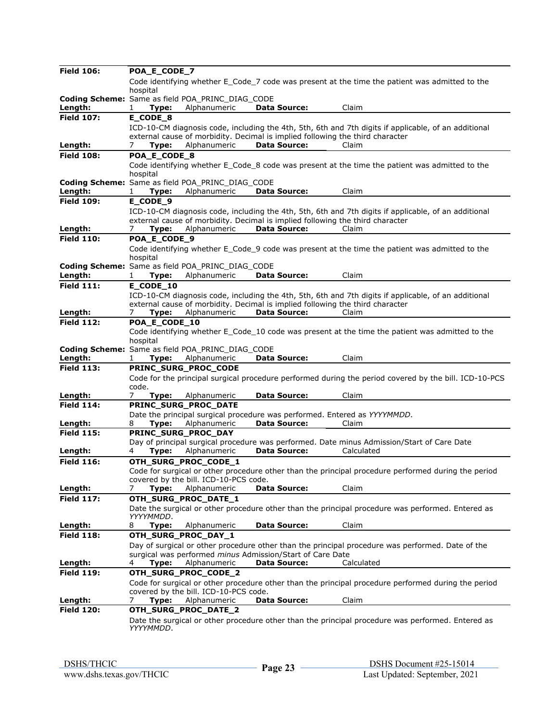| <b>Field 106:</b> | POA_E_CODE_7          |                                                  |                                                                               |                                                                                                       |
|-------------------|-----------------------|--------------------------------------------------|-------------------------------------------------------------------------------|-------------------------------------------------------------------------------------------------------|
|                   |                       |                                                  |                                                                               | Code identifying whether E_Code_7 code was present at the time the patient was admitted to the        |
|                   | hospital              |                                                  |                                                                               |                                                                                                       |
|                   |                       | Coding Scheme: Same as field POA_PRINC_DIAG_CODE |                                                                               |                                                                                                       |
| Length:           | Type:<br>$\mathbf{1}$ | Alphanumeric                                     | <b>Data Source:</b>                                                           | Claim                                                                                                 |
| <b>Field 107:</b> | E_CODE_8              |                                                  |                                                                               |                                                                                                       |
|                   |                       |                                                  |                                                                               | ICD-10-CM diagnosis code, including the 4th, 5th, 6th and 7th digits if applicable, of an additional  |
|                   |                       |                                                  | external cause of morbidity. Decimal is implied following the third character |                                                                                                       |
| Length:           | 7<br>Type:            | Alphanumeric                                     | <b>Data Source:</b>                                                           | Claim                                                                                                 |
| <b>Field 108:</b> | POA_E_CODE_8          |                                                  |                                                                               |                                                                                                       |
|                   |                       |                                                  |                                                                               | Code identifying whether E Code 8 code was present at the time the patient was admitted to the        |
|                   | hospital              |                                                  |                                                                               |                                                                                                       |
|                   |                       | Coding Scheme: Same as field POA_PRINC_DIAG_CODE |                                                                               |                                                                                                       |
| Length:           | Type:                 | Alphanumeric                                     | <b>Data Source:</b>                                                           | Claim                                                                                                 |
| <b>Field 109:</b> | E_CODE_9              |                                                  |                                                                               |                                                                                                       |
|                   |                       |                                                  |                                                                               | ICD-10-CM diagnosis code, including the 4th, 5th, 6th and 7th digits if applicable, of an additional  |
|                   |                       |                                                  | external cause of morbidity. Decimal is implied following the third character |                                                                                                       |
| Length:           | Type:<br>7            | Alphanumeric                                     | <b>Data Source:</b>                                                           | Claim                                                                                                 |
| <b>Field 110:</b> | POA_E_CODE_9          |                                                  |                                                                               |                                                                                                       |
|                   |                       |                                                  |                                                                               | Code identifying whether E Code 9 code was present at the time the patient was admitted to the        |
|                   | hospital              |                                                  |                                                                               |                                                                                                       |
|                   |                       | Coding Scheme: Same as field POA_PRINC_DIAG_CODE |                                                                               |                                                                                                       |
| Length:           | Type:<br>1            | Alphanumeric                                     | <b>Data Source:</b>                                                           | Claim                                                                                                 |
| <b>Field 111:</b> | E_CODE_10             |                                                  |                                                                               |                                                                                                       |
|                   |                       |                                                  |                                                                               | ICD-10-CM diagnosis code, including the 4th, 5th, 6th and 7th digits if applicable, of an additional  |
|                   |                       |                                                  | external cause of morbidity. Decimal is implied following the third character |                                                                                                       |
| Length:           | Type:<br>$\prime$     | Alphanumeric                                     | <b>Data Source:</b>                                                           | Claim                                                                                                 |
| <b>Field 112:</b> | POA E CODE 10         |                                                  |                                                                               |                                                                                                       |
|                   |                       |                                                  |                                                                               | Code identifying whether E_Code_10 code was present at the time the patient was admitted to the       |
|                   | hospital              |                                                  |                                                                               |                                                                                                       |
|                   |                       | Coding Scheme: Same as field POA_PRINC_DIAG_CODE |                                                                               |                                                                                                       |
| Length:           | Type:<br>1            | Alphanumeric                                     | <b>Data Source:</b>                                                           | Claim                                                                                                 |
| <b>Field 113:</b> |                       | PRINC_SURG_PROC_CODE                             |                                                                               |                                                                                                       |
|                   |                       |                                                  |                                                                               | Code for the principal surgical procedure performed during the period covered by the bill. ICD-10-PCS |
|                   | code.                 |                                                  |                                                                               |                                                                                                       |
| Length:           | 7<br>Type:            | Alphanumeric                                     | <b>Data Source:</b>                                                           | Claim                                                                                                 |
| <b>Field 114:</b> |                       | PRINC_SURG_PROC_DATE                             |                                                                               |                                                                                                       |
|                   |                       |                                                  | Date the principal surgical procedure was performed. Entered as YYYYMMDD.     |                                                                                                       |
| Length:           | Type:<br>8            | Alphanumeric                                     | <b>Data Source:</b>                                                           | Claim                                                                                                 |
| <b>Field 115:</b> |                       | PRINC_SURG_PROC_DAY                              |                                                                               |                                                                                                       |
|                   |                       |                                                  |                                                                               | Day of principal surgical procedure was performed. Date minus Admission/Start of Care Date            |
| Length:           | 4<br>Type:            | Alphanumeric                                     | <b>Data Source:</b>                                                           | Calculated                                                                                            |
| <b>Field 116:</b> |                       | OTH_SURG_PROC_CODE_1                             |                                                                               |                                                                                                       |
|                   |                       |                                                  |                                                                               | Code for surgical or other procedure other than the principal procedure performed during the period   |
|                   |                       | covered by the bill. ICD-10-PCS code.            |                                                                               |                                                                                                       |
| Length:           | Type:<br>7            | Alphanumeric                                     | <b>Data Source:</b>                                                           | Claim                                                                                                 |
| <b>Field 117:</b> |                       | OTH_SURG_PROC_DATE_1                             |                                                                               |                                                                                                       |
|                   |                       |                                                  |                                                                               | Date the surgical or other procedure other than the principal procedure was performed. Entered as     |
|                   | YYYYMMDD.             |                                                  |                                                                               |                                                                                                       |
| Length:           | Type:<br>8            | Alphanumeric                                     | <b>Data Source:</b>                                                           | Claim                                                                                                 |
| <b>Field 118:</b> |                       | OTH_SURG_PROC_DAY_1                              |                                                                               |                                                                                                       |
|                   |                       |                                                  |                                                                               | Day of surgical or other procedure other than the principal procedure was performed. Date of the      |
|                   |                       |                                                  | surgical was performed minus Admission/Start of Care Date                     |                                                                                                       |
| Length:           | Type:                 | Alphanumeric                                     | <b>Data Source:</b>                                                           | Calculated                                                                                            |
| <b>Field 119:</b> |                       | OTH_SURG_PROC_CODE_2                             |                                                                               |                                                                                                       |
|                   |                       |                                                  |                                                                               |                                                                                                       |
|                   |                       | covered by the bill. ICD-10-PCS code.            |                                                                               | Code for surgical or other procedure other than the principal procedure performed during the period   |
| Length:           | Type:<br>7            | Alphanumeric                                     | <b>Data Source:</b>                                                           | Claim                                                                                                 |
| <b>Field 120:</b> |                       | OTH_SURG_PROC_DATE_2                             |                                                                               |                                                                                                       |
|                   |                       |                                                  |                                                                               |                                                                                                       |
|                   | YYYYMMDD.             |                                                  |                                                                               | Date the surgical or other procedure other than the principal procedure was performed. Entered as     |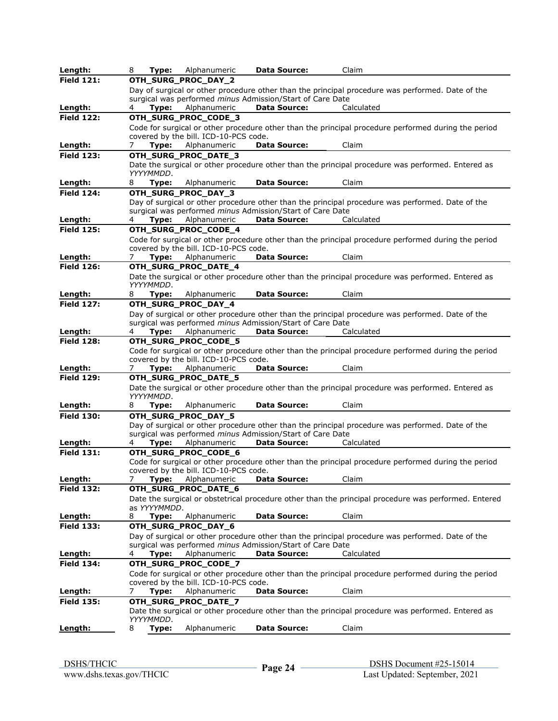| Length:                      | 8<br>Type:                         | Alphanumeric                          | <b>Data Source:</b>                                              | Claim                                                                                                |
|------------------------------|------------------------------------|---------------------------------------|------------------------------------------------------------------|------------------------------------------------------------------------------------------------------|
| <b>Field 121:</b>            |                                    | OTH_SURG_PROC_DAY_2                   |                                                                  |                                                                                                      |
|                              |                                    |                                       |                                                                  | Day of surgical or other procedure other than the principal procedure was performed. Date of the     |
|                              |                                    |                                       | surgical was performed <i>minus</i> Admission/Start of Care Date |                                                                                                      |
| Length:                      | Type:                              | Alphanumeric                          | <b>Data Source:</b>                                              | Calculated                                                                                           |
| <b>Field 122:</b>            |                                    | OTH_SURG_PROC_CODE_3                  |                                                                  |                                                                                                      |
|                              |                                    |                                       |                                                                  | Code for surgical or other procedure other than the principal procedure performed during the period  |
|                              |                                    | covered by the bill. ICD-10-PCS code. |                                                                  |                                                                                                      |
| Length:                      | Type:<br>7                         | Alphanumeric                          | <b>Data Source:</b>                                              | Claim                                                                                                |
| <b>Field 123:</b>            |                                    | OTH_SURG_PROC_DATE_3                  |                                                                  |                                                                                                      |
|                              | YYYYMMDD.                          |                                       |                                                                  | Date the surgical or other procedure other than the principal procedure was performed. Entered as    |
| Length:                      | Type:<br>8                         | Alphanumeric                          | <b>Data Source:</b>                                              | Claim                                                                                                |
| <b>Field 124:</b>            |                                    | OTH_SURG_PROC_DAY_3                   |                                                                  |                                                                                                      |
|                              |                                    |                                       |                                                                  | Day of surgical or other procedure other than the principal procedure was performed. Date of the     |
|                              |                                    |                                       | surgical was performed minus Admission/Start of Care Date        |                                                                                                      |
| Length:                      | Type:<br>4                         | Alphanumeric                          | <b>Data Source:</b>                                              | Calculated                                                                                           |
| <b>Field 125:</b>            |                                    | OTH_SURG_PROC_CODE_4                  |                                                                  |                                                                                                      |
|                              |                                    |                                       |                                                                  | Code for surgical or other procedure other than the principal procedure performed during the period  |
|                              |                                    | covered by the bill. ICD-10-PCS code. |                                                                  |                                                                                                      |
| Length:                      | Type:<br>7                         | Alphanumeric                          | <b>Data Source:</b>                                              | Claim                                                                                                |
| <b>Field 126:</b>            |                                    | OTH_SURG_PROC_DATE_4                  |                                                                  |                                                                                                      |
|                              |                                    |                                       |                                                                  | Date the surgical or other procedure other than the principal procedure was performed. Entered as    |
|                              | YYYYMMDD.                          |                                       |                                                                  | Claim                                                                                                |
| Length:<br><b>Field 127:</b> | Type:<br>8                         | Alphanumeric<br>OTH_SURG_PROC_DAY_4   | <b>Data Source:</b>                                              |                                                                                                      |
|                              |                                    |                                       |                                                                  | Day of surgical or other procedure other than the principal procedure was performed. Date of the     |
|                              |                                    |                                       | surgical was performed <i>minus</i> Admission/Start of Care Date |                                                                                                      |
| Length:                      | Type:                              | Alphanumeric                          | <b>Data Source:</b>                                              | Calculated                                                                                           |
| <b>Field 128:</b>            |                                    | OTH_SURG_PROC_CODE_5                  |                                                                  |                                                                                                      |
|                              |                                    |                                       |                                                                  | Code for surgical or other procedure other than the principal procedure performed during the period  |
|                              |                                    | covered by the bill. ICD-10-PCS code. |                                                                  |                                                                                                      |
| Length:                      | 7                                  | Type: Alphanumeric                    | <b>Data Source:</b>                                              | Claim                                                                                                |
| <b>Field 129:</b>            |                                    | OTH_SURG_PROC_DATE_5                  |                                                                  |                                                                                                      |
|                              |                                    |                                       |                                                                  | Date the surgical or other procedure other than the principal procedure was performed. Entered as    |
| Length:                      | YYYYMMDD.<br>8<br>Type:            | Alphanumeric                          | <b>Data Source:</b>                                              | Claim                                                                                                |
| <b>Field 130:</b>            |                                    | OTH_SURG_PROC_DAY_5                   |                                                                  |                                                                                                      |
|                              |                                    |                                       |                                                                  | Day of surgical or other procedure other than the principal procedure was performed. Date of the     |
|                              |                                    |                                       | surgical was performed <i>minus</i> Admission/Start of Care Date |                                                                                                      |
| Length:                      | 4<br>Type:                         | Alphanumeric                          | <b>Data Source:</b>                                              | Calculated                                                                                           |
| <b>Field 131:</b>            |                                    | OTH_SURG_PROC_CODE_6                  |                                                                  |                                                                                                      |
|                              |                                    |                                       |                                                                  | Code for surgical or other procedure other than the principal procedure performed during the period  |
|                              |                                    | covered by the bill. ICD-10-PCS code. |                                                                  |                                                                                                      |
| Length:                      | 7<br>Type:                         | Alphanumeric                          | <b>Data Source:</b>                                              | Claim                                                                                                |
| <b>Field 132:</b>            |                                    | OTH_SURG_PROC_DATE_6                  |                                                                  |                                                                                                      |
|                              |                                    |                                       |                                                                  | Date the surgical or obstetrical procedure other than the principal procedure was performed. Entered |
| Length:                      | as <i>YYYYMMDD</i> .<br>Type:<br>8 | Alphanumeric                          | <b>Data Source:</b>                                              | Claim                                                                                                |
| <b>Field 133:</b>            |                                    | OTH_SURG_PROC_DAY_6                   |                                                                  |                                                                                                      |
|                              |                                    |                                       |                                                                  | Day of surgical or other procedure other than the principal procedure was performed. Date of the     |
|                              |                                    |                                       | surgical was performed minus Admission/Start of Care Date        |                                                                                                      |
| Length:                      | Type:<br>4                         | Alphanumeric                          | <b>Data Source:</b>                                              | Calculated                                                                                           |
| <b>Field 134:</b>            |                                    | OTH_SURG_PROC_CODE_7                  |                                                                  |                                                                                                      |
|                              |                                    |                                       |                                                                  | Code for surgical or other procedure other than the principal procedure performed during the period  |
|                              |                                    | covered by the bill. ICD-10-PCS code. |                                                                  |                                                                                                      |
| Length:                      | Type:<br>7                         | Alphanumeric                          | <b>Data Source:</b>                                              | Claim                                                                                                |
| <b>Field 135:</b>            |                                    | OTH_SURG_PROC_DATE_7                  |                                                                  |                                                                                                      |
|                              |                                    |                                       |                                                                  | Date the surgical or other procedure other than the principal procedure was performed. Entered as    |
|                              | YYYYMMDD.                          |                                       |                                                                  |                                                                                                      |
| <u>Length:</u>               | 8<br>Type:                         | Alphanumeric                          | <b>Data Source:</b>                                              | Claim                                                                                                |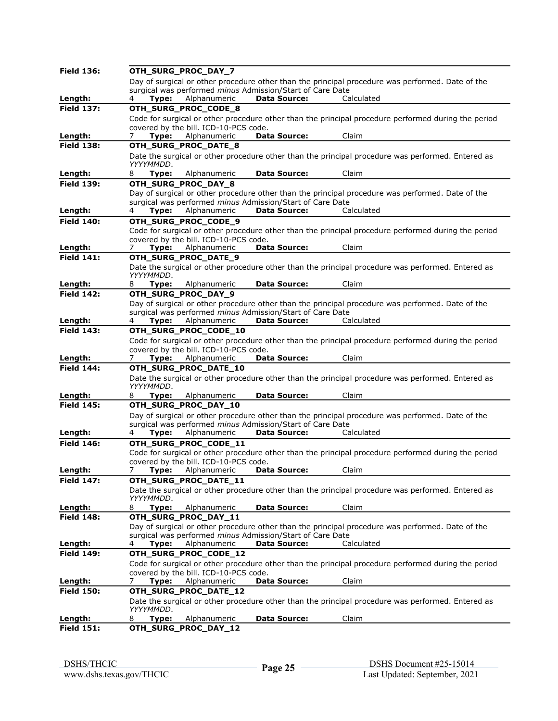| <b>Field 136:</b>            |                                                                                                                                                               | OTH_SURG_PROC_DAY_7                                   |                                                                  |                                                                                                     |  |  |
|------------------------------|---------------------------------------------------------------------------------------------------------------------------------------------------------------|-------------------------------------------------------|------------------------------------------------------------------|-----------------------------------------------------------------------------------------------------|--|--|
|                              |                                                                                                                                                               |                                                       |                                                                  | Day of surgical or other procedure other than the principal procedure was performed. Date of the    |  |  |
|                              |                                                                                                                                                               |                                                       | surgical was performed minus Admission/Start of Care Date        |                                                                                                     |  |  |
| Length:                      | Type:                                                                                                                                                         | Alphanumeric                                          | <b>Data Source:</b>                                              | Calculated                                                                                          |  |  |
| <b>Field 137:</b>            |                                                                                                                                                               | OTH_SURG_PROC_CODE_8                                  |                                                                  |                                                                                                     |  |  |
|                              |                                                                                                                                                               | covered by the bill. ICD-10-PCS code.                 |                                                                  | Code for surgical or other procedure other than the principal procedure performed during the period |  |  |
| <u>Length:</u>               | Type:<br>7                                                                                                                                                    | Alphanumeric                                          | <b>Data Source:</b>                                              | Claim                                                                                               |  |  |
| <b>Field 138:</b>            |                                                                                                                                                               | OTH_SURG_PROC_DATE_8                                  |                                                                  |                                                                                                     |  |  |
|                              |                                                                                                                                                               |                                                       |                                                                  | Date the surgical or other procedure other than the principal procedure was performed. Entered as   |  |  |
|                              | YYYYMMDD.                                                                                                                                                     |                                                       |                                                                  |                                                                                                     |  |  |
| Length:                      | 8<br>Type:                                                                                                                                                    | Alphanumeric                                          | <b>Data Source:</b>                                              | Claim                                                                                               |  |  |
| <b>Field 139:</b>            |                                                                                                                                                               | OTH_SURG_PROC_DAY_8                                   |                                                                  |                                                                                                     |  |  |
|                              |                                                                                                                                                               |                                                       |                                                                  | Day of surgical or other procedure other than the principal procedure was performed. Date of the    |  |  |
|                              |                                                                                                                                                               |                                                       | surgical was performed minus Admission/Start of Care Date        |                                                                                                     |  |  |
| Length:                      | 4<br>Type:                                                                                                                                                    | Alphanumeric                                          | <b>Data Source:</b>                                              | Calculated                                                                                          |  |  |
| <b>Field 140:</b>            |                                                                                                                                                               | OTH_SURG_PROC_CODE_9                                  |                                                                  |                                                                                                     |  |  |
|                              |                                                                                                                                                               |                                                       |                                                                  | Code for surgical or other procedure other than the principal procedure performed during the period |  |  |
| Length:                      | Type:                                                                                                                                                         | covered by the bill. ICD-10-PCS code.<br>Alphanumeric | <b>Data Source:</b>                                              | Claim                                                                                               |  |  |
| <b>Field 141:</b>            |                                                                                                                                                               | OTH_SURG_PROC_DATE_9                                  |                                                                  |                                                                                                     |  |  |
|                              |                                                                                                                                                               |                                                       |                                                                  | Date the surgical or other procedure other than the principal procedure was performed. Entered as   |  |  |
|                              | YYYYMMDD.                                                                                                                                                     |                                                       |                                                                  |                                                                                                     |  |  |
| Length:                      | 8<br>Type:                                                                                                                                                    | Alphanumeric                                          | <b>Data Source:</b>                                              | Claim                                                                                               |  |  |
| <b>Field 142:</b>            |                                                                                                                                                               | OTH_SURG_PROC_DAY_9                                   |                                                                  |                                                                                                     |  |  |
|                              |                                                                                                                                                               |                                                       |                                                                  | Day of surgical or other procedure other than the principal procedure was performed. Date of the    |  |  |
|                              |                                                                                                                                                               |                                                       | surgical was performed <i>minus</i> Admission/Start of Care Date |                                                                                                     |  |  |
| Length:                      | Type:<br>4                                                                                                                                                    | Alphanumeric                                          | <b>Data Source:</b>                                              | Calculated                                                                                          |  |  |
| <b>Field 143:</b>            |                                                                                                                                                               | OTH_SURG_PROC_CODE_10                                 |                                                                  |                                                                                                     |  |  |
|                              |                                                                                                                                                               | covered by the bill. ICD-10-PCS code.                 |                                                                  | Code for surgical or other procedure other than the principal procedure performed during the period |  |  |
| Length:                      | Type:<br>7.                                                                                                                                                   | Alphanumeric                                          | <b>Data Source:</b>                                              | Claim                                                                                               |  |  |
| <b>Field 144:</b>            |                                                                                                                                                               | OTH_SURG_PROC_DATE_10                                 |                                                                  |                                                                                                     |  |  |
|                              |                                                                                                                                                               |                                                       |                                                                  | Date the surgical or other procedure other than the principal procedure was performed. Entered as   |  |  |
|                              | YYYYMMDD.                                                                                                                                                     |                                                       |                                                                  |                                                                                                     |  |  |
| Length:                      | Type:<br>8                                                                                                                                                    | Alphanumeric                                          | <b>Data Source:</b>                                              | Claim                                                                                               |  |  |
| <b>Field 145:</b>            |                                                                                                                                                               | OTH_SURG_PROC_DAY_10                                  |                                                                  |                                                                                                     |  |  |
|                              |                                                                                                                                                               |                                                       |                                                                  | Day of surgical or other procedure other than the principal procedure was performed. Date of the    |  |  |
|                              |                                                                                                                                                               |                                                       | surgical was performed minus Admission/Start of Care Date        |                                                                                                     |  |  |
| Length:                      | Type:                                                                                                                                                         | Alphanumeric                                          | <b>Data Source:</b>                                              | Calculated                                                                                          |  |  |
| <b>Field 146:</b>            |                                                                                                                                                               | OTH_SURG_PROC_CODE_11                                 |                                                                  |                                                                                                     |  |  |
|                              |                                                                                                                                                               | covered by the bill. ICD-10-PCS code.                 |                                                                  | Code for surgical or other procedure other than the principal procedure performed during the period |  |  |
| Length:                      | 7<br>Type:                                                                                                                                                    | Alphanumeric                                          | <b>Data Source:</b>                                              | Claim                                                                                               |  |  |
| <b>Field 147:</b>            |                                                                                                                                                               | OTH_SURG_PROC_DATE_11                                 |                                                                  |                                                                                                     |  |  |
|                              |                                                                                                                                                               |                                                       |                                                                  | Date the surgical or other procedure other than the principal procedure was performed. Entered as   |  |  |
|                              | YYYYMMDD.                                                                                                                                                     |                                                       |                                                                  |                                                                                                     |  |  |
| Length:                      | 8<br>Type:                                                                                                                                                    | Alphanumeric                                          | <b>Data Source:</b>                                              | Claim                                                                                               |  |  |
| <b>Field 148:</b>            |                                                                                                                                                               | OTH_SURG_PROC_DAY_11                                  |                                                                  |                                                                                                     |  |  |
|                              | Day of surgical or other procedure other than the principal procedure was performed. Date of the<br>surgical was performed minus Admission/Start of Care Date |                                                       |                                                                  |                                                                                                     |  |  |
| Length:                      | Type:                                                                                                                                                         | Alphanumeric                                          | <b>Data Source:</b>                                              | Calculated                                                                                          |  |  |
|                              | 4                                                                                                                                                             |                                                       |                                                                  |                                                                                                     |  |  |
| <b>Field 149:</b>            |                                                                                                                                                               | OTH_SURG_PROC_CODE_12                                 |                                                                  |                                                                                                     |  |  |
|                              |                                                                                                                                                               | covered by the bill. ICD-10-PCS code.                 |                                                                  | Code for surgical or other procedure other than the principal procedure performed during the period |  |  |
| <u>Length:</u>               | Type:<br>7                                                                                                                                                    | Alphanumeric                                          | <b>Data Source:</b>                                              | Claim                                                                                               |  |  |
| <b>Field 150:</b>            |                                                                                                                                                               | OTH_SURG_PROC_DATE_12                                 |                                                                  |                                                                                                     |  |  |
|                              |                                                                                                                                                               |                                                       |                                                                  | Date the surgical or other procedure other than the principal procedure was performed. Entered as   |  |  |
|                              |                                                                                                                                                               |                                                       |                                                                  |                                                                                                     |  |  |
|                              | YYYYMMDD.                                                                                                                                                     |                                                       |                                                                  |                                                                                                     |  |  |
| Length:<br><b>Field 151:</b> | Type:<br>8                                                                                                                                                    | Alphanumeric<br>OTH_SURG_PROC_DAY_12                  | <b>Data Source:</b>                                              | Claim                                                                                               |  |  |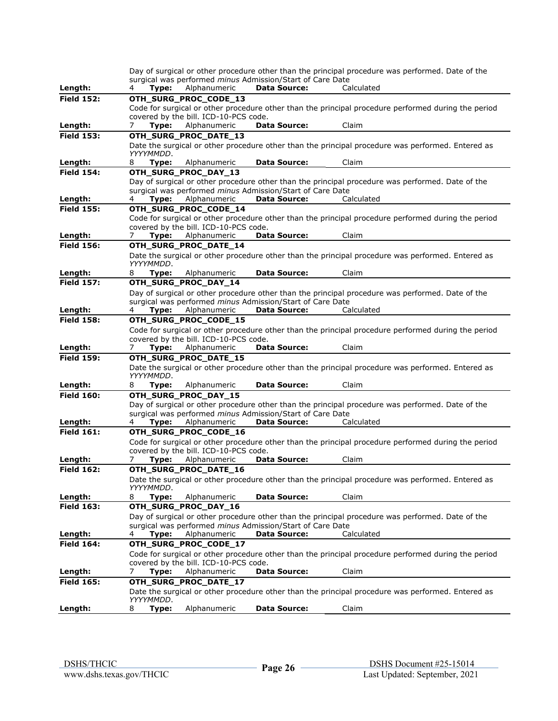|                              |                                       |              |                                                           | Day of surgical or other procedure other than the principal procedure was performed. Date of the    |  |
|------------------------------|---------------------------------------|--------------|-----------------------------------------------------------|-----------------------------------------------------------------------------------------------------|--|
|                              |                                       |              | surgical was performed minus Admission/Start of Care Date |                                                                                                     |  |
| Length:                      | Type:                                 | Alphanumeric | <b>Data Source:</b>                                       | Calculated                                                                                          |  |
| <b>Field 152:</b>            | OTH_SURG_PROC_CODE_13                 |              |                                                           |                                                                                                     |  |
|                              |                                       |              |                                                           | Code for surgical or other procedure other than the principal procedure performed during the period |  |
|                              | covered by the bill. ICD-10-PCS code. |              |                                                           |                                                                                                     |  |
| Length:                      | 7<br>Type:                            | Alphanumeric | <b>Data Source:</b>                                       | Claim                                                                                               |  |
| <b>Field 153:</b>            | OTH SURG PROC DATE 13                 |              |                                                           |                                                                                                     |  |
|                              | YYYYMMDD.                             |              |                                                           | Date the surgical or other procedure other than the principal procedure was performed. Entered as   |  |
| Length:                      | Type:<br>8                            | Alphanumeric | <b>Data Source:</b>                                       | Claim                                                                                               |  |
| <b>Field 154:</b>            | OTH_SURG_PROC_DAY_13                  |              |                                                           |                                                                                                     |  |
|                              |                                       |              |                                                           | Day of surgical or other procedure other than the principal procedure was performed. Date of the    |  |
|                              |                                       |              | surgical was performed minus Admission/Start of Care Date |                                                                                                     |  |
| Length:                      | Type:<br>4                            | Alphanumeric | <b>Data Source:</b>                                       | Calculated                                                                                          |  |
| <b>Field 155:</b>            | OTH_SURG_PROC_CODE_14                 |              |                                                           |                                                                                                     |  |
|                              |                                       |              |                                                           | Code for surgical or other procedure other than the principal procedure performed during the period |  |
|                              | covered by the bill. ICD-10-PCS code. |              |                                                           |                                                                                                     |  |
| <u>Length:</u>               | Type:<br>7                            | Alphanumeric | <b>Data Source:</b>                                       | Claim                                                                                               |  |
| <b>Field 156:</b>            | OTH_SURG_PROC_DATE_14                 |              |                                                           |                                                                                                     |  |
|                              |                                       |              |                                                           | Date the surgical or other procedure other than the principal procedure was performed. Entered as   |  |
|                              | YYYYMMDD.                             |              |                                                           |                                                                                                     |  |
| Length:<br><b>Field 157:</b> | 8<br>Type:                            | Alphanumeric | <b>Data Source:</b>                                       | Claim                                                                                               |  |
|                              | OTH_SURG_PROC_DAY_14                  |              |                                                           |                                                                                                     |  |
|                              |                                       |              | surgical was performed minus Admission/Start of Care Date | Day of surgical or other procedure other than the principal procedure was performed. Date of the    |  |
| Length:                      | Type:<br>4                            | Alphanumeric | <b>Data Source:</b>                                       | Calculated                                                                                          |  |
| <b>Field 158:</b>            | OTH_SURG_PROC_CODE_15                 |              |                                                           |                                                                                                     |  |
|                              |                                       |              |                                                           | Code for surgical or other procedure other than the principal procedure performed during the period |  |
|                              | covered by the bill. ICD-10-PCS code. |              |                                                           |                                                                                                     |  |
| Length:                      | Type:<br>7                            | Alphanumeric | <b>Data Source:</b>                                       | Claim                                                                                               |  |
| <b>Field 159:</b>            | OTH_SURG_PROC_DATE_15                 |              |                                                           |                                                                                                     |  |
|                              |                                       |              |                                                           | Date the surgical or other procedure other than the principal procedure was performed. Entered as   |  |
|                              | YYYYMMDD.                             |              |                                                           |                                                                                                     |  |
| Length:                      | Type:<br>8                            | Alphanumeric | <b>Data Source:</b>                                       | Claim                                                                                               |  |
| <b>Field 160:</b>            | OTH_SURG_PROC_DAY_15                  |              |                                                           |                                                                                                     |  |
|                              |                                       |              |                                                           | Day of surgical or other procedure other than the principal procedure was performed. Date of the    |  |
|                              |                                       |              | surgical was performed minus Admission/Start of Care Date |                                                                                                     |  |
| Length:                      | Type:                                 | Alphanumeric | <b>Data Source:</b>                                       | Calculated                                                                                          |  |
| <b>Field 161:</b>            | OTH_SURG_PROC_CODE_16                 |              |                                                           |                                                                                                     |  |
|                              |                                       |              |                                                           | Code for surgical or other procedure other than the principal procedure performed during the period |  |
|                              | covered by the bill. ICD-10-PCS code. |              |                                                           |                                                                                                     |  |
| Length:                      | Type:<br>7                            | Alphanumeric | <b>Data Source:</b>                                       | Claim                                                                                               |  |
| <b>Field 162:</b>            | OTH_SURG_PROC_DATE_16                 |              |                                                           |                                                                                                     |  |
|                              | YYYYMMDD.                             |              |                                                           | Date the surgical or other procedure other than the principal procedure was performed. Entered as   |  |
| Length:                      | Type:<br>8                            | Alphanumeric | <b>Data Source:</b>                                       | Claim                                                                                               |  |
| <b>Field 163:</b>            | OTH_SURG_PROC_DAY_16                  |              |                                                           |                                                                                                     |  |
|                              |                                       |              |                                                           | Day of surgical or other procedure other than the principal procedure was performed. Date of the    |  |
|                              |                                       |              | surgical was performed minus Admission/Start of Care Date |                                                                                                     |  |
| Length:                      | Type:<br>4                            | Alphanumeric | <b>Data Source:</b>                                       | Calculated                                                                                          |  |
| <b>Field 164:</b>            | OTH_SURG_PROC_CODE_17                 |              |                                                           |                                                                                                     |  |
|                              |                                       |              |                                                           | Code for surgical or other procedure other than the principal procedure performed during the period |  |
|                              | covered by the bill. ICD-10-PCS code. |              |                                                           |                                                                                                     |  |
| Length:                      | Type:<br>7                            | Alphanumeric | <b>Data Source:</b>                                       | Claim                                                                                               |  |
| <b>Field 165:</b>            | OTH_SURG_PROC_DATE_17                 |              |                                                           |                                                                                                     |  |
|                              |                                       |              |                                                           | Date the surgical or other procedure other than the principal procedure was performed. Entered as   |  |
|                              | YYYYMMDD.                             |              |                                                           |                                                                                                     |  |
| Length:                      | Type:<br>8                            | Alphanumeric | <b>Data Source:</b>                                       | Claim                                                                                               |  |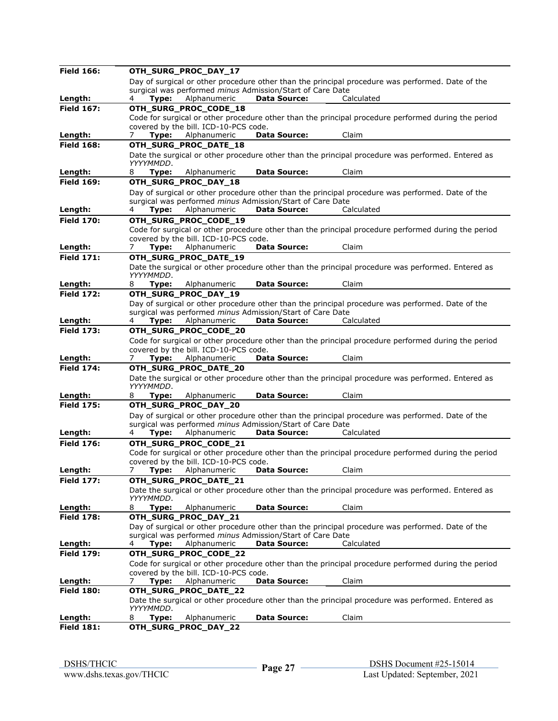| <b>Field 166:</b>            | OTH_SURG_PROC_DAY_17                                |              |                                                                  |                                                                                                     |  |
|------------------------------|-----------------------------------------------------|--------------|------------------------------------------------------------------|-----------------------------------------------------------------------------------------------------|--|
|                              |                                                     |              |                                                                  | Day of surgical or other procedure other than the principal procedure was performed. Date of the    |  |
|                              |                                                     |              | surgical was performed minus Admission/Start of Care Date        |                                                                                                     |  |
| Length:                      | Type:                                               | Alphanumeric | <b>Data Source:</b>                                              | Calculated                                                                                          |  |
| <b>Field 167:</b>            | OTH_SURG_PROC_CODE_18                               |              |                                                                  |                                                                                                     |  |
|                              | covered by the bill. ICD-10-PCS code.               |              |                                                                  | Code for surgical or other procedure other than the principal procedure performed during the period |  |
| Length:                      | Type:<br>7                                          | Alphanumeric | <b>Data Source:</b>                                              | Claim                                                                                               |  |
| <b>Field 168:</b>            | OTH_SURG_PROC_DATE_18                               |              |                                                                  |                                                                                                     |  |
|                              |                                                     |              |                                                                  | Date the surgical or other procedure other than the principal procedure was performed. Entered as   |  |
|                              | YYYYMMDD.                                           |              |                                                                  |                                                                                                     |  |
| Length:                      | Type:<br>8                                          | Alphanumeric | <b>Data Source:</b>                                              | Claim                                                                                               |  |
| <b>Field 169:</b>            | OTH_SURG_PROC_DAY_18                                |              |                                                                  |                                                                                                     |  |
|                              |                                                     |              |                                                                  | Day of surgical or other procedure other than the principal procedure was performed. Date of the    |  |
|                              |                                                     |              | surgical was performed <i>minus</i> Admission/Start of Care Date |                                                                                                     |  |
| Length:                      | Type:<br>4                                          | Alphanumeric | <b>Data Source:</b>                                              | Calculated                                                                                          |  |
| <b>Field 170:</b>            | OTH_SURG_PROC_CODE_19                               |              |                                                                  |                                                                                                     |  |
|                              |                                                     |              |                                                                  | Code for surgical or other procedure other than the principal procedure performed during the period |  |
| Length:                      | covered by the bill. ICD-10-PCS code.<br>Type:<br>7 | Alphanumeric | <b>Data Source:</b>                                              | Claim                                                                                               |  |
| <b>Field 171:</b>            | OTH_SURG_PROC_DATE_19                               |              |                                                                  |                                                                                                     |  |
|                              |                                                     |              |                                                                  | Date the surgical or other procedure other than the principal procedure was performed. Entered as   |  |
|                              | YYYYMMDD.                                           |              |                                                                  |                                                                                                     |  |
| Length:                      | Type:<br>8                                          | Alphanumeric | <b>Data Source:</b>                                              | Claim                                                                                               |  |
| <b>Field 172:</b>            | OTH_SURG_PROC_DAY_19                                |              |                                                                  |                                                                                                     |  |
|                              |                                                     |              |                                                                  | Day of surgical or other procedure other than the principal procedure was performed. Date of the    |  |
|                              |                                                     |              | surgical was performed minus Admission/Start of Care Date        |                                                                                                     |  |
| Length:                      | Type:<br>4                                          | Alphanumeric | <b>Data Source:</b>                                              | Calculated                                                                                          |  |
| <b>Field 173:</b>            | OTH_SURG_PROC_CODE_20                               |              |                                                                  |                                                                                                     |  |
|                              | covered by the bill. ICD-10-PCS code.               |              |                                                                  | Code for surgical or other procedure other than the principal procedure performed during the period |  |
| Length:                      | Type:<br>7                                          | Alphanumeric | <b>Data Source:</b>                                              | Claim                                                                                               |  |
| <b>Field 174:</b>            | OTH_SURG_PROC_DATE_20                               |              |                                                                  |                                                                                                     |  |
|                              |                                                     |              |                                                                  |                                                                                                     |  |
|                              |                                                     |              |                                                                  |                                                                                                     |  |
|                              | YYYYMMDD.                                           |              |                                                                  | Date the surgical or other procedure other than the principal procedure was performed. Entered as   |  |
| Length:                      | 8<br>Type:                                          | Alphanumeric | <b>Data Source:</b>                                              | Claim                                                                                               |  |
| <b>Field 175:</b>            | OTH_SURG_PROC_DAY_20                                |              |                                                                  |                                                                                                     |  |
|                              |                                                     |              |                                                                  | Day of surgical or other procedure other than the principal procedure was performed. Date of the    |  |
|                              |                                                     |              | surgical was performed minus Admission/Start of Care Date        |                                                                                                     |  |
| Length:                      | Type:                                               | Alphanumeric | <b>Data Source:</b>                                              | Calculated                                                                                          |  |
| <b>Field 176:</b>            | OTH_SURG_PROC_CODE_21                               |              |                                                                  |                                                                                                     |  |
|                              |                                                     |              |                                                                  | Code for surgical or other procedure other than the principal procedure performed during the period |  |
|                              | covered by the bill. ICD-10-PCS code.               |              |                                                                  |                                                                                                     |  |
| Lenath:                      | 7<br>Type:                                          | Alphanumeric | <b>Data Source:</b>                                              | Claim                                                                                               |  |
| <b>Field 177:</b>            | OTH_SURG_PROC_DATE_21                               |              |                                                                  |                                                                                                     |  |
|                              | YYYYMMDD.                                           |              |                                                                  | Date the surgical or other procedure other than the principal procedure was performed. Entered as   |  |
| Length:                      | 8<br>Type:                                          | Alphanumeric | Data Source:                                                     | Claim                                                                                               |  |
| <b>Field 178:</b>            | OTH_SURG_PROC_DAY_21                                |              |                                                                  |                                                                                                     |  |
|                              |                                                     |              |                                                                  | Day of surgical or other procedure other than the principal procedure was performed. Date of the    |  |
|                              |                                                     |              | surgical was performed minus Admission/Start of Care Date        |                                                                                                     |  |
| Length:                      | Type:<br>4                                          | Alphanumeric | <b>Data Source:</b>                                              | Calculated                                                                                          |  |
| <b>Field 179:</b>            | OTH_SURG_PROC_CODE_22                               |              |                                                                  |                                                                                                     |  |
|                              |                                                     |              |                                                                  | Code for surgical or other procedure other than the principal procedure performed during the period |  |
|                              | covered by the bill. ICD-10-PCS code.               |              |                                                                  |                                                                                                     |  |
| Length:                      | Type:<br>7                                          | Alphanumeric | <b>Data Source:</b>                                              | Claim                                                                                               |  |
| <b>Field 180:</b>            | OTH_SURG_PROC_DATE_22                               |              |                                                                  |                                                                                                     |  |
|                              | YYYYMMDD.                                           |              |                                                                  | Date the surgical or other procedure other than the principal procedure was performed. Entered as   |  |
| Length:<br><b>Field 181:</b> | Type:<br>8<br>OTH_SURG_PROC_DAY_22                  | Alphanumeric | <b>Data Source:</b>                                              | Claim                                                                                               |  |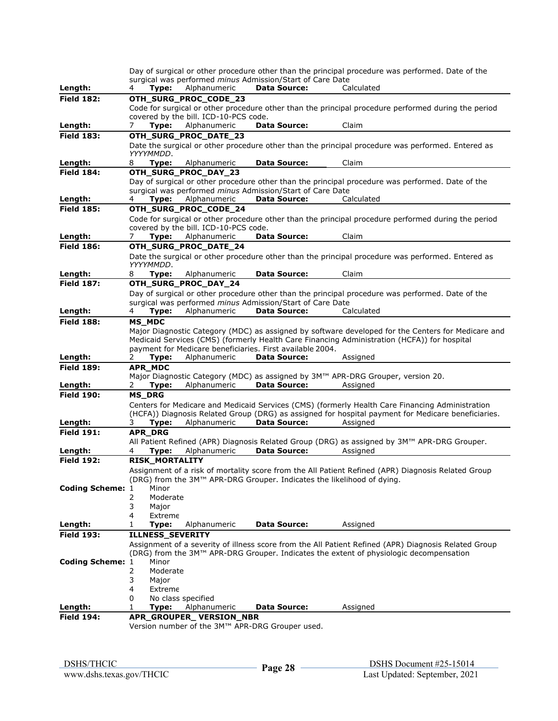|                         |                       |                                                 |                                                                                  | Day of surgical or other procedure other than the principal procedure was performed. Date of the     |
|-------------------------|-----------------------|-------------------------------------------------|----------------------------------------------------------------------------------|------------------------------------------------------------------------------------------------------|
|                         |                       |                                                 | surgical was performed <i>minus</i> Admission/Start of Care Date                 |                                                                                                      |
| Length:                 | Type:                 | Alphanumeric                                    | <b>Data Source:</b>                                                              | Calculated                                                                                           |
| <b>Field 182:</b>       |                       | OTH_SURG_PROC_CODE_23                           |                                                                                  |                                                                                                      |
|                         |                       |                                                 |                                                                                  | Code for surgical or other procedure other than the principal procedure performed during the period  |
|                         |                       | covered by the bill. ICD-10-PCS code.           |                                                                                  |                                                                                                      |
| Length:                 | 7<br>Type:            | Alphanumeric                                    | <b>Data Source:</b>                                                              | Claim                                                                                                |
| <b>Field 183:</b>       |                       | OTH_SURG_PROC_DATE_23                           |                                                                                  |                                                                                                      |
|                         |                       |                                                 |                                                                                  | Date the surgical or other procedure other than the principal procedure was performed. Entered as    |
|                         | YYYYMMDD.             |                                                 |                                                                                  |                                                                                                      |
| Length:                 | 8<br>Type:            | Alphanumeric                                    | <b>Data Source:</b>                                                              | Claim                                                                                                |
| <b>Field 184:</b>       |                       | OTH_SURG_PROC_DAY_23                            |                                                                                  |                                                                                                      |
|                         |                       |                                                 |                                                                                  | Day of surgical or other procedure other than the principal procedure was performed. Date of the     |
| Length:                 | Type:<br>4            | Alphanumeric                                    | surgical was performed minus Admission/Start of Care Date<br><b>Data Source:</b> | Calculated                                                                                           |
| <b>Field 185:</b>       |                       | OTH_SURG_PROC_CODE_24                           |                                                                                  |                                                                                                      |
|                         |                       |                                                 |                                                                                  |                                                                                                      |
|                         |                       | covered by the bill. ICD-10-PCS code.           |                                                                                  | Code for surgical or other procedure other than the principal procedure performed during the period  |
| Length:                 | Type:<br>$\prime$     | Alphanumeric                                    | <b>Data Source:</b>                                                              | Claim                                                                                                |
| <b>Field 186:</b>       |                       | OTH_SURG_PROC_DATE_24                           |                                                                                  |                                                                                                      |
|                         |                       |                                                 |                                                                                  | Date the surgical or other procedure other than the principal procedure was performed. Entered as    |
|                         | YYYYMMDD.             |                                                 |                                                                                  |                                                                                                      |
| Length:                 | 8<br>Type:            | Alphanumeric                                    | <b>Data Source:</b>                                                              | Claim                                                                                                |
| <b>Field 187:</b>       |                       | OTH SURG PROC DAY 24                            |                                                                                  |                                                                                                      |
|                         |                       |                                                 |                                                                                  | Day of surgical or other procedure other than the principal procedure was performed. Date of the     |
|                         |                       |                                                 | surgical was performed <i>minus</i> Admission/Start of Care Date                 |                                                                                                      |
| Length:                 | Type:<br>4            | Alphanumeric                                    | <b>Data Source:</b>                                                              | Calculated                                                                                           |
| <b>Field 188:</b>       | <b>MS_MDC</b>         |                                                 |                                                                                  |                                                                                                      |
|                         |                       |                                                 |                                                                                  | Major Diagnostic Category (MDC) as assigned by software developed for the Centers for Medicare and   |
|                         |                       |                                                 |                                                                                  | Medicaid Services (CMS) (formerly Health Care Financing Administration (HCFA)) for hospital          |
|                         |                       |                                                 | payment for Medicare beneficiaries. First available 2004.                        |                                                                                                      |
| Length:                 | Type:<br>2            | Alphanumeric                                    | <b>Data Source:</b>                                                              | Assigned                                                                                             |
| <b>Field 189:</b>       | <b>APR MDC</b>        |                                                 |                                                                                  |                                                                                                      |
|                         |                       |                                                 |                                                                                  | Major Diagnostic Category (MDC) as assigned by 3M™ APR-DRG Grouper, version 20.                      |
| Length:                 | Type:<br>2.           | Alphanumeric                                    | <b>Data Source:</b>                                                              | Assigned                                                                                             |
| <b>Field 190:</b>       | <b>MS_DRG</b>         |                                                 |                                                                                  |                                                                                                      |
|                         |                       |                                                 |                                                                                  | Centers for Medicare and Medicaid Services (CMS) (formerly Health Care Financing Administration      |
|                         |                       |                                                 |                                                                                  | (HCFA)) Diagnosis Related Group (DRG) as assigned for hospital payment for Medicare beneficiaries.   |
| Length:                 | Type:<br>3.           | Alphanumeric                                    | <b>Data Source:</b>                                                              | Assigned                                                                                             |
| <b>Field 191:</b>       | APR_DRG               |                                                 |                                                                                  |                                                                                                      |
|                         |                       |                                                 |                                                                                  | All Patient Refined (APR) Diagnosis Related Group (DRG) as assigned by 3M™ APR-DRG Grouper.          |
| Length:                 | Type:<br>4            | Alphanumeric                                    | <b>Data Source:</b>                                                              | Assigned                                                                                             |
| <b>Field 192:</b>       | <b>RISK_MORTALITY</b> |                                                 |                                                                                  |                                                                                                      |
|                         |                       |                                                 |                                                                                  | Assignment of a risk of mortality score from the All Patient Refined (APR) Diagnosis Related Group   |
|                         |                       |                                                 |                                                                                  | (DRG) from the 3M™ APR-DRG Grouper. Indicates the likelihood of dying.                               |
| <b>Coding Scheme: 1</b> | Minor                 |                                                 |                                                                                  |                                                                                                      |
|                         | 2<br>Moderate         |                                                 |                                                                                  |                                                                                                      |
|                         | 3<br>Major            |                                                 |                                                                                  |                                                                                                      |
|                         | 4<br>Extreme          |                                                 |                                                                                  |                                                                                                      |
| Length:                 | 1<br>Type:            | Alphanumeric                                    | <b>Data Source:</b>                                                              | Assigned                                                                                             |
| <b>Field 193:</b>       | ILLNESS_SEVERITY      |                                                 |                                                                                  |                                                                                                      |
|                         |                       |                                                 |                                                                                  | Assignment of a severity of illness score from the All Patient Refined (APR) Diagnosis Related Group |
|                         |                       |                                                 |                                                                                  | (DRG) from the 3M™ APR-DRG Grouper. Indicates the extent of physiologic decompensation               |
| <b>Coding Scheme: 1</b> | Minor                 |                                                 |                                                                                  |                                                                                                      |
|                         | 2<br>Moderate         |                                                 |                                                                                  |                                                                                                      |
|                         | 3<br>Major            |                                                 |                                                                                  |                                                                                                      |
|                         | 4<br>Extreme          |                                                 |                                                                                  |                                                                                                      |
|                         | 0                     | No class specified                              |                                                                                  |                                                                                                      |
| Length:                 | 1<br>Type:            | Alphanumeric                                    | <b>Data Source:</b>                                                              | Assigned                                                                                             |
| <b>Field 194:</b>       |                       | APR_GROUPER_VERSION_NBR                         |                                                                                  |                                                                                                      |
|                         |                       | Version number of the 3M™ APR-DRG Grouper used. |                                                                                  |                                                                                                      |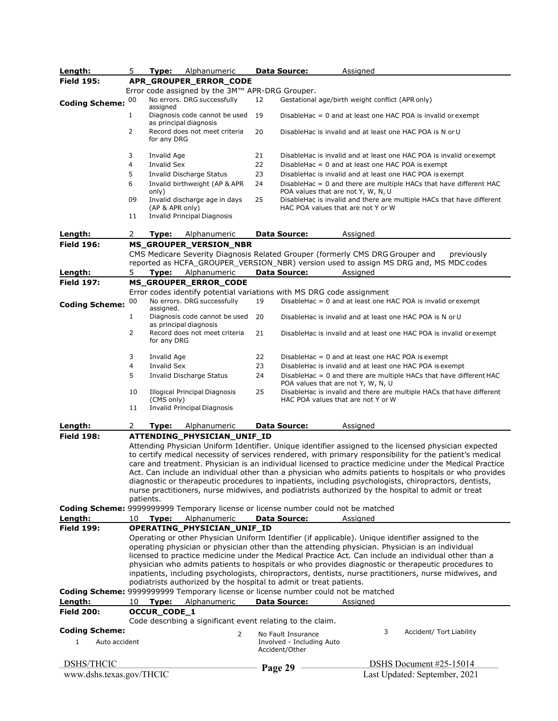| Length:                  | 5.                                                                                                                                                                                                                                                                                                                                                                                                                                                                                                                                                                                                                                 | Type:              | Alphanumeric                                                                                                      |    | <b>Data Source:</b>                                               | Assigned                                                                                                                                                                                                                                                                                                                                                                                                                                                                                                                                                                                                                                             |
|--------------------------|------------------------------------------------------------------------------------------------------------------------------------------------------------------------------------------------------------------------------------------------------------------------------------------------------------------------------------------------------------------------------------------------------------------------------------------------------------------------------------------------------------------------------------------------------------------------------------------------------------------------------------|--------------------|-------------------------------------------------------------------------------------------------------------------|----|-------------------------------------------------------------------|------------------------------------------------------------------------------------------------------------------------------------------------------------------------------------------------------------------------------------------------------------------------------------------------------------------------------------------------------------------------------------------------------------------------------------------------------------------------------------------------------------------------------------------------------------------------------------------------------------------------------------------------------|
| <b>Field 195:</b>        |                                                                                                                                                                                                                                                                                                                                                                                                                                                                                                                                                                                                                                    |                    | APR_GROUPER_ERROR_CODE                                                                                            |    |                                                                   |                                                                                                                                                                                                                                                                                                                                                                                                                                                                                                                                                                                                                                                      |
|                          |                                                                                                                                                                                                                                                                                                                                                                                                                                                                                                                                                                                                                                    |                    | Error code assigned by the 3M™ APR-DRG Grouper.                                                                   |    |                                                                   |                                                                                                                                                                                                                                                                                                                                                                                                                                                                                                                                                                                                                                                      |
| <b>Coding Scheme:</b>    | 00                                                                                                                                                                                                                                                                                                                                                                                                                                                                                                                                                                                                                                 |                    | No errors. DRG successfully                                                                                       | 12 |                                                                   | Gestational age/birth weight conflict (APR only)                                                                                                                                                                                                                                                                                                                                                                                                                                                                                                                                                                                                     |
|                          | $\mathbf{1}$                                                                                                                                                                                                                                                                                                                                                                                                                                                                                                                                                                                                                       | assigned           | Diagnosis code cannot be used<br>as principal diagnosis                                                           | 19 |                                                                   | DisableHac = 0 and at least one HAC POA is invalid or exempt                                                                                                                                                                                                                                                                                                                                                                                                                                                                                                                                                                                         |
|                          | 2                                                                                                                                                                                                                                                                                                                                                                                                                                                                                                                                                                                                                                  | for any DRG        | Record does not meet criteria                                                                                     | 20 |                                                                   | DisableHac is invalid and at least one HAC POA is N or U                                                                                                                                                                                                                                                                                                                                                                                                                                                                                                                                                                                             |
|                          | 3                                                                                                                                                                                                                                                                                                                                                                                                                                                                                                                                                                                                                                  | Invalid Age        |                                                                                                                   | 21 |                                                                   | DisableHac is invalid and at least one HAC POA is invalid or exempt                                                                                                                                                                                                                                                                                                                                                                                                                                                                                                                                                                                  |
|                          | 4                                                                                                                                                                                                                                                                                                                                                                                                                                                                                                                                                                                                                                  | <b>Invalid Sex</b> |                                                                                                                   | 22 |                                                                   | DisableHac = $0$ and at least one HAC POA is exempt                                                                                                                                                                                                                                                                                                                                                                                                                                                                                                                                                                                                  |
|                          | 5                                                                                                                                                                                                                                                                                                                                                                                                                                                                                                                                                                                                                                  |                    | <b>Invalid Discharge Status</b>                                                                                   | 23 |                                                                   | DisableHac is invalid and at least one HAC POA is exempt                                                                                                                                                                                                                                                                                                                                                                                                                                                                                                                                                                                             |
|                          | 6                                                                                                                                                                                                                                                                                                                                                                                                                                                                                                                                                                                                                                  | only)              | Invalid birthweight (AP & APR                                                                                     | 24 | POA values that are not Y, W, N, U                                | Disable Hac $= 0$ and there are multiple HACs that have different HAC                                                                                                                                                                                                                                                                                                                                                                                                                                                                                                                                                                                |
|                          | 09                                                                                                                                                                                                                                                                                                                                                                                                                                                                                                                                                                                                                                 | (AP & APR only)    | Invalid discharge age in days                                                                                     | 25 | HAC POA values that are not Y or W                                | DisableHac is invalid and there are multiple HACs that have different                                                                                                                                                                                                                                                                                                                                                                                                                                                                                                                                                                                |
|                          | 11                                                                                                                                                                                                                                                                                                                                                                                                                                                                                                                                                                                                                                 |                    | <b>Invalid Principal Diagnosis</b>                                                                                |    |                                                                   |                                                                                                                                                                                                                                                                                                                                                                                                                                                                                                                                                                                                                                                      |
| Length:                  | 2                                                                                                                                                                                                                                                                                                                                                                                                                                                                                                                                                                                                                                  | Type:              | Alphanumeric                                                                                                      |    | <b>Data Source:</b>                                               | Assigned                                                                                                                                                                                                                                                                                                                                                                                                                                                                                                                                                                                                                                             |
| <b>Field 196:</b>        |                                                                                                                                                                                                                                                                                                                                                                                                                                                                                                                                                                                                                                    |                    | MS_GROUPER_VERSION_NBR                                                                                            |    |                                                                   |                                                                                                                                                                                                                                                                                                                                                                                                                                                                                                                                                                                                                                                      |
|                          |                                                                                                                                                                                                                                                                                                                                                                                                                                                                                                                                                                                                                                    |                    |                                                                                                                   |    |                                                                   | CMS Medicare Severity Diagnosis Related Grouper (formerly CMS DRG Grouper and<br>previously                                                                                                                                                                                                                                                                                                                                                                                                                                                                                                                                                          |
|                          |                                                                                                                                                                                                                                                                                                                                                                                                                                                                                                                                                                                                                                    |                    |                                                                                                                   |    |                                                                   | reported as HCFA_GROUPER_VERSION_NBR) version used to assign MS DRG and, MS MDC codes                                                                                                                                                                                                                                                                                                                                                                                                                                                                                                                                                                |
| Length:                  | 5.                                                                                                                                                                                                                                                                                                                                                                                                                                                                                                                                                                                                                                 | Type:              | Alphanumeric                                                                                                      |    | <b>Data Source:</b>                                               | Assigned                                                                                                                                                                                                                                                                                                                                                                                                                                                                                                                                                                                                                                             |
| <b>Field 197:</b>        |                                                                                                                                                                                                                                                                                                                                                                                                                                                                                                                                                                                                                                    |                    | MS_GROUPER_ERROR_CODE                                                                                             |    |                                                                   |                                                                                                                                                                                                                                                                                                                                                                                                                                                                                                                                                                                                                                                      |
| <b>Coding Scheme:</b>    | 00                                                                                                                                                                                                                                                                                                                                                                                                                                                                                                                                                                                                                                 | assigned.          | Error codes identify potential variations with MS DRG code assignment<br>No errors. DRG successfully              | 19 |                                                                   | Disable Hac $= 0$ and at least one HAC POA is invalid or exempt                                                                                                                                                                                                                                                                                                                                                                                                                                                                                                                                                                                      |
|                          | $\mathbf{1}$                                                                                                                                                                                                                                                                                                                                                                                                                                                                                                                                                                                                                       |                    | Diagnosis code cannot be used<br>as principal diagnosis                                                           | 20 |                                                                   | DisableHac is invalid and at least one HAC POA is N or U                                                                                                                                                                                                                                                                                                                                                                                                                                                                                                                                                                                             |
|                          | 2                                                                                                                                                                                                                                                                                                                                                                                                                                                                                                                                                                                                                                  | for any DRG        | Record does not meet criteria                                                                                     | 21 |                                                                   | DisableHac is invalid and at least one HAC POA is invalid or exempt                                                                                                                                                                                                                                                                                                                                                                                                                                                                                                                                                                                  |
|                          | 3                                                                                                                                                                                                                                                                                                                                                                                                                                                                                                                                                                                                                                  | Invalid Age        |                                                                                                                   | 22 |                                                                   | Disable Hac $= 0$ and at least one HAC POA is exempt                                                                                                                                                                                                                                                                                                                                                                                                                                                                                                                                                                                                 |
|                          | 4                                                                                                                                                                                                                                                                                                                                                                                                                                                                                                                                                                                                                                  | <b>Invalid Sex</b> |                                                                                                                   | 23 |                                                                   | DisableHac is invalid and at least one HAC POA is exempt                                                                                                                                                                                                                                                                                                                                                                                                                                                                                                                                                                                             |
|                          | 5                                                                                                                                                                                                                                                                                                                                                                                                                                                                                                                                                                                                                                  |                    | <b>Invalid Discharge Status</b>                                                                                   | 24 | POA values that are not Y, W, N, U                                | Disable Hac $= 0$ and there are multiple HACs that have different HAC                                                                                                                                                                                                                                                                                                                                                                                                                                                                                                                                                                                |
|                          | 10                                                                                                                                                                                                                                                                                                                                                                                                                                                                                                                                                                                                                                 | (CMS only)         | <b>Illogical Principal Diagnosis</b>                                                                              | 25 | HAC POA values that are not Y or W                                | DisableHac is invalid and there are multiple HACs that have different                                                                                                                                                                                                                                                                                                                                                                                                                                                                                                                                                                                |
|                          | 11                                                                                                                                                                                                                                                                                                                                                                                                                                                                                                                                                                                                                                 |                    | <b>Invalid Principal Diagnosis</b>                                                                                |    |                                                                   |                                                                                                                                                                                                                                                                                                                                                                                                                                                                                                                                                                                                                                                      |
| Length:                  | 2                                                                                                                                                                                                                                                                                                                                                                                                                                                                                                                                                                                                                                  | Type:              | Alphanumeric                                                                                                      |    | <b>Data Source:</b>                                               | Assigned                                                                                                                                                                                                                                                                                                                                                                                                                                                                                                                                                                                                                                             |
| <b>Field 198:</b>        | patients.                                                                                                                                                                                                                                                                                                                                                                                                                                                                                                                                                                                                                          |                    | ATTENDING_PHYSICIAN_UNIF_ID<br>Coding Scheme: 9999999999 Temporary license or license number could not be matched |    |                                                                   | Attending Physician Uniform Identifier. Unique identifier assigned to the licensed physician expected<br>to certify medical necessity of services rendered, with primary responsibility for the patient's medical<br>care and treatment. Physician is an individual licensed to practice medicine under the Medical Practice<br>Act. Can include an individual other than a physician who admits patients to hospitals or who provides<br>diagnostic or therapeutic procedures to inpatients, including psychologists, chiropractors, dentists,<br>nurse practitioners, nurse midwives, and podiatrists authorized by the hospital to admit or treat |
| Length:                  |                                                                                                                                                                                                                                                                                                                                                                                                                                                                                                                                                                                                                                    |                    |                                                                                                                   |    | <b>Data Source:</b>                                               | Assigned                                                                                                                                                                                                                                                                                                                                                                                                                                                                                                                                                                                                                                             |
| <b>Field 199:</b>        | 10                                                                                                                                                                                                                                                                                                                                                                                                                                                                                                                                                                                                                                 | Type:              | Alphanumeric                                                                                                      |    |                                                                   |                                                                                                                                                                                                                                                                                                                                                                                                                                                                                                                                                                                                                                                      |
|                          | OPERATING_PHYSICIAN_UNIF_ID<br>Operating or other Physician Uniform Identifier (if applicable). Unique identifier assigned to the<br>operating physician or physician other than the attending physician. Physician is an individual<br>licensed to practice medicine under the Medical Practice Act. Can include an individual other than a<br>physician who admits patients to hospitals or who provides diagnostic or therapeutic procedures to<br>inpatients, including psychologists, chiropractors, dentists, nurse practitioners, nurse midwives, and<br>podiatrists authorized by the hospital to admit or treat patients. |                    |                                                                                                                   |    |                                                                   |                                                                                                                                                                                                                                                                                                                                                                                                                                                                                                                                                                                                                                                      |
|                          |                                                                                                                                                                                                                                                                                                                                                                                                                                                                                                                                                                                                                                    |                    | Coding Scheme: 9999999999 Temporary license or license number could not be matched                                |    |                                                                   |                                                                                                                                                                                                                                                                                                                                                                                                                                                                                                                                                                                                                                                      |
| Length:                  | 10                                                                                                                                                                                                                                                                                                                                                                                                                                                                                                                                                                                                                                 | Type:              | Alphanumeric                                                                                                      |    | <b>Data Source:</b>                                               | Assigned                                                                                                                                                                                                                                                                                                                                                                                                                                                                                                                                                                                                                                             |
| <b>Field 200:</b>        |                                                                                                                                                                                                                                                                                                                                                                                                                                                                                                                                                                                                                                    | OCCUR_CODE_1       | Code describing a significant event relating to the claim.                                                        |    |                                                                   |                                                                                                                                                                                                                                                                                                                                                                                                                                                                                                                                                                                                                                                      |
| <b>Coding Scheme:</b>    |                                                                                                                                                                                                                                                                                                                                                                                                                                                                                                                                                                                                                                    |                    |                                                                                                                   |    |                                                                   | 3                                                                                                                                                                                                                                                                                                                                                                                                                                                                                                                                                                                                                                                    |
| Auto accident<br>1       |                                                                                                                                                                                                                                                                                                                                                                                                                                                                                                                                                                                                                                    |                    | 2                                                                                                                 |    | No Fault Insurance<br>Involved - Including Auto<br>Accident/Other | Accident/ Tort Liability                                                                                                                                                                                                                                                                                                                                                                                                                                                                                                                                                                                                                             |
| <b>DSHS/THCIC</b>        |                                                                                                                                                                                                                                                                                                                                                                                                                                                                                                                                                                                                                                    |                    |                                                                                                                   |    |                                                                   | DSHS Document #25-15014                                                                                                                                                                                                                                                                                                                                                                                                                                                                                                                                                                                                                              |
| www.dshs.texas.gov/THCIC |                                                                                                                                                                                                                                                                                                                                                                                                                                                                                                                                                                                                                                    |                    |                                                                                                                   |    | Page 29                                                           | Last Updated: September, 2021                                                                                                                                                                                                                                                                                                                                                                                                                                                                                                                                                                                                                        |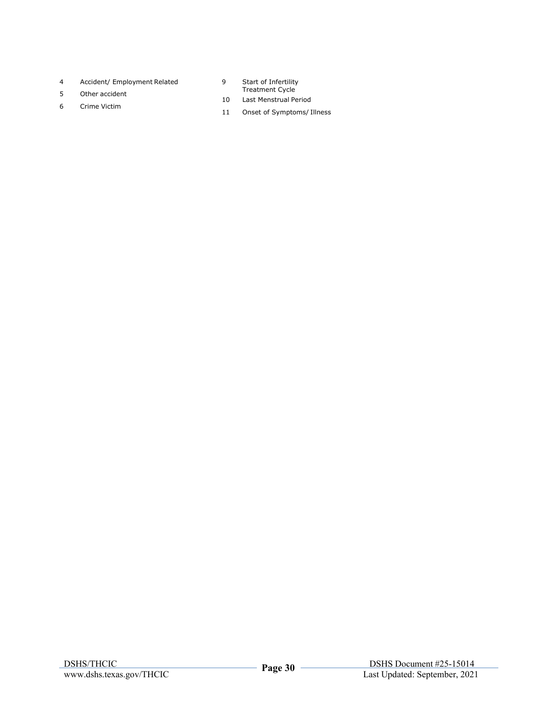- 4 Accident/ Employment Related
- 5 Other accident
- 6 Crime Victim
- 9 Start of Infertility Treatment Cycle
- 10 Last Menstrual Period
- 11 Onset of Symptoms/ Illness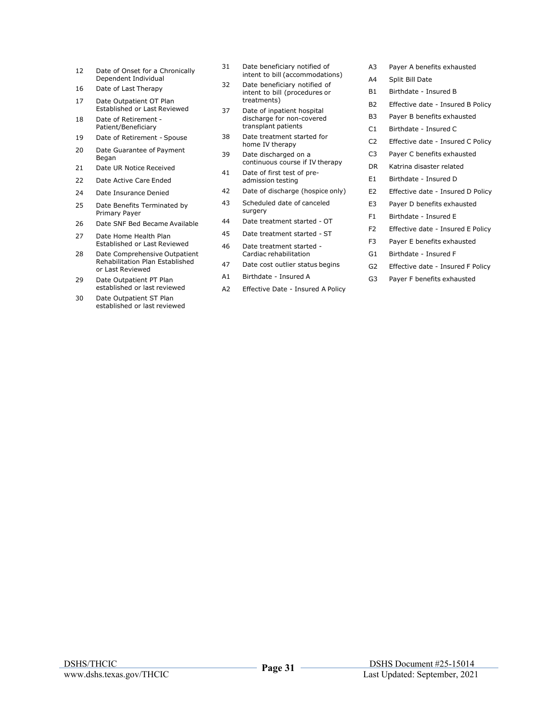- 12 Date of Onset for a Chronically Dependent Individual
- 16 Date of Last Therapy
- 17 Date Outpatient OT Plan Established or Last Reviewed
- 18 Date of Retirement Patient/Beneficiary
- 19 Date of Retirement Spouse
- 20 Date Guarantee of Payment Began
- 21 Date UR Notice Received
- 22 Date Active Care Ended
- 24 Date Insurance Denied
- 25 Date Benefits Terminated by Primary Payer
- 26 Date SNF Bed Became Available
- 27 Date Home Health Plan Established or Last Reviewed
- 28 Date Comprehensive Outpatient Rehabilitation Plan Established or Last Reviewed
- 29 Date Outpatient PT Plan established or last reviewed
- 30 Date Outpatient ST Plan established or last reviewed
- 31 Date beneficiary notified of intent to bill (accommodations)
- 32 Date beneficiary notified of intent to bill (procedures or treatments)
- 37 Date of inpatient hospital discharge for non-covered transplant patients
- 38 Date treatment started for home IV therapy
- 39 Date discharged on a continuous course if IV therapy
- 41 Date of first test of preadmission testing
- 42 Date of discharge (hospice only)
- 43 Scheduled date of canceled surgery
- 44 Date treatment started OT
- 45 Date treatment started ST
- 46 Date treatment started Cardiac rehabilitation
- 47 Date cost outlier status begins
- A1 Birthdate Insured A
- A2 Effective Date Insured A Policy
- A3 Payer A benefits exhausted
- A4 Split Bill Date
- B1 Birthdate Insured B
- B2 Effective date Insured B Policy
- B3 Payer B benefits exhausted
- C1 Birthdate Insured C
- C2 Effective date Insured C Policy
- C3 Payer C benefits exhausted
- DR Katrina disaster related
- E1 Birthdate Insured D
- E2 Effective date Insured D Policy
- E3 Payer D benefits exhausted
- F1 Birthdate Insured E
- F2 Effective date Insured E Policy
- F3 Payer E benefits exhausted
- G1 Birthdate Insured F
- G2 Effective date Insured F Policy
- G3 Payer F benefits exhausted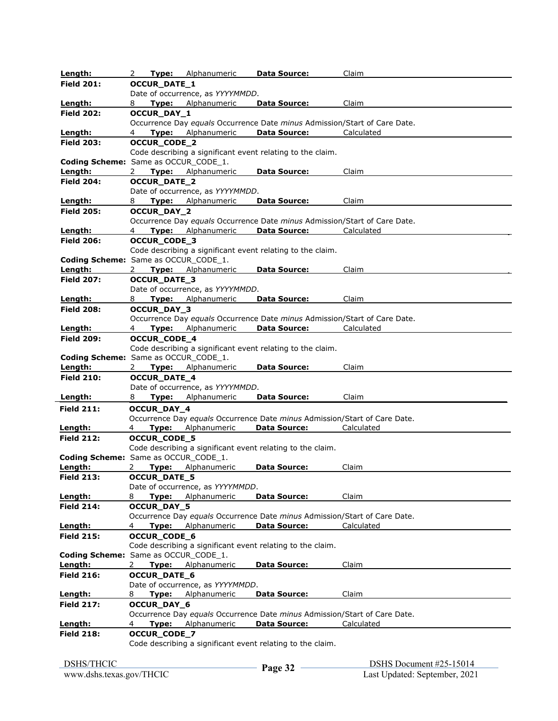| Length:                              | 2<br>Type:          | Alphanumeric                     | <b>Data Source:</b>                                        | Claim                                                                                   |  |
|--------------------------------------|---------------------|----------------------------------|------------------------------------------------------------|-----------------------------------------------------------------------------------------|--|
| <b>Field 201:</b>                    | <b>OCCUR_DATE_1</b> |                                  |                                                            |                                                                                         |  |
|                                      |                     | Date of occurrence, as YYYYMMDD. |                                                            |                                                                                         |  |
| Length:                              | 8                   | <b>Type:</b> Alphanumeric        | <b>Data Source:</b>                                        | Claim                                                                                   |  |
| <b>Field 202:</b>                    | OCCUR_DAY_1         |                                  |                                                            |                                                                                         |  |
|                                      |                     |                                  |                                                            | Occurrence Day equals Occurrence Date minus Admission/Start of Care Date.               |  |
| Length:                              | 4                   | <b>Type:</b> Alphanumeric        | <b>Data Source:</b>                                        | Calculated                                                                              |  |
| <b>Field 203:</b>                    | <b>OCCUR_CODE_2</b> |                                  |                                                            |                                                                                         |  |
|                                      |                     |                                  | Code describing a significant event relating to the claim. |                                                                                         |  |
| Coding Scheme: Same as OCCUR_CODE_1. |                     |                                  |                                                            |                                                                                         |  |
| Length:                              | 2                   | <b>Type:</b> Alphanumeric        | <b>Data Source:</b>                                        | Claim                                                                                   |  |
| <b>Field 204:</b>                    | OCCUR_DATE_2        |                                  |                                                            |                                                                                         |  |
|                                      |                     | Date of occurrence, as YYYYMMDD. |                                                            |                                                                                         |  |
| Length:                              | Type:<br>8          | Alphanumeric                     | Data Source:                                               | Claim                                                                                   |  |
| <b>Field 205:</b>                    | OCCUR_DAY_2         |                                  |                                                            |                                                                                         |  |
|                                      |                     |                                  |                                                            | Occurrence Day equals Occurrence Date minus Admission/Start of Care Date.               |  |
| Length:                              | 4                   | Type: Alphanumeric               | <b>Data Source:</b>                                        | Calculated                                                                              |  |
| <b>Field 206:</b>                    | <b>OCCUR_CODE_3</b> |                                  | Code describing a significant event relating to the claim. |                                                                                         |  |
| Coding Scheme: Same as OCCUR_CODE_1. |                     |                                  |                                                            |                                                                                         |  |
| Length:                              | 2                   | Type: Alphanumeric               | <b>Data Source:</b>                                        | Claim                                                                                   |  |
| <b>Field 207:</b>                    | <b>OCCUR_DATE_3</b> |                                  |                                                            |                                                                                         |  |
|                                      |                     | Date of occurrence, as YYYYMMDD. |                                                            |                                                                                         |  |
| <u>Length:</u>                       | Type:<br>8          | Alphanumeric                     | Data Source:                                               | Claim                                                                                   |  |
| <b>Field 208:</b>                    | OCCUR_DAY_3         |                                  |                                                            |                                                                                         |  |
|                                      |                     |                                  |                                                            | Occurrence Day equals Occurrence Date minus Admission/Start of Care Date.               |  |
| Length:                              | 4                   | <b>Type:</b> Alphanumeric        | <b>Data Source:</b>                                        | Calculated                                                                              |  |
| <b>Field 209:</b>                    | <b>OCCUR_CODE_4</b> |                                  |                                                            |                                                                                         |  |
|                                      |                     |                                  | Code describing a significant event relating to the claim. |                                                                                         |  |
| Coding Scheme: Same as OCCUR_CODE_1. |                     |                                  |                                                            |                                                                                         |  |
| Length:                              | $\mathbf{2}$        | Type: Alphanumeric               | <b>Data Source:</b>                                        | Claim                                                                                   |  |
| <b>Field 210:</b>                    | <b>OCCUR_DATE_4</b> |                                  |                                                            |                                                                                         |  |
|                                      |                     | Date of occurrence, as YYYYMMDD. |                                                            |                                                                                         |  |
| Length:                              | 8<br>Type:          | Alphanumeric                     | <b>Data Source:</b>                                        | Claim                                                                                   |  |
| <b>Field 211:</b>                    | OCCUR_DAY_4         |                                  |                                                            |                                                                                         |  |
|                                      |                     |                                  |                                                            | Occurrence Day equals Occurrence Date minus Admission/Start of Care Date.               |  |
| Length:                              | Type:<br>4          | Alphanumeric                     | <b>Data Source:</b>                                        | Calculated                                                                              |  |
| <b>Field 212:</b>                    | <b>OCCUR_CODE_5</b> |                                  |                                                            |                                                                                         |  |
|                                      |                     |                                  | Code describing a significant event relating to the claim. |                                                                                         |  |
| Coding Scheme: Same as OCCUR_CODE_1. |                     |                                  |                                                            |                                                                                         |  |
| Length:                              | 2                   | Type: Alphanumeric               | <b>Data Source:</b>                                        | Claim                                                                                   |  |
| <b>Field 213:</b>                    | <b>OCCUR_DATE_5</b> |                                  |                                                            |                                                                                         |  |
|                                      |                     | Date of occurrence, as YYYYMMDD. |                                                            |                                                                                         |  |
| Length:                              | 8                   | Type: Alphanumeric               | <b>Data Source:</b>                                        | Claim                                                                                   |  |
| <b>Field 214:</b>                    | OCCUR_DAY_5         |                                  |                                                            |                                                                                         |  |
| Length:                              | 4                   | Type: Alphanumeric               | <b>Data Source:</b>                                        | Occurrence Day equals Occurrence Date minus Admission/Start of Care Date.<br>Calculated |  |
| <b>Field 215:</b>                    | OCCUR_CODE_6        |                                  |                                                            |                                                                                         |  |
|                                      |                     |                                  | Code describing a significant event relating to the claim. |                                                                                         |  |
| Coding Scheme: Same as OCCUR_CODE_1. |                     |                                  |                                                            |                                                                                         |  |
| Length:                              | $\mathbf{2}$        | Type: Alphanumeric               | <b>Data Source:</b>                                        | Claim                                                                                   |  |
| <b>Field 216:</b>                    | <b>OCCUR_DATE_6</b> |                                  |                                                            |                                                                                         |  |
|                                      |                     | Date of occurrence, as YYYYMMDD. |                                                            |                                                                                         |  |
| <u>Length:</u>                       | 8                   | <b>Type:</b> Alphanumeric        | <b>Data Source:</b>                                        | Claim                                                                                   |  |
| <b>Field 217:</b>                    |                     |                                  |                                                            |                                                                                         |  |
|                                      |                     |                                  |                                                            |                                                                                         |  |
|                                      | OCCUR_DAY_6         |                                  |                                                            |                                                                                         |  |
|                                      | Type:<br>4          | Alphanumeric                     | <b>Data Source:</b>                                        | Occurrence Day equals Occurrence Date minus Admission/Start of Care Date.<br>Calculated |  |
| Length:<br><b>Field 218:</b>         |                     |                                  |                                                            |                                                                                         |  |
|                                      | OCCUR_CODE_7        |                                  | Code describing a significant event relating to the claim. |                                                                                         |  |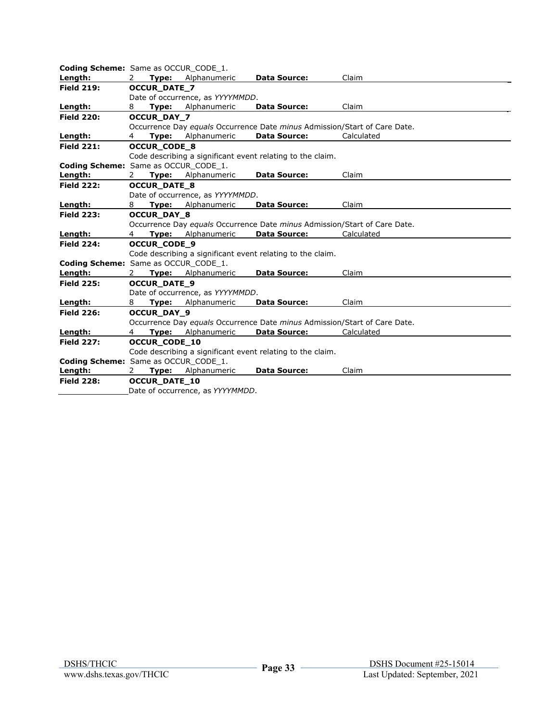| <b>Coding Scheme:</b> Same as OCCUR CODE 1. |                |                      |                                  |                                                            |                                                                           |  |
|---------------------------------------------|----------------|----------------------|----------------------------------|------------------------------------------------------------|---------------------------------------------------------------------------|--|
| Length:                                     | 2              | Type:                | Alphanumeric                     | <b>Data Source:</b>                                        | Claim                                                                     |  |
| <b>Field 219:</b>                           |                | <b>OCCUR DATE 7</b>  |                                  |                                                            |                                                                           |  |
|                                             |                |                      | Date of occurrence, as YYYYMMDD. |                                                            |                                                                           |  |
| Length:                                     | 8              | Type:                | Alphanumeric                     | <b>Data Source:</b>                                        | Claim                                                                     |  |
| <b>Field 220:</b>                           |                | OCCUR_DAY_7          |                                  |                                                            |                                                                           |  |
|                                             |                |                      |                                  |                                                            | Occurrence Day equals Occurrence Date minus Admission/Start of Care Date. |  |
| Length:                                     | 4              | Type:                | Alphanumeric                     | <b>Data Source:</b>                                        | Calculated                                                                |  |
| <b>Field 221:</b>                           |                | <b>OCCUR CODE 8</b>  |                                  |                                                            |                                                                           |  |
|                                             |                |                      |                                  | Code describing a significant event relating to the claim. |                                                                           |  |
| Coding Scheme: Same as OCCUR_CODE_1.        |                |                      |                                  |                                                            |                                                                           |  |
| Length:                                     | 2              | Type:                | Alphanumeric                     | <b>Data Source:</b>                                        | Claim                                                                     |  |
| <b>Field 222:</b>                           |                | <b>OCCUR DATE 8</b>  |                                  |                                                            |                                                                           |  |
|                                             |                |                      | Date of occurrence, as YYYYMMDD. |                                                            |                                                                           |  |
| Length:                                     | 8              | Type:                | Alphanumeric                     | <b>Data Source:</b>                                        | Claim                                                                     |  |
| <b>Field 223:</b>                           |                | <b>OCCUR DAY 8</b>   |                                  |                                                            |                                                                           |  |
|                                             |                |                      |                                  |                                                            | Occurrence Day equals Occurrence Date minus Admission/Start of Care Date. |  |
| Length:                                     | $\overline{4}$ | Type:                | Alphanumeric                     | <b>Data Source:</b>                                        | Calculated                                                                |  |
| <b>Field 224:</b>                           |                | <b>OCCUR_CODE_9</b>  |                                  |                                                            |                                                                           |  |
|                                             |                |                      |                                  | Code describing a significant event relating to the claim. |                                                                           |  |
| <b>Coding Scheme:</b> Same as OCCUR CODE 1. |                |                      |                                  |                                                            |                                                                           |  |
| Length:                                     | 2.             |                      | Type: Alphanumeric               | <b>Data Source:</b>                                        | Claim                                                                     |  |
| <b>Field 225:</b>                           |                | <b>OCCUR DATE 9</b>  |                                  |                                                            |                                                                           |  |
|                                             |                |                      | Date of occurrence, as YYYYMMDD. |                                                            |                                                                           |  |
| Length:                                     | 8              | Type:                | Alphanumeric                     | <b>Data Source:</b>                                        | Claim                                                                     |  |
| <b>Field 226:</b>                           |                | <b>OCCUR DAY 9</b>   |                                  |                                                            |                                                                           |  |
|                                             |                |                      |                                  |                                                            | Occurrence Day equals Occurrence Date minus Admission/Start of Care Date. |  |
| Length:                                     | $\overline{4}$ | Type:                | Alphanumeric                     | <b>Data Source:</b>                                        | Calculated                                                                |  |
| <b>Field 227:</b>                           |                | <b>OCCUR CODE 10</b> |                                  |                                                            |                                                                           |  |
|                                             |                |                      |                                  | Code describing a significant event relating to the claim. |                                                                           |  |
| Coding Scheme: Same as OCCUR_CODE_1.        |                |                      |                                  |                                                            |                                                                           |  |
| Length:                                     | 2              | Type:                | Alphanumeric                     | <b>Data Source:</b>                                        | Claim                                                                     |  |
| <b>Field 228:</b>                           |                | <b>OCCUR DATE 10</b> |                                  |                                                            |                                                                           |  |
|                                             |                |                      | Date of occurrence, as YYYYMMDD. |                                                            |                                                                           |  |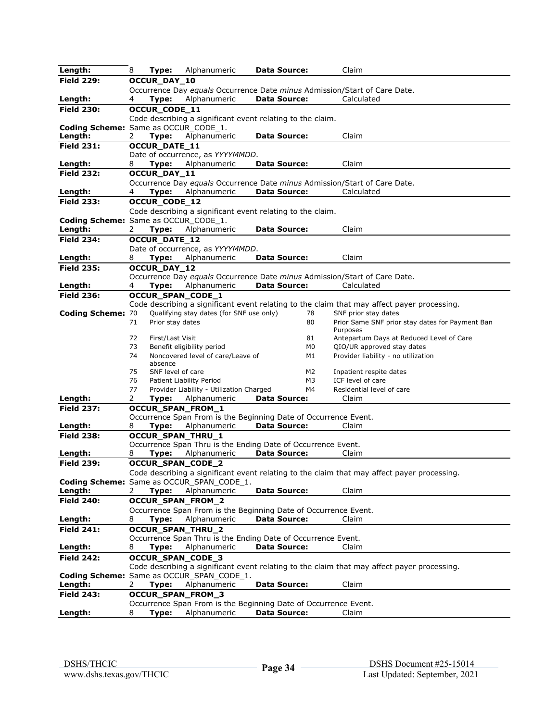| Length:                              | 8                                                                                           | Type:                | Alphanumeric                                                    | <b>Data Source:</b> |    | Claim                                                                                       |
|--------------------------------------|---------------------------------------------------------------------------------------------|----------------------|-----------------------------------------------------------------|---------------------|----|---------------------------------------------------------------------------------------------|
| <b>Field 229:</b>                    | OCCUR_DAY_10                                                                                |                      |                                                                 |                     |    |                                                                                             |
|                                      | Occurrence Day equals Occurrence Date minus Admission/Start of Care Date.                   |                      |                                                                 |                     |    |                                                                                             |
| Length:                              | Calculated<br>Type:<br>Alphanumeric<br><b>Data Source:</b><br>4                             |                      |                                                                 |                     |    |                                                                                             |
| <b>Field 230:</b>                    |                                                                                             | OCCUR_CODE_11        |                                                                 |                     |    |                                                                                             |
|                                      |                                                                                             |                      | Code describing a significant event relating to the claim.      |                     |    |                                                                                             |
| Coding Scheme: Same as OCCUR_CODE_1. |                                                                                             |                      |                                                                 |                     |    |                                                                                             |
| Length:                              | 2                                                                                           | Type:                | Alphanumeric                                                    | <b>Data Source:</b> |    | Claim                                                                                       |
| <b>Field 231:</b>                    |                                                                                             | OCCUR_DATE_11        |                                                                 |                     |    |                                                                                             |
|                                      |                                                                                             |                      | Date of occurrence, as YYYYMMDD.                                |                     |    |                                                                                             |
| Length:                              | 8                                                                                           | Type:                | Alphanumeric                                                    | <b>Data Source:</b> |    | Claim                                                                                       |
| <b>Field 232:</b>                    |                                                                                             | OCCUR_DAY_11         |                                                                 |                     |    |                                                                                             |
|                                      |                                                                                             |                      |                                                                 |                     |    | Occurrence Day equals Occurrence Date minus Admission/Start of Care Date.                   |
| Length:                              |                                                                                             | Type:                | Alphanumeric                                                    | <b>Data Source:</b> |    | Calculated                                                                                  |
| <b>Field 233:</b>                    |                                                                                             | OCCUR_CODE_12        |                                                                 |                     |    |                                                                                             |
|                                      |                                                                                             |                      |                                                                 |                     |    |                                                                                             |
|                                      |                                                                                             |                      | Code describing a significant event relating to the claim.      |                     |    |                                                                                             |
| Coding Scheme: Same as OCCUR_CODE_1. |                                                                                             |                      |                                                                 |                     |    |                                                                                             |
| Length:                              | 2                                                                                           | Type:                | Alphanumeric                                                    | <b>Data Source:</b> |    | Claim                                                                                       |
| <b>Field 234:</b>                    |                                                                                             | <b>OCCUR DATE 12</b> |                                                                 |                     |    |                                                                                             |
|                                      |                                                                                             |                      | Date of occurrence, as YYYYMMDD.                                |                     |    |                                                                                             |
| Length:                              | 8                                                                                           | Type:                | Alphanumeric                                                    | <b>Data Source:</b> |    | Claim                                                                                       |
| <b>Field 235:</b>                    |                                                                                             | OCCUR_DAY_12         |                                                                 |                     |    |                                                                                             |
|                                      |                                                                                             |                      |                                                                 |                     |    | Occurrence Day equals Occurrence Date minus Admission/Start of Care Date.                   |
| Length:                              | 4                                                                                           | Type:                | Alphanumeric                                                    | <b>Data Source:</b> |    | Calculated                                                                                  |
| <b>Field 236:</b>                    |                                                                                             |                      | OCCUR_SPAN_CODE_1                                               |                     |    |                                                                                             |
|                                      |                                                                                             |                      |                                                                 |                     |    | Code describing a significant event relating to the claim that may affect payer processing. |
| <b>Coding Scheme: 70</b>             |                                                                                             |                      | Qualifying stay dates (for SNF use only)                        |                     | 78 | SNF prior stay dates                                                                        |
|                                      | 71                                                                                          | Prior stay dates     |                                                                 |                     | 80 | Prior Same SNF prior stay dates for Payment Ban                                             |
|                                      |                                                                                             |                      |                                                                 |                     |    | Purposes                                                                                    |
|                                      | 72                                                                                          | First/Last Visit     |                                                                 |                     | 81 | Antepartum Days at Reduced Level of Care                                                    |
|                                      | 73                                                                                          |                      | Benefit eligibility period                                      |                     | M0 | QIO/UR approved stay dates                                                                  |
|                                      | 74                                                                                          | absence              | Noncovered level of care/Leave of                               |                     | M1 | Provider liability - no utilization                                                         |
|                                      | 75                                                                                          | SNF level of care    |                                                                 |                     | M2 | Inpatient respite dates                                                                     |
|                                      | 76                                                                                          |                      | Patient Liability Period                                        |                     | M3 | ICF level of care                                                                           |
|                                      | 77                                                                                          |                      | Provider Liability - Utilization Charged                        |                     | M4 | Residential level of care                                                                   |
| Length:                              | 2                                                                                           | Type:                | Alphanumeric                                                    | <b>Data Source:</b> |    | Claim                                                                                       |
| <b>Field 237:</b>                    |                                                                                             |                      | <b>OCCUR SPAN FROM 1</b>                                        |                     |    |                                                                                             |
|                                      |                                                                                             |                      | Occurrence Span From is the Beginning Date of Occurrence Event. |                     |    |                                                                                             |
| Length:                              | 8                                                                                           | Type:                | Alphanumeric                                                    | <b>Data Source:</b> |    | Claim                                                                                       |
| <b>Field 238:</b>                    |                                                                                             |                      |                                                                 |                     |    |                                                                                             |
|                                      | OCCUR_SPAN_THRU_1<br>Occurrence Span Thru is the Ending Date of Occurrence Event.           |                      |                                                                 |                     |    |                                                                                             |
| Length:                              | 8                                                                                           | Type:                | Alphanumeric                                                    | <b>Data Source:</b> |    | Claim                                                                                       |
| <b>Field 239:</b>                    | OCCUR_SPAN_CODE_2                                                                           |                      |                                                                 |                     |    |                                                                                             |
|                                      |                                                                                             |                      |                                                                 |                     |    | Code describing a significant event relating to the claim that may affect payer processing  |
|                                      |                                                                                             |                      | Coding Scheme: Same as OCCUR_SPAN_CODE_1.                       |                     |    |                                                                                             |
| Length:                              | 2                                                                                           | Type:                | Alphanumeric                                                    | <b>Data Source:</b> |    | Claim                                                                                       |
| <b>Field 240:</b>                    |                                                                                             |                      | OCCUR_SPAN_FROM_2                                               |                     |    |                                                                                             |
|                                      |                                                                                             |                      | Occurrence Span From is the Beginning Date of Occurrence Event. |                     |    |                                                                                             |
| Length:                              | 8                                                                                           | Type:                | Alphanumeric                                                    | <b>Data Source:</b> |    | Claim                                                                                       |
|                                      |                                                                                             |                      |                                                                 |                     |    |                                                                                             |
| <b>Field 241:</b>                    |                                                                                             |                      | <b>OCCUR_SPAN_THRU_2</b>                                        |                     |    |                                                                                             |
|                                      |                                                                                             |                      | Occurrence Span Thru is the Ending Date of Occurrence Event.    |                     |    |                                                                                             |
| Length:                              | 8                                                                                           | Type:                | Alphanumeric                                                    | <b>Data Source:</b> |    | Claim                                                                                       |
| <b>Field 242:</b>                    | <b>OCCUR SPAN CODE 3</b>                                                                    |                      |                                                                 |                     |    |                                                                                             |
|                                      | Code describing a significant event relating to the claim that may affect payer processing. |                      |                                                                 |                     |    |                                                                                             |
|                                      |                                                                                             |                      | Coding Scheme: Same as OCCUR_SPAN_CODE_1.                       |                     |    |                                                                                             |
| Length:                              | 2                                                                                           | Type:                | Alphanumeric                                                    | <b>Data Source:</b> |    | Claim                                                                                       |
| <b>Field 243:</b>                    |                                                                                             |                      | OCCUR_SPAN_FROM_3                                               |                     |    |                                                                                             |
|                                      |                                                                                             |                      | Occurrence Span From is the Beginning Date of Occurrence Event. |                     |    |                                                                                             |
| Length:                              | 8                                                                                           | Type:                | Alphanumeric                                                    | <b>Data Source:</b> |    | Claim                                                                                       |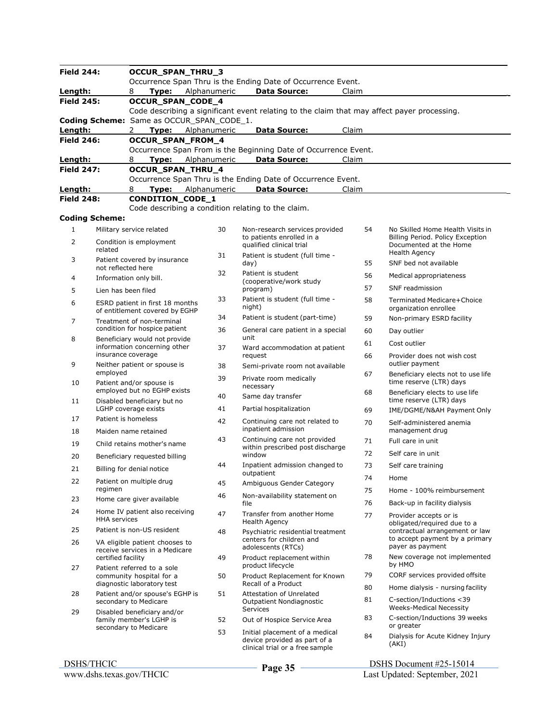| <b>Field 244:</b>  |                                                        | OCCUR_SPAN_THRU_3                                                 |              |                                                                                                   |          |                                                               |  |  |  |  |
|--------------------|--------------------------------------------------------|-------------------------------------------------------------------|--------------|---------------------------------------------------------------------------------------------------|----------|---------------------------------------------------------------|--|--|--|--|
|                    |                                                        |                                                                   |              | Occurrence Span Thru is the Ending Date of Occurrence Event.                                      |          |                                                               |  |  |  |  |
| Length:            |                                                        | 8<br>Type:                                                        | Alphanumeric | <b>Data Source:</b>                                                                               | Claim    |                                                               |  |  |  |  |
| <b>Field 245:</b>  |                                                        | OCCUR_SPAN_CODE_4                                                 |              |                                                                                                   |          |                                                               |  |  |  |  |
|                    |                                                        |                                                                   |              | Code describing a significant event relating to the claim that may affect payer processing.       |          |                                                               |  |  |  |  |
|                    |                                                        | Coding Scheme: Same as OCCUR_SPAN_CODE_1.                         |              |                                                                                                   |          |                                                               |  |  |  |  |
| Length:            |                                                        | $\mathbf{2}$<br><b>Type:</b> Alphanumeric                         |              | <b>Data Source:</b>                                                                               | Claim    |                                                               |  |  |  |  |
| <b>Field 246:</b>  |                                                        | OCCUR_SPAN_FROM_4                                                 |              |                                                                                                   |          |                                                               |  |  |  |  |
|                    |                                                        |                                                                   |              | Occurrence Span From is the Beginning Date of Occurrence Event.                                   |          |                                                               |  |  |  |  |
| Length:            |                                                        | <b>Type:</b> Alphanumeric<br>8                                    |              | <b>Data Source:</b>                                                                               | Claim    |                                                               |  |  |  |  |
| <b>Field 247:</b>  |                                                        | OCCUR_SPAN_THRU_4                                                 |              |                                                                                                   |          |                                                               |  |  |  |  |
|                    |                                                        |                                                                   |              | Occurrence Span Thru is the Ending Date of Occurrence Event.                                      |          |                                                               |  |  |  |  |
| Length:            |                                                        | 8<br>Type:                                                        | Alphanumeric | <b>Data Source:</b>                                                                               | Claim    |                                                               |  |  |  |  |
| <b>Field 248:</b>  |                                                        | <b>CONDITION_CODE_1</b>                                           |              |                                                                                                   |          |                                                               |  |  |  |  |
|                    |                                                        | Code describing a condition relating to the claim.                |              |                                                                                                   |          |                                                               |  |  |  |  |
|                    | <b>Coding Scheme:</b>                                  |                                                                   |              |                                                                                                   |          |                                                               |  |  |  |  |
| $\mathbf{1}$       |                                                        | Military service related                                          | 30           | Non-research services provided                                                                    | 54       | No Skilled Home Health Visits in                              |  |  |  |  |
| 2                  |                                                        | Condition is employment                                           |              | to patients enrolled in a<br>qualified clinical trial                                             |          | Billing Period. Policy Exception<br>Documented at the Home    |  |  |  |  |
| related            |                                                        |                                                                   | 31           | Patient is student (full time -                                                                   |          | <b>Health Agency</b>                                          |  |  |  |  |
| 3                  | not reflected here                                     | Patient covered by insurance                                      |              | day)                                                                                              | 55       | SNF bed not available                                         |  |  |  |  |
| 4                  |                                                        | Information only bill.                                            | 32           | Patient is student<br>(cooperative/work study                                                     | 56       | Medical appropriateness                                       |  |  |  |  |
| 5                  | Lien has been filed                                    |                                                                   |              | program)                                                                                          | 57       | <b>SNF</b> readmission                                        |  |  |  |  |
| 6                  |                                                        | ESRD patient in first 18 months<br>of entitlement covered by EGHP |              | Patient is student (full time -<br>night)                                                         | 58       | Terminated Medicare+Choice<br>organization enrollee           |  |  |  |  |
|                    |                                                        |                                                                   | 34           | Patient is student (part-time)                                                                    | 59       | Non-primary ESRD facility                                     |  |  |  |  |
| 7                  |                                                        | Treatment of non-terminal<br>condition for hospice patient        | 36           | General care patient in a special                                                                 | 60       | Day outlier                                                   |  |  |  |  |
| 8                  |                                                        | Beneficiary would not provide                                     |              | unit                                                                                              | 61       | Cost outlier                                                  |  |  |  |  |
|                    | insurance coverage                                     | information concerning other                                      | 37           | Ward accommodation at patient<br>request                                                          | 66       | Provider does not wish cost                                   |  |  |  |  |
| 9                  |                                                        | Neither patient or spouse is                                      | 38           | Semi-private room not available                                                                   |          | outlier payment                                               |  |  |  |  |
| 10                 | employed                                               | Patient and/or spouse is                                          | 39           | Private room medically<br>necessary                                                               | 67       | Beneficiary elects not to use life<br>time reserve (LTR) days |  |  |  |  |
| 11                 |                                                        | employed but no EGHP exists<br>Disabled beneficiary but no        |              | Same day transfer                                                                                 | 68       | Beneficiary elects to use life<br>time reserve (LTR) days     |  |  |  |  |
|                    |                                                        | LGHP coverage exists                                              | 41           | Partial hospitalization                                                                           | 69       | IME/DGME/N&AH Payment Only                                    |  |  |  |  |
| 17                 |                                                        | Patient is homeless                                               |              | Continuing care not related to<br>inpatient admission                                             | 70       | Self-administered anemia<br>management drug                   |  |  |  |  |
| 18                 |                                                        | Maiden name retained                                              | 43           | Continuing care not provided                                                                      |          |                                                               |  |  |  |  |
| 19                 |                                                        | Child retains mother's name                                       |              | within prescribed post discharge                                                                  | 71       | Full care in unit                                             |  |  |  |  |
| 20                 |                                                        | Beneficiary requested billing                                     |              | window                                                                                            | 72       | Self care in unit                                             |  |  |  |  |
| 21                 |                                                        | Billing for denial notice                                         | 44           | Inpatient admission changed to                                                                    | 73       | Self care training                                            |  |  |  |  |
|                    |                                                        |                                                                   |              | outpatient                                                                                        | 74       | Home                                                          |  |  |  |  |
| 22                 | regimen                                                | Patient on multiple drug                                          | 45           | Ambiguous Gender Category                                                                         | 75       | Home - 100% reimbursement                                     |  |  |  |  |
| 23                 |                                                        | Home care giver available                                         | 46           | Non-availability statement on<br>file                                                             | 76       | Back-up in facility dialysis                                  |  |  |  |  |
| 24                 |                                                        | Home IV patient also receiving<br><b>HHA</b> services             |              | Transfer from another Home<br>Health Agency                                                       | 77       | Provider accepts or is<br>obligated/required due to a         |  |  |  |  |
| 25                 |                                                        | Patient is non-US resident                                        | 48           | Psychiatric residential treatment                                                                 |          | contractual arrangement or law                                |  |  |  |  |
| 26                 |                                                        | VA eligible patient chooses to<br>receive services in a Medicare  |              | centers for children and<br>adolescents (RTCs)                                                    |          | to accept payment by a primary<br>payer as payment            |  |  |  |  |
| certified facility |                                                        |                                                                   | 49           | Product replacement within                                                                        | 78       | New coverage not implemented                                  |  |  |  |  |
| 27                 |                                                        | Patient referred to a sole                                        |              | product lifecycle                                                                                 |          | by HMO                                                        |  |  |  |  |
|                    | community hospital for a<br>diagnostic laboratory test |                                                                   | 50           | Product Replacement for Known<br>Recall of a Product                                              | 79<br>80 | CORF services provided offsite                                |  |  |  |  |
| 28                 |                                                        | Patient and/or spouse's EGHP is<br>secondary to Medicare          | 51           | <b>Attestation of Unrelated</b><br>Outpatient Nondiagnostic                                       | 81       | Home dialysis - nursing facility<br>C-section/Inductions <39  |  |  |  |  |
| 29                 |                                                        | Disabled beneficiary and/or                                       |              | <b>Services</b>                                                                                   |          | <b>Weeks-Medical Necessity</b>                                |  |  |  |  |
|                    |                                                        | family member's LGHP is<br>secondary to Medicare                  | 52           | Out of Hospice Service Area                                                                       | 83       | C-section/Inductions 39 weeks<br>or greater                   |  |  |  |  |
|                    |                                                        |                                                                   | 53           | Initial placement of a medical<br>device provided as part of a<br>clinical trial or a free sample | 84       | Dialysis for Acute Kidney Injury<br>(AKI)                     |  |  |  |  |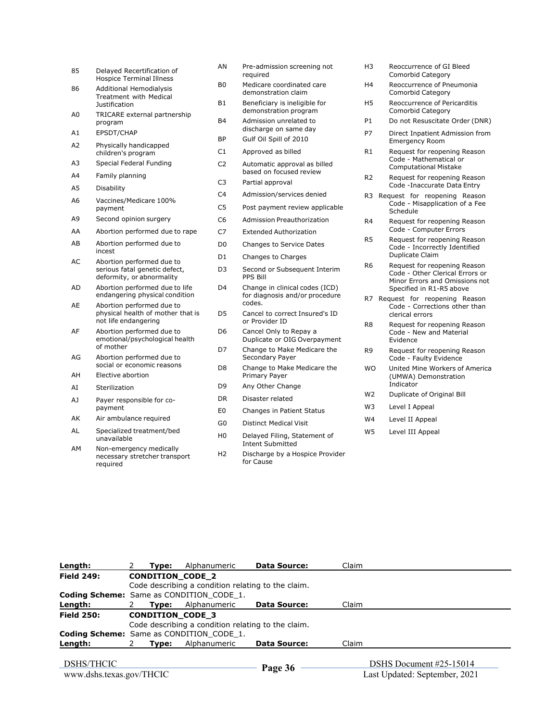| 85             | Delayed Recertification of<br><b>Hospice Terminal Illness</b>                           |
|----------------|-----------------------------------------------------------------------------------------|
| 86             | <b>Additional Hemodialysis</b><br>Treatment with Medical<br>Justification               |
| A0             | TRICARE external partnership<br>program                                                 |
| A1             | EPSDT/CHAP                                                                              |
| A <sub>2</sub> | Physically handicapped<br>children's program                                            |
| A3             | Special Federal Funding                                                                 |
| A4             | Family planning                                                                         |
| A5             | Disability                                                                              |
| A6             | Vaccines/Medicare 100%<br>payment                                                       |
| A9             | Second opinion surgery                                                                  |
| AA             | Abortion performed due to rape                                                          |
| AB             | Abortion performed due to<br>incest                                                     |
| AC             | Abortion performed due to<br>serious fatal genetic defect,<br>deformity, or abnormality |
| AD             | Abortion performed due to life<br>endangering physical condition                        |
| AE             | Abortion performed due to<br>physical health of mother that is<br>not life endangering  |
| AF             | Abortion performed due to<br>emotional/psychological health<br>of mother                |
| AG             | Abortion performed due to<br>social or economic reasons                                 |
| AH             | Elective abortion                                                                       |
| AI             | Sterilization                                                                           |
| A]             | Payer responsible for co-<br>payment                                                    |
| AΚ             | Air ambulance required                                                                  |
| AL             | Specialized treatment/bed<br>unavailable                                                |
| ΔM             | Non-amergancy medically                                                                 |

AM Non-emergency medically necessary stretcher transport required

- AN Pre-admission screening not required
- B0 Medicare coordinated care demonstration claim
- B1 Beneficiary is ineligible for demonstration program
- B4 Admission unrelated to discharge on same day BP Gulf Oil Spill of 2010
- C1 Approved as billed
- C2 Automatic approval as billed based on focused review
- C3 Partial approval
- C4 Admission/services denied
- C5 Post payment review applicable
- C6 Admission Preauthorization
- C7 Extended Authorization
- D0 Changes to Service Dates
- D1 Changes to Charges
- D3 Second or Subsequent Interim PPS Bill
- D4 Change in clinical codes (ICD) for diagnosis and/or procedure codes.
- D5 Cancel to correct Insured's ID or Provider ID
- D6 Cancel Only to Repay a Duplicate or OIG Overpayment
- D7 Change to Make Medicare the Secondary Payer
- D8 Change to Make Medicare the Primary Payer
- D9 Any Other Change
- DR Disaster related
- E0 Changes in Patient Status
- G0 Distinct Medical Visit
- H0 Delayed Filing, Statement of Intent Submitted H2 Discharge by a Hospice Provider
- for Cause
- H3 Reoccurrence of GI Bleed Comorbid Category
- H4 Reoccurrence of Pneumonia Comorbid Category
- H5 Reoccurrence of Pericarditis Comorbid Category
- P1 Do not Resuscitate Order (DNR)
- P7 Direct Inpatient Admission from Emergency Room
- R1 Request for reopening Reason Code - Mathematical or Computational Mistake
- R2 Request for reopening Reason Code -Inaccurate Data Entry
- R3 Request for reopening Reason Code - Misapplication of a Fee Schedule
- R4 Request for reopening Reason Code - Computer Errors
- R5 Request for reopening Reason Code - Incorrectly Identified Duplicate Claim
- R6 Request for reopening Reason Code - Other Clerical Errors or Minor Errors and Omissions not Specified in R1-R5 above
- R7 Request for reopening Reason Code - Corrections other than clerical errors
- R8 Request for reopening Reason Code - New and Material Evidence
- R9 Request for reopening Reason Code - Faulty Evidence
- WO United Mine Workers of America (UMWA) Demonstration Indicator
- W<sub>2</sub> Duplicate of Original Bill
- W3 Level I Appeal
- W4 Level II Appeal
- W5 Level III Appeal

| Length:           |                                                    | Type:                                              | Alphanumeric            | <b>Data Source:</b>                  | Claim |                           |  |  |  |
|-------------------|----------------------------------------------------|----------------------------------------------------|-------------------------|--------------------------------------|-------|---------------------------|--|--|--|
| <b>Field 249:</b> |                                                    |                                                    | <b>CONDITION CODE 2</b> |                                      |       |                           |  |  |  |
|                   | Code describing a condition relating to the claim. |                                                    |                         |                                      |       |                           |  |  |  |
|                   | <b>Coding Scheme:</b> Same as CONDITION CODE 1.    |                                                    |                         |                                      |       |                           |  |  |  |
| Length:           |                                                    | Tvpe:                                              | Alphanumeric            | <b>Data Source:</b>                  | Claim |                           |  |  |  |
| <b>Field 250:</b> |                                                    |                                                    | <b>CONDITION CODE 3</b> |                                      |       |                           |  |  |  |
|                   |                                                    | Code describing a condition relating to the claim. |                         |                                      |       |                           |  |  |  |
|                   | <b>Coding Scheme:</b> Same as CONDITION CODE 1.    |                                                    |                         |                                      |       |                           |  |  |  |
| Length:           |                                                    | 2 Type:                                            | Alphanumeric            | <b>Data Source:</b>                  | Claim |                           |  |  |  |
|                   |                                                    |                                                    |                         |                                      |       |                           |  |  |  |
| DSHS/THCIC        |                                                    |                                                    |                         | $\mathbf{D}_{\alpha\alpha\alpha}$ 36 |       | DSHS Document $#25-15014$ |  |  |  |

 DSHS Document #25-15014 Page 36 <del>DSHS Document #25-15014</del><br>Last Updated: September, 2021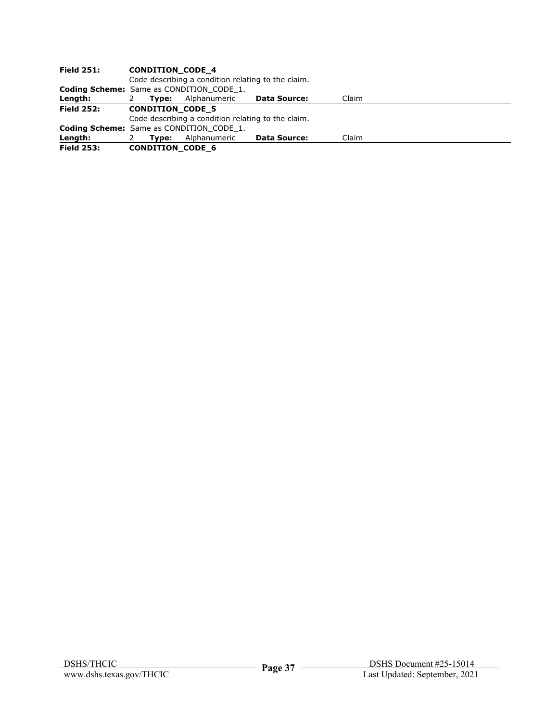| <b>Field 251:</b> | <b>CONDITION CODE 4</b>                         |                                                    |                     |       |  |  |  |  |  |
|-------------------|-------------------------------------------------|----------------------------------------------------|---------------------|-------|--|--|--|--|--|
|                   |                                                 | Code describing a condition relating to the claim. |                     |       |  |  |  |  |  |
|                   | <b>Coding Scheme:</b> Same as CONDITION CODE 1. |                                                    |                     |       |  |  |  |  |  |
| Length:           | Tvpe:<br>2                                      | Alphanumeric                                       | <b>Data Source:</b> | Claim |  |  |  |  |  |
| <b>Field 252:</b> | <b>CONDITION CODE 5</b>                         |                                                    |                     |       |  |  |  |  |  |
|                   |                                                 | Code describing a condition relating to the claim. |                     |       |  |  |  |  |  |
|                   |                                                 | <b>Coding Scheme:</b> Same as CONDITION CODE 1.    |                     |       |  |  |  |  |  |
| Length:           | Tvpe:                                           | Alphanumeric                                       | <b>Data Source:</b> | Claim |  |  |  |  |  |
| <b>Field 253:</b> | <b>CONDITION CODE 6</b>                         |                                                    |                     |       |  |  |  |  |  |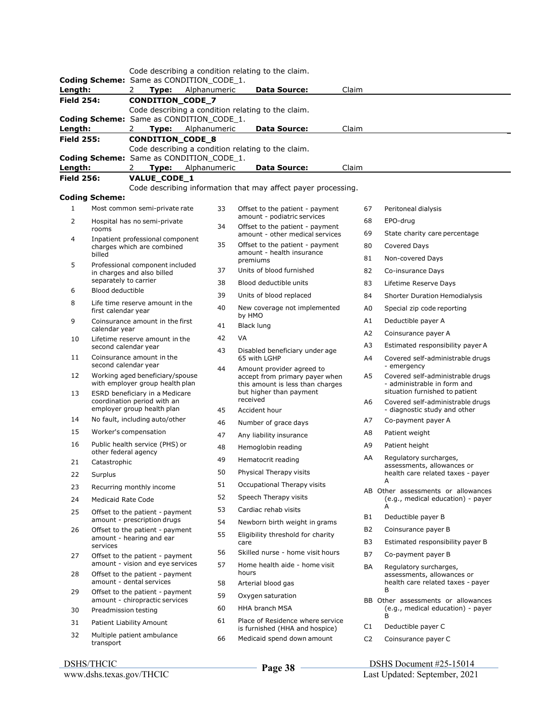|                   |                                                        |                                                                     |              | Code describing a condition relating to the claim.                                              |                |                                                                         |
|-------------------|--------------------------------------------------------|---------------------------------------------------------------------|--------------|-------------------------------------------------------------------------------------------------|----------------|-------------------------------------------------------------------------|
|                   |                                                        | Coding Scheme: Same as CONDITION_CODE_1.                            |              |                                                                                                 |                |                                                                         |
| Length:           |                                                        | Type:<br>2                                                          | Alphanumeric | <b>Data Source:</b>                                                                             | Claim          |                                                                         |
| <b>Field 254:</b> |                                                        | CONDITION_CODE_7                                                    |              |                                                                                                 |                |                                                                         |
|                   |                                                        |                                                                     |              | Code describing a condition relating to the claim.                                              |                |                                                                         |
| Length:           |                                                        | Coding Scheme: Same as CONDITION_CODE_1.<br>Type: Alphanumeric<br>2 |              | <b>Data Source:</b>                                                                             | Claim          |                                                                         |
| <b>Field 255:</b> |                                                        | CONDITION_CODE_8                                                    |              |                                                                                                 |                |                                                                         |
|                   |                                                        |                                                                     |              | Code describing a condition relating to the claim.                                              |                |                                                                         |
|                   |                                                        | Coding Scheme: Same as CONDITION_CODE_1.                            |              |                                                                                                 |                |                                                                         |
| Length:           |                                                        | Type:<br>2                                                          | Alphanumeric | <b>Data Source:</b>                                                                             | Claim          |                                                                         |
| <b>Field 256:</b> |                                                        | VALUE_CODE_1                                                        |              |                                                                                                 |                |                                                                         |
|                   |                                                        |                                                                     |              | Code describing information that may affect payer processing.                                   |                |                                                                         |
|                   | <b>Coding Scheme:</b>                                  |                                                                     |              |                                                                                                 |                |                                                                         |
| $\mathbf{1}$      |                                                        | Most common semi-private rate                                       | 33           | Offset to the patient - payment                                                                 | 67             | Peritoneal dialysis                                                     |
| 2                 |                                                        | Hospital has no semi-private                                        |              | amount - podiatric services                                                                     | 68             | EPO-drug                                                                |
|                   | rooms                                                  |                                                                     | 34           | Offset to the patient - payment<br>amount - other medical services                              | 69             | State charity care percentage                                           |
| 4                 |                                                        | Inpatient professional component<br>charges which are combined      | 35           | Offset to the patient - payment                                                                 | 80             | Covered Days                                                            |
|                   | billed                                                 |                                                                     |              | amount - health insurance                                                                       | 81             | Non-covered Days                                                        |
| 5                 |                                                        | Professional component included                                     | 37           | premiums<br>Units of blood furnished                                                            |                |                                                                         |
|                   | separately to carrier                                  | in charges and also billed                                          |              |                                                                                                 | 82             | Co-insurance Days                                                       |
| 6                 | <b>Blood deductible</b>                                |                                                                     | 38           | Blood deductible units                                                                          | 83             | Lifetime Reserve Days                                                   |
| 8                 |                                                        | Life time reserve amount in the                                     | 39           | Units of blood replaced                                                                         | 84             | <b>Shorter Duration Hemodialysis</b>                                    |
|                   | first calendar year                                    |                                                                     | 40           | New coverage not implemented                                                                    | A0             | Special zip code reporting                                              |
| 9                 |                                                        | Coinsurance amount in the first                                     | 41           | by HMO<br>Black lung                                                                            | A1             | Deductible payer A                                                      |
| 10                | calendar year                                          |                                                                     | 42           | VA                                                                                              | A2             | Coinsurance payer A                                                     |
|                   | Lifetime reserve amount in the<br>second calendar year |                                                                     | 43           |                                                                                                 | A3             | Estimated responsibility payer A                                        |
| 11                | second calendar year                                   | Coinsurance amount in the                                           |              | Disabled beneficiary under age<br>65 with LGHP                                                  | A4             | Covered self-administrable drugs<br>- emergency                         |
| 12                |                                                        | Working aged beneficiary/spouse<br>with employer group health plan  | 44           | Amount provider agreed to<br>accept from primary payer when<br>this amount is less than charges | A5             | Covered self-administrable drugs<br>- administrable in form and         |
| 13                |                                                        | ESRD beneficiary in a Medicare<br>coordination period with an       |              | but higher than payment<br>received                                                             | A6             | situation furnished to patient<br>Covered self-administrable drugs      |
| 14                |                                                        | employer group health plan<br>No fault, including auto/other        | 45           | Accident hour                                                                                   |                | - diagnostic study and other                                            |
|                   |                                                        |                                                                     | 46           | Number of grace days                                                                            | А7             | Co-payment payer A                                                      |
| 15                |                                                        | Worker's compensation                                               | 47           | Any liability insurance                                                                         | A8             | Patient weight                                                          |
| 16                | other federal agency                                   | Public health service (PHS) or                                      | 48           | Hemoglobin reading                                                                              | A9             | Patient height                                                          |
| 21                | Catastrophic                                           |                                                                     | 49           | Hematocrit reading                                                                              | AA             | Regulatory surcharges,<br>assessments, allowances or                    |
| 22                | Surplus                                                |                                                                     | 50           | Physical Therapy visits                                                                         |                | health care related taxes - payer                                       |
| 23                |                                                        | Recurring monthly income                                            | 51           | Occupational Therapy visits                                                                     |                | Α                                                                       |
| 24                | <b>Medicaid Rate Code</b>                              |                                                                     | 52           | Speech Therapy visits                                                                           |                | AB Other assessments or allowances<br>(e.g., medical education) - payer |
| 25                |                                                        | Offset to the patient - payment                                     | 53           | Cardiac rehab visits                                                                            |                | А                                                                       |
|                   |                                                        | amount - prescription drugs                                         | 54           | Newborn birth weight in grams                                                                   | B1             | Deductible payer B                                                      |
| 26                |                                                        | Offset to the patient - payment                                     | 55           | Eligibility threshold for charity                                                               | B <sub>2</sub> | Coinsurance payer B                                                     |
|                   | services                                               | amount - hearing and ear                                            |              | care                                                                                            | B3             | Estimated responsibility payer B                                        |
| 27                |                                                        | Offset to the patient - payment                                     | 56           | Skilled nurse - home visit hours                                                                | B7             | Co-payment payer B                                                      |
| 28                |                                                        | amount - vision and eye services<br>Offset to the patient - payment | 57           | Home health aide - home visit<br>hours                                                          | BA             | Regulatory surcharges,<br>assessments, allowances or                    |
| 29                |                                                        | amount - dental services<br>Offset to the patient - payment         | 58           | Arterial blood gas                                                                              |                | health care related taxes - payer<br>B                                  |
|                   |                                                        | amount - chiropractic services                                      | 59           | Oxygen saturation                                                                               |                | BB Other assessments or allowances                                      |
| 30                | Preadmission testing                                   |                                                                     | 60           | HHA branch MSA                                                                                  |                | (e.g., medical education) - payer<br>в                                  |
| 31                |                                                        | Patient Liability Amount                                            | 61           | Place of Residence where service                                                                | C1             | Deductible payer C                                                      |
| 32                | transport                                              | Multiple patient ambulance                                          | 66           | is furnished (HHA and hospice)<br>Medicaid spend down amount                                    | C <sub>2</sub> | Coinsurance payer C                                                     |
|                   |                                                        |                                                                     |              |                                                                                                 |                |                                                                         |

### DSHS/THCIC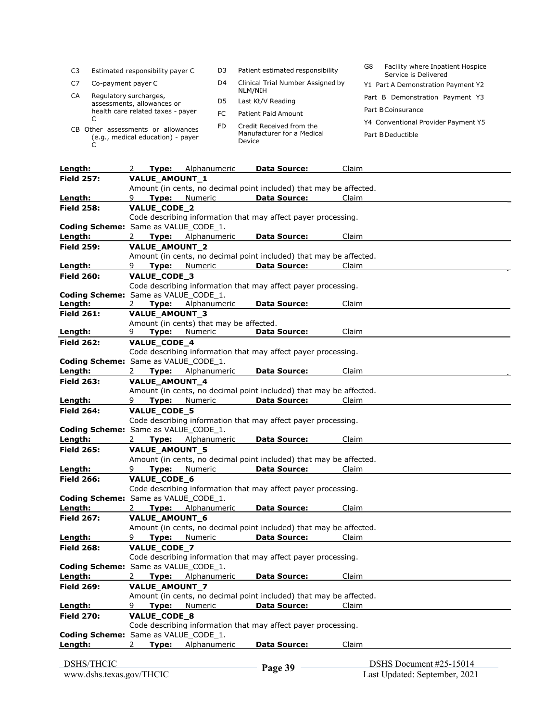| C3                                | Estimated responsibility payer C   | D3  | Patient estimated responsibility             | Facility where Inpatient Hospice<br>G8<br>Service is Delivered |
|-----------------------------------|------------------------------------|-----|----------------------------------------------|----------------------------------------------------------------|
| C7                                | Co-payment payer C                 | D4  | Clinical Trial Number Assigned by<br>NLM/NIH | Y1 Part A Demonstration Payment Y2                             |
| CA                                | Regulatory surcharges,             |     |                                              | Part B Demonstration Payment Y3                                |
|                                   | assessments, allowances or         | D5  | Last Kt/V Reading                            |                                                                |
|                                   | health care related taxes - payer  |     |                                              | Part BCoinsurance                                              |
|                                   |                                    | FC  | Patient Paid Amount                          |                                                                |
|                                   |                                    | FD. | Credit Received from the                     | Y4 Conventional Provider Payment Y5                            |
|                                   | CB Other assessments or allowances |     | Manufacturer for a Medical                   |                                                                |
| (e.g., medical education) - payer |                                    |     |                                              | Part B Deductible                                              |
|                                   |                                    |     | Device                                       |                                                                |

| Length:                              | Type:<br>2            | Alphanumeric                            | <b>Data Source:</b>                                                | Claim                   |  |
|--------------------------------------|-----------------------|-----------------------------------------|--------------------------------------------------------------------|-------------------------|--|
| <b>Field 257:</b>                    | VALUE_AMOUNT_1        |                                         |                                                                    |                         |  |
|                                      |                       |                                         | Amount (in cents, no decimal point included) that may be affected. |                         |  |
| Length:                              | Type:<br>9            | Numeric                                 | <b>Data Source:</b>                                                | Claim                   |  |
| <b>Field 258:</b>                    | VALUE_CODE_2          |                                         |                                                                    |                         |  |
|                                      |                       |                                         | Code describing information that may affect payer processing.      |                         |  |
| Coding Scheme: Same as VALUE_CODE_1. |                       |                                         |                                                                    |                         |  |
| Length:                              | Type:<br>2.           | Alphanumeric                            | <b>Data Source:</b>                                                | Claim                   |  |
| <b>Field 259:</b>                    | <b>VALUE AMOUNT 2</b> |                                         |                                                                    |                         |  |
|                                      |                       |                                         | Amount (in cents, no decimal point included) that may be affected. |                         |  |
| Length:                              | Type:<br>9            | Numeric                                 | <b>Data Source:</b>                                                | Claim                   |  |
| <b>Field 260:</b>                    | VALUE_CODE_3          |                                         |                                                                    |                         |  |
|                                      |                       |                                         | Code describing information that may affect payer processing.      |                         |  |
| Coding Scheme: Same as VALUE CODE 1. |                       |                                         |                                                                    |                         |  |
| Length:                              | Type:<br>2            | Alphanumeric                            | <b>Data Source:</b>                                                | Claim                   |  |
| <b>Field 261:</b>                    | VALUE_AMOUNT_3        |                                         |                                                                    |                         |  |
|                                      |                       | Amount (in cents) that may be affected. |                                                                    |                         |  |
| Length:                              | 9<br>Type:            | Numeric                                 | <b>Data Source:</b>                                                | Claim                   |  |
| <b>Field 262:</b>                    | VALUE_CODE_4          |                                         |                                                                    |                         |  |
|                                      |                       |                                         | Code describing information that may affect payer processing.      |                         |  |
| Coding Scheme: Same as VALUE CODE 1. |                       |                                         |                                                                    |                         |  |
| Length:                              | 2                     | Type: Alphanumeric                      | <b>Data Source:</b>                                                | Claim                   |  |
| <b>Field 263:</b>                    | VALUE_AMOUNT_4        |                                         |                                                                    |                         |  |
|                                      |                       |                                         | Amount (in cents, no decimal point included) that may be affected. |                         |  |
| Length:                              | 9<br>Type:            | Numeric                                 | <b>Data Source:</b>                                                | Claim                   |  |
| <b>Field 264:</b>                    | VALUE_CODE_5          |                                         |                                                                    |                         |  |
|                                      |                       |                                         | Code describing information that may affect payer processing.      |                         |  |
| Coding Scheme: Same as VALUE_CODE_1. |                       |                                         |                                                                    |                         |  |
| Length:                              | Type:<br>2            | Alphanumeric                            | <b>Data Source:</b>                                                | Claim                   |  |
| <b>Field 265:</b>                    | VALUE_AMOUNT_5        |                                         |                                                                    |                         |  |
|                                      |                       |                                         | Amount (in cents, no decimal point included) that may be affected. |                         |  |
| Length:                              | Type:<br>9            | Numeric                                 | <b>Data Source:</b>                                                | Claim                   |  |
| <b>Field 266:</b>                    | VALUE_CODE_6          |                                         |                                                                    |                         |  |
|                                      |                       |                                         | Code describing information that may affect payer processing.      |                         |  |
| Coding Scheme: Same as VALUE CODE 1. |                       |                                         |                                                                    |                         |  |
| Length:                              | 2                     | Type: Alphanumeric                      | <b>Data Source:</b>                                                | Claim                   |  |
| <b>Field 267:</b>                    | <b>VALUE AMOUNT 6</b> |                                         |                                                                    |                         |  |
|                                      |                       |                                         | Amount (in cents, no decimal point included) that may be affected. |                         |  |
| Length:                              | 9<br>Type:            | Numeric                                 | <b>Data Source:</b>                                                | Claim                   |  |
| <b>Field 268:</b>                    | <b>VALUE CODE 7</b>   |                                         |                                                                    |                         |  |
|                                      |                       |                                         | Code describing information that may affect payer processing.      |                         |  |
| Coding Scheme: Same as VALUE_CODE_1. |                       |                                         |                                                                    |                         |  |
| Length:                              | Type:<br>2            | Alphanumeric                            | <b>Data Source:</b>                                                | Claim                   |  |
| <b>Field 269:</b>                    | VALUE_AMOUNT_7        |                                         |                                                                    |                         |  |
|                                      |                       |                                         | Amount (in cents, no decimal point included) that may be affected. |                         |  |
| Length:                              | Type:<br>9            | Numeric                                 | <b>Data Source:</b>                                                | Claim                   |  |
| <b>Field 270:</b>                    | VALUE_CODE_8          |                                         |                                                                    |                         |  |
|                                      |                       |                                         | Code describing information that may affect payer processing.      |                         |  |
| Coding Scheme: Same as VALUE_CODE_1. |                       |                                         |                                                                    |                         |  |
| Length:                              | 2<br>Type:            | Alphanumeric                            | <b>Data Source:</b>                                                | Claim                   |  |
|                                      |                       |                                         |                                                                    |                         |  |
| <b>DSHS/THCIC</b>                    |                       |                                         | $\mathbf{D}_{\alpha\alpha\alpha}$ 30                               | DSHS Document #25-15014 |  |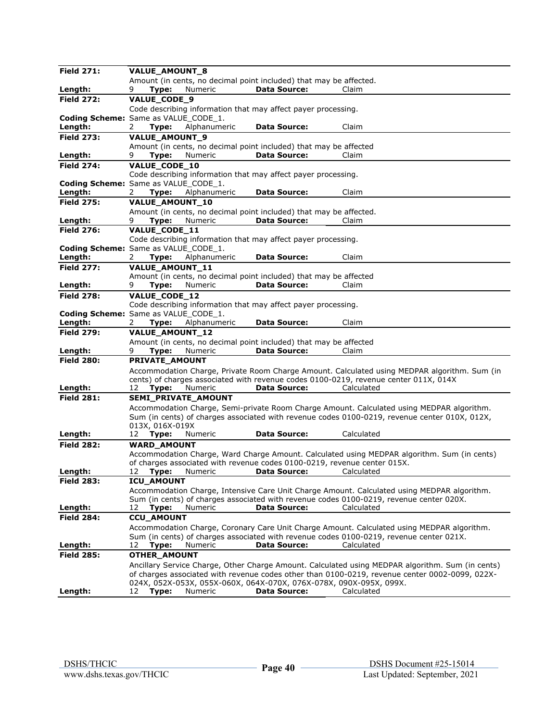| <b>Field 271:</b>                               | VALUE_AMOUNT_8                   |                            |                                                                          |                                                                                                  |
|-------------------------------------------------|----------------------------------|----------------------------|--------------------------------------------------------------------------|--------------------------------------------------------------------------------------------------|
|                                                 |                                  |                            | Amount (in cents, no decimal point included) that may be affected.       |                                                                                                  |
| Length:                                         | Type:<br>9                       | Numeric                    | <b>Data Source:</b>                                                      | Claim                                                                                            |
| <b>Field 272:</b>                               | VALUE_CODE_9                     |                            |                                                                          |                                                                                                  |
|                                                 |                                  |                            | Code describing information that may affect payer processing.            |                                                                                                  |
| Coding Scheme: Same as VALUE CODE 1.<br>Length: | 2<br>Type:                       | Alphanumeric               | <b>Data Source:</b>                                                      | Claim                                                                                            |
| <b>Field 273:</b>                               | <b>VALUE AMOUNT 9</b>            |                            |                                                                          |                                                                                                  |
|                                                 |                                  |                            | Amount (in cents, no decimal point included) that may be affected        |                                                                                                  |
| Length:                                         | Type:<br>9                       | Numeric                    | <b>Data Source:</b>                                                      | Claim                                                                                            |
| <b>Field 274:</b>                               | <b>VALUE CODE 10</b>             |                            |                                                                          |                                                                                                  |
|                                                 |                                  |                            | Code describing information that may affect payer processing.            |                                                                                                  |
| Coding Scheme: Same as VALUE CODE 1.            |                                  |                            |                                                                          |                                                                                                  |
| Length:                                         | Type:<br>2                       | Alphanumeric               | <b>Data Source:</b>                                                      | Claim                                                                                            |
| <b>Field 275:</b>                               | VALUE_AMOUNT_10                  |                            |                                                                          |                                                                                                  |
|                                                 |                                  |                            | Amount (in cents, no decimal point included) that may be affected.       |                                                                                                  |
| Length:                                         | 9.<br>Type:                      | Numeric                    | <b>Data Source:</b>                                                      | Claim                                                                                            |
| <b>Field 276:</b>                               | VALUE_CODE_11                    |                            | Code describing information that may affect payer processing.            |                                                                                                  |
| Coding Scheme: Same as VALUE_CODE_1.            |                                  |                            |                                                                          |                                                                                                  |
| Length:                                         | Type:<br>2                       | Alphanumeric               | <b>Data Source:</b>                                                      | Claim                                                                                            |
| <b>Field 277:</b>                               | VALUE_AMOUNT_11                  |                            |                                                                          |                                                                                                  |
|                                                 |                                  |                            | Amount (in cents, no decimal point included) that may be affected        |                                                                                                  |
| Length:                                         | 9<br>Type:                       | Numeric                    | <b>Data Source:</b>                                                      | Claim                                                                                            |
| <b>Field 278:</b>                               | VALUE_CODE_12                    |                            |                                                                          |                                                                                                  |
|                                                 |                                  |                            | Code describing information that may affect payer processing.            |                                                                                                  |
| Coding Scheme: Same as VALUE_CODE_1.            |                                  |                            |                                                                          |                                                                                                  |
| Length:                                         | Type:<br>2                       | Alphanumeric               | <b>Data Source:</b>                                                      | Claim                                                                                            |
| <b>Field 279:</b>                               | <b>VALUE AMOUNT 12</b>           |                            | Amount (in cents, no decimal point included) that may be affected        |                                                                                                  |
| Length:                                         | 9<br>Type:                       | Numeric                    | <b>Data Source:</b>                                                      | Claim                                                                                            |
| <b>Field 280:</b>                               | PRIVATE AMOUNT                   |                            |                                                                          |                                                                                                  |
|                                                 |                                  |                            |                                                                          | Accommodation Charge, Private Room Charge Amount. Calculated using MEDPAR algorithm. Sum (in     |
|                                                 |                                  |                            |                                                                          | cents) of charges associated with revenue codes 0100-0219, revenue center 011X, 014X             |
| Length:                                         | 12<br>Type:                      | Numeric                    | <b>Data Source:</b>                                                      | Calculated                                                                                       |
| <b>Field 281:</b>                               |                                  | <b>SEMI PRIVATE AMOUNT</b> |                                                                          |                                                                                                  |
|                                                 |                                  |                            |                                                                          | Accommodation Charge, Semi-private Room Charge Amount. Calculated using MEDPAR algorithm.        |
|                                                 |                                  |                            |                                                                          | Sum (in cents) of charges associated with revenue codes 0100-0219, revenue center 010X, 012X,    |
| Length:                                         | 013X, 016X-019X<br>Type:<br>12   | Numeric                    | <b>Data Source:</b>                                                      | Calculated                                                                                       |
| <b>Field 282:</b>                               | <b>WARD_AMOUNT</b>               |                            |                                                                          |                                                                                                  |
|                                                 |                                  |                            |                                                                          | Accommodation Charge, Ward Charge Amount. Calculated using MEDPAR algorithm. Sum (in cents)      |
|                                                 |                                  |                            | of charges associated with revenue codes 0100-0219, revenue center 015X. |                                                                                                  |
| Lenath:                                         |                                  |                            | 12 Type: Numeric <b>Data Source:</b> Calculated                          |                                                                                                  |
| <b>Field 283:</b>                               | ICU_AMOUNT                       |                            |                                                                          |                                                                                                  |
|                                                 |                                  |                            |                                                                          | Accommodation Charge, Intensive Care Unit Charge Amount. Calculated using MEDPAR algorithm.      |
|                                                 |                                  |                            | <b>Data Source:</b>                                                      | Sum (in cents) of charges associated with revenue codes 0100-0219, revenue center 020X.          |
| Length:<br><b>Field 284:</b>                    | 12<br>Type:<br><b>CCU_AMOUNT</b> | Numeric                    |                                                                          | Calculated                                                                                       |
|                                                 |                                  |                            |                                                                          | Accommodation Charge, Coronary Care Unit Charge Amount. Calculated using MEDPAR algorithm.       |
|                                                 |                                  |                            |                                                                          | Sum (in cents) of charges associated with revenue codes 0100-0219, revenue center 021X.          |
| Length:                                         | 12<br>Type:                      | Numeric                    | <b>Data Source:</b>                                                      | Calculated                                                                                       |
| <b>Field 285:</b>                               | OTHER_AMOUNT                     |                            |                                                                          |                                                                                                  |
|                                                 |                                  |                            |                                                                          | Ancillary Service Charge, Other Charge Amount. Calculated using MEDPAR algorithm. Sum (in cents) |
|                                                 |                                  |                            |                                                                          | of charges associated with revenue codes other than 0100-0219, revenue center 0002-0099, 022X-   |
|                                                 |                                  |                            | 024X, 052X-053X, 055X-060X, 064X-070X, 076X-078X, 090X-095X, 099X.       |                                                                                                  |
| Length:                                         | 12<br>Type:                      | Numeric                    | <b>Data Source:</b>                                                      | Calculated                                                                                       |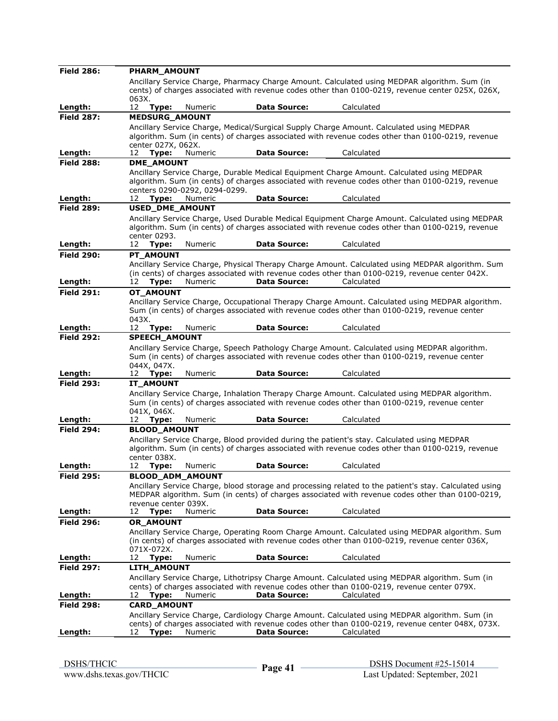| <b>Field 286:</b>            | PHARM AMOUNT                                 |         |                     |                                                                                                              |
|------------------------------|----------------------------------------------|---------|---------------------|--------------------------------------------------------------------------------------------------------------|
|                              |                                              |         |                     | Ancillary Service Charge, Pharmacy Charge Amount. Calculated using MEDPAR algorithm. Sum (in                 |
|                              |                                              |         |                     | cents) of charges associated with revenue codes other than 0100-0219, revenue center 025X, 026X,             |
|                              | 063X.                                        |         |                     |                                                                                                              |
| Length:<br><b>Field 287:</b> | 12<br>Type:<br><b>MEDSURG_AMOUNT</b>         | Numeric | <b>Data Source:</b> | Calculated                                                                                                   |
|                              |                                              |         |                     | Ancillary Service Charge, Medical/Surgical Supply Charge Amount. Calculated using MEDPAR                     |
|                              |                                              |         |                     | algorithm. Sum (in cents) of charges associated with revenue codes other than 0100-0219, revenue             |
|                              | center 027X, 062X.                           |         |                     |                                                                                                              |
| Length:                      | 12<br>Type:                                  | Numeric | <b>Data Source:</b> | Calculated                                                                                                   |
| <b>Field 288:</b>            | <b>DME AMOUNT</b>                            |         |                     |                                                                                                              |
|                              |                                              |         |                     | Ancillary Service Charge, Durable Medical Equipment Charge Amount. Calculated using MEDPAR                   |
|                              |                                              |         |                     | algorithm. Sum (in cents) of charges associated with revenue codes other than 0100-0219, revenue             |
| Length:                      | centers 0290-0292, 0294-0299.<br>Type:<br>12 | Numeric | <b>Data Source:</b> | Calculated                                                                                                   |
| <b>Field 289:</b>            | USED_DME_AMOUNT                              |         |                     |                                                                                                              |
|                              |                                              |         |                     | Ancillary Service Charge, Used Durable Medical Equipment Charge Amount. Calculated using MEDPAR              |
|                              |                                              |         |                     | algorithm. Sum (in cents) of charges associated with revenue codes other than 0100-0219, revenue             |
|                              | center 0293.                                 |         |                     |                                                                                                              |
| Length:                      | Type:<br>12                                  | Numeric | <b>Data Source:</b> | Calculated                                                                                                   |
| <b>Field 290:</b>            | PT_AMOUNT                                    |         |                     |                                                                                                              |
|                              |                                              |         |                     | Ancillary Service Charge, Physical Therapy Charge Amount. Calculated using MEDPAR algorithm. Sum             |
| Length:                      | 12<br>Type:                                  | Numeric | <b>Data Source:</b> | (in cents) of charges associated with revenue codes other than 0100-0219, revenue center 042X.<br>Calculated |
| <b>Field 291:</b>            | OT AMOUNT                                    |         |                     |                                                                                                              |
|                              |                                              |         |                     | Ancillary Service Charge, Occupational Therapy Charge Amount. Calculated using MEDPAR algorithm.             |
|                              |                                              |         |                     | Sum (in cents) of charges associated with revenue codes other than 0100-0219, revenue center                 |
|                              | 043X.                                        |         |                     |                                                                                                              |
| Length:                      | 12<br>Type:                                  | Numeric | <b>Data Source:</b> | Calculated                                                                                                   |
| <b>Field 292:</b>            | <b>SPEECH AMOUNT</b>                         |         |                     |                                                                                                              |
|                              |                                              |         |                     | Ancillary Service Charge, Speech Pathology Charge Amount. Calculated using MEDPAR algorithm.                 |
|                              | 044X, 047X.                                  |         |                     | Sum (in cents) of charges associated with revenue codes other than 0100-0219, revenue center                 |
| Length:                      | 12 <b>Type:</b>                              | Numeric | <b>Data Source:</b> | Calculated                                                                                                   |
| <b>Field 293:</b>            | <b>IT AMOUNT</b>                             |         |                     |                                                                                                              |
|                              |                                              |         |                     | Ancillary Service Charge, Inhalation Therapy Charge Amount. Calculated using MEDPAR algorithm.               |
|                              |                                              |         |                     | Sum (in cents) of charges associated with revenue codes other than 0100-0219, revenue center                 |
|                              | 041X, 046X.                                  |         |                     |                                                                                                              |
| Length:<br><b>Field 294:</b> | 12 <b>Type:</b><br><b>BLOOD AMOUNT</b>       | Numeric | <b>Data Source:</b> | Calculated                                                                                                   |
|                              |                                              |         |                     | Ancillary Service Charge, Blood provided during the patient's stay. Calculated using MEDPAR                  |
|                              |                                              |         |                     | algorithm. Sum (in cents) of charges associated with revenue codes other than 0100-0219, revenue             |
|                              | center 038X.                                 |         |                     |                                                                                                              |
| Length:                      | 12<br>Type:                                  | Numeric | <b>Data Source:</b> | Calculated                                                                                                   |
| <b>Field 295:</b>            | BLOOD_ADM_AMOUNT                             |         |                     |                                                                                                              |
|                              |                                              |         |                     | Ancillary Service Charge, blood storage and processing related to the patient's stay. Calculated using       |
|                              |                                              |         |                     | MEDPAR algorithm. Sum (in cents) of charges associated with revenue codes other than 0100-0219,              |
| Length:                      | revenue center 039X.<br>Type:<br>12          | Numeric | <b>Data Source:</b> | Calculated                                                                                                   |
| <b>Field 296:</b>            | OR_AMOUNT                                    |         |                     |                                                                                                              |
|                              |                                              |         |                     | Ancillary Service Charge, Operating Room Charge Amount. Calculated using MEDPAR algorithm. Sum               |
|                              |                                              |         |                     | (in cents) of charges associated with revenue codes other than 0100-0219, revenue center 036X,               |
|                              | 071X-072X.                                   |         |                     |                                                                                                              |
| Length:                      | Type:<br>12                                  | Numeric | <b>Data Source:</b> | Calculated                                                                                                   |
| <b>Field 297:</b>            | LITH_AMOUNT                                  |         |                     |                                                                                                              |
|                              |                                              |         |                     | Ancillary Service Charge, Lithotripsy Charge Amount. Calculated using MEDPAR algorithm. Sum (in              |
|                              |                                              |         |                     | cents) of charges associated with revenue codes other than 0100-0219, revenue center 079X.<br>Calculated     |
| Length:<br><b>Field 298:</b> | 12<br>Type:<br><b>CARD_AMOUNT</b>            | Numeric | <b>Data Source:</b> |                                                                                                              |
|                              |                                              |         |                     | Ancillary Service Charge, Cardiology Charge Amount. Calculated using MEDPAR algorithm. Sum (in               |
|                              |                                              |         |                     | cents) of charges associated with revenue codes other than 0100-0219, revenue center 048X, 073X.             |
| Length:                      | 12 <b>Type:</b>                              | Numeric | Data Source:        | Calculated                                                                                                   |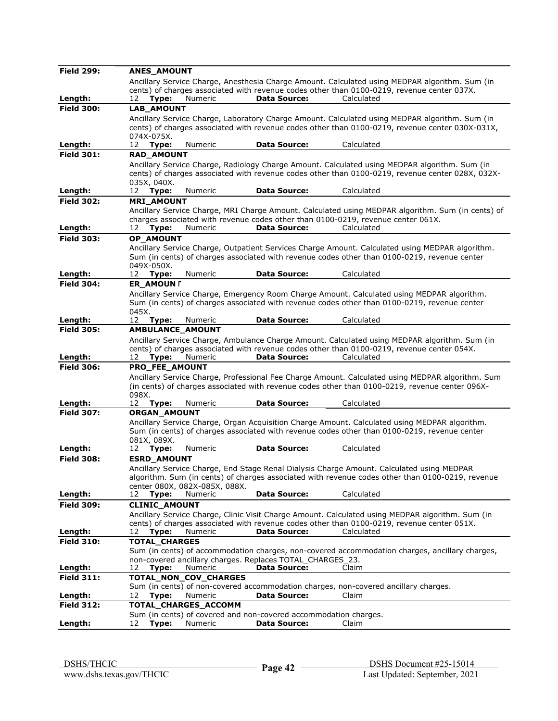| <b>Field 299:</b> | <b>ANES AMOUNT</b>                                                                                                                                                                              |
|-------------------|-------------------------------------------------------------------------------------------------------------------------------------------------------------------------------------------------|
|                   | Ancillary Service Charge, Anesthesia Charge Amount. Calculated using MEDPAR algorithm. Sum (in                                                                                                  |
|                   | cents) of charges associated with revenue codes other than 0100-0219, revenue center 037X.                                                                                                      |
| Length:           | <b>Data Source:</b><br>Calculated<br>Type:<br>Numeric<br>12                                                                                                                                     |
| <b>Field 300:</b> | <b>LAB AMOUNT</b>                                                                                                                                                                               |
|                   | Ancillary Service Charge, Laboratory Charge Amount. Calculated using MEDPAR algorithm. Sum (in                                                                                                  |
|                   | cents) of charges associated with revenue codes other than 0100-0219, revenue center 030X-031X,<br>074X-075X.                                                                                   |
| Length:           | <b>Data Source:</b><br>Calculated<br>12<br>Type:<br>Numeric                                                                                                                                     |
| <b>Field 301:</b> | <b>RAD AMOUNT</b>                                                                                                                                                                               |
|                   | Ancillary Service Charge, Radiology Charge Amount. Calculated using MEDPAR algorithm. Sum (in                                                                                                   |
|                   | cents) of charges associated with revenue codes other than 0100-0219, revenue center 028X, 032X-                                                                                                |
|                   | 035X, 040X.                                                                                                                                                                                     |
| Length:           | Numeric<br><b>Data Source:</b><br>Calculated<br>12<br>Type:                                                                                                                                     |
| <b>Field 302:</b> | <b>MRI AMOUNT</b>                                                                                                                                                                               |
|                   | Ancillary Service Charge, MRI Charge Amount. Calculated using MEDPAR algorithm. Sum (in cents) of                                                                                               |
|                   | charges associated with revenue codes other than 0100-0219, revenue center 061X.                                                                                                                |
| Length:           | <b>Data Source:</b><br>Calculated<br>12<br>Type:<br>Numeric                                                                                                                                     |
| <b>Field 303:</b> | <b>OP AMOUNT</b>                                                                                                                                                                                |
|                   | Ancillary Service Charge, Outpatient Services Charge Amount. Calculated using MEDPAR algorithm.<br>Sum (in cents) of charges associated with revenue codes other than 0100-0219, revenue center |
|                   | 049X-050X.                                                                                                                                                                                      |
| Length:           | <b>Data Source:</b><br>Calculated<br>Type:<br>Numeric<br>12                                                                                                                                     |
| <b>Field 304:</b> | <b>ER AMOUN [</b>                                                                                                                                                                               |
|                   | Ancillary Service Charge, Emergency Room Charge Amount. Calculated using MEDPAR algorithm.                                                                                                      |
|                   | Sum (in cents) of charges associated with revenue codes other than 0100-0219, revenue center                                                                                                    |
|                   | 045X.                                                                                                                                                                                           |
| Length:           | <b>Data Source:</b><br>Calculated<br>12<br>Type:<br>Numeric                                                                                                                                     |
| <b>Field 305:</b> | AMBULANCE AMOUNT                                                                                                                                                                                |
|                   | Ancillary Service Charge, Ambulance Charge Amount. Calculated using MEDPAR algorithm. Sum (in                                                                                                   |
| Length:           | cents) of charges associated with revenue codes other than 0100-0219, revenue center 054X.<br><b>Data Source:</b><br>Calculated<br>12<br>Numeric                                                |
| <b>Field 306:</b> | Type:<br>PRO FEE AMOUNT                                                                                                                                                                         |
|                   | Ancillary Service Charge, Professional Fee Charge Amount. Calculated using MEDPAR algorithm. Sum                                                                                                |
|                   | (in cents) of charges associated with revenue codes other than 0100-0219, revenue center 096X-                                                                                                  |
|                   | 098X.                                                                                                                                                                                           |
| Length:           | <b>Data Source:</b><br>Calculated<br>12<br>Type:<br>Numeric                                                                                                                                     |
| <b>Field 307:</b> | <b>ORGAN AMOUNT</b>                                                                                                                                                                             |
|                   | Ancillary Service Charge, Organ Acquisition Charge Amount. Calculated using MEDPAR algorithm.                                                                                                   |
|                   | Sum (in cents) of charges associated with revenue codes other than 0100-0219, revenue center                                                                                                    |
| Length:           | 081X, 089X.<br><b>Data Source:</b><br>Calculated<br>Numeric                                                                                                                                     |
| <b>Field 308:</b> | Type:<br>12<br><b>ESRD AMOUNT</b>                                                                                                                                                               |
|                   | Ancillary Service Charge, End Stage Renal Dialysis Charge Amount. Calculated using MEDPAR                                                                                                       |
|                   | algorithm. Sum (in cents) of charges associated with revenue codes other than 0100-0219, revenue                                                                                                |
|                   | center 080X, 082X-085X, 088X.                                                                                                                                                                   |
| Length:           | Numeric<br><b>Data Source:</b><br>Calculated<br>12<br>Type:                                                                                                                                     |
| <b>Field 309:</b> | <b>CLINIC AMOUNT</b>                                                                                                                                                                            |
|                   | Ancillary Service Charge, Clinic Visit Charge Amount. Calculated using MEDPAR algorithm. Sum (in                                                                                                |
|                   | cents) of charges associated with revenue codes other than 0100-0219, revenue center 051X.                                                                                                      |
| Length:           | <b>Data Source:</b><br>Calculated<br>Type:<br>Numeric<br>12                                                                                                                                     |
| <b>Field 310:</b> | TOTAL_CHARGES                                                                                                                                                                                   |
|                   | Sum (in cents) of accommodation charges, non-covered accommodation charges, ancillary charges,                                                                                                  |
| Length:           | non-covered ancillary charges. Replaces TOTAL_CHARGES_23.<br><b>Data Source:</b><br>Claim<br>12<br>Numeric                                                                                      |
| <b>Field 311:</b> | Type:<br>TOTAL_NON_COV_CHARGES                                                                                                                                                                  |
|                   | Sum (in cents) of non-covered accommodation charges, non-covered ancillary charges.                                                                                                             |
| <u>Length:</u>    | Numeric<br><b>Data Source:</b><br>Claim<br>12<br>Type:                                                                                                                                          |
| <b>Field 312:</b> | TOTAL_CHARGES_ACCOMM                                                                                                                                                                            |
|                   | Sum (in cents) of covered and non-covered accommodation charges.                                                                                                                                |
| Length:           | 12<br>Type:<br>Numeric<br><b>Data Source:</b><br>Claim                                                                                                                                          |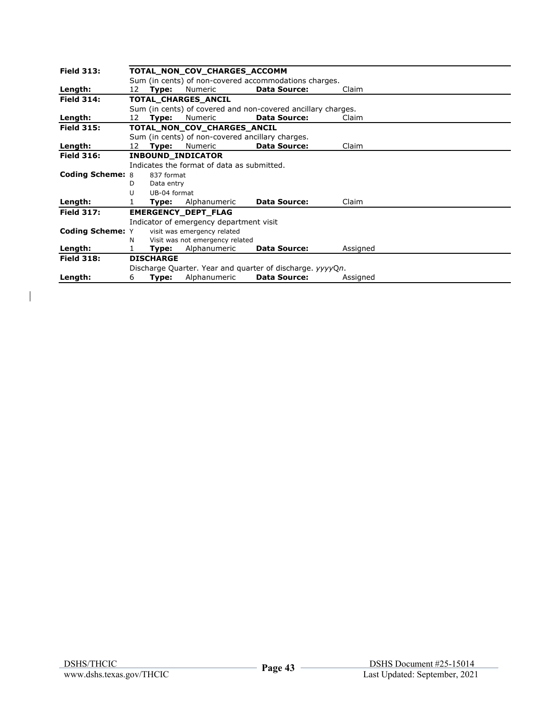| <b>Field 313:</b>       | TOTAL_NON_COV_CHARGES_ACCOMM<br>Sum (in cents) of non-covered accommodations charges. |                  |                                            |                                                              |          |  |
|-------------------------|---------------------------------------------------------------------------------------|------------------|--------------------------------------------|--------------------------------------------------------------|----------|--|
|                         |                                                                                       |                  |                                            |                                                              |          |  |
| Length:                 | 12                                                                                    | Type:            | Numeric                                    | <b>Data Source:</b>                                          | Claim    |  |
| <b>Field 314:</b>       |                                                                                       |                  | <b>TOTAL CHARGES ANCIL</b>                 |                                                              |          |  |
|                         |                                                                                       |                  |                                            | Sum (in cents) of covered and non-covered ancillary charges. |          |  |
| Length:                 | 12                                                                                    | Type:            | <b>Numeric</b>                             | <b>Data Source:</b>                                          | Claim    |  |
| <b>Field 315:</b>       |                                                                                       |                  | TOTAL_NON_COV_CHARGES_ANCIL                |                                                              |          |  |
|                         |                                                                                       |                  |                                            | Sum (in cents) of non-covered ancillary charges.             |          |  |
| Length:                 | 12                                                                                    | Type:            | Numeric                                    | <b>Data Source:</b>                                          | Claim    |  |
| <b>Field 316:</b>       |                                                                                       |                  | <b>INBOUND INDICATOR</b>                   |                                                              |          |  |
|                         |                                                                                       |                  | Indicates the format of data as submitted. |                                                              |          |  |
| <b>Coding Scheme: 8</b> |                                                                                       | 837 format       |                                            |                                                              |          |  |
|                         | D                                                                                     | Data entry       |                                            |                                                              |          |  |
|                         | U                                                                                     | UB-04 format     |                                            |                                                              |          |  |
| Length:                 |                                                                                       | Type:            | Alphanumeric                               | <b>Data Source:</b>                                          | Claim    |  |
| <b>Field 317:</b>       |                                                                                       |                  | <b>EMERGENCY DEPT FLAG</b>                 |                                                              |          |  |
|                         |                                                                                       |                  | Indicator of emergency department visit    |                                                              |          |  |
| <b>Coding Scheme: Y</b> |                                                                                       |                  | visit was emergency related                |                                                              |          |  |
|                         | N                                                                                     |                  | Visit was not emergency related            |                                                              |          |  |
| Length:                 | 1                                                                                     | Type:            | Alphanumeric                               | <b>Data Source:</b>                                          | Assigned |  |
| <b>Field 318:</b>       |                                                                                       | <b>DISCHARGE</b> |                                            |                                                              |          |  |
|                         |                                                                                       |                  |                                            | Discharge Quarter. Year and quarter of discharge. yyyyQn.    |          |  |
| Length:                 | 6                                                                                     | Type:            | Alphanumeric                               | <b>Data Source:</b>                                          | Assigned |  |

 $\begin{array}{c} \hline \end{array}$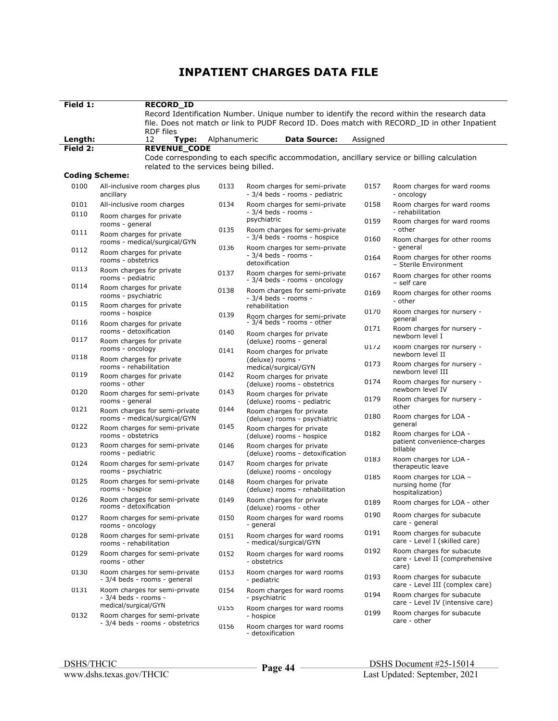| Field 1:     | <b>RECORD_ID</b>                                              |              |                                                                                              |          |                                                                      |
|--------------|---------------------------------------------------------------|--------------|----------------------------------------------------------------------------------------------|----------|----------------------------------------------------------------------|
|              |                                                               |              | Record Identification Number. Unique number to identify the record within the research data  |          |                                                                      |
|              |                                                               |              | file. Does not match or link to PUDF Record ID. Does match with RECORD ID in other Inpatient |          |                                                                      |
|              | <b>RDF</b> files                                              |              |                                                                                              |          |                                                                      |
| Length:      | 12<br>Type:                                                   | Alphanumeric | <b>Data Source:</b>                                                                          | Assigned |                                                                      |
| Field 2:     | <b>REVENUE_CODE</b>                                           |              | Code corresponding to each specific accommodation, ancillary service or billing calculation  |          |                                                                      |
|              | related to the services being billed.                         |              |                                                                                              |          |                                                                      |
|              | <b>Coding Scheme:</b>                                         |              |                                                                                              |          |                                                                      |
| 0100         | All-inclusive room charges plus<br>ancillary                  | 0133         | Room charges for semi-private<br>- 3/4 beds - rooms - pediatric                              | 0157     | Room charges for ward rooms<br>- oncology                            |
| 0101<br>0110 | All-inclusive room charges                                    | 0134         | Room charges for semi-private<br>- 3/4 beds - rooms -                                        | 0158     | Room charges for ward rooms<br>- rehabilitation                      |
|              | Room charges for private<br>rooms - general                   | 0135         | psychiatric<br>Room charges for semi-private                                                 | 0159     | Room charges for ward rooms<br>- other                               |
| 0111         | Room charges for private<br>rooms - medical/surgical/GYN      | 0136         | - 3/4 beds - rooms - hospice                                                                 | 0160     | Room charges for other rooms<br>- general                            |
| 0112         | Room charges for private<br>rooms - obstetrics                |              | Room charges for semi-private<br>- 3/4 beds - rooms -<br>detoxification                      | 0164     | Room charges for other rooms<br>- Sterile Environment                |
| 0113         | Room charges for private<br>rooms - pediatric                 | 0137         | Room charges for semi-private<br>- 3/4 beds - rooms - oncology                               | 0167     | Room charges for other rooms<br>- self care                          |
| 0114         | Room charges for private<br>rooms - psychiatric               | 0138         | Room charges for semi-private<br>- 3/4 beds - rooms -                                        | 0169     | Room charges for other rooms                                         |
| 0115         | Room charges for private<br>rooms - hospice                   | 0139         | rehabilitation<br>Room charges for semi-private                                              | 0170     | - other<br>Room charges for nursery -                                |
| 0116         | Room charges for private<br>rooms - detoxification            |              | - 3/4 beds - rooms - other                                                                   | 0171     | general<br>Room charges for nursery -                                |
| 0117         | Room charges for private                                      | 0140         | Room charges for private<br>(deluxe) rooms - general                                         |          | newborn level I                                                      |
| 0118         | rooms - oncology<br>Room charges for private                  | 0141         | Room charges for private<br>(deluxe) rooms -                                                 | 0172     | Room charges for nursery -<br>newborn level II                       |
| 0119         | rooms - rehabilitation<br>Room charges for private            | 0142         | medical/surgical/GYN<br>Room charges for private                                             | 0173     | Room charges for nursery -<br>newborn level III                      |
| 0120         | rooms - other                                                 | 0143         | (deluxe) rooms - obstetrics                                                                  | 0174     | Room charges for nursery -<br>newborn level IV                       |
| 0121         | Room charges for semi-private<br>rooms - general              | 0144         | Room charges for private<br>(deluxe) rooms - pediatric                                       | 0179     | Room charges for nursery -<br>other                                  |
| 0122         | Room charges for semi-private<br>rooms - medical/surgical/GYN | 0145         | Room charges for private<br>(deluxe) rooms - psychiatric                                     | 0180     | Room charges for LOA -<br>general                                    |
|              | Room charges for semi-private<br>rooms - obstetrics           |              | Room charges for private<br>(deluxe) rooms - hospice                                         | 0182     | Room charges for LOA -<br>patient convenience-charges                |
| 0123         | Room charges for semi-private<br>rooms - pediatric            | 0146         | Room charges for private<br>(deluxe) rooms - detoxification                                  | 0183     | billable<br>Room charges for LOA -                                   |
| 0124         | Room charges for semi-private<br>rooms - psychiatric          | 0147         | Room charges for private<br>(deluxe) rooms - oncology                                        | 0185     | therapeutic leave<br>Room charges for LOA -                          |
| 0125         | Room charges for semi-private<br>rooms - hospice              | 0148         | Room charges for private<br>(deluxe) rooms - rehabilitation                                  |          | nursing home (for<br>hospitalization)                                |
| 0126         | Room charges for semi-private<br>rooms - detoxification       | 0149         | Room charges for private<br>(deluxe) rooms - other                                           | 0189     | Room charges for LOA - other                                         |
| 0127         | Room charges for semi-private<br>rooms - oncology             | 0150         | Room charges for ward rooms<br>- general                                                     | 0190     | Room charges for subacute<br>care - general                          |
| 0128         | Room charges for semi-private<br>rooms - rehabilitation       | 0151         | Room charges for ward rooms<br>- medical/surgical/GYN                                        | 0191     | Room charges for subacute<br>care - Level I (skilled care)           |
| 0129         | Room charges for semi-private<br>rooms - other                | 0152         | Room charges for ward rooms<br>- obstetrics                                                  | 0192     | Room charges for subacute<br>care - Level II (comprehensive<br>care) |
| 0130         | Room charges for semi-private<br>- 3/4 beds - rooms - general | 0153         | Room charges for ward rooms<br>- pediatric                                                   | 0193     | Room charges for subacute<br>care - Level III (complex care)         |
| 0131         | Room charges for semi-private<br>- 3/4 beds - rooms -         | 0154         | Room charges for ward rooms<br>- psychiatric                                                 | 0194     | Room charges for subacute<br>care - Level IV (intensive care)        |
| 0132         | medical/surgical/GYN<br>Room charges for semi-private         | U155         | Room charges for ward rooms<br>- hospice                                                     | 0199     | Room charges for subacute                                            |
|              | - 3/4 beds - rooms - obstetrics                               | 0156         | Room charges for ward rooms<br>- detoxification                                              |          | care - other                                                         |

# **INPATIENT CHARGES DATA FILE**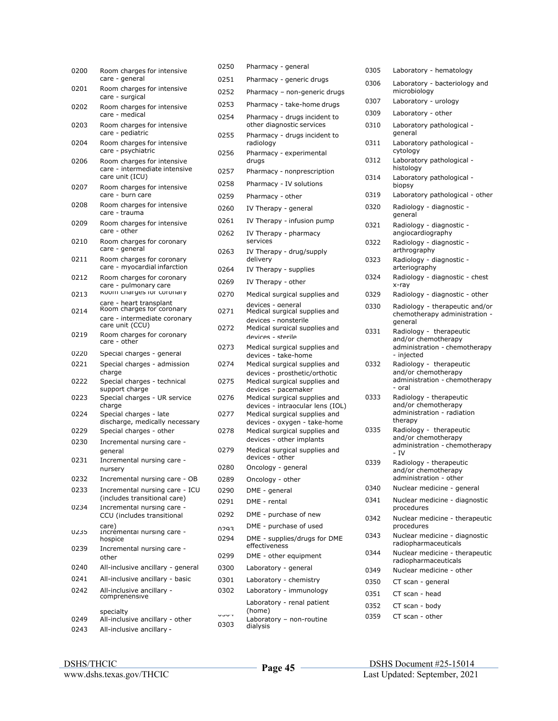| 0200 | Room charges for intensive                                 | 0250         | Pharmacy - general                                               |
|------|------------------------------------------------------------|--------------|------------------------------------------------------------------|
|      | care - general                                             | 0251         | Pharmacy - generic drugs                                         |
| 0201 | Room charges for intensive<br>care - surgical              | 0252         | Pharmacy – non-generic drug                                      |
| 0202 | Room charges for intensive                                 | 0253         | Pharmacy - take-home drugs                                       |
| 0203 | care - medical<br>Room charges for intensive               | 0254         | Pharmacy - drugs incident to<br>other diagnostic services        |
| 0204 | care - pediatric<br>Room charges for intensive             | 0255         | Pharmacy - drugs incident to<br>radiology                        |
| 0206 | care - psychiatric<br>Room charges for intensive           | 0256         | Pharmacy - experimental<br>drugs                                 |
|      | care - intermediate intensive<br>care unit (ICU)           | 0257         | Pharmacy - nonprescription                                       |
| 0207 | Room charges for intensive                                 | 0258         | Pharmacy - IV solutions                                          |
|      | care - burn care                                           | 0259         | Pharmacy - other                                                 |
| 0208 | Room charges for intensive<br>care - trauma                | 0260         | IV Therapy - general                                             |
| 0209 | Room charges for intensive                                 | 0261         | IV Therapy - infusion pump                                       |
| 0210 | care - other<br>Room charges for coronary                  | 0262         | IV Therapy - pharmacy<br>services                                |
| 0211 | care - general<br>Room charges for coronary                | 0263         | IV Therapy - drug/supply<br>delivery                             |
|      | care - myocardial infarction                               | 0264         | IV Therapy - supplies                                            |
| 0212 | Room charges for coronary<br>care - pulmonary care         | 0269         | IV Therapy - other                                               |
| 0213 | KOOITI Charges for Coronary                                | 0270         | Medical surgical supplies and                                    |
| 0214 | care - heart transplant<br>Room charges for coronary       | 0271         | devices - general<br>Medical surgical supplies and               |
|      | care - intermediate coronary<br>care unit (CCU)            | 0272         | devices - nonsterile<br>Medical surgical supplies and            |
| 0219 | Room charges for coronary<br>care - other                  | 0273         | devices - sterile                                                |
| 0220 | Special charges - general                                  |              | Medical surgical supplies and<br>devices - take-home             |
| 0221 | Special charges - admission<br>charge                      | 0274         | Medical surgical supplies and<br>devices - prosthetic/orthotic   |
| 0222 | Special charges - technical<br>support charge              | 0275         | Medical surgical supplies and<br>devices - pacemaker             |
| 0223 | Special charges - UR service<br>charge                     | 0276         | Medical surgical supplies and<br>devices - intraocular lens (IOI |
| 0224 | Special charges - late<br>discharge, medically necessary   | 0277         | Medical surgical supplies and<br>devices - oxygen - take-home    |
| 0229 | Special charges - other                                    | 0278         | Medical surgical supplies and<br>devices - other implants        |
| 0230 | Incremental nursing care -<br>general                      | 0279         | Medical surgical supplies and<br>devices - other                 |
| 0231 | Incremental nursing care -<br>nursery                      | 0280         | Oncology - general                                               |
| 0232 | Incremental nursing care - OB                              | 0289         | Oncology - other                                                 |
| 0233 | Incremental nursing care - ICU                             | 0290         | DME - general                                                    |
| 0234 | (includes transitional care)<br>Incremental nursing care - | 0291         | DME - rental                                                     |
|      | CCU (includes transitional                                 | 0292         | DME - purchase of new                                            |
| 0235 | care)<br>Incremental nursing care -                        | cocn         | DME - purchase of used                                           |
| 0239 | hospice<br>Incremental nursing care -                      | 0294         | DME - supplies/drugs for DME<br>effectiveness                    |
|      | other                                                      | 0299         | DME - other equipment                                            |
| 0240 | All-inclusive ancillary - general                          | 0300         | Laboratory - general                                             |
| 0241 | All-inclusive ancillary - basic                            | 0301         | Laboratory - chemistry                                           |
| 0242 | All-inclusive ancillary -<br>comprehensive                 | 0302         | Laboratory - immunology<br>Laboratory - renal patient            |
|      | specialty                                                  |              | (home)                                                           |
| 0249 | All-inclusive ancillary - other                            | ししして<br>0303 | Laboratory - non-routine                                         |
| 0243 | All-inclusive ancillary -                                  |              | dialysis                                                         |

| Room charges for intensive                                   | 0250 | Pharmacy - general                                                |
|--------------------------------------------------------------|------|-------------------------------------------------------------------|
| care - general                                               | 0251 | Pharmacy - generic drugs                                          |
| Room charges for intensive<br>care - surgical                | 0252 | Pharmacy - non-generic drugs                                      |
| Room charges for intensive                                   | 0253 | Pharmacy - take-home drugs                                        |
| care - medical<br>Room charges for intensive                 | 0254 | Pharmacy - drugs incident to<br>other diagnostic services         |
| care - pediatric<br>Room charges for intensive               | 0255 | Pharmacy - drugs incident to<br>radiology                         |
| care - psychiatric<br>Room charges for intensive             | 0256 | Pharmacy - experimental<br>drugs                                  |
| care - intermediate intensive                                | 0257 | Pharmacy - nonprescription                                        |
| care unit (ICU)<br>Room charges for intensive                | 0258 | Pharmacy - IV solutions                                           |
| care - burn care                                             | 0259 | Pharmacy - other                                                  |
| Room charges for intensive<br>care - trauma                  | 0260 | IV Therapy - general                                              |
| Room charges for intensive                                   | 0261 | IV Therapy - infusion pump                                        |
| care - other<br>Room charges for coronary                    | 0262 | IV Therapy - pharmacy<br>services                                 |
| care - general                                               | 0263 | IV Therapy - drug/supply                                          |
| Room charges for coronary<br>care - myocardial infarction    | 0264 | delivery                                                          |
| Room charges for coronary                                    | 0269 | IV Therapy - supplies                                             |
| care - pulmonary care<br>KOOITI CHAPYES FOR COFONARY         |      | IV Therapy - other                                                |
| care - heart transplant                                      | 0270 | Medical surgical supplies and<br>devices - general                |
| Room charges for coronary<br>care - intermediate coronary    | 0271 | Medical surgical supplies and                                     |
| care unit (CCU)<br>Room charges for coronary                 | 0272 | devices - nonsterile<br>Medical surgical supplies and             |
| care - other                                                 | 0273 | devices - sterile                                                 |
| Special charges - general                                    |      | Medical surgical supplies and<br>devices - take-home              |
| Special charges - admission<br>charge                        | 0274 | Medical surgical supplies and<br>devices - prosthetic/orthotic    |
| Special charges - technical<br>support charge                | 0275 | Medical surgical supplies and<br>devices - pacemaker              |
| Special charges - UR service<br>charge                       | 0276 | Medical surgical supplies and<br>devices - intraocular lens (IOL) |
| Special charges - late                                       | 0277 | Medical surgical supplies and                                     |
| discharge, medically necessary<br>Special charges - other    | 0278 | devices - oxygen - take-home<br>Medical surgical supplies and     |
| Incremental nursing care -                                   |      | devices - other implants                                          |
| general<br>Incremental nursing care -                        | 0279 | Medical surgical supplies and<br>devices - other                  |
| nursery                                                      | 0280 | Oncology - general                                                |
| Incremental nursing care - OB                                | 0289 | Oncology - other                                                  |
| Incremental nursing care - ICU                               | 0290 | DME - general                                                     |
| (includes transitional care)<br>Incremental nursing care -   | 0291 | DME - rental                                                      |
| CCU (includes transitional                                   | 0292 | DME - purchase of new                                             |
| care)<br>Incremental nursing care -                          | 0293 | DME - purchase of used                                            |
| hospice                                                      | 0294 | DME - supplies/drugs for DME<br>effectiveness                     |
| Incremental nursing care -<br>other                          | 0299 | DME - other equipment                                             |
| All-inclusive ancillary - general                            | 0300 | Laboratory - general                                              |
| All-inclusive ancillary - basic                              | 0301 | Laboratory - chemistry                                            |
| All-inclusive ancillary -                                    | 0302 | Laboratory - immunology                                           |
| comprehensive                                                |      | Laboratory - renal patient                                        |
| specialty                                                    | ししいー | (home)                                                            |
| All-inclusive ancillary - other<br>All-inclusive ancillary - | 0303 | Laboratory - non-routine<br>dialysis                              |
|                                                              |      |                                                                   |

| 0305 | Laboratory - hematology                                                                       |
|------|-----------------------------------------------------------------------------------------------|
| 0306 | Laboratory - bacteriology and<br>microbiology                                                 |
| 0307 | Laboratory - urology                                                                          |
| 0309 | Laboratory - other                                                                            |
| 0310 | Laboratory pathological -<br>general                                                          |
| 0311 | Laboratory pathological -<br>cytology                                                         |
| 0312 | Laboratory pathological -<br>histology                                                        |
| 0314 | Laboratory pathological -<br>biopsy                                                           |
| 0319 | Laboratory pathological - other                                                               |
| 0320 | Radiology - diagnostic -<br>general                                                           |
| 0321 | Radiology - diagnostic -<br>angiocardiography                                                 |
| 0322 | Radiology - diagnostic -<br>arthrography                                                      |
| 0323 | Radiology - diagnostic -<br>arteriography                                                     |
| 0324 | Radiology - diagnostic - chest<br>x-ray                                                       |
| 0329 | Radiology - diagnostic - other                                                                |
| 0330 | Radiology - therapeutic and/or<br>chemotherapy administration -<br>qeneral                    |
| 0331 | Radiology - therapeutic<br>and/or chemotherapy<br>administration - chemotherapy<br>- injected |
| 0332 | Radiology - therapeutic<br>and/or chemotherapy<br>administration - chemotherapy<br>- oral     |
| 0333 | Radiology - therapeutic<br>and/or chemotherapy<br>administration - radiation<br>therapy       |
| 0335 | Radiology - therapeutic<br>and/or chemotherapy<br>administration - chemotherapy<br>- IV       |
| 0339 | Radiology - therapeutic<br>and/or chemotherapy<br>administration - other                      |
| 0340 | Nuclear medicine - general                                                                    |
| 0341 | Nuclear medicine - diagnostic<br>procedures                                                   |
| 0342 | Nuclear medicine - therapeutic<br>procedures                                                  |
| 0343 | Nuclear medicine - diagnostic<br>radiopharmaceuticals                                         |
| 0344 | Nuclear medicine - therapeutic<br>radiopharmaceuticals                                        |
| 0349 | Nuclear medicine - other                                                                      |
| 0350 | CT scan - general                                                                             |
| 0351 | CT scan - head                                                                                |
| 0352 | CT scan - body                                                                                |
| 0359 | CT scan - other                                                                               |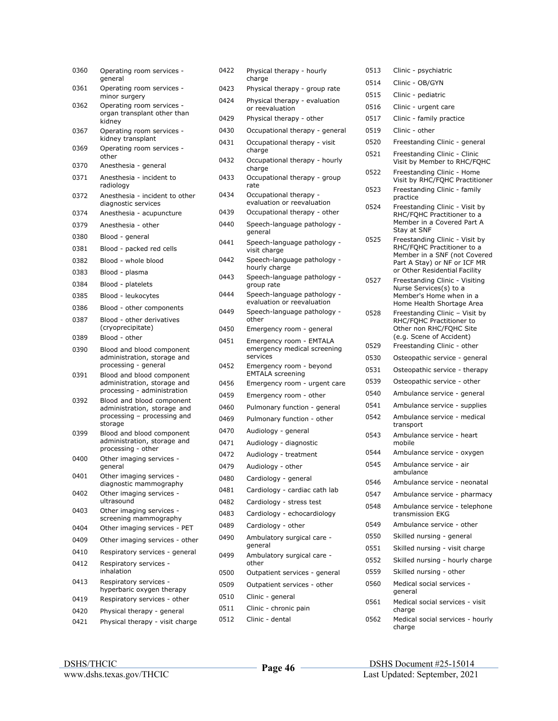| 0360 | Operating room services -<br>general                                                               |
|------|----------------------------------------------------------------------------------------------------|
| 0361 | Operating room services -<br>minor surgery                                                         |
| 0362 | Operating room services -<br>organ transplant other than<br>kidney                                 |
| 0367 | Operating room services -<br>kidney transplant                                                     |
| 0369 | Operating room services -<br>other                                                                 |
| 0370 | Anesthesia - general                                                                               |
| 0371 | Anesthesia - incident to<br>radiology                                                              |
| 0372 | Anesthesia - incident to other<br>diagnostic services                                              |
| 0374 | Anesthesia - acupuncture                                                                           |
| 0379 | Anesthesia - other                                                                                 |
| 0380 | Blood - general                                                                                    |
| 0381 | Blood - packed red cells                                                                           |
| 0382 | Blood - whole blood                                                                                |
| 0383 | Blood - plasma                                                                                     |
| 0384 | Blood - platelets                                                                                  |
| 0385 | Blood - leukocytes                                                                                 |
| 0386 | Blood - other components                                                                           |
| 0387 | Blood - other derivatives<br>(cryoprecipitate)                                                     |
| 0389 | Blood - other                                                                                      |
| 0390 | Blood and blood component<br>administration, storage and<br>processing - general                   |
| 0391 | Blood and blood component<br>administration, storage and<br>processing - administration            |
| 0392 | Blood and blood component<br>administration, storage and<br>processing - processing and<br>storage |
| 0399 | Blood and blood component<br>administration, storage and<br>processing - other                     |
| 0400 | Other imaging services -<br>qeneral                                                                |
| 0401 | Other imaging services -<br>diagnostic mammography                                                 |
| 0402 | Other imaging services -<br>ultrasound                                                             |
| 0403 | Other imaging services -<br>screening mammography                                                  |
| 0404 | Other imaging services - PET                                                                       |
| 0409 | Other imaging services - other                                                                     |
| 0410 | Respiratory services - general                                                                     |
| 0412 | Respiratory services -<br>inhalation                                                               |
| 0413 | Respiratory services -<br>hyperbaric oxygen therapy                                                |
| 0419 |                                                                                                    |
|      | Respiratory services - other                                                                       |
| 0420 | Physical therapy - general                                                                         |

| 0422 | Physical therapy - hourly<br>charge                                |
|------|--------------------------------------------------------------------|
| 0423 | Physical therapy - group rate                                      |
| 0424 | Physical therapy - evaluation<br>or reevaluation                   |
| 0429 | Physical therapy - other                                           |
| 0430 | Occupational therapy - general                                     |
| 0431 | Occupational therapy - visit<br>charge                             |
| 0432 | Occupational therapy - hourly<br>charge                            |
| 0433 | Occupational therapy - group<br>rate                               |
| 0434 | Occupational therapy -<br>evaluation or reevaluation               |
| 0439 | Occupational therapy - other                                       |
| 0440 | Speech-language pathology -<br>qeneral                             |
| 0441 | Speech-language pathology -<br>visit charge                        |
| 0442 | Speech-language pathology -<br>hourly charge                       |
| 0443 | Speech-language pathology -<br>group rate                          |
| 0444 | Speech-language pathology -<br>evaluation or reevaluation          |
| 0449 | Speech-language pathology -<br>other                               |
| 0450 | Emergency room - general                                           |
| 0451 | Emergency room - EMTALA<br>emergency medical screening<br>services |
| 0452 | Emergency room - beyond<br><b>EMTALA</b> screening                 |
| 0456 | Emergency room - urgent care                                       |
| 0459 | Emergency room - other                                             |
| 0460 | Pulmonary function - general                                       |
| 0469 | Pulmonary function - other                                         |
| 0470 | Audiology - general                                                |
| 0471 | Audiology - diagnostic                                             |
| 0472 | Audiology - treatment                                              |
| 0479 | Audiology - other                                                  |
| 0480 | Cardiology - general                                               |
| 0481 | Cardiology - cardiac cath lab                                      |
| 0482 | Cardiology - stress test                                           |
| 0483 | Cardiology - echocardiology                                        |
| 0489 | Cardiology - other                                                 |
| 0490 | Ambulatory surgical care -<br>general                              |
| 0499 | Ambulatory surgical care -<br>other                                |
| 0500 | Outpatient services - general                                      |
| 0509 | Outpatient services - other                                        |
| 0510 | Clinic - general                                                   |
| 0511 | Clinic - chronic pain                                              |
| 0512 | Clinic - dental                                                    |
|      |                                                                    |

| 0513 | Clinic - psychiatric                                                                                                                                          |
|------|---------------------------------------------------------------------------------------------------------------------------------------------------------------|
| 0514 | Clinic - OB/GYN                                                                                                                                               |
| 0515 | Clinic - pediatric                                                                                                                                            |
| 0516 | Clinic - urgent care                                                                                                                                          |
| 0517 | Clinic - family practice                                                                                                                                      |
| 0519 | Clinic - other                                                                                                                                                |
| 0520 | Freestanding Clinic - general                                                                                                                                 |
| 0521 | Freestanding Clinic - Clinic<br>Visit by Member to RHC/FQHC                                                                                                   |
| 0522 | Freestanding Clinic - Home<br>Visit by RHC/FQHC Practitioner                                                                                                  |
| 0523 | Freestanding Clinic - family<br>practice                                                                                                                      |
| 0524 | Freestanding Clinic - Visit by<br>RHC/FQHC Practitioner to a<br>Member in a Covered Part A<br>Stay at SNF                                                     |
| 0525 | Freestanding Clinic - Visit by<br>RHC/FQHC Practitioner to a<br>Member in a SNF (not Covered<br>Part A Stay) or NF or ICF MR<br>or Other Residential Facility |
| 0527 | Freestanding Clinic - Visiting<br>Nurse Services(s) to a<br>Member's Home when in a<br>Home Health Shortage Area                                              |
| 0528 | Freestanding Clinic - Visit by<br>RHC/FQHC Practitioner to<br>Other non RHC/FQHC Site<br>(e.g. Scene of Accident)                                             |
| 0529 | Freestanding Clinic - other                                                                                                                                   |
| 0530 | Osteopathic service - general                                                                                                                                 |
| 0531 | Osteopathic service - therapy                                                                                                                                 |
| 0539 | Osteopathic service - other                                                                                                                                   |
| 0540 | Ambulance service - general                                                                                                                                   |
| 0541 | Ambulance service - supplies                                                                                                                                  |
| 0542 | Ambulance service - medical<br>transport                                                                                                                      |
| 0543 | Ambulance service - heart<br>mobile                                                                                                                           |
| 0544 | Ambulance service - oxygen                                                                                                                                    |
| 0545 | Ambulance service - air<br>ambulance                                                                                                                          |
| 0546 | Ambulance service - neonatal                                                                                                                                  |
| 0547 | Ambulance service - pharmacy                                                                                                                                  |
| 0548 | Ambulance service - telephone<br>transmission EKG                                                                                                             |
| 0549 | Ambulance service - other                                                                                                                                     |
| 0550 | Skilled nursing - general                                                                                                                                     |
| 0551 | Skilled nursing - visit charge                                                                                                                                |
| 0552 | Skilled nursing - hourly charge                                                                                                                               |
| 0559 | Skilled nursing - other                                                                                                                                       |
| 0560 | Medical social services -<br>general                                                                                                                          |
| 0561 | Medical social services - visit<br>charge                                                                                                                     |
| 0562 | Medical social services - hourly<br>charge                                                                                                                    |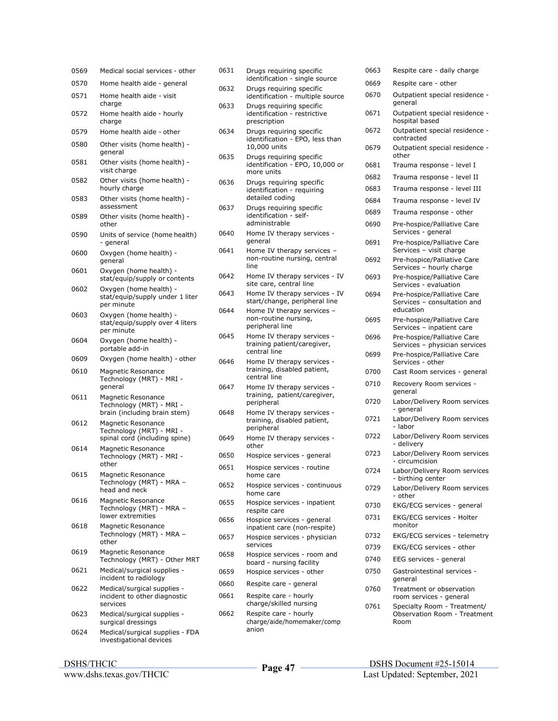| 0569 | Medical social services - other                                                        |
|------|----------------------------------------------------------------------------------------|
| 0570 | Home health aide - general                                                             |
| 0571 | Home health aide - visit<br>charge                                                     |
| 0572 | Home health aide - hourly<br>charge                                                    |
| 0579 | Home health aide - other                                                               |
| 0580 | Other visits (home health) -<br>general                                                |
| 0581 | Other visits (home health) -<br>visit charge                                           |
| 0582 | Other visits (home health) -<br>hourly charge                                          |
| 0583 | Other visits (home health) -<br>assessment                                             |
| 0589 | Other visits (home health) -<br>other                                                  |
| 0590 | Units of service (home health)<br>- general                                            |
| 0600 | Oxygen (home health) -<br>general                                                      |
| 0601 | Oxygen (home health) -<br>stat/equip/supply or contents                                |
| 0602 | Oxygen (home health) -<br>stat/equip/supply under 1 liter<br>per minute                |
| 0603 | Oxygen (home health) -<br>stat/equip/supply over 4 liters<br>per minute                |
| 0604 | Oxygen (home health) -<br>portable add-in                                              |
| 0609 | Oxygen (home health) - other                                                           |
| 0610 | <b>Magnetic Resonance</b><br>Technology (MRT) - MRI -<br>general                       |
| 0611 | <b>Magnetic Resonance</b><br>Technology (MRT) - MRI -<br>brain (including brain stem)  |
| 0612 | <b>Magnetic Resonance</b><br>Technology (MRT) - MRI -<br>spinal cord (including spine) |
| 0614 | <b>Magnetic Resonance</b><br>Technology (MRT) - MRI -<br>other                         |
| 0615 | Magnetic Resonance<br>Technology (MRT) - MRA -<br>head and neck                        |
| 0616 | Magnetic Resonance<br>Technology (MRT) - MRA -<br>lower extremities                    |
| 0618 | <b>Magnetic Resonance</b><br>Technology (MRT) - MRA -<br>other                         |
| 0619 | <b>Magnetic Resonance</b><br>Technology (MRT) - Other MRT                              |
| 0621 | Medical/surgical supplies -<br>incident to radiology                                   |
| 0622 | Medical/surgical supplies -<br>incident to other diagnostic<br>services                |
| 0623 | Medical/surgical supplies -<br>surgical dressings                                      |
| 0624 | Medical/surgical supplies - FDA<br>investigational devices                             |

| 0631 | Drugs requiring specific<br>identification - single source                  |
|------|-----------------------------------------------------------------------------|
| 0632 | Drugs requiring specific<br>identification - multiple source                |
| 0633 | Drugs requiring specific<br>identification - restrictive<br>prescription    |
| 0634 | Drugs requiring specific<br>identification - EPO, less than<br>10,000 units |
| 0635 | Drugs requiring specific<br>identification - EPO, 10,000 or<br>more units   |
| 0636 | Drugs requiring specific<br>identification - requiring<br>detailed coding   |
| 0637 | Drugs requiring specific<br>identification - self-<br>administrable         |
| 0640 | Home IV therapy services -<br>qeneral                                       |
| 0641 | Home IV therapy services -<br>non-routine nursing, central<br>line          |
| 0642 | Home IV therapy services - IV<br>site care, central line                    |
| 0643 | Home IV therapy services - IV<br>start/change, peripheral line              |
| 0644 | Home IV therapy services -<br>non-routine nursing,<br>peripheral line       |
| 0645 | Home IV therapy services -<br>training patient/caregiver,<br>central line   |
| 0646 | Home IV therapy services -<br>training, disabled patient,<br>central line   |
| 0647 | Home IV therapy services -<br>training, patient/caregiver,<br>peripheral    |
| 0648 | Home IV therapy services -<br>training, disabled patient,<br>peripheral     |
| 0649 | Home IV therapy services -<br>other                                         |
| 0650 | Hospice services - general                                                  |
| 0651 | Hospice services - routine<br>home care                                     |
| 0652 | Hospice services - continuous<br>home care                                  |
| 0655 | Hospice services - inpatient<br>respite care                                |
| 0656 | Hospice services - general<br>inpatient care (non-respite)                  |
| 0657 | Hospice services - physician<br>services                                    |
| 0658 | Hospice services - room and<br>board - nursing facility                     |
| 0659 | Hospice services - other                                                    |
| 0660 | Respite care - general                                                      |
| 0661 | Respite care - hourly<br>charge/skilled nursing                             |
| 0662 | Respite care - hourly<br>charge/aide/homemaker/comp<br>anion                |

| 0663 | Respite care - daily charge                                             |
|------|-------------------------------------------------------------------------|
| 0669 | Respite care - other                                                    |
| 0670 | Outpatient special residence -<br>general                               |
| 0671 | Outpatient special residence -<br>hospital based                        |
| 0672 | Outpatient special residence -<br>contracted                            |
| 0679 | Outpatient special residence -<br>other                                 |
| 0681 | Trauma response - level I                                               |
| 0682 | Trauma response - level II                                              |
| 0683 | Trauma response - level III                                             |
| 0684 | Trauma response - level IV                                              |
| 0689 | Trauma response - other                                                 |
| 0690 | Pre-hospice/Palliative Care<br>Services - general                       |
| 0691 | Pre-hospice/Palliative Care<br>Services - visit charge                  |
| 0692 | Pre-hospice/Palliative Care<br>Services - hourly charge                 |
| 0693 | Pre-hospice/Palliative Care<br>Services - evaluation                    |
| 0694 | Pre-hospice/Palliative Care<br>Services - consultation and<br>education |
| 0695 | Pre-hospice/Palliative Care<br>Services - inpatient care                |
| 0696 | Pre-hospice/Palliative Care<br>Services - physician services            |
| 0699 | Pre-hospice/Palliative Care<br>Services - other                         |
| 0700 | Cast Room services - general                                            |
| 0710 | Recovery Room services -<br>general                                     |
| 0720 | Labor/Delivery Room services<br>- general                               |
| 0721 | Labor/Delivery Room services<br>- labor                                 |
| 0722 | Labor/Delivery Room services<br>- delivery                              |
| 0723 | Labor/Delivery Room services<br>- circumcision                          |
| 0724 | Labor/Delivery Room services<br>- birthing center                       |
| 0729 | Labor/Delivery Room services<br>- other                                 |
| 0730 | EKG/ECG services - general                                              |
| 0731 | EKG/ECG services - Holter<br>monitor                                    |
| 0732 | EKG/ECG services - telemetry                                            |
| 0739 | EKG/ECG services - other                                                |
| 0740 | EEG services - general                                                  |
| 0750 | Gastrointestinal services -<br>qeneral                                  |
| 0760 | Treatment or observation<br>room services - general                     |
| 0761 | Specialty Room - Treatment/<br>Observation Room - Treatment<br>Room     |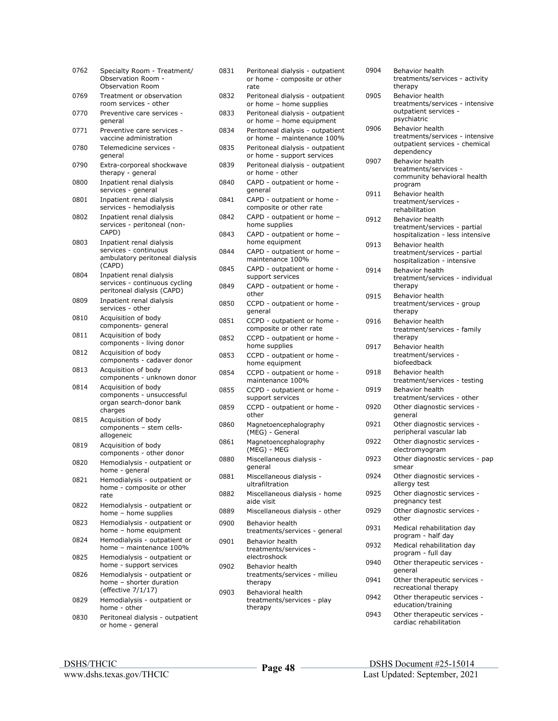| 0762 | Specialty Room - Treatment/<br>Observation Room -<br><b>Observation Room</b>            |
|------|-----------------------------------------------------------------------------------------|
| 0769 | Treatment or observation<br>room services - other                                       |
| 0770 | Preventive care services -<br>general                                                   |
| 0771 | Preventive care services -<br>vaccine administration                                    |
| 0780 | Telemedicine services -<br>general                                                      |
| 0790 | Extra-corporeal shockwave<br>therapy - general                                          |
| 0800 | Inpatient renal dialysis<br>services - general                                          |
| 0801 | Inpatient renal dialysis<br>services - hemodialysis                                     |
| 0802 | Inpatient renal dialysis<br>services - peritoneal (non-<br>CAPD)                        |
| 0803 | Inpatient renal dialysis<br>services - continuous                                       |
|      | ambulatory peritoneal dialysis<br>(CAPD)                                                |
| 0804 | Inpatient renal dialysis<br>services - continuous cycling<br>peritoneal dialysis (CAPD) |
| 0809 | Inpatient renal dialysis<br>services - other                                            |
| 0810 | Acquisition of body<br>components- general                                              |
| 0811 | Acquisition of body<br>components - living donor                                        |
| 0812 | Acquisition of body<br>components - cadaver donor                                       |
| 0813 | Acquisition of body<br>components - unknown donor                                       |
| 0814 | Acquisition of body<br>components - unsuccessful<br>organ search-donor bank<br>charges  |
| 0815 | Acquisition of body<br>components - stem cells-<br>allogeneic                           |
| 0819 | Acquisition of body<br>components - other donor                                         |
| 0820 | Hemodialysis - outpatient or<br>home - general                                          |
| 0821 | Hemodialysis - outpatient or<br>home - composite or other<br>rate                       |
| 0822 | Hemodialysis - outpatient or<br>home - home supplies                                    |
| 0823 | Hemodialysis - outpatient or<br>home - home equipment                                   |
| 0824 | Hemodialysis - outpatient or<br>home - maintenance 100%                                 |
| 0825 | Hemodialysis - outpatient or<br>home - support services                                 |
| 0826 | Hemodialysis - outpatient or<br>home - shorter duration<br>(effective 7/1/17)           |
| 0829 | Hemodialysis - outpatient or<br>home - other                                            |
| 0830 | Peritoneal dialysis - outpatient<br>or home - general                                   |

| 0831 | Peritoneal dialysis - outpatient<br>or home - composite or other<br>rate |
|------|--------------------------------------------------------------------------|
| 0832 | Peritoneal dialysis - outpatient<br>or home - home supplies              |
| 0833 | Peritoneal dialysis - outpatient<br>or home - home equipment             |
| 0834 | Peritoneal dialysis - outpatient<br>or home - maintenance 100%           |
| 0835 | Peritoneal dialysis - outpatient<br>or home - support services           |
| 0839 | Peritoneal dialysis - outpatient<br>or home - other                      |
| 0840 | CAPD - outpatient or home -<br>general                                   |
| 0841 | CAPD - outpatient or home -<br>composite or other rate                   |
| 0842 | CAPD - outpatient or home -<br>home supplies                             |
| 0843 | CAPD - outpatient or home -<br>home equipment                            |
| 0844 | CAPD - outpatient or home -<br>maintenance 100%                          |
| 0845 | CAPD - outpatient or home -<br>support services                          |
| 0849 | CAPD - outpatient or home -<br>other                                     |
| 0850 | CCPD - outpatient or home -<br>general                                   |
| 0851 | CCPD - outpatient or home -<br>composite or other rate                   |
| 0852 | CCPD - outpatient or home -<br>home supplies                             |
| 0853 | CCPD - outpatient or home -<br>home equipment                            |
| 0854 | CCPD - outpatient or home -<br>maintenance 100%                          |
| 0855 | CCPD - outpatient or home -<br>support services                          |
| 0859 | CCPD - outpatient or home -<br>other                                     |
| 0860 | Magnetoencephalography<br>(MEG) - General                                |
| 0861 | Magnetoencephalography<br>(MEG) - MEG                                    |
| 0880 | Miscellaneous dialysis -<br>qeneral                                      |
| 0881 | Miscellaneous dialysis -<br>ultrafiltration                              |
| 0882 | Miscellaneous dialysis - home<br>aide visit                              |
| 0889 | Miscellaneous dialysis - other                                           |
| 0900 | Behavior health<br>treatments/services - general                         |
| 0901 | <b>Behavior health</b><br>treatments/services -<br>electroshock          |
| 0902 | Behavior health<br>treatments/services - milieu<br>therapy               |
| 0903 | Behavioral health<br>treatments/services - play<br>therapy               |

| 0904 | Behavior health<br>treatments/services - activity<br>therapy                                              |
|------|-----------------------------------------------------------------------------------------------------------|
| 0905 | <b>Behavior health</b><br>treatments/services - intensive<br>outpatient services -<br>psychiatric         |
| 0906 | <b>Behavior health</b><br>treatments/services - intensive<br>outpatient services - chemical<br>dependency |
| 0907 | Behavior health<br>treatments/services -<br>community behavioral health<br>program                        |
| 0911 | Behavior health<br>treatment/services -<br>rehabilitation                                                 |
| 0912 | Behavior health<br>treatment/services - partial<br>hospitalization - less intensive                       |
| 0913 | Behavior health<br>treatment/services - partial<br>hospitalization - intensive                            |
| 0914 | Behavior health<br>treatment/services - individual<br>therapy                                             |
| 0915 | Behavior health<br>treatment/services - group<br>therapy                                                  |
| 0916 | Behavior health<br>treatment/services - family<br>therapy                                                 |
| 0917 | Behavior health<br>treatment/services -<br>biofeedback                                                    |
| 0918 | Behavior health<br>treatment/services - testing                                                           |
| 0919 | Behavior health<br>treatment/services - other                                                             |
| 0920 | Other diagnostic services -<br>general                                                                    |
| 0921 | Other diagnostic services -<br>peripheral vascular lab                                                    |
| 0922 | Other diagnostic services -<br>electromyogram                                                             |
| 0923 | Other diagnostic services - pap<br>smear                                                                  |
| 0924 | Other diagnostic services -<br>allergy test                                                               |
| 0925 | Other diagnostic services -<br>pregnancy test                                                             |
| 0929 | Other diagnostic services -<br>other                                                                      |
| 0931 | Medical rehabilitation day<br>program - half day                                                          |
| 0932 | Medical rehabilitation day<br>program - full day                                                          |
| 0940 | Other therapeutic services -<br>general                                                                   |
| 0941 | Other therapeutic services -<br>recreational therapy                                                      |
| 0942 | Other therapeutic services -<br>education/training                                                        |
| 0943 | Other therapeutic services -<br>cardiac rehabilitation                                                    |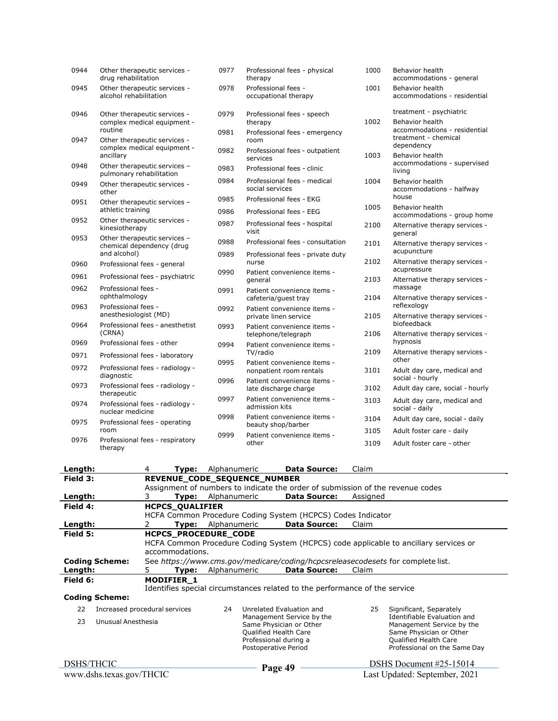| 0944     | Other therapeutic services -<br>drug rehabilitation         | 0977                      | therapy                                     | Professional fees - physical                                                   | 1000     | Behavior health<br>accommodations - general                   |
|----------|-------------------------------------------------------------|---------------------------|---------------------------------------------|--------------------------------------------------------------------------------|----------|---------------------------------------------------------------|
| 0945     | Other therapeutic services -<br>alcohol rehabilitation      | 0978                      | Professional fees -<br>occupational therapy |                                                                                | 1001     | Behavior health<br>accommodations - residential               |
| 0946     | Other therapeutic services -<br>complex medical equipment - | 0979                      | therapy                                     | Professional fees - speech                                                     | 1002     | treatment - psychiatric<br>Behavior health                    |
| 0947     | routine<br>Other therapeutic services -                     | 0981                      | room                                        | Professional fees - emergency                                                  |          | accommodations - residential<br>treatment - chemical          |
|          | complex medical equipment -<br>ancillary                    | 0982                      | services                                    | Professional fees - outpatient                                                 | 1003     | dependency<br><b>Behavior health</b>                          |
| 0948     | Other therapeutic services -<br>pulmonary rehabilitation    | 0983                      |                                             | Professional fees - clinic                                                     |          | accommodations - supervised<br>living                         |
| 0949     | Other therapeutic services -<br>other                       | 0984                      | social services                             | Professional fees - medical                                                    | 1004     | <b>Behavior health</b><br>accommodations - halfway            |
| 0951     | Other therapeutic services -<br>athletic training           | 0985<br>0986              |                                             | Professional fees - EKG<br>Professional fees - EEG                             | 1005     | house<br>Behavior health                                      |
| 0952     | Other therapeutic services -<br>kinesiotherapy              | 0987                      | visit                                       | Professional fees - hospital                                                   | 2100     | accommodations - group home<br>Alternative therapy services - |
| 0953     | Other therapeutic services -<br>chemical dependency (drug   | 0988                      |                                             | Professional fees - consultation                                               | 2101     | general<br>Alternative therapy services -                     |
| 0960     | and alcohol)<br>Professional fees - general                 | 0989                      | nurse                                       | Professional fees - private duty                                               | 2102     | acupuncture<br>Alternative therapy services -                 |
| 0961     | Professional fees - psychiatric                             | 0990                      | general                                     | Patient convenience items -                                                    | 2103     | acupressure<br>Alternative therapy services -                 |
| 0962     | Professional fees -<br>ophthalmology                        | 0991                      | cafeteria/guest tray                        | Patient convenience items -                                                    | 2104     | massage<br>Alternative therapy services -                     |
| 0963     | Professional fees -<br>anesthesiologist (MD)                | 0992                      |                                             | Patient convenience items -<br>private linen service                           | 2105     | reflexology<br>Alternative therapy services -                 |
| 0964     | Professional fees - anesthetist<br>(CRNA)                   | 0993                      |                                             | Patient convenience items -<br>telephone/telegraph                             | 2106     | biofeedback<br>Alternative therapy services -                 |
| 0969     | Professional fees - other                                   | 0994                      |                                             | Patient convenience items -                                                    |          | hypnosis                                                      |
| 0971     | Professional fees - laboratory                              | 0995                      | TV/radio                                    | Patient convenience items -                                                    | 2109     | Alternative therapy services -<br>other                       |
| 0972     | Professional fees - radiology -<br>diagnostic               |                           |                                             | nonpatient room rentals                                                        | 3101     | Adult day care, medical and<br>social - hourly                |
| 0973     | Professional fees - radiology -<br>therapeutic              | 0996                      |                                             | Patient convenience items -<br>late discharge charge                           | 3102     | Adult day care, social - hourly                               |
| 0974     | Professional fees - radiology -<br>nuclear medicine         | 0997                      | admission kits                              | Patient convenience items -                                                    | 3103     | Adult day care, medical and<br>social - daily                 |
| 0975     | Professional fees - operating                               | 0998                      | beauty shop/barber                          | Patient convenience items -                                                    | 3104     | Adult day care, social - daily                                |
| 0976     | room<br>Professional fees - respiratory                     | 0999                      |                                             | Patient convenience items -                                                    | 3105     | Adult foster care - daily                                     |
|          | therapy                                                     |                           | other                                       |                                                                                | 3109     | Adult foster care - other                                     |
| Length:  | 4                                                           | <b>Type:</b> Alphanumeric |                                             | <b>Data Source:</b>                                                            | Claim    |                                                               |
| Field 3: | REVENUE_CODE_SEQUENCE_NUMBER                                |                           |                                             | Assignment of numbers to indicate the order of submission of the revenue codes |          |                                                               |
| Length:  | 3<br>Type:                                                  | Alphanumeric              |                                             | <b>Data Source:</b>                                                            | Assigned |                                                               |

|                          |                               |                                                                                      | Assignment of numbers to indicate the order of submission of the revenue codes   |                               |                                                  |  |  |  |  |
|--------------------------|-------------------------------|--------------------------------------------------------------------------------------|----------------------------------------------------------------------------------|-------------------------------|--------------------------------------------------|--|--|--|--|
| Length:                  | 3.                            | <b>Type:</b> Alphanumeric<br><b>Data Source:</b><br>Assigned                         |                                                                                  |                               |                                                  |  |  |  |  |
| Field 4:                 |                               | <b>HCPCS QUALIFIER</b>                                                               |                                                                                  |                               |                                                  |  |  |  |  |
|                          |                               |                                                                                      | HCFA Common Procedure Coding System (HCPCS) Codes Indicator                      |                               |                                                  |  |  |  |  |
| Length:                  | Type:                         | Alphanumeric                                                                         | <b>Data Source:</b>                                                              | Claim                         |                                                  |  |  |  |  |
| Field 5:                 |                               | <b>HCPCS PROCEDURE CODE</b>                                                          |                                                                                  |                               |                                                  |  |  |  |  |
|                          |                               | HCFA Common Procedure Coding System (HCPCS) code applicable to ancillary services or |                                                                                  |                               |                                                  |  |  |  |  |
|                          | accommodations.               |                                                                                      |                                                                                  |                               |                                                  |  |  |  |  |
| <b>Coding Scheme:</b>    |                               |                                                                                      | See https://www.cms.gov/medicare/coding/hcpcsreleasecodesets for complete list.  |                               |                                                  |  |  |  |  |
| Length:                  | Tvpe:<br>5.                   | Alphanumeric                                                                         | <b>Data Source:</b>                                                              | Claim                         |                                                  |  |  |  |  |
| Field 6:                 | <b>MODIFIER 1</b>             |                                                                                      |                                                                                  |                               |                                                  |  |  |  |  |
|                          |                               |                                                                                      | Identifies special circumstances related to the performance of the service       |                               |                                                  |  |  |  |  |
| <b>Coding Scheme:</b>    |                               |                                                                                      |                                                                                  |                               |                                                  |  |  |  |  |
| 22                       | Increased procedural services | 24                                                                                   | Unrelated Evaluation and<br>Management Service by the<br>Same Physician or Other |                               | Significant, Separately                          |  |  |  |  |
| 23<br>Unusual Anesthesia |                               |                                                                                      |                                                                                  |                               | Identifiable Evaluation and                      |  |  |  |  |
|                          |                               |                                                                                      |                                                                                  |                               | Management Service by the                        |  |  |  |  |
|                          |                               | Qualified Health Care<br>Professional during a<br>Postoperative Period               |                                                                                  |                               | Same Physician or Other<br>Qualified Health Care |  |  |  |  |
|                          |                               |                                                                                      |                                                                                  |                               | Professional on the Same Day                     |  |  |  |  |
|                          |                               |                                                                                      |                                                                                  |                               |                                                  |  |  |  |  |
| DSHS/THCIC               |                               |                                                                                      |                                                                                  |                               | DSHS Document #25-15014                          |  |  |  |  |
| www.dshs.texas.gov/THCIC |                               |                                                                                      | Page 49                                                                          | Last Updated: September, 2021 |                                                  |  |  |  |  |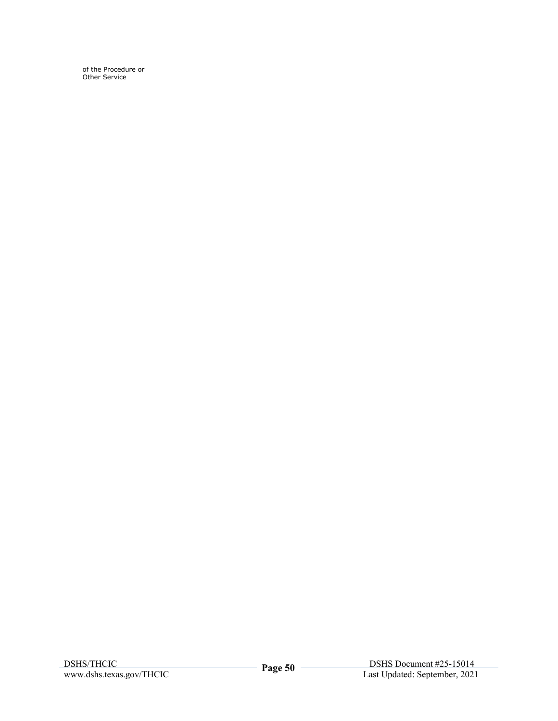of the Procedure or Other Service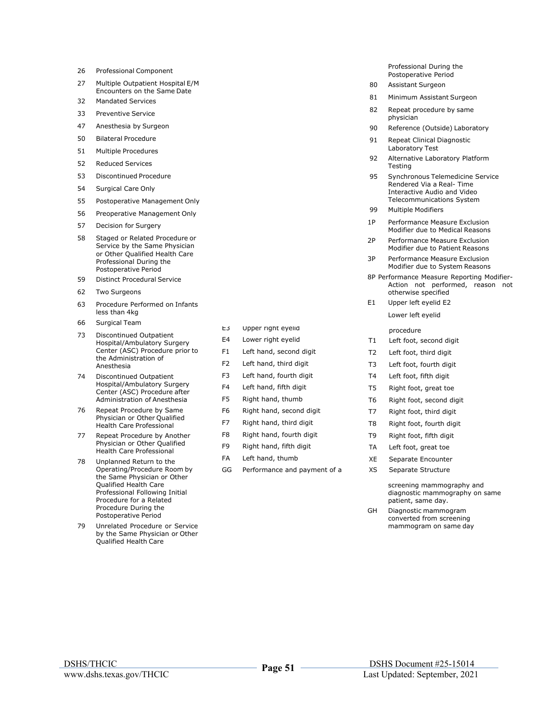- 26 Professional Component
- 27 Multiple Outpatient Hospital E/M Encounters on the Same Date
- 32 Mandated Services
- 33 Preventive Service
- 47 Anesthesia by Surgeon
- 50 Bilateral Procedure
- 51 Multiple Procedures
- 52 Reduced Services
- 53 Discontinued Procedure
- 54 Surgical Care Only
- 55 Postoperative Management Only
- 56 Preoperative Management Only
- 57 Decision for Surgery
- 58 Staged or Related Procedure or Service by the Same Physician or Other Qualified Health Care Professional During the Postoperative Period
- 59 Distinct Procedural Service
- 62 Two Surgeons
- 63 Procedure Performed on Infants less than 4kg
- 66 Surgical Team
- 73 Discontinued Outpatient Hospital/Ambulatory Surgery Center (ASC) Procedure prior to the Administration of Anesthesia
- 74 Discontinued Outpatient Hospital/Ambulatory Surgery Center (ASC) Procedure after Administration of Anesthesia
- 76 Repeat Procedure by Same Physician or Other Qualified Health Care Professional
- 77 Repeat Procedure by Another Physician or Other Qualified Health Care Professional
- 78 Unplanned Return to the Operating/Procedure Room by the Same Physician or Other Qualified Health Care Professional Following Initial Procedure for a Related Procedure During the Postoperative Period
- 79 Unrelated Procedure or Service by the Same Physician or Other Qualified Health Care
- E3 Upper right eyelid procedure
- 
- F1 Left hand, second digit T2 Left foot, third digit
- 
- F3 Left hand, fourth digit T4 Left foot, fifth digit
- 
- 
- F6 Right hand, second digit T7 Right foot, third digit
- F7 Right hand, third digit T8 Right foot, fourth digit
- F8 Right hand, fourth digit T9 Right foot, fifth digit
- F9 Right hand, fifth digit TA Left foot, great toe
- FA Left hand, thumb XE Separate Encounter
- GG Performance and payment of a XS Separate Structure

Professional During the Postoperative Period

- 80 Assistant Surgeon
- 81 Minimum Assistant Surgeon
- 82 Repeat procedure by same physician
- 90 Reference (Outside) Laboratory
- 91 Repeat Clinical Diagnostic Laboratory Test
- 92 Alternative Laboratory Platform **Testing**
- 95 Synchronous Telemedicine Service Rendered Via a Real- Time Interactive Audio and Video Telecommunications System
- 99 Multiple Modifiers
- 1P Performance Measure Exclusion Modifier due to Medical Reasons
- 2P Performance Measure Exclusion Modifier due to Patient Reasons
- 3P Performance Measure Exclusion Modifier due to System Reasons
- 8P Performance Measure Reporting Modifier-Action not performed, reason not otherwise specified
- E1 Upper left eyelid E2 Lower left eyelid

- E4 Lower right eyelid T1 Left foot, second digit
	-
- F2 Left hand, third digit T3 Left foot, fourth digit
	-
- F4 Left hand, fifth digit T5 Right foot, great toe
- F5 Right hand, thumb T6 Right foot, second digit
	-
	-
	-
	-
	-
	-

screening mammography and diagnostic mammography on same patient, same day.

GH Diagnostic mammogram converted from screening mammogram on same day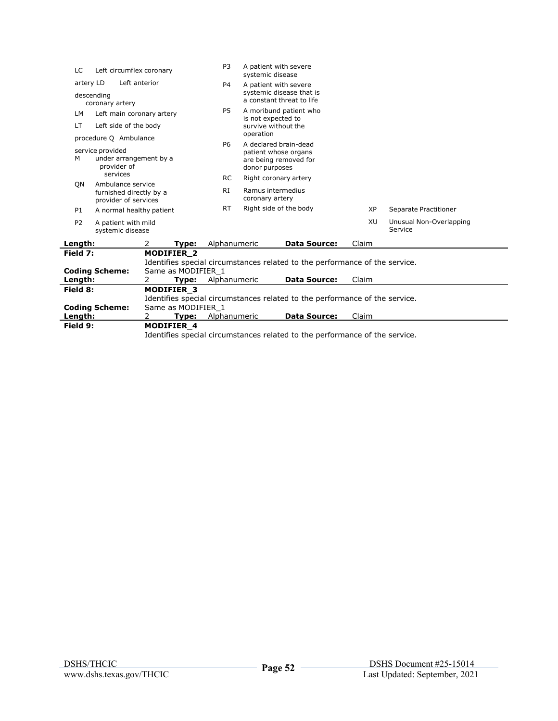| LC                                                             | Left circumflex coronary                                                   | P <sub>3</sub><br>A patient with severe<br>systemic disease |                                                                                                            |                                      |                                                       |                                                                             |                                    |                       |
|----------------------------------------------------------------|----------------------------------------------------------------------------|-------------------------------------------------------------|------------------------------------------------------------------------------------------------------------|--------------------------------------|-------------------------------------------------------|-----------------------------------------------------------------------------|------------------------------------|-----------------------|
| artery LD<br>Left anterior                                     |                                                                            |                                                             | P <sub>4</sub>                                                                                             |                                      | A patient with severe                                 |                                                                             |                                    |                       |
| descending<br>coronary artery                                  |                                                                            |                                                             |                                                                                                            |                                      | systemic disease that is<br>a constant threat to life |                                                                             |                                    |                       |
| LМ                                                             | Left main coronary artery                                                  |                                                             |                                                                                                            | P5                                   | is not expected to                                    | A moribund patient who                                                      |                                    |                       |
| LT                                                             | Left side of the body                                                      |                                                             |                                                                                                            |                                      |                                                       | survive without the                                                         |                                    |                       |
|                                                                | procedure Q Ambulance                                                      |                                                             |                                                                                                            |                                      | operation                                             |                                                                             |                                    |                       |
| service provided<br>M<br>under arrangement by a<br>provider of |                                                                            |                                                             | A declared brain-dead<br>P <sub>6</sub><br>patient whose organs<br>are being removed for<br>donor purposes |                                      |                                                       |                                                                             |                                    |                       |
|                                                                | services                                                                   |                                                             |                                                                                                            | <b>RC</b>                            |                                                       | Right coronary artery                                                       |                                    |                       |
|                                                                | Ambulance service<br>ON<br>furnished directly by a<br>provider of services |                                                             | RI                                                                                                         | Ramus intermedius<br>coronary artery |                                                       |                                                                             |                                    |                       |
| P1                                                             | A normal healthy patient                                                   |                                                             |                                                                                                            | <b>RT</b>                            | Right side of the body                                |                                                                             | <b>XP</b>                          | Separate Practitioner |
| P <sub>2</sub>                                                 | A patient with mild<br>systemic disease                                    |                                                             |                                                                                                            |                                      |                                                       | XU                                                                          | Unusual Non-Overlapping<br>Service |                       |
| Length:                                                        |                                                                            | 2                                                           | Type:                                                                                                      | Alphanumeric                         |                                                       | <b>Data Source:</b>                                                         | Claim                              |                       |
| Field 7:                                                       | <b>Coding Scheme:</b>                                                      |                                                             | <b>MODIFIER 2</b><br>Same as MODIFIER 1                                                                    |                                      |                                                       | Identifies special circumstances related to the performance of the service. |                                    |                       |
| Length:                                                        |                                                                            | 2                                                           | Type:                                                                                                      | Alphanumeric                         |                                                       | <b>Data Source:</b>                                                         | Claim                              |                       |
| Field 8:                                                       | <b>Coding Scheme:</b>                                                      |                                                             | <b>MODIFIER 3</b><br>Same as MODIFIER 1                                                                    |                                      |                                                       | Identifies special circumstances related to the performance of the service. |                                    |                       |
| Length:                                                        |                                                                            | 2                                                           | Type:                                                                                                      | Alphanumeric                         |                                                       | <b>Data Source:</b>                                                         | Claim                              |                       |
| Field 9:                                                       |                                                                            |                                                             | <b>MODIFIER 4</b>                                                                                          |                                      |                                                       |                                                                             |                                    |                       |
|                                                                |                                                                            |                                                             |                                                                                                            |                                      |                                                       | Identifies special circumstances related to the performance of the service. |                                    |                       |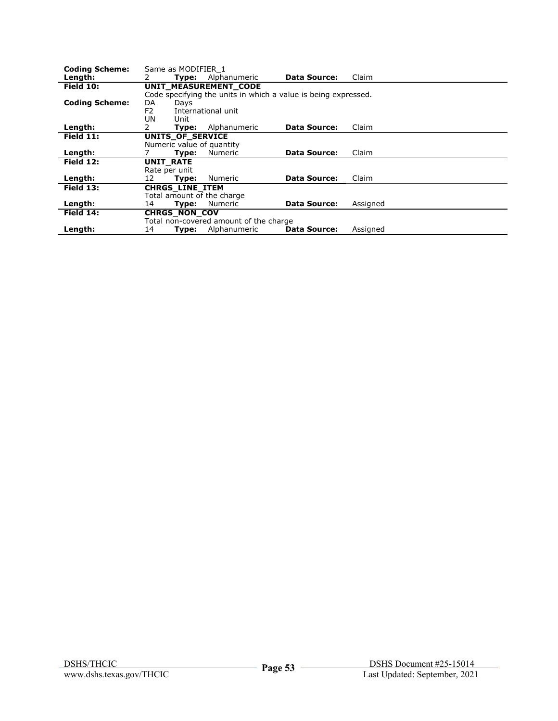| <b>Coding Scheme:</b> | Same as MODIFIER 1        |                                                                |                     |          |
|-----------------------|---------------------------|----------------------------------------------------------------|---------------------|----------|
| Length:               | Type:                     | Alphanumeric                                                   | <b>Data Source:</b> | Claim    |
| <b>Field 10:</b>      |                           | UNIT MEASUREMENT CODE                                          |                     |          |
|                       |                           | Code specifying the units in which a value is being expressed. |                     |          |
| <b>Coding Scheme:</b> | DA<br>Days                |                                                                |                     |          |
|                       | F <sub>2</sub>            | International unit                                             |                     |          |
|                       | UN<br>Unit                |                                                                |                     |          |
| Length:               | Type:                     | Alphanumeric                                                   | <b>Data Source:</b> | Claim    |
| Field $11$ :          | UNITS_OF_SERVICE          |                                                                |                     |          |
|                       | Numeric value of quantity |                                                                |                     |          |
| Length:               | Type:                     | Numeric                                                        | Data Source:        | Claim    |
| Field 12:             | <b>UNIT RATE</b>          |                                                                |                     |          |
|                       | Rate per unit             |                                                                |                     |          |
| Length:               | 12<br>Type:               | <b>Numeric</b>                                                 | <b>Data Source:</b> | Claim    |
| Field 13:             | <b>CHRGS LINE ITEM</b>    |                                                                |                     |          |
|                       |                           | Total amount of the charge                                     |                     |          |
| Length:               | 14<br>Type:               | Numeric                                                        | <b>Data Source:</b> | Assigned |
| Field 14:             | <b>CHRGS NON COV</b>      |                                                                |                     |          |
|                       |                           | Total non-covered amount of the charge                         |                     |          |
| Length:               | 14<br>Type:               | Alphanumeric                                                   | <b>Data Source:</b> | Assigned |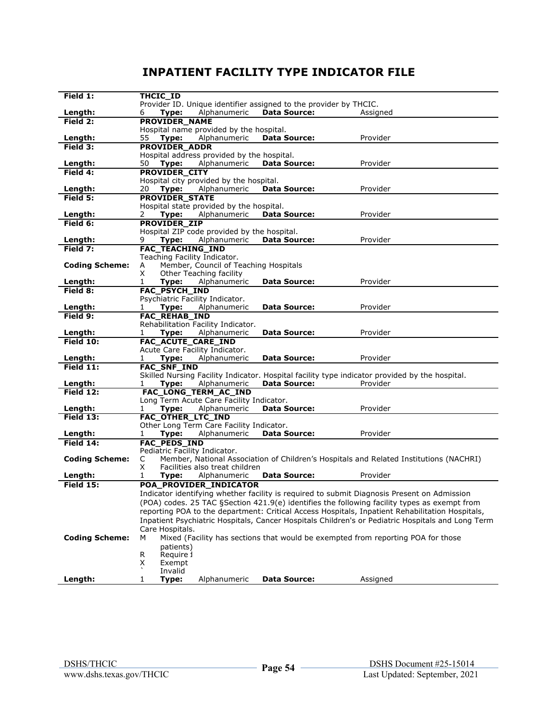## **INPATIENT FACILITY TYPE INDICATOR FILE**

| Field 1:              | THCIC ID                                    |                                       |                                                                   |                                                                                                   |
|-----------------------|---------------------------------------------|---------------------------------------|-------------------------------------------------------------------|---------------------------------------------------------------------------------------------------|
|                       |                                             |                                       | Provider ID. Unique identifier assigned to the provider by THCIC. |                                                                                                   |
| Length:               | Type:<br>6                                  | Alphanumeric                          | <b>Data Source:</b>                                               | Assigned                                                                                          |
| Field 2:              | PROVIDER NAME                               |                                       |                                                                   |                                                                                                   |
|                       | Hospital name provided by the hospital.     |                                       |                                                                   |                                                                                                   |
| Length:               | 55<br>Type:                                 | Alphanumeric                          | <b>Data Source:</b>                                               | Provider                                                                                          |
| Field 3:              | <b>PROVIDER ADDR</b>                        |                                       |                                                                   |                                                                                                   |
|                       | Hospital address provided by the hospital.  |                                       |                                                                   |                                                                                                   |
| Length:               | 50<br>Type:                                 | Alphanumeric                          | <b>Data Source:</b>                                               | Provider                                                                                          |
| Field 4:              | <b>PROVIDER_CITY</b>                        |                                       |                                                                   |                                                                                                   |
|                       | Hospital city provided by the hospital.     |                                       |                                                                   |                                                                                                   |
| Length:               | Type:<br>20                                 | Alphanumeric                          | <b>Data Source:</b>                                               | Provider                                                                                          |
| Field 5:              | <b>PROVIDER_STATE</b>                       |                                       |                                                                   |                                                                                                   |
|                       | Hospital state provided by the hospital.    |                                       |                                                                   |                                                                                                   |
| Length:               | Type:<br>2                                  | Alphanumeric                          | <b>Data Source:</b>                                               | Provider                                                                                          |
|                       |                                             |                                       |                                                                   |                                                                                                   |
| Field 6:              | <b>PROVIDER ZIP</b>                         |                                       |                                                                   |                                                                                                   |
|                       | Hospital ZIP code provided by the hospital. |                                       |                                                                   |                                                                                                   |
| Length:               | 9<br>Type:                                  | Alphanumeric                          | <b>Data Source:</b>                                               | Provider                                                                                          |
| Field 7:              | FAC_TEACHING_IND                            |                                       |                                                                   |                                                                                                   |
|                       | Teaching Facility Indicator.                |                                       |                                                                   |                                                                                                   |
| <b>Coding Scheme:</b> | А                                           | Member, Council of Teaching Hospitals |                                                                   |                                                                                                   |
|                       | X<br>Other Teaching facility                |                                       |                                                                   |                                                                                                   |
| Length:               | 1<br>Type:                                  | Alphanumeric                          | <b>Data Source:</b>                                               | Provider                                                                                          |
| Field 8:              | FAC_PSYCH_IND                               |                                       |                                                                   |                                                                                                   |
|                       | Psychiatric Facility Indicator.             |                                       |                                                                   |                                                                                                   |
| Length:               | Type:<br>1                                  | Alphanumeric                          | <b>Data Source:</b>                                               | Provider                                                                                          |
| Field 9:              | <b>FAC_REHAB_IND</b>                        |                                       |                                                                   |                                                                                                   |
|                       | Rehabilitation Facility Indicator.          |                                       |                                                                   |                                                                                                   |
| Length:               | Type:<br>1                                  | Alphanumeric                          | <b>Data Source:</b>                                               | Provider                                                                                          |
| Field 10:             | FAC_ACUTE_CARE_IND                          |                                       |                                                                   |                                                                                                   |
|                       | Acute Care Facility Indicator.              |                                       |                                                                   |                                                                                                   |
| Length:               | Type:<br>1                                  | Alphanumeric                          | <b>Data Source:</b>                                               | Provider                                                                                          |
| Field $11$ :          | FAC_SNF_IND                                 |                                       |                                                                   |                                                                                                   |
|                       |                                             |                                       |                                                                   | Skilled Nursing Facility Indicator. Hospital facility type indicator provided by the hospital.    |
| Length:               | Type:<br>1                                  | Alphanumeric                          | <b>Data Source:</b>                                               | Provider                                                                                          |
| Field 12:             | FAC_LONG_TERM_AC_IND                        |                                       |                                                                   |                                                                                                   |
|                       | Long Term Acute Care Facility Indicator.    |                                       |                                                                   |                                                                                                   |
| Length:               | Type:<br>1                                  | Alphanumeric                          | <b>Data Source:</b>                                               | Provider                                                                                          |
| Field 13:             | FAC_OTHER_LTC_IND                           |                                       |                                                                   |                                                                                                   |
|                       | Other Long Term Care Facility Indicator.    |                                       |                                                                   |                                                                                                   |
| Length:               | Type:<br>1                                  | Alphanumeric                          | <b>Data Source:</b>                                               | Provider                                                                                          |
| Field 14:             | <b>FAC_PEDS_IND</b>                         |                                       |                                                                   |                                                                                                   |
|                       | Pediatric Facility Indicator.               |                                       |                                                                   |                                                                                                   |
| <b>Coding Scheme:</b> | С                                           |                                       |                                                                   | Member, National Association of Children's Hospitals and Related Institutions (NACHRI)            |
|                       | Χ                                           | Facilities also treat children        |                                                                   |                                                                                                   |
| Length:               | Type:<br>1                                  | Alphanumeric                          | <b>Data Source:</b>                                               | Provider                                                                                          |
| <b>Field 15:</b>      | POA_PROVIDER_INDICATOR                      |                                       |                                                                   |                                                                                                   |
|                       |                                             |                                       |                                                                   | Indicator identifying whether facility is required to submit Diagnosis Present on Admission       |
|                       |                                             |                                       |                                                                   | (POA) codes. 25 TAC §Section 421.9(e) identifies the following facility types as exempt from      |
|                       |                                             |                                       |                                                                   | reporting POA to the department: Critical Access Hospitals, Inpatient Rehabilitation Hospitals,   |
|                       |                                             |                                       |                                                                   |                                                                                                   |
|                       |                                             |                                       |                                                                   | Inpatient Psychiatric Hospitals, Cancer Hospitals Children's or Pediatric Hospitals and Long Term |
|                       | Care Hospitals.                             |                                       |                                                                   |                                                                                                   |
| <b>Coding Scheme:</b> | м                                           |                                       |                                                                   | Mixed (Facility has sections that would be exempted from reporting POA for those                  |
|                       | patients)                                   |                                       |                                                                   |                                                                                                   |
|                       | Require 1<br>R                              |                                       |                                                                   |                                                                                                   |
|                       | X<br>Exempt                                 |                                       |                                                                   |                                                                                                   |
|                       | Invalid                                     |                                       |                                                                   |                                                                                                   |
| Length:               | 1<br>Type:                                  | Alphanumeric                          | <b>Data Source:</b>                                               | Assigned                                                                                          |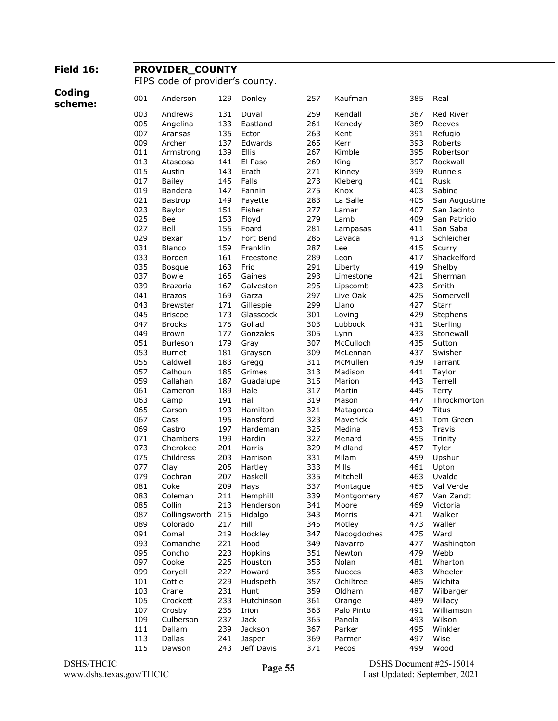### **Field 16: PROVIDER\_COUNTY**

FIPS code of provider's county.

**Coding** 

| scheme: | 001        | Anderson        | 129        | Donley           | 257        | Kaufman                | 385        | Real             |
|---------|------------|-----------------|------------|------------------|------------|------------------------|------------|------------------|
|         | 003        | Andrews         | 131        | Duval            | 259        | Kendall                | 387        | <b>Red River</b> |
|         | 005        | Angelina        | 133        | Eastland         | 261        | Kenedy                 | 389        | Reeves           |
|         | 007        | Aransas         | 135        | Ector            | 263        | Kent                   | 391        | Refugio          |
|         | 009        | Archer          | 137        | Edwards          | 265        | Kerr                   | 393        | Roberts          |
|         | 011        | Armstrong       | 139        | Ellis            | 267        | Kimble                 | 395        | Robertson        |
|         | 013        | Atascosa        | 141        | El Paso          | 269        | King                   | 397        | Rockwall         |
|         | 015        | Austin          | 143        | Erath            | 271        | Kinney                 | 399        | Runnels          |
|         | 017        | <b>Bailey</b>   | 145        | Falls            | 273        | Kleberg                | 401        | Rusk             |
|         | 019        | Bandera         | 147        | Fannin           | 275        | Knox                   | 403        | Sabine           |
|         | 021        | Bastrop         | 149        | Fayette          | 283        | La Salle               | 405        | San Augustine    |
|         | 023        | Baylor          | 151        | Fisher           | 277        | Lamar                  | 407        | San Jacinto      |
|         | 025        | Bee             | 153        | Floyd            | 279        | Lamb                   | 409        | San Patricio     |
|         | 027        | Bell            | 155        | Foard            | 281        | Lampasas               | 411        | San Saba         |
|         | 029        | Bexar           | 157        | Fort Bend        | 285        | Lavaca                 | 413        | Schleicher       |
|         | 031        | Blanco          | 159        | Franklin         | 287        | Lee                    | 415        | Scurry           |
|         | 033        | Borden          | 161        | Freestone        | 289        | Leon                   | 417        | Shackelford      |
|         | 035        | <b>Bosque</b>   | 163        | Frio             | 291        | Liberty                | 419        | Shelby           |
|         | 037        | Bowie           | 165        | Gaines           | 293        | Limestone              | 421        | Sherman          |
|         | 039        | Brazoria        | 167        | Galveston        | 295        | Lipscomb               | 423        | Smith            |
|         | 041        | <b>Brazos</b>   | 169        | Garza            | 297        | Live Oak               | 425        | Somervell        |
|         | 043        | <b>Brewster</b> | 171        | Gillespie        | 299        | Llano                  | 427        | Starr            |
|         | 045        | <b>Briscoe</b>  | 173        | Glasscock        | 301        | Loving                 | 429        | Stephens         |
|         | 047        | <b>Brooks</b>   | 175        | Goliad           | 303        | Lubbock                | 431        | Sterling         |
|         | 049        | <b>Brown</b>    | 177        | Gonzales         | 305        | Lynn                   | 433        | Stonewall        |
|         | 051        | Burleson        | 179        | Gray             | 307        | McCulloch              | 435        | Sutton           |
|         | 053        | <b>Burnet</b>   | 181        | Grayson          | 309        | McLennan               | 437        | Swisher          |
|         | 055        | Caldwell        | 183        | Gregg            | 311        | McMullen               | 439        | Tarrant          |
|         | 057        | Calhoun         | 185        | Grimes           | 313        | Madison                | 441        | Taylor           |
|         | 059        | Callahan        | 187        | Guadalupe        | 315        | Marion                 | 443        | Terrell          |
|         | 061        | Cameron         | 189        | Hale             | 317        | Martin                 | 445        | Terry            |
|         | 063        | Camp            | 191        | Hall             | 319        | Mason                  | 447        | Throckmorton     |
|         | 065        | Carson          | 193        | Hamilton         | 321        | Matagorda              | 449        | Titus            |
|         | 067        | Cass            | 195        | Hansford         | 323        | Maverick               | 451        | Tom Green        |
|         | 069        | Castro          | 197        | Hardeman         | 325        | Medina                 | 453        | Travis           |
|         | 071        | Chambers        | 199        | Hardin           | 327        | Menard                 | 455        | Trinity          |
|         | 073        | Cherokee        | 201        | Harris           | 329        | Midland                | 457        | Tyler            |
|         | 075<br>077 | Childress       | 203<br>205 | Harrison         | 331        | Milam<br>Mills         | 459<br>461 | Upshur           |
|         | 079        | Clay<br>Cochran | 207        | Hartley          | 333        |                        | 463        | Upton<br>Uvalde  |
|         | 081        | Coke            | 209        | Haskell          | 335<br>337 | Mitchell               | 465        | Val Verde        |
|         | 083        | Coleman         | 211        | Hays<br>Hemphill | 339        | Montague<br>Montgomery | 467        | Van Zandt        |
|         | 085        | Collin          | 213        | Henderson        | 341        | Moore                  | 469        | Victoria         |
|         | 087        | Collingsworth   | 215        | Hidalgo          | 343        | Morris                 | 471        | Walker           |
|         | 089        | Colorado        | 217        | Hill             | 345        | Motley                 | 473        | Waller           |
|         | 091        | Comal           | 219        | Hockley          | 347        | Nacogdoches            | 475        | Ward             |
|         | 093        | Comanche        | 221        | Hood             | 349        | Navarro                | 477        | Washington       |
|         | 095        | Concho          | 223        | Hopkins          | 351        | Newton                 | 479        | Webb             |
|         | 097        | Cooke           | 225        | Houston          | 353        | Nolan                  | 481        | Wharton          |
|         | 099        | Coryell         | 227        | Howard           | 355        | Nueces                 | 483        | Wheeler          |
|         | 101        | Cottle          | 229        | Hudspeth         | 357        | Ochiltree              | 485        | Wichita          |
|         | 103        | Crane           | 231        | Hunt             | 359        | Oldham                 | 487        | Wilbarger        |
|         | 105        | Crockett        | 233        | Hutchinson       | 361        | Orange                 | 489        | Willacy          |
|         | 107        | Crosby          | 235        | Irion            | 363        | Palo Pinto             | 491        | Williamson       |
|         | 109        | Culberson       | 237        | Jack             | 365        | Panola                 | 493        | Wilson           |
|         | 111        | Dallam          | 239        | Jackson          | 367        | Parker                 | 495        | Winkler          |
|         | 113        | Dallas          | 241        | Jasper           | 369        | Parmer                 | 497        | Wise             |
|         | 115        | Dawson          | 243        | Jeff Davis       | 371        | Pecos                  | 499        | Wood             |
|         |            |                 |            |                  |            |                        |            |                  |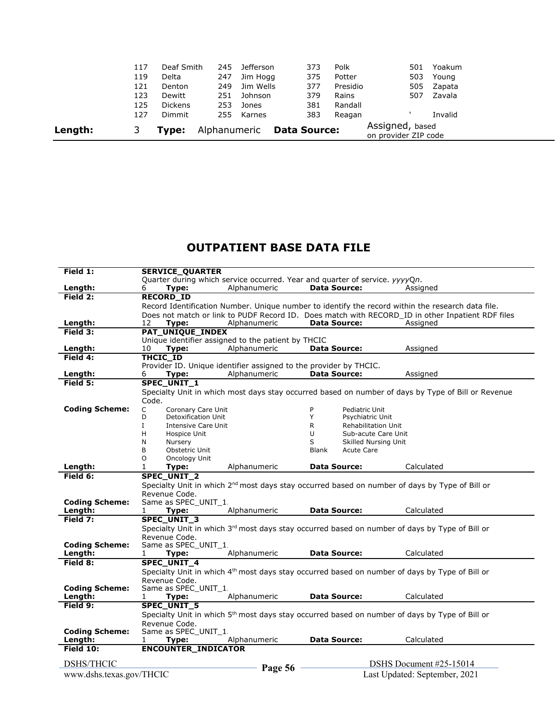| Length: |     | Tvpe:          | Alphanumeric |           | <b>Data Source:</b> |          | Assigned, based<br>on provider ZIP code |         |  |
|---------|-----|----------------|--------------|-----------|---------------------|----------|-----------------------------------------|---------|--|
|         | 127 | Dimmit         | 255          | Karnes    | 383                 | Reagan   |                                         | Invalid |  |
|         | 125 | <b>Dickens</b> | 253          | Jones     | 381                 | Randall  |                                         |         |  |
|         | 123 | Dewitt         | 251          | Johnson   | 379                 | Rains    | 507                                     | Zavala  |  |
|         | 121 | Denton         | 249          | Jim Wells | 377                 | Presidio | 505                                     | Zapata  |  |
|         | 119 | Delta          | 247          | Jim Hogg  | 375                 | Potter   | 503                                     | Young   |  |
|         | 117 | Deaf Smith     | 245          | Jefferson | 373                 | Polk     | 501                                     | Yoakum  |  |

## **OUTPATIENT BASE DATA FILE**

| Field 1:                         | <b>SERVICE_QUARTER</b>                                            |              |                                                                                                            |                                                                                                    |
|----------------------------------|-------------------------------------------------------------------|--------------|------------------------------------------------------------------------------------------------------------|----------------------------------------------------------------------------------------------------|
|                                  |                                                                   |              | Quarter during which service occurred. Year and quarter of service. yyyyQn.                                |                                                                                                    |
| Length:                          | 6<br>Type:                                                        | Alphanumeric | <b>Data Source:</b>                                                                                        | Assigned                                                                                           |
| Field 2:                         | <b>RECORD ID</b>                                                  |              |                                                                                                            |                                                                                                    |
|                                  |                                                                   |              |                                                                                                            | Record Identification Number. Unique number to identify the record within the research data file.  |
|                                  |                                                                   |              |                                                                                                            | Does not match or link to PUDF Record ID. Does match with RECORD ID in other Inpatient RDF files   |
| Length:                          | 12<br>Type:                                                       | Alphanumeric | <b>Data Source:</b>                                                                                        | Assigned                                                                                           |
| Field 3:                         | PAT_UNIQUE_INDEX                                                  |              |                                                                                                            |                                                                                                    |
|                                  | Unique identifier assigned to the patient by THCIC                |              |                                                                                                            |                                                                                                    |
| Length:                          | 10<br>Type:                                                       | Alphanumeric | <b>Data Source:</b>                                                                                        | Assigned                                                                                           |
| Field 4:                         | <b>THCIC ID</b>                                                   |              |                                                                                                            |                                                                                                    |
|                                  | Provider ID. Unique identifier assigned to the provider by THCIC. |              |                                                                                                            |                                                                                                    |
| Length:                          | Type:<br>6                                                        | Alphanumeric | <b>Data Source:</b>                                                                                        | Assigned                                                                                           |
| Field 5:                         | SPEC_UNIT_1                                                       |              |                                                                                                            |                                                                                                    |
|                                  |                                                                   |              |                                                                                                            | Specialty Unit in which most days stay occurred based on number of days by Type of Bill or Revenue |
|                                  | Code.                                                             |              |                                                                                                            |                                                                                                    |
| <b>Coding Scheme:</b>            | C<br>Coronary Care Unit                                           |              | Pediatric Unit<br>P                                                                                        |                                                                                                    |
|                                  | D<br>Detoxification Unit                                          |              | Y<br>Psychiatric Unit                                                                                      |                                                                                                    |
|                                  | Ι.<br><b>Intensive Care Unit</b>                                  |              | R<br><b>Rehabilitation Unit</b>                                                                            |                                                                                                    |
|                                  | н<br>Hospice Unit                                                 |              | U<br>Sub-acute Care Unit                                                                                   |                                                                                                    |
|                                  | N<br>Nursery                                                      |              | S<br>Skilled Nursing Unit                                                                                  |                                                                                                    |
|                                  | B<br>Obstetric Unit                                               |              | <b>Blank</b><br><b>Acute Care</b>                                                                          |                                                                                                    |
|                                  | O<br>Oncology Unit                                                |              |                                                                                                            |                                                                                                    |
| Length:                          | 1<br>Type:                                                        | Alphanumeric | <b>Data Source:</b>                                                                                        | Calculated                                                                                         |
| Field 6:                         | <b>SPEC UNIT 2</b>                                                |              |                                                                                                            |                                                                                                    |
|                                  |                                                                   |              | Specialty Unit in which 2 <sup>nd</sup> most days stay occurred based on number of days by Type of Bill or |                                                                                                    |
|                                  | Revenue Code.                                                     |              |                                                                                                            |                                                                                                    |
| <b>Coding Scheme:</b>            | Same as SPEC UNIT 1.                                              |              |                                                                                                            |                                                                                                    |
| Length:                          | Type:<br>1                                                        | Alphanumeric | <b>Data Source:</b>                                                                                        | Calculated                                                                                         |
| Field 7:                         | <b>SPEC UNIT 3</b>                                                |              |                                                                                                            |                                                                                                    |
|                                  |                                                                   |              | Specialty Unit in which 3rd most days stay occurred based on number of days by Type of Bill or             |                                                                                                    |
|                                  | Revenue Code.                                                     |              |                                                                                                            |                                                                                                    |
| <b>Coding Scheme:</b>            | Same as SPEC UNIT 1.                                              |              |                                                                                                            |                                                                                                    |
| Length:                          | Type:<br>1                                                        | Alphanumeric | <b>Data Source:</b>                                                                                        | Calculated                                                                                         |
| Field 8:                         | SPEC_UNIT_4                                                       |              |                                                                                                            |                                                                                                    |
|                                  |                                                                   |              | Specialty Unit in which 4 <sup>th</sup> most days stay occurred based on number of days by Type of Bill or |                                                                                                    |
|                                  | Revenue Code.                                                     |              |                                                                                                            |                                                                                                    |
| <b>Coding Scheme:</b><br>Length: | Same as SPEC UNIT 1.                                              | Alphanumeric | <b>Data Source:</b>                                                                                        | Calculated                                                                                         |
| Field 9:                         | Type:<br>1<br><b>SPEC UNIT 5</b>                                  |              |                                                                                                            |                                                                                                    |
|                                  |                                                                   |              |                                                                                                            |                                                                                                    |
|                                  |                                                                   |              | Specialty Unit in which 5 <sup>th</sup> most days stay occurred based on number of days by Type of Bill or |                                                                                                    |
| <b>Coding Scheme:</b>            | Revenue Code.<br>Same as SPEC UNIT 1.                             |              |                                                                                                            |                                                                                                    |
| Length:                          | 1                                                                 | Alphanumeric | <b>Data Source:</b>                                                                                        | Calculated                                                                                         |
| Field 10:                        | Type:<br><b>ENCOUNTER INDICATOR</b>                               |              |                                                                                                            |                                                                                                    |
|                                  |                                                                   |              |                                                                                                            |                                                                                                    |
| <b>DSHS/THCIC</b>                |                                                                   |              |                                                                                                            | DSHS Document #25-15014                                                                            |
|                                  |                                                                   | Page 56      |                                                                                                            |                                                                                                    |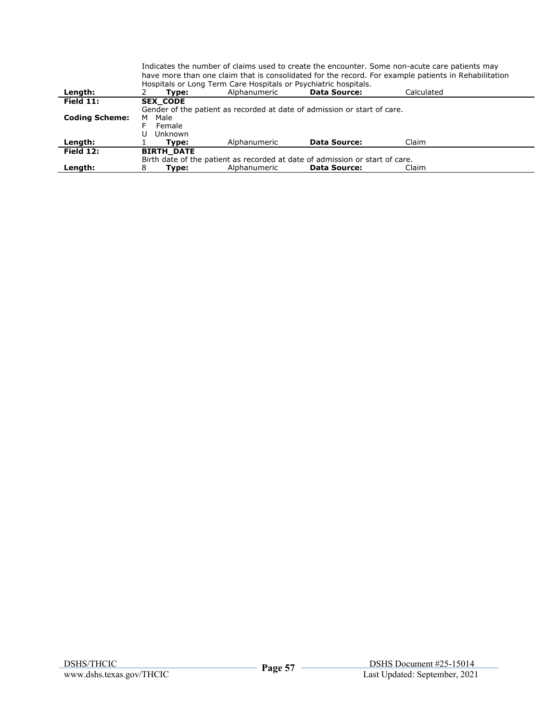|                       | Indicates the number of claims used to create the encounter. Some non-acute care patients may<br>have more than one claim that is consolidated for the record. For example patients in Rehabilitation |                                                                 |                                                                              |            |  |  |  |  |
|-----------------------|-------------------------------------------------------------------------------------------------------------------------------------------------------------------------------------------------------|-----------------------------------------------------------------|------------------------------------------------------------------------------|------------|--|--|--|--|
|                       |                                                                                                                                                                                                       | Hospitals or Long Term Care Hospitals or Psychiatric hospitals. |                                                                              |            |  |  |  |  |
| Length:               | Tvpe:                                                                                                                                                                                                 | Alphanumeric                                                    | <b>Data Source:</b>                                                          | Calculated |  |  |  |  |
| Field $11$ :          | <b>SEX CODE</b>                                                                                                                                                                                       |                                                                 |                                                                              |            |  |  |  |  |
|                       |                                                                                                                                                                                                       |                                                                 | Gender of the patient as recorded at date of admission or start of care.     |            |  |  |  |  |
| <b>Coding Scheme:</b> | Male<br>м                                                                                                                                                                                             |                                                                 |                                                                              |            |  |  |  |  |
|                       | Female                                                                                                                                                                                                |                                                                 |                                                                              |            |  |  |  |  |
|                       | Unknown                                                                                                                                                                                               |                                                                 |                                                                              |            |  |  |  |  |
| Length:               | Type:                                                                                                                                                                                                 | Alphanumeric                                                    | <b>Data Source:</b>                                                          | Claim      |  |  |  |  |
| Field $12:$           | <b>BIRTH DATE</b>                                                                                                                                                                                     |                                                                 |                                                                              |            |  |  |  |  |
|                       |                                                                                                                                                                                                       |                                                                 | Birth date of the patient as recorded at date of admission or start of care. |            |  |  |  |  |
| Length:               | 8<br>Type:                                                                                                                                                                                            | Alphanumeric                                                    | <b>Data Source:</b>                                                          | Claim      |  |  |  |  |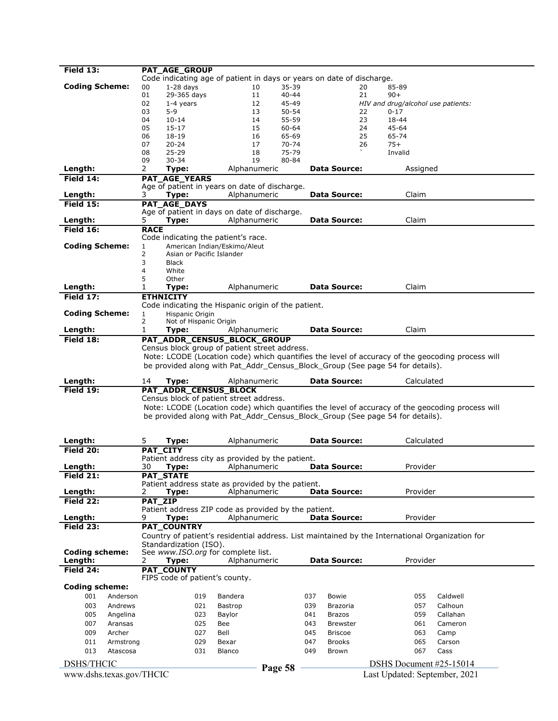| Field 13:                | <b>PAT_AGE_GROUP</b>                                                             |                                                                               |                        |                                                                                                  |  |
|--------------------------|----------------------------------------------------------------------------------|-------------------------------------------------------------------------------|------------------------|--------------------------------------------------------------------------------------------------|--|
|                          |                                                                                  | Code indicating age of patient in days or years on date of discharge.         |                        |                                                                                                  |  |
| <b>Coding Scheme:</b>    | $1-28$ days<br>00<br>01                                                          | 10<br>$35 - 39$<br>11<br>$40 - 44$                                            | 20<br>21               | 85-89<br>$90+$                                                                                   |  |
|                          | 29-365 days<br>02<br>$1-4$ years                                                 | 12<br>45-49                                                                   |                        | HIV and drug/alcohol use patients:                                                               |  |
|                          | 03<br>$5 - 9$                                                                    | 13<br>$50 - 54$                                                               | 22                     | $0 - 17$                                                                                         |  |
|                          | 04<br>$10 - 14$                                                                  | 14<br>55-59                                                                   | 23                     | 18-44                                                                                            |  |
|                          | 05<br>$15 - 17$                                                                  | 15<br>60-64                                                                   | 24                     | 45-64                                                                                            |  |
|                          | $18 - 19$<br>06                                                                  | 16<br>65-69                                                                   | 25                     | 65-74                                                                                            |  |
|                          | 07<br>$20 - 24$                                                                  | 17<br>$70 - 74$                                                               | 26                     | $75+$                                                                                            |  |
|                          | $25 - 29$<br>08                                                                  | 18<br>75-79                                                                   |                        | Invalid                                                                                          |  |
| Length:                  | 09<br>$30 - 34$<br>2<br>Type:                                                    | 19<br>80-84<br>Alphanumeric                                                   | <b>Data Source:</b>    | Assigned                                                                                         |  |
| Field $14$ :             | <b>PAT AGE YEARS</b>                                                             |                                                                               |                        |                                                                                                  |  |
|                          |                                                                                  | Age of patient in years on date of discharge.                                 |                        |                                                                                                  |  |
| Length:                  | Type:<br>3                                                                       | Alphanumeric                                                                  | <b>Data Source:</b>    | Claim                                                                                            |  |
| <b>Field 15:</b>         | PAT_AGE_DAYS                                                                     |                                                                               |                        |                                                                                                  |  |
|                          |                                                                                  | Age of patient in days on date of discharge.                                  |                        |                                                                                                  |  |
| Length:                  | 5<br>Type:                                                                       | Alphanumeric                                                                  | <b>Data Source:</b>    | Claim                                                                                            |  |
| Field 16:                | <b>RACE</b>                                                                      |                                                                               |                        |                                                                                                  |  |
|                          | Code indicating the patient's race.                                              |                                                                               |                        |                                                                                                  |  |
| <b>Coding Scheme:</b>    | American Indian/Eskimo/Aleut<br>1<br>$\overline{2}$<br>Asian or Pacific Islander |                                                                               |                        |                                                                                                  |  |
|                          | 3<br><b>Black</b>                                                                |                                                                               |                        |                                                                                                  |  |
|                          | 4<br>White                                                                       |                                                                               |                        |                                                                                                  |  |
|                          | 5<br>Other                                                                       |                                                                               |                        |                                                                                                  |  |
| Length:                  | 1<br>Type:                                                                       | Alphanumeric                                                                  | <b>Data Source:</b>    | Claim                                                                                            |  |
| Field 17:                | <b>ETHNICITY</b>                                                                 |                                                                               |                        |                                                                                                  |  |
|                          |                                                                                  | Code indicating the Hispanic origin of the patient.                           |                        |                                                                                                  |  |
| <b>Coding Scheme:</b>    | $\mathbf{1}$<br>Hispanic Origin<br>2                                             |                                                                               |                        |                                                                                                  |  |
| Length:                  | Not of Hispanic Origin<br>1<br>Type:                                             | Alphanumeric                                                                  | <b>Data Source:</b>    | Claim                                                                                            |  |
| Field 18:                | PAT_ADDR_CENSUS_BLOCK_GROUP                                                      |                                                                               |                        |                                                                                                  |  |
|                          |                                                                                  | Census block group of patient street address.                                 |                        |                                                                                                  |  |
|                          |                                                                                  |                                                                               |                        | Note: LCODE (Location code) which quantifies the level of accuracy of the geocoding process will |  |
|                          |                                                                                  | be provided along with Pat_Addr_Census_Block_Group (See page 54 for details). |                        |                                                                                                  |  |
|                          |                                                                                  |                                                                               |                        |                                                                                                  |  |
|                          |                                                                                  |                                                                               |                        |                                                                                                  |  |
| Length:                  | 14<br>Type:                                                                      | Alphanumeric                                                                  | <b>Data Source:</b>    | Calculated                                                                                       |  |
| Field 19:                | PAT_ADDR_CENSUS_BLOCK                                                            |                                                                               |                        |                                                                                                  |  |
|                          | Census block of patient street address.                                          |                                                                               |                        |                                                                                                  |  |
|                          |                                                                                  |                                                                               |                        | Note: LCODE (Location code) which quantifies the level of accuracy of the geocoding process will |  |
|                          |                                                                                  | be provided along with Pat_Addr_Census_Block_Group (See page 54 for details). |                        |                                                                                                  |  |
|                          |                                                                                  |                                                                               |                        |                                                                                                  |  |
| Length:                  | 5<br>Type:                                                                       | Alphanumeric                                                                  | <b>Data Source:</b>    | Calculated                                                                                       |  |
| Field 20:                | PAT_CITY                                                                         |                                                                               |                        |                                                                                                  |  |
|                          |                                                                                  | Patient address city as provided by the patient.                              |                        |                                                                                                  |  |
| Length:                  | 30<br>Type:                                                                      | Alphanumeric                                                                  | <b>Data Source:</b>    | Provider                                                                                         |  |
| Field 21:                | PAT_STATE                                                                        |                                                                               |                        |                                                                                                  |  |
|                          |                                                                                  | Patient address state as provided by the patient.                             | <b>Data Source:</b>    |                                                                                                  |  |
| Length:<br>Field 22:     | 2<br>Type:                                                                       | Alphanumeric                                                                  |                        | Provider                                                                                         |  |
|                          | PAT_ZIP                                                                          | Patient address ZIP code as provided by the patient.                          |                        |                                                                                                  |  |
| Length:                  | 9<br>Type:                                                                       | Alphanumeric                                                                  | Data Source:           | Provider                                                                                         |  |
| Field 23:                | PAT COUNTRY                                                                      |                                                                               |                        |                                                                                                  |  |
|                          |                                                                                  |                                                                               |                        | Country of patient's residential address. List maintained by the International Organization for  |  |
|                          | Standardization (ISO).                                                           |                                                                               |                        |                                                                                                  |  |
| <b>Coding scheme:</b>    | See www.ISO.org for complete list.                                               |                                                                               |                        |                                                                                                  |  |
| Length:                  | 2<br>Type:                                                                       | Alphanumeric                                                                  | <b>Data Source:</b>    | Provider                                                                                         |  |
| Field 24:                | <b>PAT_COUNTY</b>                                                                |                                                                               |                        |                                                                                                  |  |
| <b>Coding scheme:</b>    | FIPS code of patient's county.                                                   |                                                                               |                        |                                                                                                  |  |
| 001<br>Anderson          | 019                                                                              | Bandera                                                                       | 037<br><b>Bowie</b>    | Caldwell<br>055                                                                                  |  |
| 003<br>Andrews           | 021                                                                              | Bastrop                                                                       | 039<br><b>Brazoria</b> | 057<br>Calhoun                                                                                   |  |
| 005<br>Angelina          | 023                                                                              | Baylor                                                                        | 041<br><b>Brazos</b>   | 059<br>Callahan                                                                                  |  |
| 007<br>Aransas           | 025                                                                              | Bee                                                                           | 043<br><b>Brewster</b> | Cameron<br>061                                                                                   |  |
| 009<br>Archer            | 027                                                                              | Bell                                                                          | 045<br><b>Briscoe</b>  | 063<br>Camp                                                                                      |  |
| 011<br>Armstrong         | 029                                                                              | Bexar                                                                         | 047<br><b>Brooks</b>   | 065<br>Carson                                                                                    |  |
| 013<br>Atascosa          | 031                                                                              | Blanco                                                                        | 049<br>Brown           | 067<br>Cass                                                                                      |  |
| <b>DSHS/THCIC</b>        |                                                                                  |                                                                               |                        | DSHS Document #25-15014                                                                          |  |
| www.dshs.texas.gov/THCIC |                                                                                  | Page 58                                                                       |                        | Last Updated: September, 2021                                                                    |  |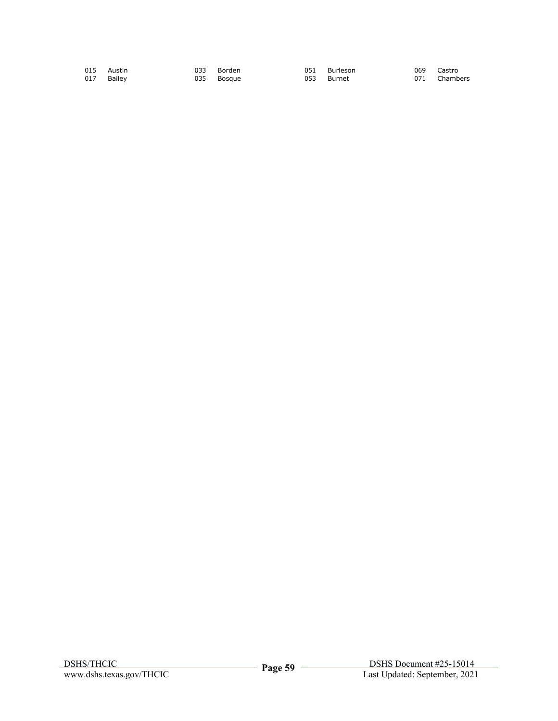|  | 015 Austin<br>017 Bailey |  | 033 Borden<br>035 Bosque |  | 051 Burleson<br>053 Burnet |  | 069 Castro<br>071 Chambers |
|--|--------------------------|--|--------------------------|--|----------------------------|--|----------------------------|
|--|--------------------------|--|--------------------------|--|----------------------------|--|----------------------------|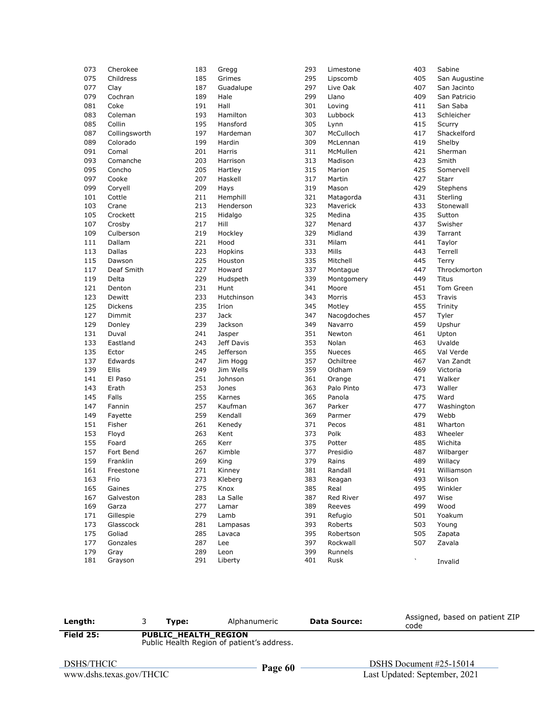| 073 | Cherokee      | 183        | Gregg      | 293        | Limestone              | 403                    | Sabine        |
|-----|---------------|------------|------------|------------|------------------------|------------------------|---------------|
| 075 | Childress     | 185        | Grimes     | 295        | Lipscomb               | 405                    | San Augustine |
| 077 | Clay          | 187        | Guadalupe  | 297        | Live Oak               | 407                    | San Jacinto   |
| 079 | Cochran       | 189        | Hale       | 299        | Llano                  | 409                    | San Patricio  |
| 081 | Coke          | 191        | Hall       | 301        | Loving                 | 411                    | San Saba      |
| 083 | Coleman       | 193        | Hamilton   | 303        | Lubbock                | 413                    | Schleicher    |
| 085 | Collin        | 195        | Hansford   | 305        | Lynn                   | 415                    | Scurry        |
| 087 | Collingsworth | 197        | Hardeman   | 307        | McCulloch              | 417                    | Shackelford   |
| 089 | Colorado      | 199        | Hardin     | 309        | McLennan               | 419                    | Shelby        |
| 091 | Comal         | 201        | Harris     | 311        | McMullen               | 421                    | Sherman       |
| 093 | Comanche      | 203        | Harrison   | 313        | Madison                | 423                    | Smith         |
| 095 | Concho        | 205        | Hartley    | 315        | Marion                 | 425                    | Somervell     |
| 097 | Cooke         | 207        | Haskell    | 317        | Martin                 | 427                    | <b>Starr</b>  |
| 099 | Coryell       | 209        | Hays       | 319        | Mason                  | 429                    | Stephens      |
| 101 | Cottle        | 211        | Hemphill   | 321        | Matagorda              | 431                    | Sterling      |
| 103 | Crane         | 213        | Henderson  | 323        | Maverick               | 433                    | Stonewall     |
| 105 | Crockett      | 215        | Hidalgo    | 325        | Medina                 | 435                    | Sutton        |
| 107 | Crosby        | 217        | Hill       | 327        | Menard                 | 437                    | Swisher       |
| 109 | Culberson     | 219        | Hockley    | 329        | Midland                | 439                    | Tarrant       |
| 111 | Dallam        | 221        | Hood       | 331        | Milam                  | 441                    | Taylor        |
| 113 | Dallas        | 223        | Hopkins    | 333        | Mills                  | 443                    | Terrell       |
| 115 | Dawson        | 225        | Houston    | 335        | Mitchell               | 445                    | Terry         |
| 117 | Deaf Smith    | 227        | Howard     | 337        | Montague               | 447                    | Throckmorton  |
| 119 | Delta         | 229        | Hudspeth   | 339        | Montgomery             | 449                    | Titus         |
| 121 | Denton        | 231        | Hunt       | 341        | Moore                  | 451                    | Tom Green     |
| 123 | Dewitt        | 233        | Hutchinson | 343        | Morris                 | 453                    | Travis        |
| 125 | Dickens       | 235        | Irion      | 345        | Motley                 | 455                    | Trinity       |
| 127 |               | 237        |            | 347        |                        | 457                    |               |
|     | Dimmit        |            | Jack       |            | Nacogdoches<br>Navarro |                        | Tyler         |
| 129 | Donley        | 239<br>241 | Jackson    | 349<br>351 |                        | 459                    | Upshur        |
| 131 | Duval         |            | Jasper     |            | Newton                 | 461                    | Upton         |
| 133 | Eastland      | 243        | Jeff Davis | 353        | Nolan                  | 463                    | Uvalde        |
| 135 | Ector         | 245        | Jefferson  | 355        | <b>Nueces</b>          | 465                    | Val Verde     |
| 137 | Edwards       | 247        | Jim Hogg   | 357        | Ochiltree              | 467                    | Van Zandt     |
| 139 | Ellis         | 249        | Jim Wells  | 359        | Oldham                 | 469                    | Victoria      |
| 141 | El Paso       | 251        | Johnson    | 361        | Orange                 | 471                    | Walker        |
| 143 | Erath         | 253        | Jones      | 363        | Palo Pinto             | 473                    | Waller        |
| 145 | Falls         | 255        | Karnes     | 365        | Panola                 | 475                    | Ward          |
| 147 | Fannin        | 257        | Kaufman    | 367        | Parker                 | 477                    | Washington    |
| 149 | Fayette       | 259        | Kendall    | 369        | Parmer                 | 479                    | Webb          |
| 151 | Fisher        | 261        | Kenedy     | 371        | Pecos                  | 481                    | Wharton       |
| 153 | Floyd         | 263        | Kent       | 373        | Polk                   | 483                    | Wheeler       |
| 155 | Foard         | 265        | Kerr       | 375        | Potter                 | 485                    | Wichita       |
| 157 | Fort Bend     | 267        | Kimble     | 377        | Presidio               | 487                    | Wilbarger     |
| 159 | Franklin      | 269        | King       | 379        | Rains                  | 489                    | Willacy       |
| 161 | Freestone     | 271        | Kinney     | 381        | Randall                | 491                    | Williamson    |
| 163 | Frio          | 273        | Kleberg    | 383        | Reagan                 | 493                    | Wilson        |
| 165 | Gaines        | 275        | Knox       | 385        | Real                   | 495                    | Winkler       |
| 167 | Galveston     | 283        | La Salle   | 387        | Red River              | 497                    | Wise          |
| 169 | Garza         | 277        | Lamar      | 389        | Reeves                 | 499                    | Wood          |
| 171 | Gillespie     | 279        | Lamb       | 391        | Refugio                | 501                    | Yoakum        |
| 173 | Glasscock     | 281        | Lampasas   | 393        | Roberts                | 503                    | Young         |
| 175 | Goliad        | 285        | Lavaca     | 395        | Robertson              | 505                    | Zapata        |
| 177 | Gonzales      | 287        | Lee        | 397        | Rockwall               | 507                    | Zavala        |
| 179 | Gray          | 289        | Leon       | 399        | Runnels                |                        |               |
| 181 | Grayson       | 291        | Liberty    | 401        | Rusk                   | $\boldsymbol{\lambda}$ | Invalid       |

| Length:                                | Type:                | Alphanumeric                               | <b>Data Source:</b> | Assigned, based on patient ZIP<br>code                     |
|----------------------------------------|----------------------|--------------------------------------------|---------------------|------------------------------------------------------------|
| Field 25:                              | PUBLIC HEALTH REGION | Public Health Region of patient's address. |                     |                                                            |
| DSHS/THCIC<br>www.dshs.texas.gov/THCIC |                      | Page 60                                    |                     | DSHS Document $#25-15014$<br>Last Updated: September, 2021 |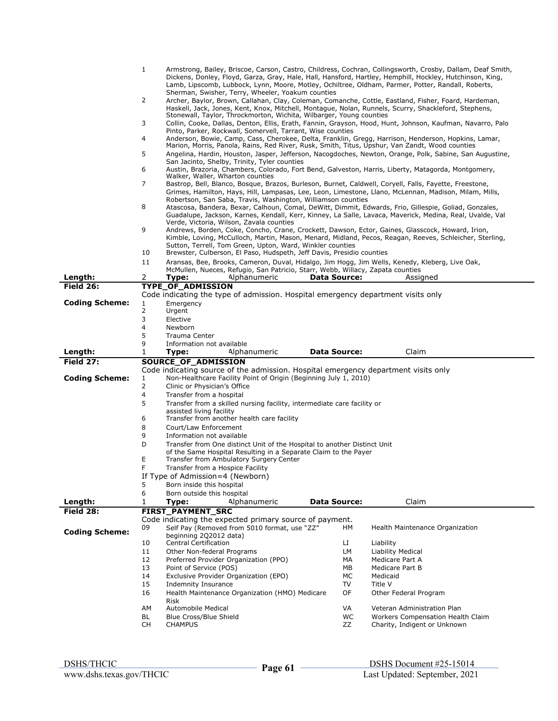|                       | $\mathbf{1}$        | Armstrong, Bailey, Briscoe, Carson, Castro, Childress, Cochran, Collingsworth, Crosby, Dallam, Deaf Smith,<br>Dickens, Donley, Floyd, Garza, Gray, Hale, Hall, Hansford, Hartley, Hemphill, Hockley, Hutchinson, King,                                                              |                     |                                                                   |  |  |  |  |
|-----------------------|---------------------|-------------------------------------------------------------------------------------------------------------------------------------------------------------------------------------------------------------------------------------------------------------------------------------|---------------------|-------------------------------------------------------------------|--|--|--|--|
|                       |                     | Lamb, Lipscomb, Lubbock, Lynn, Moore, Motley, Ochiltree, Oldham, Parmer, Potter, Randall, Roberts,                                                                                                                                                                                  |                     |                                                                   |  |  |  |  |
|                       |                     | Sherman, Swisher, Terry, Wheeler, Yoakum counties                                                                                                                                                                                                                                   |                     |                                                                   |  |  |  |  |
|                       | 2                   | Archer, Baylor, Brown, Callahan, Clay, Coleman, Comanche, Cottle, Eastland, Fisher, Foard, Hardeman,<br>Haskell, Jack, Jones, Kent, Knox, Mitchell, Montague, Nolan, Runnels, Scurry, Shackleford, Stephens,<br>Stonewall, Taylor, Throckmorton, Wichita, Wilbarger, Young counties |                     |                                                                   |  |  |  |  |
|                       | 3                   | Collin, Cooke, Dallas, Denton, Ellis, Erath, Fannin, Grayson, Hood, Hunt, Johnson, Kaufman, Navarro, Palo<br>Pinto, Parker, Rockwall, Somervell, Tarrant, Wise counties                                                                                                             |                     |                                                                   |  |  |  |  |
|                       | 4                   | Anderson, Bowie, Camp, Cass, Cherokee, Delta, Franklin, Gregg, Harrison, Henderson, Hopkins, Lamar,<br>Marion, Morris, Panola, Rains, Red River, Rusk, Smith, Titus, Upshur, Van Zandt, Wood counties                                                                               |                     |                                                                   |  |  |  |  |
|                       | 5                   | Angelina, Hardin, Houston, Jasper, Jefferson, Nacogdoches, Newton, Orange, Polk, Sabine, San Augustine,<br>San Jacinto, Shelby, Trinity, Tyler counties                                                                                                                             |                     |                                                                   |  |  |  |  |
|                       | 6                   | Austin, Brazoria, Chambers, Colorado, Fort Bend, Galveston, Harris, Liberty, Matagorda, Montgomery,                                                                                                                                                                                 |                     |                                                                   |  |  |  |  |
|                       | $\overline{7}$      | Walker, Waller, Wharton counties<br>Bastrop, Bell, Blanco, Bosque, Brazos, Burleson, Burnet, Caldwell, Coryell, Falls, Fayette, Freestone,<br>Grimes, Hamilton, Hays, Hill, Lampasas, Lee, Leon, Limestone, Llano, McLennan, Madison, Milam, Mills,                                 |                     |                                                                   |  |  |  |  |
|                       |                     | Robertson, San Saba, Travis, Washington, Williamson counties                                                                                                                                                                                                                        |                     |                                                                   |  |  |  |  |
|                       | 8                   | Atascosa, Bandera, Bexar, Calhoun, Comal, DeWitt, Dimmit, Edwards, Frio, Gillespie, Goliad, Gonzales,<br>Guadalupe, Jackson, Karnes, Kendall, Kerr, Kinney, La Salle, Lavaca, Maverick, Medina, Real, Uvalde, Val                                                                   |                     |                                                                   |  |  |  |  |
|                       |                     | Verde, Victoria, Wilson, Zavala counties                                                                                                                                                                                                                                            |                     |                                                                   |  |  |  |  |
|                       | 9                   | Andrews, Borden, Coke, Concho, Crane, Crockett, Dawson, Ector, Gaines, Glasscock, Howard, Irion,<br>Kimble, Loving, McCulloch, Martin, Mason, Menard, Midland, Pecos, Reagan, Reeves, Schleicher, Sterling,                                                                         |                     |                                                                   |  |  |  |  |
|                       |                     | Sutton, Terrell, Tom Green, Upton, Ward, Winkler counties                                                                                                                                                                                                                           |                     |                                                                   |  |  |  |  |
|                       | 10<br>11            | Brewster, Culberson, El Paso, Hudspeth, Jeff Davis, Presidio counties<br>Aransas, Bee, Brooks, Cameron, Duval, Hidalgo, Jim Hogg, Jim Wells, Kenedy, Kleberg, Live Oak,                                                                                                             |                     |                                                                   |  |  |  |  |
|                       |                     | McMullen, Nueces, Refugio, San Patricio, Starr, Webb, Willacy, Zapata counties                                                                                                                                                                                                      |                     |                                                                   |  |  |  |  |
| Length:               | 2                   | Type:<br>Alphanumeric                                                                                                                                                                                                                                                               | <b>Data Source:</b> | Assigned                                                          |  |  |  |  |
| Field 26:             |                     | <b>TYPE OF ADMISSION</b><br>Code indicating the type of admission. Hospital emergency department visits only                                                                                                                                                                        |                     |                                                                   |  |  |  |  |
| <b>Coding Scheme:</b> | 1                   | Emergency                                                                                                                                                                                                                                                                           |                     |                                                                   |  |  |  |  |
|                       | 2                   | Urgent                                                                                                                                                                                                                                                                              |                     |                                                                   |  |  |  |  |
|                       | 3<br>$\overline{4}$ | Elective<br>Newborn                                                                                                                                                                                                                                                                 |                     |                                                                   |  |  |  |  |
|                       | 5                   | Trauma Center                                                                                                                                                                                                                                                                       |                     |                                                                   |  |  |  |  |
|                       | 9<br>1              | Information not available                                                                                                                                                                                                                                                           |                     |                                                                   |  |  |  |  |
|                       |                     |                                                                                                                                                                                                                                                                                     |                     |                                                                   |  |  |  |  |
| Length:               |                     | Type:<br>Alphanumeric                                                                                                                                                                                                                                                               | <b>Data Source:</b> | Claim                                                             |  |  |  |  |
| Field 27:             |                     | SOURCE_OF_ADMISSION<br>Code indicating source of the admission. Hospital emergency department visits only                                                                                                                                                                           |                     |                                                                   |  |  |  |  |
| <b>Coding Scheme:</b> | 1                   | Non-Healthcare Facility Point of Origin (Beginning July 1, 2010)                                                                                                                                                                                                                    |                     |                                                                   |  |  |  |  |
|                       | $\overline{2}$      | Clinic or Physician's Office                                                                                                                                                                                                                                                        |                     |                                                                   |  |  |  |  |
|                       | 4<br>5              | Transfer from a hospital<br>Transfer from a skilled nursing facility, intermediate care facility or                                                                                                                                                                                 |                     |                                                                   |  |  |  |  |
|                       |                     | assisted living facility                                                                                                                                                                                                                                                            |                     |                                                                   |  |  |  |  |
|                       | 6                   | Transfer from another health care facility                                                                                                                                                                                                                                          |                     |                                                                   |  |  |  |  |
|                       | 8<br>9              | Court/Law Enforcement<br>Information not available                                                                                                                                                                                                                                  |                     |                                                                   |  |  |  |  |
|                       | D                   | Transfer from One distinct Unit of the Hospital to another Distinct Unit                                                                                                                                                                                                            |                     |                                                                   |  |  |  |  |
|                       |                     | of the Same Hospital Resulting in a Separate Claim to the Payer                                                                                                                                                                                                                     |                     |                                                                   |  |  |  |  |
|                       | Ε<br>F              | Transfer from Ambulatory Surgery Center<br>Transfer from a Hospice Facility                                                                                                                                                                                                         |                     |                                                                   |  |  |  |  |
|                       |                     | If Type of Admission=4 (Newborn)                                                                                                                                                                                                                                                    |                     |                                                                   |  |  |  |  |
|                       | 5                   | Born inside this hospital                                                                                                                                                                                                                                                           |                     |                                                                   |  |  |  |  |
|                       | 6                   | Born outside this hospital                                                                                                                                                                                                                                                          |                     |                                                                   |  |  |  |  |
| Length:<br>Field 28:  | 1                   | Alphanumeric<br>Type:<br>FIRST_PAYMENT_SRC                                                                                                                                                                                                                                          | <b>Data Source:</b> | Claim                                                             |  |  |  |  |
|                       |                     | Code indicating the expected primary source of payment.                                                                                                                                                                                                                             |                     |                                                                   |  |  |  |  |
| <b>Coding Scheme:</b> | 09                  | Self Pay (Removed from 5010 format, use "ZZ"                                                                                                                                                                                                                                        | HМ                  | Health Maintenance Organization                                   |  |  |  |  |
|                       | 10                  | beginning 2Q2012 data)<br><b>Central Certification</b>                                                                                                                                                                                                                              | LI                  | Liability                                                         |  |  |  |  |
|                       | 11                  | Other Non-federal Programs                                                                                                                                                                                                                                                          | LМ                  | Liability Medical                                                 |  |  |  |  |
|                       | 12                  | Preferred Provider Organization (PPO)                                                                                                                                                                                                                                               | МA                  | Medicare Part A                                                   |  |  |  |  |
|                       | 13<br>14            | Point of Service (POS)<br>Exclusive Provider Organization (EPO)                                                                                                                                                                                                                     | МB<br>МC            | Medicare Part B<br>Medicaid                                       |  |  |  |  |
|                       | 15                  | Indemnity Insurance                                                                                                                                                                                                                                                                 | TV                  | Title V                                                           |  |  |  |  |
|                       | 16                  | Health Maintenance Organization (HMO) Medicare                                                                                                                                                                                                                                      | OF                  | Other Federal Program                                             |  |  |  |  |
|                       | AM                  | Risk<br>Automobile Medical                                                                                                                                                                                                                                                          | VA                  | Veteran Administration Plan                                       |  |  |  |  |
|                       | BL<br>CH            | Blue Cross/Blue Shield<br><b>CHAMPUS</b>                                                                                                                                                                                                                                            | WC<br>ZZ            | Workers Compensation Health Claim<br>Charity, Indigent or Unknown |  |  |  |  |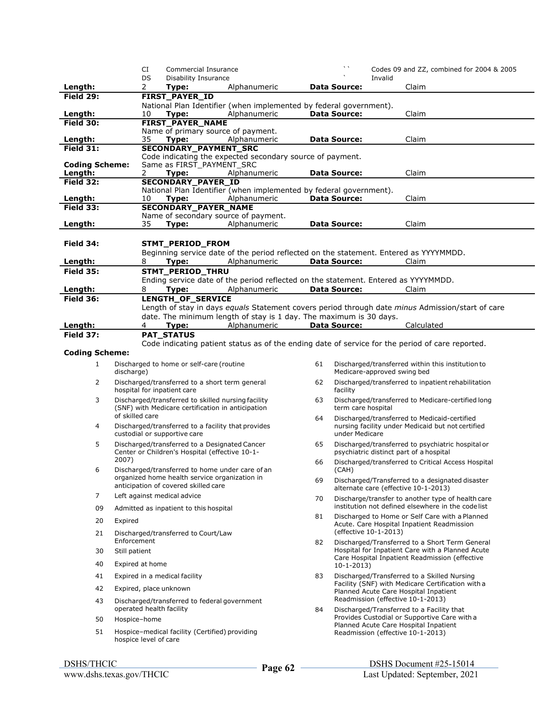|                             |                          | CI      | Commercial Insurance                                                                                    |                                                                                                  |    | $\mathbf{v}$        |                             | Codes 09 and ZZ, combined for 2004 & 2005                                                         |  |
|-----------------------------|--------------------------|---------|---------------------------------------------------------------------------------------------------------|--------------------------------------------------------------------------------------------------|----|---------------------|-----------------------------|---------------------------------------------------------------------------------------------------|--|
| Length:                     |                          | DS<br>2 | Disability Insurance<br>Type:                                                                           | Alphanumeric                                                                                     |    | <b>Data Source:</b> | Invalid                     | Claim                                                                                             |  |
| Field 29:                   |                          |         | <b>FIRST_PAYER_ID</b>                                                                                   |                                                                                                  |    |                     |                             |                                                                                                   |  |
|                             |                          |         |                                                                                                         | National Plan Identifier (when implemented by federal government).                               |    |                     |                             |                                                                                                   |  |
| Length:                     |                          | 10      | Type:                                                                                                   | Alphanumeric                                                                                     |    | <b>Data Source:</b> |                             | Claim                                                                                             |  |
| Field 30:                   |                          |         | <b>FIRST_PAYER_NAME</b><br>Name of primary source of payment.                                           |                                                                                                  |    |                     |                             |                                                                                                   |  |
| Length:                     |                          | 35      | Type:                                                                                                   | Alphanumeric                                                                                     |    | <b>Data Source:</b> |                             | Claim                                                                                             |  |
| Field $31$ :                |                          |         | <b>SECONDARY_PAYMENT_SRC</b>                                                                            |                                                                                                  |    |                     |                             |                                                                                                   |  |
| <b>Coding Scheme:</b>       |                          |         | Same as FIRST PAYMENT SRC                                                                               | Code indicating the expected secondary source of payment.                                        |    |                     |                             |                                                                                                   |  |
| Length:                     | 2                        |         | Type:                                                                                                   | Alphanumeric                                                                                     |    | <b>Data Source:</b> |                             | Claim                                                                                             |  |
| <b>Field 32:</b>            |                          |         | <b>SECONDARY_PAYER_ID</b>                                                                               |                                                                                                  |    |                     |                             |                                                                                                   |  |
|                             |                          | 10      |                                                                                                         | National Plan Identifier (when implemented by federal government).<br>Alphanumeric               |    | <b>Data Source:</b> |                             | Claim                                                                                             |  |
| Length:<br><b>Field 33:</b> |                          |         | Type:<br><b>SECONDARY_PAYER_NAME</b>                                                                    |                                                                                                  |    |                     |                             |                                                                                                   |  |
|                             |                          |         |                                                                                                         | Name of secondary source of payment.                                                             |    |                     |                             |                                                                                                   |  |
| Length:                     |                          | 35      | Type:                                                                                                   | Alphanumeric                                                                                     |    | <b>Data Source:</b> |                             | Claim                                                                                             |  |
|                             |                          |         |                                                                                                         |                                                                                                  |    |                     |                             |                                                                                                   |  |
| Field 34:                   |                          |         | STMT_PERIOD_FROM                                                                                        | Beginning service date of the period reflected on the statement. Entered as YYYYMMDD.            |    |                     |                             |                                                                                                   |  |
| <u>Length:</u>              | 8                        |         | Type:                                                                                                   | Alphanumeric                                                                                     |    | <b>Data Source:</b> |                             | Claim                                                                                             |  |
| <b>Field 35:</b>            |                          |         | STMT_PERIOD_THRU                                                                                        |                                                                                                  |    |                     |                             |                                                                                                   |  |
|                             |                          |         |                                                                                                         | Ending service date of the period reflected on the statement. Entered as YYYYMMDD.               |    |                     |                             |                                                                                                   |  |
| Length:<br><b>Field 36:</b> | 8                        |         | Type:<br>LENGTH_OF_SERVICE                                                                              | Alphanumeric                                                                                     |    | <b>Data Source:</b> |                             | Claim                                                                                             |  |
|                             |                          |         |                                                                                                         | Length of stay in days equals Statement covers period through date minus Admission/start of care |    |                     |                             |                                                                                                   |  |
|                             |                          |         |                                                                                                         | date. The minimum length of stay is 1 day. The maximum is 30 days.                               |    |                     |                             |                                                                                                   |  |
| Length:                     |                          | 4       | Type:                                                                                                   | Alphanumeric                                                                                     |    | <b>Data Source:</b> |                             | Calculated                                                                                        |  |
| Field 37:                   |                          |         | <b>PAT_STATUS</b>                                                                                       |                                                                                                  |    |                     |                             |                                                                                                   |  |
| <b>Coding Scheme:</b>       |                          |         |                                                                                                         | Code indicating patient status as of the ending date of service for the period of care reported. |    |                     |                             |                                                                                                   |  |
| $\mathbf{1}$                |                          |         | Discharged to home or self-care (routine                                                                |                                                                                                  | 61 |                     |                             | Discharged/transferred within this institution to                                                 |  |
|                             | discharge)               |         |                                                                                                         |                                                                                                  |    |                     | Medicare-approved swing bed |                                                                                                   |  |
| 2                           |                          |         | Discharged/transferred to a short term general<br>hospital for inpatient care                           |                                                                                                  | 62 | facility            |                             | Discharged/transferred to inpatient rehabilitation                                                |  |
| 3                           | of skilled care          |         | Discharged/transferred to skilled nursing facility<br>(SNF) with Medicare certification in anticipation |                                                                                                  | 63 | term care hospital  |                             | Discharged/transferred to Medicare-certified long                                                 |  |
| 4                           |                          |         | Discharged/transferred to a facility that provides<br>custodial or supportive care                      |                                                                                                  | 64 | under Medicare      |                             | Discharged/transferred to Medicaid-certified<br>nursing facility under Medicaid but not certified |  |
| 5                           |                          |         | Discharged/transferred to a Designated Cancer<br>Center or Children's Hospital (effective 10-1-         |                                                                                                  | 65 |                     |                             | Discharged/transferred to psychiatric hospital or<br>psychiatric distinct part of a hospital      |  |
| 6                           | 2007)                    |         | Discharged/transferred to home under care of an                                                         |                                                                                                  | 66 | (CAH)               |                             | Discharged/transferred to Critical Access Hospital                                                |  |
|                             |                          |         | organized home health service organization in<br>anticipation of covered skilled care                   |                                                                                                  | 69 |                     |                             | Discharged/Transferred to a designated disaster<br>alternate care (effective 10-1-2013)           |  |
| 7                           |                          |         | Left against medical advice                                                                             |                                                                                                  | 70 |                     |                             | Discharge/transfer to another type of health care                                                 |  |
| 09                          |                          |         | Admitted as inpatient to this hospital                                                                  |                                                                                                  |    |                     |                             | institution not defined elsewhere in the code list                                                |  |
| 20                          | Expired                  |         |                                                                                                         |                                                                                                  | 81 |                     |                             | Discharged to Home or Self Care with a Planned<br>Acute. Care Hospital Inpatient Readmission      |  |
| 21                          | Enforcement              |         | Discharged/transferred to Court/Law                                                                     |                                                                                                  | 82 |                     | (effective 10-1-2013)       | Discharged/Transferred to a Short Term General                                                    |  |
| 30                          | Still patient            |         |                                                                                                         |                                                                                                  |    |                     |                             | Hospital for Inpatient Care with a Planned Acute                                                  |  |
| 40                          | Expired at home          |         |                                                                                                         |                                                                                                  |    | $10-1-2013$         |                             | Care Hospital Inpatient Readmission (effective                                                    |  |
| 41                          |                          |         | Expired in a medical facility                                                                           |                                                                                                  | 83 |                     |                             | Discharged/Transferred to a Skilled Nursing                                                       |  |
| 42                          | Expired, place unknown   |         |                                                                                                         |                                                                                                  |    |                     |                             | Facility (SNF) with Medicare Certification with a<br>Planned Acute Care Hospital Inpatient        |  |
| 43                          | operated health facility |         | Discharged/transferred to federal government                                                            |                                                                                                  | 84 |                     |                             | Readmission (effective 10-1-2013)<br>Discharged/Transferred to a Facility that                    |  |
| 50                          | Hospice-home             |         |                                                                                                         |                                                                                                  |    |                     |                             | Provides Custodial or Supportive Care with a                                                      |  |
| 51                          | hospice level of care    |         | Hospice-medical facility (Certified) providing                                                          |                                                                                                  |    |                     |                             | Planned Acute Care Hospital Inpatient<br>Readmission (effective 10-1-2013)                        |  |
|                             |                          |         |                                                                                                         |                                                                                                  |    |                     |                             |                                                                                                   |  |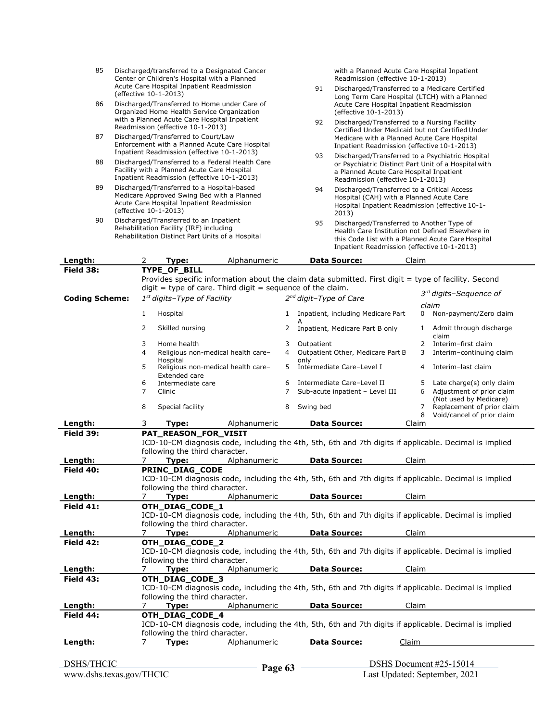| 85                                                                                                                                                                   |                                                                                                                                      |   | Center or Children's Hospital with a Planned<br>Acute Care Hospital Inpatient Readmission<br>(effective 10-1-2013)                                                                                      | Discharged/transferred to a Designated Cancer                                                          |   | 91                                 | with a Planned Acute Care Hospital Inpatient<br>Readmission (effective 10-1-2013)<br>Discharged/Transferred to a Medicare Certified<br>Long Term Care Hospital (LTCH) with a Planned |       |                |                                                                                                                                            |
|----------------------------------------------------------------------------------------------------------------------------------------------------------------------|--------------------------------------------------------------------------------------------------------------------------------------|---|---------------------------------------------------------------------------------------------------------------------------------------------------------------------------------------------------------|--------------------------------------------------------------------------------------------------------|---|------------------------------------|--------------------------------------------------------------------------------------------------------------------------------------------------------------------------------------|-------|----------------|--------------------------------------------------------------------------------------------------------------------------------------------|
| 86                                                                                                                                                                   |                                                                                                                                      |   | Organized Home Health Service Organization                                                                                                                                                              | Discharged/Transferred to Home under Care of                                                           |   |                                    | Acute Care Hospital Inpatient Readmission<br>(effective 10-1-2013)                                                                                                                   |       |                |                                                                                                                                            |
| with a Planned Acute Care Hospital Inpatient<br>Readmission (effective 10-1-2013)                                                                                    |                                                                                                                                      |   |                                                                                                                                                                                                         | Discharged/Transferred to a Nursing Facility<br>92<br>Certified Under Medicaid but not Certified Under |   |                                    |                                                                                                                                                                                      |       |                |                                                                                                                                            |
| 87                                                                                                                                                                   | Discharged/Transferred to Court/Law<br>Enforcement with a Planned Acute Care Hospital<br>Inpatient Readmission (effective 10-1-2013) |   |                                                                                                                                                                                                         |                                                                                                        |   |                                    |                                                                                                                                                                                      |       |                | Medicare with a Planned Acute Care Hospital<br>Inpatient Readmission (effective 10-1-2013)                                                 |
| Discharged/Transferred to a Federal Health Care<br>88<br>Facility with a Planned Acute Care Hospital<br>Inpatient Readmission (effective 10-1-2013)                  |                                                                                                                                      |   |                                                                                                                                                                                                         | 93<br>a Planned Acute Care Hospital Inpatient<br>Readmission (effective 10-1-2013)                     |   |                                    | Discharged/Transferred to a Psychiatric Hospital<br>or Psychiatric Distinct Part Unit of a Hospital with                                                                             |       |                |                                                                                                                                            |
| Discharged/Transferred to a Hospital-based<br>89<br>Medicare Approved Swing Bed with a Planned<br>Acute Care Hospital Inpatient Readmission<br>(effective 10-1-2013) |                                                                                                                                      |   | 94<br>Discharged/Transferred to a Critical Access<br>Hospital (CAH) with a Planned Acute Care<br>Hospital Inpatient Readmission (effective 10-1-<br>2013)                                               |                                                                                                        |   |                                    |                                                                                                                                                                                      |       |                |                                                                                                                                            |
| Discharged/Transferred to an Inpatient<br>90<br>Rehabilitation Facility (IRF) including<br>Rehabilitation Distinct Part Units of a Hospital                          |                                                                                                                                      |   | 95<br>Discharged/Transferred to Another Type of<br>Health Care Institution not Defined Elsewhere in<br>this Code List with a Planned Acute Care Hospital<br>Inpatient Readmission (effective 10-1-2013) |                                                                                                        |   |                                    |                                                                                                                                                                                      |       |                |                                                                                                                                            |
| Length:                                                                                                                                                              |                                                                                                                                      | 2 | Type:                                                                                                                                                                                                   | Alphanumeric                                                                                           |   |                                    | <b>Data Source:</b>                                                                                                                                                                  | Claim |                |                                                                                                                                            |
| Field 38:                                                                                                                                                            |                                                                                                                                      |   | TYPE_OF_BILL                                                                                                                                                                                            | $diqit = type of care. Third digit = sequence of the claim.$                                           |   |                                    |                                                                                                                                                                                      |       |                | Provides specific information about the claim data submitted. First digit = type of facility. Second<br>3 <sup>rd</sup> digits-Sequence of |
| <b>Coding Scheme:</b>                                                                                                                                                |                                                                                                                                      |   | $1st$ digits-Type of Facility                                                                                                                                                                           |                                                                                                        |   | 2 <sup>nd</sup> digit-Type of Care |                                                                                                                                                                                      |       |                | claim                                                                                                                                      |
|                                                                                                                                                                      |                                                                                                                                      | 1 | Hospital                                                                                                                                                                                                |                                                                                                        | 1 |                                    | Inpatient, including Medicare Part                                                                                                                                                   |       | 0              | Non-payment/Zero claim                                                                                                                     |
|                                                                                                                                                                      |                                                                                                                                      | 2 | Skilled nursing                                                                                                                                                                                         |                                                                                                        | 2 |                                    | Inpatient, Medicare Part B only                                                                                                                                                      |       | $\mathbf{1}$   | Admit through discharge<br>claim                                                                                                           |
|                                                                                                                                                                      |                                                                                                                                      | 3 | Home health                                                                                                                                                                                             |                                                                                                        | 3 | Outpatient                         |                                                                                                                                                                                      |       | $\overline{2}$ | Interim-first claim                                                                                                                        |
|                                                                                                                                                                      |                                                                                                                                      | 4 | Hospital                                                                                                                                                                                                | Religious non-medical health care-                                                                     | 4 | only                               | Outpatient Other, Medicare Part B                                                                                                                                                    |       | 3              | Interim-continuing claim                                                                                                                   |
|                                                                                                                                                                      |                                                                                                                                      |   |                                                                                                                                                                                                         | Religious non-medical health care-                                                                     |   |                                    | Intermediate Care-Level I                                                                                                                                                            |       |                | 4 Interim-last claim                                                                                                                       |

|           |                                                          |              | A                                                                                                      |              |                                                          |
|-----------|----------------------------------------------------------|--------------|--------------------------------------------------------------------------------------------------------|--------------|----------------------------------------------------------|
|           | Skilled nursing<br>2                                     | 2            | Inpatient, Medicare Part B only                                                                        | $\mathbf{1}$ | Admit through discharge<br>claim                         |
|           | 3<br>Home health                                         | 3            | Outpatient                                                                                             | 2            | Interim-first claim                                      |
|           | 4<br>Religious non-medical health care-<br>Hospital      | 4            | Outpatient Other, Medicare Part B<br>onlv                                                              | 3            | Interim-continuing claim                                 |
|           | Religious non-medical health care-<br>5<br>Extended care | 5.           | Intermediate Care-Level I                                                                              | 4            | Interim-last claim                                       |
|           | 6<br>Intermediate care                                   | 6            | Intermediate Care-Level II                                                                             | 5.           | Late charge(s) only claim                                |
|           | 7<br>Clinic                                              | 7            | Sub-acute inpatient - Level III                                                                        | 6            | Adjustment of prior claim<br>(Not used by Medicare)      |
|           | Special facility<br>8                                    | 8            | Swing bed                                                                                              | 7<br>8       | Replacement of prior claim<br>Void/cancel of prior claim |
| Length:   | 3<br>Type:                                               | Alphanumeric | <b>Data Source:</b>                                                                                    | Claim        |                                                          |
| Field 39: | PAT REASON FOR VISIT                                     |              |                                                                                                        |              |                                                          |
|           |                                                          |              | ICD-10-CM diagnosis code, including the 4th, 5th, 6th and 7th digits if applicable. Decimal is implied |              |                                                          |
|           | following the third character.                           |              |                                                                                                        |              |                                                          |
| Length:   | Type:                                                    | Alphanumeric | <b>Data Source:</b>                                                                                    | Claim        |                                                          |
| Field 40: | PRINC DIAG CODE                                          |              |                                                                                                        |              |                                                          |
|           |                                                          |              | ICD-10-CM diagnosis code, including the 4th, 5th, 6th and 7th digits if applicable. Decimal is implied |              |                                                          |
|           | following the third character.                           |              |                                                                                                        |              |                                                          |
| Length:   | 7<br>Type:                                               | Alphanumeric | <b>Data Source:</b>                                                                                    | Claim        |                                                          |
| Field 41: | OTH DIAG CODE 1                                          |              |                                                                                                        |              |                                                          |
|           |                                                          |              | ICD-10-CM diagnosis code, including the 4th, 5th, 6th and 7th digits if applicable. Decimal is implied |              |                                                          |
|           | following the third character.                           |              |                                                                                                        |              |                                                          |
| Length:   | Type:                                                    | Alphanumeric | <b>Data Source:</b>                                                                                    | Claim        |                                                          |
| Field 42: | OTH DIAG CODE 2                                          |              |                                                                                                        |              |                                                          |
|           |                                                          |              | ICD-10-CM diagnosis code, including the 4th, 5th, 6th and 7th digits if applicable. Decimal is implied |              |                                                          |
|           | following the third character.                           |              |                                                                                                        |              |                                                          |
| Length:   | Type:                                                    | Alphanumeric | <b>Data Source:</b>                                                                                    | Claim        |                                                          |
| Field 43: | OTH DIAG CODE 3                                          |              |                                                                                                        |              |                                                          |
|           |                                                          |              | ICD-10-CM diagnosis code, including the 4th, 5th, 6th and 7th digits if applicable. Decimal is implied |              |                                                          |
|           | following the third character.                           |              |                                                                                                        |              |                                                          |
| Length:   | Type:<br>7                                               | Alphanumeric | <b>Data Source:</b>                                                                                    | Claim        |                                                          |
| Field 44: | OTH DIAG CODE 4                                          |              |                                                                                                        |              |                                                          |
|           |                                                          |              | ICD-10-CM diagnosis code, including the 4th, 5th, 6th and 7th digits if applicable. Decimal is implied |              |                                                          |
|           | following the third character.                           |              |                                                                                                        |              |                                                          |
| Length:   | 7<br>Type:                                               | Alphanumeric | <b>Data Source:</b>                                                                                    | Claim        |                                                          |

Page 63 **Page 63 Page 63 Page 63 Page 63 Page 1 Page 1 Page 1 Page 1 Page 1 Page 1 Page 1 Page 1 Page 1 Page 1 Page 1 Page 1 Page 1 Page 1 Page 1 Page 1 Page 1 Page 1 Page 1 Pa**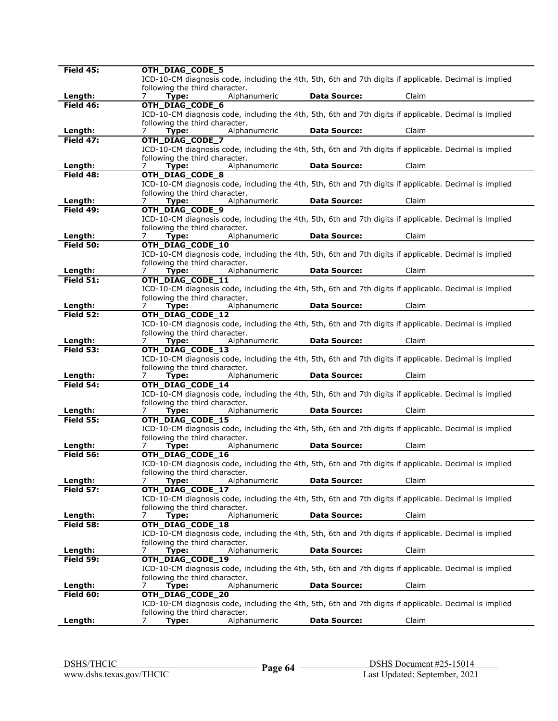| Field 45:        | OTH_DIAG_CODE_5                                                                                        |
|------------------|--------------------------------------------------------------------------------------------------------|
|                  | ICD-10-CM diagnosis code, including the 4th, 5th, 6th and 7th digits if applicable. Decimal is implied |
|                  |                                                                                                        |
|                  | following the third character.                                                                         |
| Length:          | Alphanumeric<br><b>Data Source:</b><br>Claim<br>Type:<br>7                                             |
| Field 46:        | OTH_DIAG_CODE_6                                                                                        |
|                  | ICD-10-CM diagnosis code, including the 4th, 5th, 6th and 7th digits if applicable. Decimal is implied |
|                  |                                                                                                        |
|                  | following the third character.                                                                         |
| Length:          | Type:<br><b>Data Source:</b><br>Claim<br>Alphanumeric<br>7                                             |
| Field 47:        | OTH_DIAG_CODE_7                                                                                        |
|                  |                                                                                                        |
|                  | ICD-10-CM diagnosis code, including the 4th, 5th, 6th and 7th digits if applicable. Decimal is implied |
|                  | following the third character.                                                                         |
| Length:          | Alphanumeric<br><b>Data Source:</b><br>Claim<br>7<br>Type:                                             |
| Field 48:        |                                                                                                        |
|                  | OTH_DIAG_CODE_8                                                                                        |
|                  | ICD-10-CM diagnosis code, including the 4th, 5th, 6th and 7th digits if applicable. Decimal is implied |
|                  | following the third character.                                                                         |
| Length:          | Alphanumeric<br><b>Data Source:</b><br>Claim<br>Type:<br>7                                             |
|                  |                                                                                                        |
| Field 49:        | OTH_DIAG_CODE_9                                                                                        |
|                  | ICD-10-CM diagnosis code, including the 4th, 5th, 6th and 7th digits if applicable. Decimal is implied |
|                  | following the third character.                                                                         |
| Length:          | Alphanumeric<br><b>Data Source:</b><br>Claim<br>7                                                      |
|                  | Type:                                                                                                  |
| Field 50:        | OTH_DIAG_CODE_10                                                                                       |
|                  | ICD-10-CM diagnosis code, including the 4th, 5th, 6th and 7th digits if applicable. Decimal is implied |
|                  | following the third character.                                                                         |
|                  |                                                                                                        |
| Length:          | Alphanumeric<br><b>Data Source:</b><br>Claim<br>7<br>Type:                                             |
| Field 51:        | OTH_DIAG_CODE_11                                                                                       |
|                  | ICD-10-CM diagnosis code, including the 4th, 5th, 6th and 7th digits if applicable. Decimal is implied |
|                  |                                                                                                        |
|                  | following the third character.                                                                         |
| Length:          | <b>Data Source:</b><br>Claim<br>Type:<br>Alphanumeric<br>7                                             |
| <b>Field 52:</b> | OTH_DIAG_CODE_12                                                                                       |
|                  | ICD-10-CM diagnosis code, including the 4th, 5th, 6th and 7th digits if applicable. Decimal is implied |
|                  |                                                                                                        |
|                  | following the third character.                                                                         |
| Length:          | Alphanumeric<br><b>Data Source:</b><br>Claim<br>7<br>Type:                                             |
| Field 53:        | OTH_DIAG_CODE_13                                                                                       |
|                  |                                                                                                        |
|                  | ICD-10-CM diagnosis code, including the 4th, 5th, 6th and 7th digits if applicable. Decimal is implied |
|                  | following the third character.                                                                         |
| Length:          | Alphanumeric<br><b>Data Source:</b><br>Claim<br>Type:<br>$\prime$                                      |
| Field 54:        | OTH_DIAG_CODE_14                                                                                       |
|                  |                                                                                                        |
|                  | ICD-10-CM diagnosis code, including the 4th, 5th, 6th and 7th digits if applicable. Decimal is implied |
|                  | following the third character.                                                                         |
| Length:          | Alphanumeric<br><b>Data Source:</b><br>Claim<br>7<br>Type:                                             |
|                  |                                                                                                        |
| <b>Field 55:</b> | OTH_DIAG_CODE_15                                                                                       |
|                  | ICD-10-CM diagnosis code, including the 4th, 5th, 6th and 7th digits if applicable. Decimal is implied |
|                  | following the third character.                                                                         |
| Length:          | Alphanumeric<br><b>Data Source:</b><br>Claim<br>Type:<br>7                                             |
|                  |                                                                                                        |
| <b>Field 56:</b> | OTH_DIAG_CODE_16                                                                                       |
|                  | ICD-10-CM diagnosis code, including the 4th, 5th, 6th and 7th digits if applicable. Decimal is implied |
|                  | following the third character.                                                                         |
| Length:          | <b>Data Source:</b><br>Claim<br>Type:<br>Alphanumeric<br>7                                             |
|                  |                                                                                                        |
| Field 57:        | OTH_DIAG_CODE_17                                                                                       |
|                  | ICD-10-CM diagnosis code, including the 4th, 5th, 6th and 7th digits if applicable. Decimal is implied |
|                  | following the third character.                                                                         |
|                  |                                                                                                        |
| Length:          | Alphanumeric<br><b>Data Source:</b><br>Claim<br>7<br>Type:                                             |
| Field 58:        | OTH_DIAG_CODE_18                                                                                       |
|                  | ICD-10-CM diagnosis code, including the 4th, 5th, 6th and 7th digits if applicable. Decimal is implied |
|                  |                                                                                                        |
|                  | following the third character.                                                                         |
| Length:          | Alphanumeric<br><b>Data Source:</b><br>Claim<br>Type:<br>7                                             |
| Field 59:        | OTH_DIAG_CODE_19                                                                                       |
|                  |                                                                                                        |
|                  | ICD-10-CM diagnosis code, including the 4th, 5th, 6th and 7th digits if applicable. Decimal is implied |
|                  | following the third character.                                                                         |
| Length:          | Alphanumeric<br><b>Data Source:</b><br>Claim<br>Type:                                                  |
| Field 60:        | OTH_DIAG_CODE_20                                                                                       |
|                  |                                                                                                        |
|                  | ICD-10-CM diagnosis code, including the 4th, 5th, 6th and 7th digits if applicable. Decimal is implied |
|                  | following the third character.                                                                         |
| Length:          | Alphanumeric<br><b>Data Source:</b><br>Type:<br>Claim<br>7                                             |
|                  |                                                                                                        |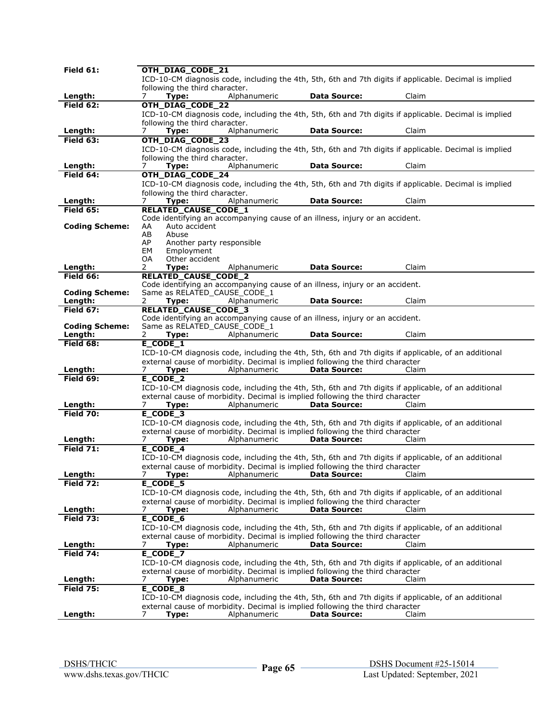|                       | OTH_DIAG_CODE_21                                                                                            |                     |       |
|-----------------------|-------------------------------------------------------------------------------------------------------------|---------------------|-------|
|                       | ICD-10-CM diagnosis code, including the 4th, 5th, 6th and 7th digits if applicable. Decimal is implied      |                     |       |
|                       | following the third character.                                                                              |                     |       |
| Length:               | Alphanumeric<br>Type:<br>7                                                                                  | <b>Data Source:</b> | Claim |
| Field $62:$           | OTH_DIAG_CODE_22                                                                                            |                     |       |
|                       | ICD-10-CM diagnosis code, including the 4th, 5th, 6th and 7th digits if applicable. Decimal is implied      |                     |       |
|                       | following the third character.                                                                              |                     |       |
| Length:               | Alphanumeric<br>Type:<br>7                                                                                  | <b>Data Source:</b> | Claim |
| Field 63:             | OTH_DIAG_CODE_23                                                                                            |                     |       |
|                       | ICD-10-CM diagnosis code, including the 4th, 5th, 6th and 7th digits if applicable. Decimal is implied      |                     |       |
|                       | following the third character.                                                                              |                     |       |
| Length:               | Alphanumeric<br>7<br>Type:                                                                                  | <b>Data Source:</b> | Claim |
| Field 64:             | OTH_DIAG_CODE_24                                                                                            |                     |       |
|                       | ICD-10-CM diagnosis code, including the 4th, 5th, 6th and 7th digits if applicable. Decimal is implied      |                     |       |
|                       | following the third character.                                                                              |                     |       |
| Length:               | Type:<br>Alphanumeric                                                                                       | <b>Data Source:</b> | Claim |
| Field 65:             | RELATED_CAUSE_CODE_1                                                                                        |                     |       |
|                       | Code identifying an accompanying cause of an illness, injury or an accident.                                |                     |       |
| <b>Coding Scheme:</b> | Auto accident<br>AA                                                                                         |                     |       |
|                       | AB<br>Abuse<br>AP                                                                                           |                     |       |
|                       | Another party responsible<br>EM<br>Employment                                                               |                     |       |
|                       | 0A<br>Other accident                                                                                        |                     |       |
| Length:               | 2<br>Type:<br>Alphanumeric                                                                                  | <b>Data Source:</b> | Claim |
| Field 66:             | <b>RELATED CAUSE CODE 2</b>                                                                                 |                     |       |
|                       | Code identifying an accompanying cause of an illness, injury or an accident.                                |                     |       |
| <b>Coding Scheme:</b> | Same as RELATED_CAUSE_CODE_1                                                                                |                     |       |
| Length:               | 2<br>Type:<br>Alphanumeric                                                                                  | <b>Data Source:</b> | Claim |
| <b>Field 67:</b>      | <b>RELATED CAUSE CODE 3</b>                                                                                 |                     |       |
|                       | Code identifying an accompanying cause of an illness, injury or an accident.                                |                     |       |
| <b>Coding Scheme:</b> | Same as RELATED_CAUSE_CODE_1                                                                                |                     |       |
| Length:               | Alphanumeric<br>2<br>Type:                                                                                  | <b>Data Source:</b> | Claim |
| Field 68:             | E CODE 1                                                                                                    |                     |       |
|                       | ICD-10-CM diagnosis code, including the 4th, 5th, 6th and 7th digits if applicable, of an additional        |                     |       |
| Length:               | external cause of morbidity. Decimal is implied following the third character                               |                     |       |
|                       |                                                                                                             |                     |       |
|                       | 7<br>Type:<br>Alphanumeric                                                                                  | <b>Data Source:</b> | Claim |
| Field 69:             | $E$ <sub>CODE</sub> $2$                                                                                     |                     |       |
|                       | ICD-10-CM diagnosis code, including the 4th, 5th, 6th and 7th digits if applicable, of an additional        |                     |       |
|                       | external cause of morbidity. Decimal is implied following the third character                               |                     |       |
| Length:               | Alphanumeric<br>7<br>Type:                                                                                  | <b>Data Source:</b> | Claim |
| <b>Field 70:</b>      | $E$ <sub>_CODE</sub> 3                                                                                      |                     |       |
|                       | ICD-10-CM diagnosis code, including the 4th, 5th, 6th and 7th digits if applicable, of an additional        |                     |       |
| Length:               | external cause of morbidity. Decimal is implied following the third character<br>7<br>Alphanumeric<br>Type: | <b>Data Source:</b> | Claim |
| Field $71$ :          | E_CODE_4                                                                                                    |                     |       |
|                       | ICD-10-CM diagnosis code, including the 4th, 5th, 6th and 7th digits if applicable, of an additional        |                     |       |
|                       | external cause of morbidity. Decimal is implied following the third character                               |                     |       |
| Length:               | Type:<br>Alphanumeric                                                                                       | Data Source:        | Claim |
| Field 72:             | $E$ <sub>CODE</sub> 5                                                                                       |                     |       |
|                       | ICD-10-CM diagnosis code, including the 4th, 5th, 6th and 7th digits if applicable, of an additional        |                     |       |
|                       | external cause of morbidity. Decimal is implied following the third character                               |                     |       |
| Length:               | Alphanumeric<br>Type:<br>7                                                                                  | <b>Data Source:</b> | Claim |
| <b>Field 73:</b>      | $E$ <sub>CODE</sub> $6$                                                                                     |                     |       |
|                       | ICD-10-CM diagnosis code, including the 4th, 5th, 6th and 7th digits if applicable, of an additional        |                     |       |
|                       | external cause of morbidity. Decimal is implied following the third character                               |                     |       |
| Length:               | Type:<br>Alphanumeric<br>7                                                                                  | <b>Data Source:</b> | Claim |
| Field 74:             | E_CODE_7                                                                                                    |                     |       |
|                       | ICD-10-CM diagnosis code, including the 4th, 5th, 6th and 7th digits if applicable, of an additional        |                     |       |
|                       | external cause of morbidity. Decimal is implied following the third character                               |                     |       |
| Length:               | Alphanumeric<br>7<br>Type:                                                                                  | <b>Data Source:</b> | Claim |
| <b>Field 75:</b>      | E_CODE_8                                                                                                    |                     |       |
|                       | ICD-10-CM diagnosis code, including the 4th, 5th, 6th and 7th digits if applicable, of an additional        |                     |       |
| Length:               | external cause of morbidity. Decimal is implied following the third character<br>Alphanumeric<br>7<br>Type: | <b>Data Source:</b> | Claim |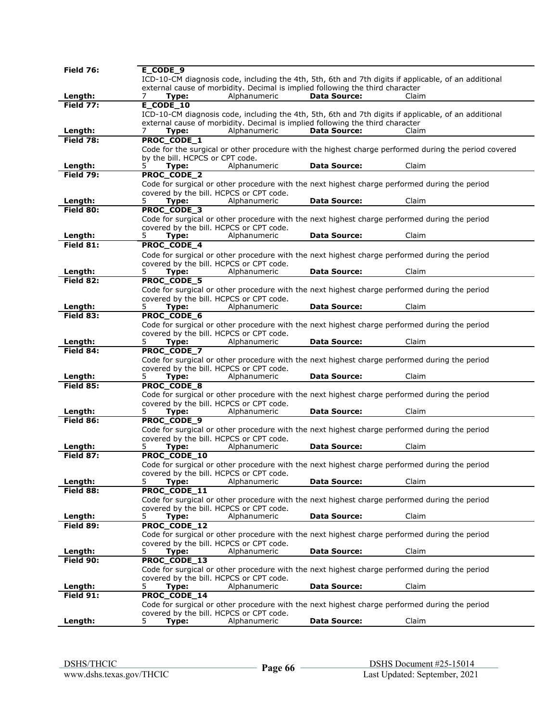| <b>Field 76:</b>            | E CODE 9                                                                                                                                 |
|-----------------------------|------------------------------------------------------------------------------------------------------------------------------------------|
|                             | ICD-10-CM diagnosis code, including the 4th, 5th, 6th and 7th digits if applicable, of an additional                                     |
|                             | external cause of morbidity. Decimal is implied following the third character                                                            |
| Length:                     | Type:<br>Alphanumeric<br><b>Data Source:</b><br>Claim<br>7                                                                               |
| Field 77:                   | E_CODE_10                                                                                                                                |
|                             | ICD-10-CM diagnosis code, including the 4th, 5th, 6th and 7th digits if applicable, of an additional                                     |
|                             | external cause of morbidity. Decimal is implied following the third character                                                            |
| Length:                     | Alphanumeric<br><b>Data Source:</b><br>Claim<br>Type:                                                                                    |
| Field 78:                   | PROC_CODE_1                                                                                                                              |
|                             | Code for the surgical or other procedure with the highest charge performed during the period covered                                     |
|                             | by the bill. HCPCS or CPT code.<br>5<br>Alphanumeric<br><b>Data Source:</b><br>Claim                                                     |
| Length:<br><b>Field 79:</b> | Type:<br>PROC_CODE_2                                                                                                                     |
|                             | Code for surgical or other procedure with the next highest charge performed during the period                                            |
|                             | covered by the bill. HCPCS or CPT code.                                                                                                  |
| Length:                     | Claim<br>Type:<br>Alphanumeric<br><b>Data Source:</b><br>5.                                                                              |
| Field 80:                   | PROC_CODE_3                                                                                                                              |
|                             | Code for surgical or other procedure with the next highest charge performed during the period                                            |
|                             | covered by the bill. HCPCS or CPT code.                                                                                                  |
| Length:                     | Alphanumeric<br><b>Data Source:</b><br>Claim<br>5<br>Type:                                                                               |
| Field 81:                   | PROC_CODE_4                                                                                                                              |
|                             | Code for surgical or other procedure with the next highest charge performed during the period                                            |
|                             | covered by the bill. HCPCS or CPT code.                                                                                                  |
| Length:                     | Type:<br>Alphanumeric<br>Claim<br><b>Data Source:</b><br>5.                                                                              |
| Field 82:                   | PROC_CODE_5                                                                                                                              |
|                             | Code for surgical or other procedure with the next highest charge performed during the period                                            |
|                             | covered by the bill. HCPCS or CPT code.                                                                                                  |
| Length:                     | <b>Data Source:</b><br>Claim<br>5.<br>Type:<br>Alphanumeric                                                                              |
| Field 83:                   | PROC_CODE_6                                                                                                                              |
|                             | Code for surgical or other procedure with the next highest charge performed during the period                                            |
|                             | covered by the bill. HCPCS or CPT code.                                                                                                  |
| Length:                     | <b>Data Source:</b><br>Claim<br>Alphanumeric<br>5.<br>Type:<br>PROC_CODE_7                                                               |
| Field 84:                   |                                                                                                                                          |
|                             | Code for surgical or other procedure with the next highest charge performed during the period<br>covered by the bill. HCPCS or CPT code. |
| Length:                     | <b>Data Source:</b><br>Claim<br>5.<br>Alphanumeric<br>Type:                                                                              |
| Field 85:                   | PROC_CODE_8                                                                                                                              |
|                             | Code for surgical or other procedure with the next highest charge performed during the period                                            |
|                             | covered by the bill. HCPCS or CPT code.                                                                                                  |
| Length:                     | Alphanumeric<br><b>Data Source:</b><br>Claim<br>5.<br>Type:                                                                              |
| Field 86:                   | PROC_CODE_9                                                                                                                              |
|                             | Code for surgical or other procedure with the next highest charge performed during the period                                            |
|                             | covered by the bill. HCPCS or CPT code.                                                                                                  |
| Length:                     | Type:<br>Alphanumeric<br><b>Data Source:</b><br>Claim<br>5.                                                                              |
| Field 87:                   | PROC_CODE_10                                                                                                                             |
|                             | Code for surgical or other procedure with the next highest charge performed during the period<br>covered by the bill. HCPCS or CPT code. |
| Length:                     | <b>Data Source:</b><br>Claim<br>5<br>Alphanumeric<br>Type:                                                                               |
| Field 88:                   | PROC_CODE_11                                                                                                                             |
|                             | Code for surgical or other procedure with the next highest charge performed during the period                                            |
|                             | covered by the bill. HCPCS or CPT code.                                                                                                  |
| Length:                     | <b>Data Source:</b><br>Claim<br>Type:<br>Alphanumeric<br>5.                                                                              |
| Field 89:                   | PROC_CODE_12                                                                                                                             |
|                             | Code for surgical or other procedure with the next highest charge performed during the period                                            |
|                             | covered by the bill. HCPCS or CPT code.                                                                                                  |
| Length:                     | <b>Data Source:</b><br>Claim<br>5.<br>Type:<br>Alphanumeric                                                                              |
| Field 90:                   | PROC_CODE_13                                                                                                                             |
|                             | Code for surgical or other procedure with the next highest charge performed during the period                                            |
|                             | covered by the bill. HCPCS or CPT code.                                                                                                  |
| Length:<br>Field 91:        | Alphanumeric<br><b>Data Source:</b><br>Claim<br>5.<br>Type:<br>PROC_CODE_14                                                              |
|                             | Code for surgical or other procedure with the next highest charge performed during the period                                            |
|                             | covered by the bill. HCPCS or CPT code.                                                                                                  |
| Length:                     | <b>Data Source:</b><br>Type:<br>Alphanumeric<br>Claim                                                                                    |
|                             |                                                                                                                                          |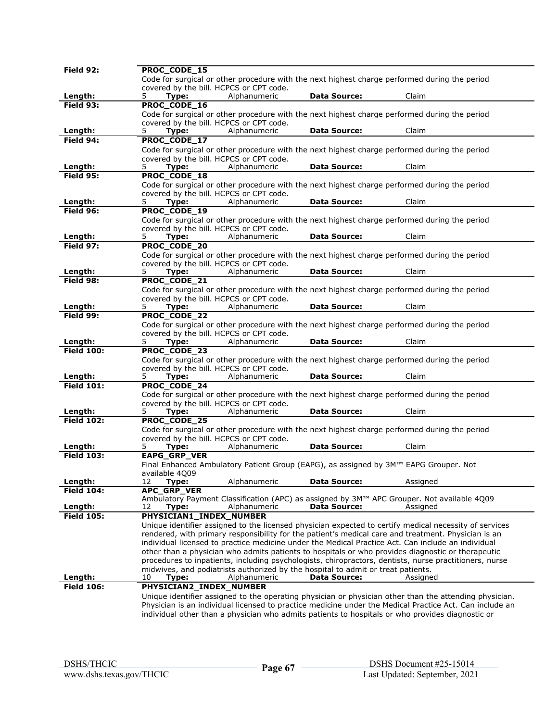| Field 92:            | <b>PROC CODE 15</b>                                                                                                                                |
|----------------------|----------------------------------------------------------------------------------------------------------------------------------------------------|
|                      | Code for surgical or other procedure with the next highest charge performed during the period                                                      |
|                      | covered by the bill. HCPCS or CPT code.                                                                                                            |
| Length:              | Alphanumeric<br><b>Data Source:</b><br>Claim<br>5.<br>Type:                                                                                        |
| Field 93:            | PROC_CODE_16                                                                                                                                       |
|                      | Code for surgical or other procedure with the next highest charge performed during the period                                                      |
|                      | covered by the bill. HCPCS or CPT code.                                                                                                            |
| Length:              | <b>Data Source:</b><br>5.<br>Alphanumeric<br>Claim<br>Type:                                                                                        |
| Field 94:            | PROC_CODE_17                                                                                                                                       |
|                      | Code for surgical or other procedure with the next highest charge performed during the period                                                      |
|                      | covered by the bill. HCPCS or CPT code.                                                                                                            |
| Length:              | Alphanumeric<br>Claim<br>Type:<br><b>Data Source:</b><br>5.                                                                                        |
| Field 95:            | PROC_CODE_18                                                                                                                                       |
|                      | Code for surgical or other procedure with the next highest charge performed during the period                                                      |
|                      | covered by the bill. HCPCS or CPT code.                                                                                                            |
| Length:              | 5<br>Alphanumeric<br><b>Data Source:</b><br>Claim<br>Type:                                                                                         |
| Field 96:            | PROC_CODE_19                                                                                                                                       |
|                      | Code for surgical or other procedure with the next highest charge performed during the period                                                      |
|                      | covered by the bill. HCPCS or CPT code.                                                                                                            |
| Length:              | Alphanumeric<br><b>Data Source:</b><br>Claim<br>5.<br>Type:                                                                                        |
| Field 97:            | PROC_CODE_20                                                                                                                                       |
|                      | Code for surgical or other procedure with the next highest charge performed during the period                                                      |
|                      | covered by the bill. HCPCS or CPT code.                                                                                                            |
| Length:              | Alphanumeric<br><b>Data Source:</b><br>Claim<br>5.<br>Type:                                                                                        |
| Field 98:            | PROC_CODE_21                                                                                                                                       |
|                      | Code for surgical or other procedure with the next highest charge performed during the period                                                      |
|                      | covered by the bill. HCPCS or CPT code.                                                                                                            |
| Length:<br>Field 99: | 5.<br>Alphanumeric<br><b>Data Source:</b><br>Claim<br>Type:                                                                                        |
|                      | PROC_CODE_22                                                                                                                                       |
|                      | Code for surgical or other procedure with the next highest charge performed during the period                                                      |
| Length:              | covered by the bill. HCPCS or CPT code.<br><b>Data Source:</b><br>Claim<br>Type:<br>Alphanumeric<br>5.                                             |
| <b>Field 100:</b>    | PROC CODE 23                                                                                                                                       |
|                      |                                                                                                                                                    |
|                      |                                                                                                                                                    |
|                      | Code for surgical or other procedure with the next highest charge performed during the period                                                      |
|                      | covered by the bill. HCPCS or CPT code.                                                                                                            |
| Length:              | 5.<br>Alphanumeric<br><b>Data Source:</b><br>Claim<br>Type:                                                                                        |
| <b>Field 101:</b>    | PROC_CODE_24                                                                                                                                       |
|                      | Code for surgical or other procedure with the next highest charge performed during the period<br>covered by the bill. HCPCS or CPT code.           |
| Length:              | <b>Data Source:</b><br>Claim<br>5.<br>Type:<br>Alphanumeric                                                                                        |
| <b>Field 102:</b>    | PROC_CODE_25                                                                                                                                       |
|                      | Code for surgical or other procedure with the next highest charge performed during the period                                                      |
|                      | covered by the bill. HCPCS or CPT code.                                                                                                            |
| Length:              | Alphanumeric<br><b>Data Source:</b><br>Claim<br>5.<br>Type:                                                                                        |
| <b>Field 103:</b>    | EAPG_GRP_VER                                                                                                                                       |
|                      | Final Enhanced Ambulatory Patient Group (EAPG), as assigned by 3M™ EAPG Grouper. Not                                                               |
|                      | available 4009                                                                                                                                     |
| Length:              | <b>Data Source:</b><br>12<br>Type:<br>Alphanumeric<br>Assigned                                                                                     |
| <b>Field 104:</b>    | <b>APC_GRP_VER</b>                                                                                                                                 |
|                      | Ambulatory Payment Classification (APC) as assigned by 3M™ APC Grouper. Not available 4Q09                                                         |
| Length:              | <b>Data Source:</b><br>Alphanumeric<br>Assigned<br>12<br>Type:                                                                                     |
| <b>Field 105:</b>    | PHYSICIAN1_INDEX_NUMBER                                                                                                                            |
|                      | Unique identifier assigned to the licensed physician expected to certify medical necessity of services                                             |
|                      | rendered, with primary responsibility for the patient's medical care and treatment. Physician is an                                                |
|                      | individual licensed to practice medicine under the Medical Practice Act. Can include an individual                                                 |
|                      | other than a physician who admits patients to hospitals or who provides diagnostic or therapeutic                                                  |
|                      | procedures to inpatients, including psychologists, chiropractors, dentists, nurse practitioners, nurse                                             |
| Length:              | midwives, and podiatrists authorized by the hospital to admit or treat patients.<br>Alphanumeric<br><b>Data Source:</b><br>10<br>Type:<br>Assigned |
| <b>Field 106:</b>    | PHYSICIAN2_INDEX_NUMBER                                                                                                                            |
|                      | Unique identifier assigned to the operating physician or physician other than the attending physician.                                             |
|                      | Physician is an individual licensed to practice medicine under the Medical Practice Act. Can include an                                            |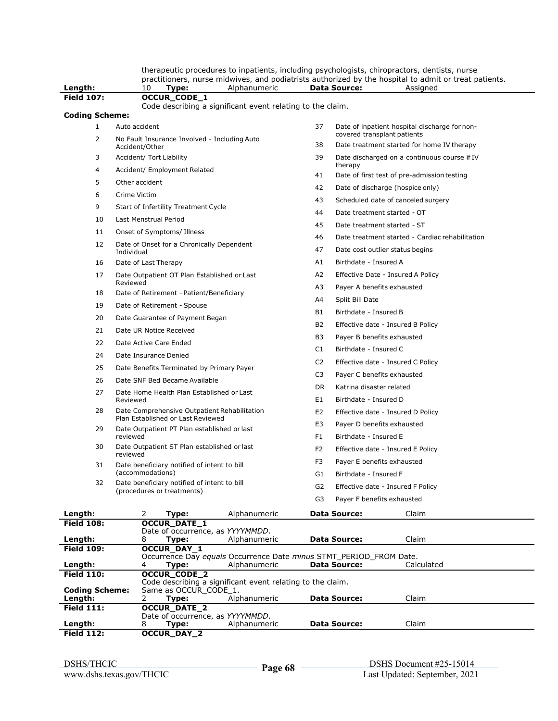therapeutic procedures to inpatients, including psychologists, chiropractors, dentists, nurse practitioners, nurse midwives, and podiatrists authorized by the hospital to admit or treat patients.

| Length:               | 10<br>Type:<br>Alphanumeric                                               | <b>Data Source:</b><br>Assigned                                                       |
|-----------------------|---------------------------------------------------------------------------|---------------------------------------------------------------------------------------|
| <b>Field 107:</b>     | OCCUR_CODE_1                                                              |                                                                                       |
|                       | Code describing a significant event relating to the claim.                |                                                                                       |
| <b>Coding Scheme:</b> |                                                                           |                                                                                       |
| $\mathbf{1}$          | Auto accident                                                             | 37<br>Date of inpatient hospital discharge for non-<br>covered transplant patients    |
| 2                     | No Fault Insurance Involved - Including Auto<br>Accident/Other            | 38<br>Date treatment started for home IV therapy                                      |
| 3                     | Accident/ Tort Liability                                                  | 39<br>Date discharged on a continuous course if IV                                    |
| 4                     | Accident/ Employment Related                                              | therapy<br>41<br>Date of first test of pre-admission testing                          |
| 5                     | Other accident                                                            | 42<br>Date of discharge (hospice only)                                                |
| 6                     | Crime Victim                                                              | Scheduled date of canceled surgery<br>43                                              |
| 9                     | Start of Infertility Treatment Cycle                                      | 44<br>Date treatment started - OT                                                     |
| 10                    | Last Menstrual Period                                                     | 45<br>Date treatment started - ST                                                     |
| 11                    | Onset of Symptoms/ Illness                                                | 46<br>Date treatment started - Cardiac rehabilitation                                 |
| 12                    | Date of Onset for a Chronically Dependent                                 | 47<br>Date cost outlier status begins                                                 |
| 16                    | Individual<br>Date of Last Therapy                                        | A1<br>Birthdate - Insured A                                                           |
| 17                    | Date Outpatient OT Plan Established or Last                               | A2<br>Effective Date - Insured A Policy                                               |
|                       | Reviewed                                                                  | Payer A benefits exhausted<br>A3                                                      |
| 18                    | Date of Retirement - Patient/Beneficiary                                  | Split Bill Date<br>A4                                                                 |
| 19                    | Date of Retirement - Spouse                                               | B1<br>Birthdate - Insured B                                                           |
| 20                    | Date Guarantee of Payment Began                                           | <b>B2</b>                                                                             |
| 21                    | Date UR Notice Received                                                   | Effective date - Insured B Policy                                                     |
| 22                    | Date Active Care Ended                                                    | B3<br>Payer B benefits exhausted<br>C1<br>Birthdate - Insured C                       |
| 24                    | Date Insurance Denied                                                     |                                                                                       |
| 25                    | Date Benefits Terminated by Primary Payer                                 | C <sub>2</sub><br>Effective date - Insured C Policy                                   |
| 26                    | Date SNF Bed Became Available                                             | C <sub>3</sub><br>Payer C benefits exhausted<br>Katrina disaster related<br><b>DR</b> |
| 27                    | Date Home Health Plan Established or Last<br>Reviewed                     | E1<br>Birthdate - Insured D                                                           |
| 28                    | Date Comprehensive Outpatient Rehabilitation                              | E <sub>2</sub><br>Effective date - Insured D Policy                                   |
|                       | Plan Established or Last Reviewed                                         | E3<br>Payer D benefits exhausted                                                      |
| 29                    | Date Outpatient PT Plan established or last<br>reviewed                   | F1<br>Birthdate - Insured E                                                           |
| 30                    | Date Outpatient ST Plan established or last<br>reviewed                   | F2<br>Effective date - Insured E Policy                                               |
| 31                    | Date beneficiary notified of intent to bill                               | F3<br>Payer E benefits exhausted                                                      |
|                       | (accommodations)                                                          | G1<br>Birthdate - Insured F                                                           |
| 32                    | Date beneficiary notified of intent to bill<br>(procedures or treatments) | G <sub>2</sub><br>Effective date - Insured F Policy                                   |
|                       |                                                                           | G3<br>Payer F benefits exhausted                                                      |
| Length:               | 2<br>Alphanumeric<br>Type:                                                | Claim<br><b>Data Source:</b>                                                          |
| <b>Field 108:</b>     | <b>OCCUR_DATE_1</b>                                                       |                                                                                       |
| Length:               | Date of occurrence, as YYYYMMDD.<br>Alphanumeric<br>8<br>Type:            | Claim<br><b>Data Source:</b>                                                          |
| <b>Field 109:</b>     | OCCUR_DAY_1                                                               |                                                                                       |

|                       |   | Occurrence Day equals Occurrence Date minus STMT_PERIOD FROM Date. |                                                            |                     |            |  |  |  |  |
|-----------------------|---|--------------------------------------------------------------------|------------------------------------------------------------|---------------------|------------|--|--|--|--|
| Length:               | 4 | Tvpe:                                                              | Alphanumeric                                               | <b>Data Source:</b> | Calculated |  |  |  |  |
| <b>Field 110:</b>     |   | <b>OCCUR CODE 2</b>                                                |                                                            |                     |            |  |  |  |  |
|                       |   |                                                                    | Code describing a significant event relating to the claim. |                     |            |  |  |  |  |
| <b>Coding Scheme:</b> |   | Same as OCCUR CODE 1.                                              |                                                            |                     |            |  |  |  |  |
| Length:               |   | Type:                                                              | Alphanumeric                                               | <b>Data Source:</b> | Claim      |  |  |  |  |
| <b>Field 111:</b>     |   | <b>OCCUR DATE 2</b>                                                |                                                            |                     |            |  |  |  |  |
|                       |   | Date of occurrence, as YYYYMMDD.                                   |                                                            |                     |            |  |  |  |  |
| Length:               |   | Type:                                                              | Alphanumeric                                               | <b>Data Source:</b> | Claim      |  |  |  |  |
| <b>Field 112:</b>     |   | <b>OCCUR DAY 2</b>                                                 |                                                            |                     |            |  |  |  |  |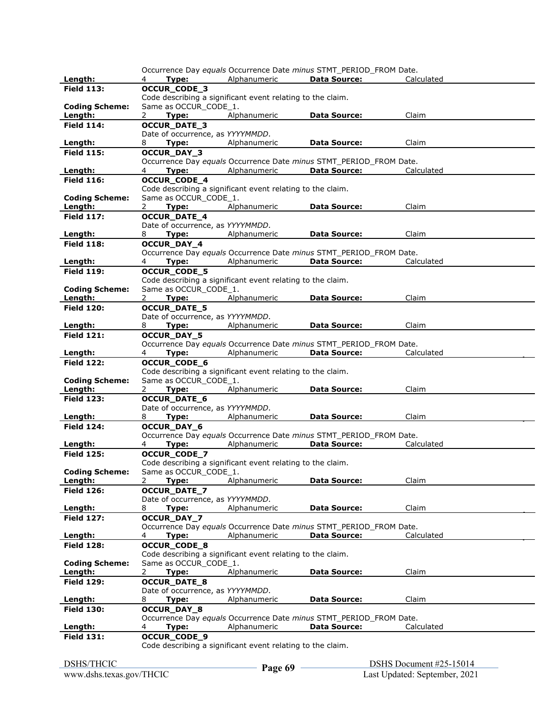|                              |                                                            |              | Occurrence Day equals Occurrence Date minus STMT_PERIOD_FROM Date.                        |            |  |
|------------------------------|------------------------------------------------------------|--------------|-------------------------------------------------------------------------------------------|------------|--|
| Length:                      | 4<br>Type:                                                 | Alphanumeric | <b>Data Source:</b>                                                                       | Calculated |  |
| <b>Field 113:</b>            | OCCUR_CODE_3                                               |              |                                                                                           |            |  |
|                              | Code describing a significant event relating to the claim. |              |                                                                                           |            |  |
| <b>Coding Scheme:</b>        | Same as OCCUR_CODE_1.                                      |              |                                                                                           |            |  |
| Length:                      | 2<br>Type:                                                 | Alphanumeric | Data Source:                                                                              | Claim      |  |
| <b>Field 114:</b>            | <b>OCCUR_DATE_3</b>                                        |              |                                                                                           |            |  |
|                              | Date of occurrence, as YYYYMMDD.                           |              |                                                                                           |            |  |
| Length:<br><b>Field 115:</b> | Type:<br>8<br>OCCUR_DAY_3                                  | Alphanumeric | Data Source:                                                                              | Claim      |  |
|                              |                                                            |              | Occurrence Day equals Occurrence Date minus STMT PERIOD FROM Date.                        |            |  |
| Length:                      | 4<br>Type:                                                 | Alphanumeric | <b>Data Source:</b>                                                                       | Calculated |  |
| <b>Field 116:</b>            | OCCUR_CODE_4                                               |              |                                                                                           |            |  |
|                              | Code describing a significant event relating to the claim. |              |                                                                                           |            |  |
| <b>Coding Scheme:</b>        | Same as OCCUR CODE 1.                                      |              |                                                                                           |            |  |
| Length:                      | $2^{\circ}$<br>Type:                                       | Alphanumeric | <b>Data Source:</b>                                                                       | Claim      |  |
| <b>Field 117:</b>            | <b>OCCUR_DATE_4</b>                                        |              |                                                                                           |            |  |
|                              | Date of occurrence, as YYYYMMDD.                           |              |                                                                                           |            |  |
| Length:                      | 8<br>Type:                                                 | Alphanumeric | <b>Data Source:</b>                                                                       | Claim      |  |
| <b>Field 118:</b>            | OCCUR_DAY_4                                                |              |                                                                                           |            |  |
|                              |                                                            |              | Occurrence Day equals Occurrence Date minus STMT_PERIOD_FROM Date.                        |            |  |
| Length:                      | Type:<br>4                                                 | Alphanumeric | <b>Data Source:</b>                                                                       | Calculated |  |
| <b>Field 119:</b>            | <b>OCCUR CODE 5</b>                                        |              |                                                                                           |            |  |
|                              | Code describing a significant event relating to the claim. |              |                                                                                           |            |  |
| <b>Coding Scheme:</b>        | Same as OCCUR_CODE_1.                                      |              |                                                                                           |            |  |
| Length:                      | 2<br>Type:                                                 | Alphanumeric | <b>Data Source:</b>                                                                       | Claim      |  |
| <b>Field 120:</b>            | <b>OCCUR_DATE_5</b>                                        |              |                                                                                           |            |  |
|                              | Date of occurrence, as YYYYMMDD.                           |              |                                                                                           |            |  |
| Length:                      | 8<br>Type:                                                 | Alphanumeric | <b>Data Source:</b>                                                                       | Claim      |  |
| <b>Field 121:</b>            | OCCUR_DAY_5                                                |              |                                                                                           |            |  |
|                              |                                                            |              | Occurrence Day equals Occurrence Date minus STMT PERIOD FROM Date.<br><b>Data Source:</b> |            |  |
| Length:<br><b>Field 122:</b> | 4<br>Type:<br><b>OCCUR_CODE_6</b>                          | Alphanumeric |                                                                                           | Calculated |  |
|                              | Code describing a significant event relating to the claim. |              |                                                                                           |            |  |
| <b>Coding Scheme:</b>        | Same as OCCUR_CODE_1.                                      |              |                                                                                           |            |  |
| Length:                      | Type:<br>2                                                 | Alphanumeric | <b>Data Source:</b>                                                                       | Claim      |  |
| <b>Field 123:</b>            | <b>OCCUR_DATE_6</b>                                        |              |                                                                                           |            |  |
|                              | Date of occurrence, as YYYYMMDD.                           |              |                                                                                           |            |  |
| Length:                      | 8<br>Type:                                                 | Alphanumeric | <b>Data Source:</b>                                                                       | Claim      |  |
| <b>Field 124:</b>            |                                                            |              |                                                                                           |            |  |
|                              | <b>OCCUR DAY 6</b>                                         |              |                                                                                           |            |  |
|                              |                                                            |              | Occurrence Day equals Occurrence Date minus STMT_PERIOD_FROM Date.                        |            |  |
| Length:                      | Type:<br>4                                                 | Alphanumeric | <b>Data Source:</b>                                                                       | Calculated |  |
| <b>Field 125:</b>            | OCCUR_CODE_7                                               |              |                                                                                           |            |  |
|                              | Code describing a significant event relating to the claim. |              |                                                                                           |            |  |
| <b>Coding Scheme:</b>        | Same as OCCUR_CODE_1.                                      |              |                                                                                           |            |  |
| Length:                      | $\overline{2}$<br>Type:                                    | Alphanumeric | <b>Data Source:</b>                                                                       | Claim      |  |
| <b>Field 126:</b>            | <b>OCCUR DATE 7</b>                                        |              |                                                                                           |            |  |
|                              | Date of occurrence, as YYYYMMDD.                           |              |                                                                                           |            |  |
| Length:                      | 8<br>Type:                                                 | Alphanumeric | <b>Data Source:</b>                                                                       | Claim      |  |
| <b>Field 127:</b>            | OCCUR_DAY_7                                                |              |                                                                                           |            |  |
|                              |                                                            |              | Occurrence Day equals Occurrence Date minus STMT PERIOD FROM Date.                        |            |  |
| Length:                      | 4<br>Type:                                                 | Alphanumeric | <b>Data Source:</b>                                                                       | Calculated |  |
| <b>Field 128:</b>            | OCCUR_CODE_8                                               |              |                                                                                           |            |  |
| <b>Coding Scheme:</b>        | Code describing a significant event relating to the claim. |              |                                                                                           |            |  |
| Length:                      | Same as OCCUR_CODE_1.<br>$\mathbf{2}$<br>Type:             | Alphanumeric | <b>Data Source:</b>                                                                       | Claim      |  |
| <b>Field 129:</b>            | <b>OCCUR_DATE_8</b>                                        |              |                                                                                           |            |  |
|                              | Date of occurrence, as YYYYMMDD.                           |              |                                                                                           |            |  |
| Length:                      | Type:<br>8                                                 | Alphanumeric | Data Source:                                                                              | Claim      |  |
| <b>Field 130:</b>            | OCCUR_DAY_8                                                |              |                                                                                           |            |  |
|                              |                                                            |              | Occurrence Day equals Occurrence Date minus STMT PERIOD FROM Date.                        |            |  |
| Length:                      | Type:<br>4                                                 | Alphanumeric | <b>Data Source:</b>                                                                       | Calculated |  |
| <b>Field 131:</b>            | OCCUR_CODE_9                                               |              |                                                                                           |            |  |
|                              | Code describing a significant event relating to the claim. |              |                                                                                           |            |  |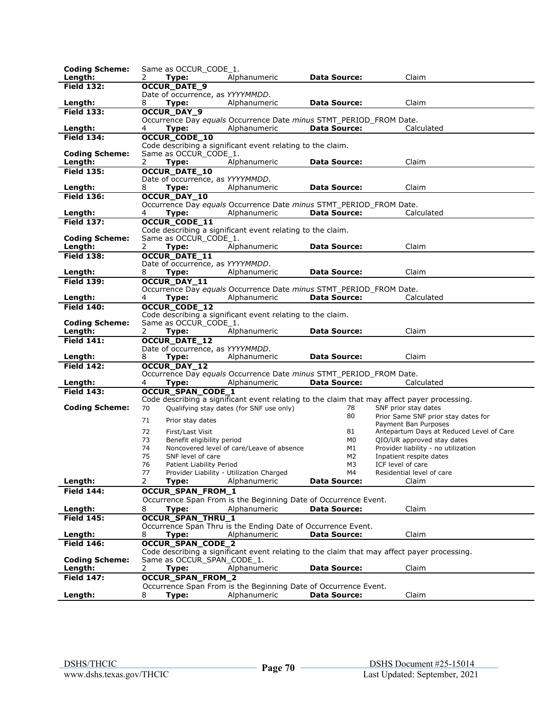| <b>Coding Scheme:</b>        | Same as OCCUR CODE 1.            |                                                                    |                           |                                                                                             |
|------------------------------|----------------------------------|--------------------------------------------------------------------|---------------------------|---------------------------------------------------------------------------------------------|
| Length:                      | 2<br>Type:                       | Alphanumeric                                                       | <b>Data Source:</b>       | Claim                                                                                       |
| <b>Field 132:</b>            | <b>OCCUR DATE 9</b>              |                                                                    |                           |                                                                                             |
|                              | Date of occurrence, as YYYYMMDD. |                                                                    |                           |                                                                                             |
| Length:                      | 8<br>Type:                       | Alphanumeric                                                       | <b>Data Source:</b>       | Claim                                                                                       |
| <b>Field 133:</b>            | <b>OCCUR_DAY_9</b>               |                                                                    |                           |                                                                                             |
|                              |                                  | Occurrence Day equals Occurrence Date minus STMT_PERIOD_FROM Date. |                           |                                                                                             |
| Length:                      | 4<br>Type:                       | Alphanumeric                                                       | <b>Data Source:</b>       | Calculated                                                                                  |
| <b>Field 134:</b>            | <b>OCCUR_CODE_10</b>             | Code describing a significant event relating to the claim.         |                           |                                                                                             |
| <b>Coding Scheme:</b>        | Same as OCCUR_CODE_1.            |                                                                    |                           |                                                                                             |
| Length:                      | 2<br>Type:                       | Alphanumeric                                                       | <b>Data Source:</b>       | Claim                                                                                       |
| <b>Field 135:</b>            | OCCUR_DATE_10                    |                                                                    |                           |                                                                                             |
|                              | Date of occurrence, as YYYYMMDD. |                                                                    |                           |                                                                                             |
| Length:                      | 8<br>Type:                       | Alphanumeric                                                       | <b>Data Source:</b>       | Claim                                                                                       |
| <b>Field 136:</b>            | <b>OCCUR DAY 10</b>              |                                                                    |                           |                                                                                             |
|                              |                                  | Occurrence Day equals Occurrence Date minus STMT_PERIOD_FROM Date. |                           |                                                                                             |
| Length:                      | Type:<br>4                       | Alphanumeric                                                       | <b>Data Source:</b>       | Calculated                                                                                  |
| <b>Field 137:</b>            | <b>OCCUR_CODE_11</b>             |                                                                    |                           |                                                                                             |
|                              |                                  | Code describing a significant event relating to the claim.         |                           |                                                                                             |
| <b>Coding Scheme:</b>        | Same as OCCUR CODE 1.            |                                                                    |                           |                                                                                             |
| Length:                      | 2<br>Type:                       | Alphanumeric                                                       | <b>Data Source:</b>       | Claim                                                                                       |
| <b>Field 138:</b>            | OCCUR_DATE_11                    |                                                                    |                           |                                                                                             |
|                              | Date of occurrence, as YYYYMMDD. |                                                                    |                           |                                                                                             |
| Length:<br><b>Field 139:</b> | 8<br>Type:                       | Alphanumeric                                                       | <b>Data Source:</b>       | Claim                                                                                       |
|                              | OCCUR_DAY_11                     | Occurrence Day equals Occurrence Date minus STMT PERIOD FROM Date. |                           |                                                                                             |
| Length:                      | 4<br>Type:                       | Alphanumeric                                                       | <b>Data Source:</b>       | Calculated                                                                                  |
| <b>Field 140:</b>            | <b>OCCUR_CODE_12</b>             |                                                                    |                           |                                                                                             |
|                              |                                  | Code describing a significant event relating to the claim.         |                           |                                                                                             |
| <b>Coding Scheme:</b>        | Same as OCCUR CODE 1.            |                                                                    |                           |                                                                                             |
| Length:                      | 2<br>Type:                       | Alphanumeric                                                       | <b>Data Source:</b>       | Claim                                                                                       |
| <b>Field 141:</b>            | <b>OCCUR_DATE_12</b>             |                                                                    |                           |                                                                                             |
|                              | Date of occurrence, as YYYYMMDD. |                                                                    |                           |                                                                                             |
| Length:                      | 8<br>Type:                       | Alphanumeric                                                       | <b>Data Source:</b>       | Claim                                                                                       |
| <b>Field 142:</b>            | <b>OCCUR DAY 12</b>              |                                                                    |                           |                                                                                             |
|                              |                                  | Occurrence Day equals Occurrence Date minus STMT PERIOD FROM Date. |                           |                                                                                             |
| Length:<br><b>Field 143:</b> | 4<br>Type:                       | Alphanumeric                                                       | <b>Data Source:</b>       | Calculated                                                                                  |
|                              | <b>OCCUR SPAN CODE 1</b>         |                                                                    |                           | Code describing a significant event relating to the claim that may affect payer processing. |
| <b>Coding Scheme:</b>        | 70                               | Qualifying stay dates (for SNF use only)                           | 78                        | SNF prior stay dates                                                                        |
|                              |                                  |                                                                    | 80                        | Prior Same SNF prior stay dates for                                                         |
|                              | 71<br>Prior stay dates           |                                                                    |                           | Payment Ban Purposes                                                                        |
|                              | 72<br>First/Last Visit           |                                                                    | 81                        | Antepartum Days at Reduced Level of Care                                                    |
|                              | 73<br>Benefit eligibility period |                                                                    | M0                        | QIO/UR approved stay dates                                                                  |
|                              | 74                               | Noncovered level of care/Leave of absence                          | M1                        | Provider liability - no utilization                                                         |
|                              | 75<br>SNF level of care          |                                                                    | M <sub>2</sub>            | Inpatient respite dates                                                                     |
|                              | 76<br>Patient Liability Period   |                                                                    | M3                        | ICF level of care                                                                           |
| Length:                      | 77<br>2                          | Provider Liability - Utilization Charged<br>Alphanumeric           | M4<br><b>Data Source:</b> | Residential level of care<br>Claim                                                          |
| <b>Field 144:</b>            | Type:                            |                                                                    |                           |                                                                                             |
|                              | OCCUR_SPAN_FROM_1                |                                                                    |                           |                                                                                             |
|                              |                                  | Occurrence Span From is the Beginning Date of Occurrence Event.    |                           |                                                                                             |
| Length:<br><b>Field 145:</b> | 8<br>Type:                       | Alphanumeric                                                       | <b>Data Source:</b>       | Claim                                                                                       |
|                              | <b>OCCUR_SPAN_THRU_1</b>         | Occurrence Span Thru is the Ending Date of Occurrence Event.       |                           |                                                                                             |
| Length:                      | 8<br>Type:                       | Alphanumeric                                                       | <b>Data Source:</b>       | Claim                                                                                       |
| <b>Field 146:</b>            | <b>OCCUR_SPAN_CODE_2</b>         |                                                                    |                           |                                                                                             |
|                              |                                  |                                                                    |                           | Code describing a significant event relating to the claim that may affect payer processing. |
| <b>Coding Scheme:</b>        | Same as OCCUR_SPAN_CODE_1.       |                                                                    |                           |                                                                                             |
| Length:                      | 2<br>Type:                       | Alphanumeric                                                       | Data Source:              | Claim                                                                                       |
| <b>Field 147:</b>            | OCCUR_SPAN_FROM_2                |                                                                    |                           |                                                                                             |
|                              |                                  |                                                                    |                           |                                                                                             |
|                              |                                  | Occurrence Span From is the Beginning Date of Occurrence Event.    |                           |                                                                                             |
| Length:                      | Type:<br>8                       | Alphanumeric                                                       | <b>Data Source:</b>       | Claim                                                                                       |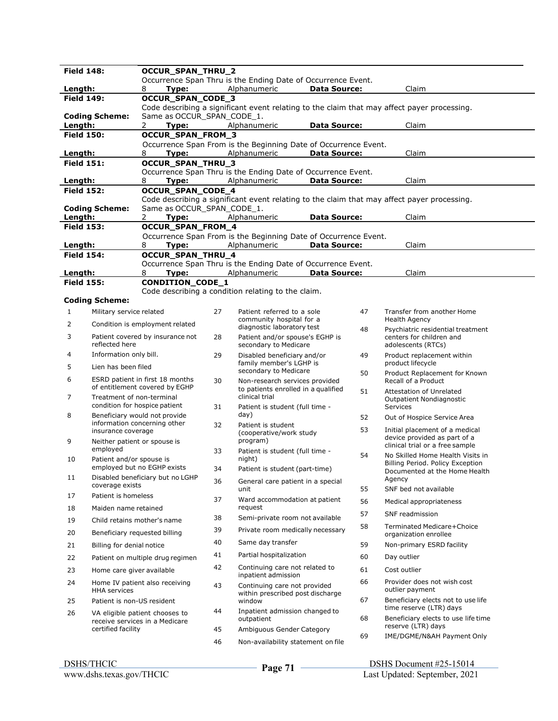| <b>Field 148:</b>            |                                          | OCCUR_SPAN_THRU_2                                                 |    |                                                                                 |                     |    |                                                                                             |
|------------------------------|------------------------------------------|-------------------------------------------------------------------|----|---------------------------------------------------------------------------------|---------------------|----|---------------------------------------------------------------------------------------------|
|                              |                                          |                                                                   |    | Occurrence Span Thru is the Ending Date of Occurrence Event.                    |                     |    |                                                                                             |
| Length:<br><b>Field 149:</b> |                                          | Type:<br>8<br>OCCUR_SPAN_CODE_3                                   |    | Alphanumeric                                                                    | <b>Data Source:</b> |    | Claim                                                                                       |
|                              |                                          |                                                                   |    |                                                                                 |                     |    | Code describing a significant event relating to the claim that may affect payer processing. |
|                              | <b>Coding Scheme:</b>                    | Same as OCCUR_SPAN_CODE_1.                                        |    |                                                                                 |                     |    |                                                                                             |
| Length:                      |                                          | 2<br>Type:                                                        |    | Alphanumeric                                                                    | <b>Data Source:</b> |    | Claim                                                                                       |
| <b>Field 150:</b>            |                                          | OCCUR_SPAN_FROM_3                                                 |    |                                                                                 |                     |    |                                                                                             |
| Length:                      |                                          | 8<br>Type:                                                        |    | Occurrence Span From is the Beginning Date of Occurrence Event.<br>Alphanumeric | <b>Data Source:</b> |    | Claim                                                                                       |
| <b>Field 151:</b>            |                                          | OCCUR_SPAN_THRU_3                                                 |    |                                                                                 |                     |    |                                                                                             |
|                              |                                          |                                                                   |    | Occurrence Span Thru is the Ending Date of Occurrence Event.                    |                     |    |                                                                                             |
| Length:                      |                                          | 8<br>Type:                                                        |    | Alphanumeric                                                                    | <b>Data Source:</b> |    | Claim                                                                                       |
| <b>Field 152:</b>            |                                          | OCCUR_SPAN_CODE_4                                                 |    |                                                                                 |                     |    | Code describing a significant event relating to the claim that may affect payer processing. |
|                              | <b>Coding Scheme:</b>                    | Same as OCCUR_SPAN_CODE_1.                                        |    |                                                                                 |                     |    |                                                                                             |
| Length:                      |                                          | 2<br>Type:                                                        |    | Alphanumeric                                                                    | <b>Data Source:</b> |    | Claim                                                                                       |
| <b>Field 153:</b>            |                                          | OCCUR_SPAN_FROM_4                                                 |    |                                                                                 |                     |    |                                                                                             |
| Length:                      |                                          | 8<br>Type:                                                        |    | Occurrence Span From is the Beginning Date of Occurrence Event.<br>Alphanumeric | <b>Data Source:</b> |    | Claim                                                                                       |
| <b>Field 154:</b>            |                                          | OCCUR_SPAN_THRU_4                                                 |    |                                                                                 |                     |    |                                                                                             |
|                              |                                          |                                                                   |    | Occurrence Span Thru is the Ending Date of Occurrence Event.                    |                     |    |                                                                                             |
| Length:                      |                                          | 8<br>Type:                                                        |    | Alphanumeric                                                                    | <b>Data Source:</b> |    | Claim                                                                                       |
| <b>Field 155:</b>            |                                          | <b>CONDITION_CODE_1</b>                                           |    | Code describing a condition relating to the claim.                              |                     |    |                                                                                             |
|                              | <b>Coding Scheme:</b>                    |                                                                   |    |                                                                                 |                     |    |                                                                                             |
| 1                            | Military service related                 |                                                                   | 27 | Patient referred to a sole                                                      |                     | 47 | Transfer from another Home                                                                  |
| 2                            |                                          | Condition is employment related                                   |    | community hospital for a                                                        |                     |    | <b>Health Agency</b>                                                                        |
| 3                            |                                          | Patient covered by insurance not                                  | 28 | diagnostic laboratory test<br>Patient and/or spouse's EGHP is                   |                     | 48 | Psychiatric residential treatment<br>centers for children and                               |
|                              | reflected here                           |                                                                   |    | secondary to Medicare                                                           |                     |    | adolescents (RTCs)                                                                          |
| 4                            | Information only bill.                   |                                                                   | 29 | Disabled beneficiary and/or<br>family member's LGHP is                          |                     | 49 | Product replacement within<br>product lifecycle                                             |
| 5                            | Lien has been filed                      |                                                                   |    | secondary to Medicare                                                           |                     | 50 | Product Replacement for Known                                                               |
| 6                            |                                          | ESRD patient in first 18 months<br>of entitlement covered by EGHP | 30 | Non-research services provided                                                  |                     |    | Recall of a Product                                                                         |
| 7                            | Treatment of non-terminal                |                                                                   |    | to patients enrolled in a qualified<br>clinical trial                           |                     | 51 | Attestation of Unrelated<br>Outpatient Nondiagnostic                                        |
| 8                            |                                          | condition for hospice patient                                     | 31 | Patient is student (full time -<br>day)                                         |                     |    | Services                                                                                    |
|                              |                                          | Beneficiary would not provide<br>information concerning other     | 32 | Patient is student                                                              |                     | 52 | Out of Hospice Service Area                                                                 |
|                              | insurance coverage                       |                                                                   |    | (cooperative/work study                                                         |                     | 53 | Initial placement of a medical<br>device provided as part of a                              |
| 9                            | Neither patient or spouse is<br>employed |                                                                   |    | program)                                                                        |                     |    | clinical trial or a free sample                                                             |
| 10                           | Patient and/or spouse is                 |                                                                   | 33 | Patient is student (full time -<br>night)                                       |                     | 54 | No Skilled Home Health Visits in                                                            |
|                              |                                          | employed but no EGHP exists                                       | 34 | Patient is student (part-time)                                                  |                     |    | Billing Period. Policy Exception<br>Documented at the Home Health                           |
| 11                           |                                          | Disabled beneficiary but no LGHP                                  | 36 | General care patient in a special                                               |                     |    | Agency                                                                                      |
| 17                           | coverage exists<br>Patient is homeless   |                                                                   |    | unit                                                                            |                     | 55 | SNF bed not available                                                                       |
|                              |                                          |                                                                   | 37 | Ward accommodation at patient                                                   |                     | 56 | Medical appropriateness                                                                     |
| 18                           | Maiden name retained                     |                                                                   | 38 | request<br>Semi-private room not available                                      |                     | 57 | SNF readmission                                                                             |
| 19                           | Child retains mother's name              |                                                                   | 39 |                                                                                 |                     | 58 | Terminated Medicare+Choice                                                                  |
| 20                           | Beneficiary requested billing            |                                                                   |    | Private room medically necessary                                                |                     |    | organization enrollee                                                                       |
| 21                           | Billing for denial notice                |                                                                   | 40 | Same day transfer                                                               |                     | 59 | Non-primary ESRD facility                                                                   |
| 22                           |                                          | Patient on multiple drug regimen                                  | 41 | Partial hospitalization                                                         |                     | 60 | Day outlier                                                                                 |
| 23                           | Home care giver available                |                                                                   | 42 | Continuing care not related to<br>inpatient admission                           |                     | 61 | Cost outlier                                                                                |
| 24                           | <b>HHA</b> services                      | Home IV patient also receiving                                    | 43 | Continuing care not provided<br>within prescribed post discharge                |                     | 66 | Provider does not wish cost<br>outlier payment                                              |
| 25                           | Patient is non-US resident               |                                                                   |    | window                                                                          |                     | 67 | Beneficiary elects not to use life                                                          |
| 26                           |                                          | VA eligible patient chooses to<br>receive services in a Medicare  | 44 | Inpatient admission changed to<br>outpatient                                    |                     | 68 | time reserve (LTR) days<br>Beneficiary elects to use life time                              |
|                              | certified facility                       |                                                                   | 45 | Ambiguous Gender Category                                                       |                     |    | reserve (LTR) days                                                                          |
|                              |                                          |                                                                   | 46 | Non-availability statement on file                                              |                     | 69 | IME/DGME/N&AH Payment Only                                                                  |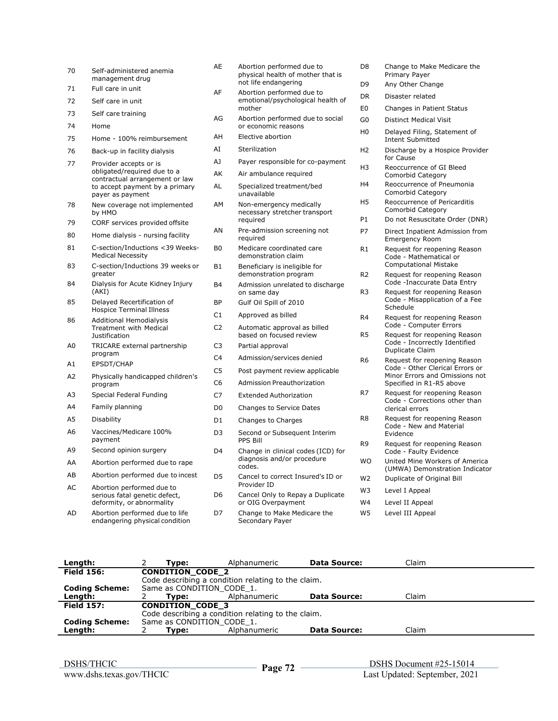| 70 | Self-administered anemia<br>management drug                      | AE             | Abortion performed due to<br>physical health of mother that is<br>not life endangering | D8                               |
|----|------------------------------------------------------------------|----------------|----------------------------------------------------------------------------------------|----------------------------------|
| 71 | Full care in unit                                                | AF             | Abortion performed due to                                                              | D <sub>9</sub>                   |
| 72 | Self care in unit                                                |                | emotional/psychological health of                                                      | DR.                              |
| 73 | Self care training                                               | AG             | mother<br>Abortion performed due to social                                             | E <sub>0</sub>                   |
| 74 | Home                                                             |                | or economic reasons                                                                    | G <sub>0</sub><br>H <sub>0</sub> |
| 75 | Home - 100% reimbursement                                        | AH             | Elective abortion                                                                      |                                  |
| 76 | Back-up in facility dialysis                                     | AI             | Sterilization                                                                          | H <sub>2</sub>                   |
| 77 | Provider accepts or is                                           | AJ             | Payer responsible for co-payment                                                       | H <sub>3</sub>                   |
|    | obligated/required due to a<br>contractual arrangement or law    | AK             | Air ambulance reguired                                                                 |                                  |
|    | to accept payment by a primary<br>payer as payment               | AL             | Specialized treatment/bed<br>unavailable                                               | H <sub>4</sub>                   |
| 78 | New coverage not implemented<br>by HMO                           | AМ             | Non-emergency medically<br>necessary stretcher transport                               | H5<br>P1                         |
| 79 | CORF services provided offsite                                   | ΑN             | required<br>Pre-admission screening not                                                | P7                               |
| 80 | Home dialysis - nursing facility                                 |                | required                                                                               |                                  |
| 81 | C-section/Inductions <39 Weeks-<br><b>Medical Necessity</b>      | B <sub>0</sub> | Medicare coordinated care<br>demonstration claim                                       | R1                               |
| 83 | C-section/Inductions 39 weeks or<br>greater                      | <b>B1</b>      | Beneficiary is ineligible for<br>demonstration program                                 | R <sub>2</sub>                   |
| 84 | Dialysis for Acute Kidney Injury<br>(AKI)                        | <b>B4</b>      | Admission unrelated to discharge<br>on same day                                        | R <sub>3</sub>                   |
| 85 | Delayed Recertification of<br><b>Hospice Terminal Illness</b>    | <b>BP</b>      | Gulf Oil Spill of 2010                                                                 |                                  |
| 86 | <b>Additional Hemodialysis</b>                                   | C1             | Approved as billed                                                                     | R4                               |
|    | <b>Treatment with Medical</b><br><b>Justification</b>            | C <sub>2</sub> | Automatic approval as billed<br>based on focused review                                | R5                               |
| A0 | TRICARE external partnership                                     | C <sub>3</sub> | Partial approval                                                                       |                                  |
| Α1 | program<br>EPSDT/CHAP                                            | C4             | Admission/services denied                                                              | R <sub>6</sub>                   |
| A2 | Physically handicapped children's                                | C <sub>5</sub> | Post payment review applicable                                                         |                                  |
|    | program                                                          | C <sub>6</sub> | <b>Admission Preauthorization</b>                                                      |                                  |
| A3 | Special Federal Funding                                          | C7             | <b>Extended Authorization</b>                                                          | R7                               |
| Α4 | Family planning                                                  | D <sub>0</sub> | Changes to Service Dates                                                               |                                  |
| A5 | Disability                                                       | D1             | Changes to Charges                                                                     | R <sub>8</sub>                   |
| А6 | Vaccines/Medicare 100%<br>payment                                | D <sub>3</sub> | Second or Subsequent Interim<br><b>PPS Bill</b>                                        | R <sub>9</sub>                   |
| А9 | Second opinion surgery                                           | D <sub>4</sub> | Change in clinical codes (ICD) for                                                     |                                  |
| AA | Abortion performed due to rape                                   |                | diagnosis and/or procedure<br>codes.                                                   | <b>WO</b>                        |
| AB | Abortion performed due to incest                                 | D5             | Cancel to correct Insured's ID or                                                      | W <sub>2</sub>                   |
| AC | Abortion performed due to                                        |                | Provider ID                                                                            | W3                               |
|    | serious fatal genetic defect,<br>deformity, or abnormality       | D6             | Cancel Only to Repay a Duplicate<br>or OIG Overpayment                                 | W4                               |
| AD | Abortion performed due to life<br>endangering physical condition | D7             | Change to Make Medicare the<br>Secondary Payer                                         | W <sub>5</sub>                   |

- Change to Make Medicare the Primary Payer
- Any Other Change
- Disaster related
- Changes in Patient Status
- Distinct Medical Visit
- Delayed Filing, Statement of Intent Submitted
- Discharge by a Hospice Provider for Cause
- Reoccurrence of GI Bleed Comorbid Category
- Reoccurrence of Pneumonia Comorbid Category Reoccurrence of Pericarditis
- Comorbid Category Do not Resuscitate Order (DNR)
- Direct Inpatient Admission from
- Emergency Room Request for reopening Reason Code - Mathematical or Computational Mistake
- Request for reopening Reason Code -Inaccurate Data Entry
- Request for reopening Reason Code - Misapplication of a Fee Schedule
- Request for reopening Reason Code - Computer Errors
- Request for reopening Reason Code - Incorrectly Identified Duplicate Claim
- Request for reopening Reason Code - Other Clerical Errors or Minor Errors and Omissions not Specified in R1-R5 above
- Request for reopening Reason Code - Corrections other than clerical errors
- Request for reopening Reason Code - New and Material Evidence
- Request for reopening Reason Code - Faulty Evidence
- United Mine Workers of America (UMWA) Demonstration Indicator
- Duplicate of Original Bill
- Level I Appeal
- Level II Appeal
- Level III Appeal
- **Length:** 2 **Type:** Alphanumeric **Data Source:** Claim **Field 156: CONDITION\_CODE\_2**  Code describing a condition relating to the claim. **Coding Scheme:** Same as CONDITION\_CODE\_1.<br>
Length: 2 Type: Alphanumeric **Length:** 2 **Type:** Alphanumeric **Data Source:** Claim **Field 157: CONDITION\_CODE\_3**  Code describing a condition relating to the claim. **Coding Scheme:** Same as CONDITION\_CODE\_1.<br>**Length:** 2 **Type:** Alphanu **Length:** 2 **Type:** Alphanumeric **Data Source:** Claim

 DSHS Document #25-15014 Page 72 <br>Last Updated: September, 2021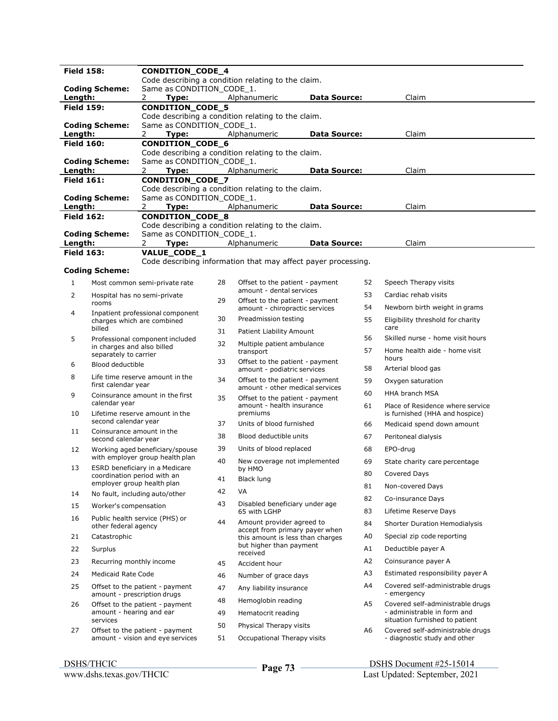| <b>Field 158:</b><br>CONDITION_CODE_4 |                                                           |                                         |    |                                                                    |                     |                |                                                                    |
|---------------------------------------|-----------------------------------------------------------|-----------------------------------------|----|--------------------------------------------------------------------|---------------------|----------------|--------------------------------------------------------------------|
|                                       |                                                           |                                         |    | Code describing a condition relating to the claim.                 |                     |                |                                                                    |
| Length:                               | <b>Coding Scheme:</b>                                     | Same as CONDITION_CODE_1.<br>2<br>Type: |    | Alphanumeric                                                       | Data Source:        |                | Claim                                                              |
| <b>Field 159:</b>                     |                                                           | CONDITION_CODE_5                        |    |                                                                    |                     |                |                                                                    |
|                                       |                                                           |                                         |    | Code describing a condition relating to the claim.                 |                     |                |                                                                    |
|                                       | <b>Coding Scheme:</b>                                     | Same as CONDITION_CODE_1.               |    |                                                                    |                     |                |                                                                    |
| Length:<br><b>Field 160:</b>          |                                                           | 2<br>Type:<br>CONDITION_CODE_6          |    | Alphanumeric                                                       | <b>Data Source:</b> |                | Claim                                                              |
|                                       |                                                           |                                         |    | Code describing a condition relating to the claim.                 |                     |                |                                                                    |
|                                       | <b>Coding Scheme:</b>                                     | Same as CONDITION_CODE_1.               |    |                                                                    |                     |                |                                                                    |
| Length:                               |                                                           | 2<br>Type:                              |    | Alphanumeric                                                       | <b>Data Source:</b> |                | Claim                                                              |
| <b>Field 161:</b>                     |                                                           | CONDITION_CODE_7                        |    | Code describing a condition relating to the claim.                 |                     |                |                                                                    |
|                                       | <b>Coding Scheme:</b>                                     | Same as CONDITION_CODE_1.               |    |                                                                    |                     |                |                                                                    |
| Length:                               |                                                           | 2<br>Type:                              |    | Alphanumeric                                                       | Data Source:        |                | Claim                                                              |
| <b>Field 162:</b>                     |                                                           | CONDITION_CODE_8                        |    |                                                                    |                     |                |                                                                    |
|                                       | <b>Coding Scheme:</b>                                     | Same as CONDITION_CODE_1.               |    | Code describing a condition relating to the claim.                 |                     |                |                                                                    |
| Length:                               |                                                           | $\mathbf{2}$<br>Type:                   |    | Alphanumeric                                                       | <b>Data Source:</b> |                | Claim                                                              |
| <b>Field 163:</b>                     |                                                           | VALUE_CODE_1                            |    |                                                                    |                     |                |                                                                    |
|                                       | <b>Coding Scheme:</b>                                     |                                         |    | Code describing information that may affect payer processing.      |                     |                |                                                                    |
| $\mathbf{1}$                          |                                                           | Most common semi-private rate           | 28 | Offset to the patient - payment                                    |                     | 52             | Speech Therapy visits                                              |
| 2                                     | Hospital has no semi-private                              |                                         |    | amount - dental services                                           |                     | 53             | Cardiac rehab visits                                               |
|                                       | rooms                                                     |                                         | 29 | Offset to the patient - payment                                    |                     |                | Newborn birth weight in grams                                      |
| 4                                     |                                                           | Inpatient professional component        | 30 | amount - chiropractic services<br>Preadmission testing             |                     | 54<br>55       | Eligibility threshold for charity                                  |
|                                       | charges which are combined<br>billed                      |                                         | 31 | <b>Patient Liability Amount</b>                                    |                     |                | care                                                               |
| 5                                     |                                                           | Professional component included         |    |                                                                    |                     | 56             | Skilled nurse - home visit hours                                   |
|                                       | in charges and also billed<br>separately to carrier       |                                         | 32 | Multiple patient ambulance<br>transport                            |                     | 57             | Home health aide - home visit                                      |
| 6                                     | Blood deductible                                          |                                         | 33 | Offset to the patient - payment                                    |                     |                | hours                                                              |
| 8<br>Life time reserve amount in the  |                                                           |                                         | 34 | amount - podiatric services                                        |                     | 58             | Arterial blood gas                                                 |
|                                       | first calendar year                                       |                                         |    | Offset to the patient - payment<br>amount - other medical services |                     | 59             | Oxygen saturation                                                  |
| 9                                     | Coinsurance amount in the first<br>calendar year          |                                         | 35 | Offset to the patient - payment                                    |                     | 60<br>61       | <b>HHA branch MSA</b>                                              |
| 10                                    |                                                           | Lifetime reserve amount in the          |    | amount - health insurance<br>premiums                              |                     |                | Place of Residence where service<br>is furnished (HHA and hospice) |
|                                       | second calendar year                                      |                                         | 37 | Units of blood furnished                                           |                     | 66             | Medicaid spend down amount                                         |
| 11                                    | Coinsurance amount in the<br>second calendar year         |                                         | 38 | Blood deductible units                                             |                     | 67             | Peritoneal dialysis                                                |
| 12                                    |                                                           | Working aged beneficiary/spouse         | 39 | Units of blood replaced                                            |                     | 68             | EPO-drug                                                           |
|                                       |                                                           | with employer group health plan         | 40 | New coverage not implemented                                       |                     | 69             | State charity care percentage                                      |
| 13                                    |                                                           | ESRD beneficiary in a Medicare          |    | by HMO                                                             |                     | 80             | Covered Days                                                       |
|                                       | coordination period with an<br>employer group health plan |                                         | 41 | Black lung                                                         |                     | 81             | Non-covered Days                                                   |
| 14                                    | No fault, including auto/other                            |                                         | 42 | VA                                                                 |                     | 82             | Co-insurance Days                                                  |
| 15                                    | Worker's compensation                                     |                                         | 43 | Disabled beneficiary under age<br>65 with LGHP                     |                     | 83             | Lifetime Reserve Days                                              |
| 16                                    |                                                           | Public health service (PHS) or          | 44 | Amount provider agreed to                                          |                     | 84             | <b>Shorter Duration Hemodialysis</b>                               |
| 21                                    | other federal agency<br>Catastrophic                      |                                         |    | accept from primary payer when<br>this amount is less than charges |                     | A <sub>0</sub> | Special zip code reporting                                         |
| 22                                    | Surplus                                                   |                                         |    | but higher than payment                                            |                     | A1             | Deductible payer A                                                 |
|                                       |                                                           |                                         |    | received                                                           |                     |                |                                                                    |
| 23                                    | Recurring monthly income                                  |                                         | 45 | Accident hour                                                      |                     | A <sub>2</sub> | Coinsurance payer A                                                |
| 24                                    | <b>Medicaid Rate Code</b>                                 |                                         | 46 | Number of grace days                                               |                     | A3             | Estimated responsibility payer A                                   |
| 25                                    | amount - prescription drugs                               | Offset to the patient - payment         | 47 | Any liability insurance                                            |                     | A4             | Covered self-administrable drugs<br>- emergency                    |
| 26                                    |                                                           | Offset to the patient - payment         | 48 | Hemoglobin reading                                                 |                     | A5             | Covered self-administrable drugs                                   |
|                                       | amount - hearing and ear<br>services                      |                                         | 49 | Hematocrit reading                                                 |                     |                | - administrable in form and<br>situation furnished to patient      |
| 27                                    |                                                           | Offset to the patient - payment         | 50 | Physical Therapy visits                                            |                     | A6             | Covered self-administrable drugs                                   |
|                                       |                                                           | amount - vision and eye services        | 51 | Occupational Therapy visits                                        |                     |                | - diagnostic study and other                                       |
|                                       |                                                           |                                         |    |                                                                    |                     |                |                                                                    |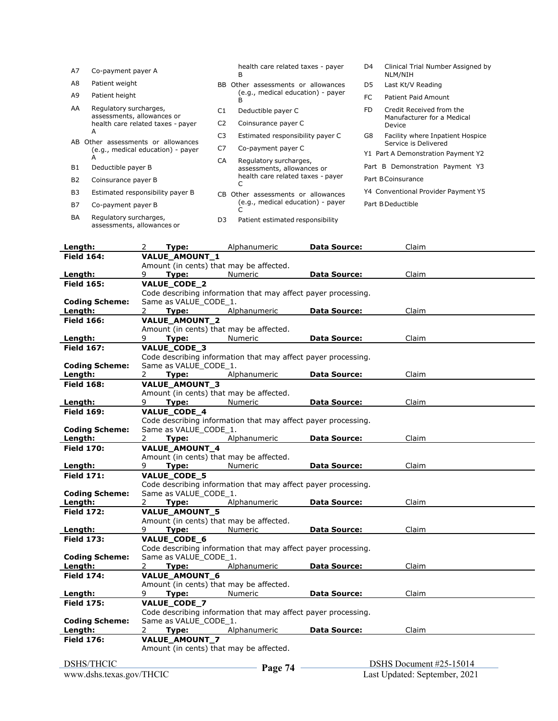| A7             | Co-payment payer A                                                   |                              | health care related taxes - payer<br>в | D4                              | Clinical Trial Number Assigned by<br>NLM/NIH           |  |
|----------------|----------------------------------------------------------------------|------------------------------|----------------------------------------|---------------------------------|--------------------------------------------------------|--|
| A8             | Patient weight                                                       | BB.                          | Other assessments or allowances        | D5                              | Last Kt/V Reading                                      |  |
| A9             | Patient height                                                       |                              | (e.g., medical education) - payer      | FC                              | <b>Patient Paid Amount</b>                             |  |
| AA             | Regulatory surcharges,<br>assessments, allowances or                 | C <sub>1</sub>               | Deductible payer C                     | FD.                             | Credit Received from the<br>Manufacturer for a Medical |  |
|                | health care related taxes - payer<br>A                               | C <sub>2</sub>               | Coinsurance payer C                    | Device                          |                                                        |  |
|                |                                                                      | C <sub>3</sub>               | Estimated responsibility payer C       | G8                              | Facility where Inpatient Hospice                       |  |
| AB.            | Other assessments or allowances<br>(e.g., medical education) - payer | C7                           | Co-payment payer C                     |                                 | Service is Delivered                                   |  |
|                | A                                                                    |                              |                                        |                                 | Y1 Part A Demonstration Payment Y2                     |  |
|                |                                                                      | CA<br>Regulatory surcharges, |                                        | Part B Demonstration Payment Y3 |                                                        |  |
| B1             | Deductible payer B                                                   |                              | assessments, allowances or             |                                 |                                                        |  |
| <b>B2</b>      | Coinsurance payer B                                                  |                              | health care related taxes - payer      |                                 | Part BCoinsurance                                      |  |
| B <sub>3</sub> | Estimated responsibility payer B                                     | CB.                          | Other assessments or allowances        |                                 | Y4 Conventional Provider Payment Y5                    |  |
| <b>B7</b>      | Co-payment payer B                                                   |                              | (e.g., medical education) - payer      |                                 | Part B Deductible                                      |  |
| BA             | Regulatory surcharges,                                               | D <sub>3</sub>               | Patient estimated responsibility       |                                 |                                                        |  |

| Length:               | 2<br>Type:                                                                    | Alphanumeric                             | <b>Data Source:</b> | Claim                   |
|-----------------------|-------------------------------------------------------------------------------|------------------------------------------|---------------------|-------------------------|
| <b>Field 164:</b>     | VALUE_AMOUNT_1                                                                |                                          |                     |                         |
|                       | Amount (in cents) that may be affected.                                       |                                          |                     |                         |
| Length:               | 9<br>Type:                                                                    | Numeric                                  | <b>Data Source:</b> | Claim                   |
| <b>Field 165:</b>     | VALUE_CODE_2                                                                  |                                          |                     |                         |
|                       | Code describing information that may affect payer processing.                 |                                          |                     |                         |
| <b>Coding Scheme:</b> | Same as VALUE CODE 1.                                                         |                                          |                     |                         |
| Length:               | Type:<br>2                                                                    | Alphanumeric                             | <b>Data Source:</b> | Claim                   |
| <b>Field 166:</b>     | VALUE_AMOUNT_2                                                                |                                          |                     |                         |
|                       | Amount (in cents) that may be affected.                                       |                                          |                     |                         |
| Length:               | Type:<br>9                                                                    | Numeric                                  | <b>Data Source:</b> | Claim                   |
| <b>Field 167:</b>     | VALUE_CODE_3<br>Code describing information that may affect payer processing. |                                          |                     |                         |
| <b>Coding Scheme:</b> | Same as VALUE_CODE_1.                                                         |                                          |                     |                         |
| Length:               | $\overline{2}$<br>Type:                                                       | Alphanumeric                             | <b>Data Source:</b> | Claim                   |
| <b>Field 168:</b>     | VALUE_AMOUNT_3                                                                |                                          |                     |                         |
|                       | Amount (in cents) that may be affected.                                       |                                          |                     |                         |
| Length:               | Type:<br>9                                                                    | Numeric                                  | <b>Data Source:</b> | Claim                   |
| <b>Field 169:</b>     | VALUE_CODE_4                                                                  |                                          |                     |                         |
|                       | Code describing information that may affect payer processing.                 |                                          |                     |                         |
| <b>Coding Scheme:</b> | Same as VALUE CODE 1.                                                         |                                          |                     |                         |
| Length:               | $2^{\circ}$<br>Type:                                                          | Alphanumeric                             | <b>Data Source:</b> | Claim                   |
| <b>Field 170:</b>     | VALUE_AMOUNT_4                                                                |                                          |                     |                         |
|                       | Amount (in cents) that may be affected.                                       |                                          |                     |                         |
| Length:               | 9<br>Type:                                                                    | Numeric                                  | <b>Data Source:</b> | Claim                   |
| <b>Field 171:</b>     | VALUE_CODE_5                                                                  |                                          |                     |                         |
|                       | Code describing information that may affect payer processing.                 |                                          |                     |                         |
| <b>Coding Scheme:</b> | Same as VALUE_CODE_1.                                                         |                                          |                     |                         |
| Length:               | $\mathbf{2}$<br>Type:                                                         | Alphanumeric                             | <b>Data Source:</b> | Claim                   |
| <b>Field 172:</b>     | VALUE_AMOUNT_5                                                                |                                          |                     |                         |
| Length:               | Amount (in cents) that may be affected.<br>9<br>Type:                         | Numeric                                  | <b>Data Source:</b> | Claim                   |
| <b>Field 173:</b>     | VALUE_CODE_6                                                                  |                                          |                     |                         |
|                       | Code describing information that may affect payer processing.                 |                                          |                     |                         |
| <b>Coding Scheme:</b> | Same as VALUE_CODE_1.                                                         |                                          |                     |                         |
| Length:               | Type:<br>2                                                                    | Alphanumeric                             | <b>Data Source:</b> | Claim                   |
| <b>Field 174:</b>     | VALUE_AMOUNT_6                                                                |                                          |                     |                         |
|                       | Amount (in cents) that may be affected.                                       |                                          |                     |                         |
| Length:               | 9<br>Type:                                                                    | Numeric                                  | <b>Data Source:</b> | Claim                   |
| <b>Field 175:</b>     | VALUE_CODE_7                                                                  |                                          |                     |                         |
|                       | Code describing information that may affect payer processing.                 |                                          |                     |                         |
| <b>Coding Scheme:</b> | Same as VALUE_CODE_1.                                                         |                                          |                     |                         |
| Length:               | 2<br>Type:                                                                    | Alphanumeric                             | <b>Data Source:</b> | Claim                   |
| <b>Field 176:</b>     | VALUE_AMOUNT_7                                                                |                                          |                     |                         |
|                       | Amount (in cents) that may be affected.                                       |                                          |                     |                         |
| <b>DSHS/THCIC</b>     |                                                                               | $\mathbf{D}_{\alpha\alpha\alpha}$ 74 $-$ |                     | DSHS Document #25-15014 |

assessments, allowances or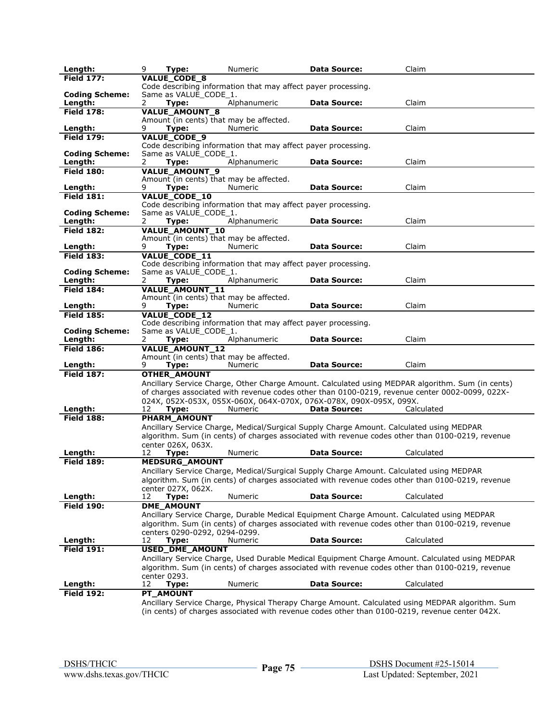| Length:                          | 9<br>Type:                           | Numeric                                                                       | <b>Data Source:</b> | Claim                                                                                                                                                                                               |
|----------------------------------|--------------------------------------|-------------------------------------------------------------------------------|---------------------|-----------------------------------------------------------------------------------------------------------------------------------------------------------------------------------------------------|
| <b>Field 177:</b>                | <b>VALUE CODE 8</b>                  |                                                                               |                     |                                                                                                                                                                                                     |
|                                  |                                      | Code describing information that may affect payer processing.                 |                     |                                                                                                                                                                                                     |
| <b>Coding Scheme:</b><br>Length: | Same as VALUE CODE 1.<br>2<br>Type:  | Alphanumeric                                                                  | <b>Data Source:</b> | Claim                                                                                                                                                                                               |
| <b>Field 178:</b>                | <b>VALUE_AMOUNT_8</b>                |                                                                               |                     |                                                                                                                                                                                                     |
|                                  |                                      | Amount (in cents) that may be affected.                                       |                     |                                                                                                                                                                                                     |
| Length:                          | Type:<br>9                           | Numeric                                                                       | <b>Data Source:</b> | Claim                                                                                                                                                                                               |
| <b>Field 179:</b>                | VALUE_CODE_9                         |                                                                               |                     |                                                                                                                                                                                                     |
| <b>Coding Scheme:</b>            | Same as VALUE_CODE_1.                | Code describing information that may affect payer processing.                 |                     |                                                                                                                                                                                                     |
| Length:                          | 2<br>Type:                           | Alphanumeric                                                                  | <b>Data Source:</b> | Claim                                                                                                                                                                                               |
| <b>Field 180:</b>                | <b>VALUE_AMOUNT_9</b>                |                                                                               |                     |                                                                                                                                                                                                     |
|                                  |                                      | Amount (in cents) that may be affected.                                       |                     |                                                                                                                                                                                                     |
| Length:                          | 9<br>Type:                           | Numeric                                                                       | <b>Data Source:</b> | Claim                                                                                                                                                                                               |
| <b>Field 181:</b>                | <b>VALUE_CODE_10</b>                 | Code describing information that may affect payer processing.                 |                     |                                                                                                                                                                                                     |
| <b>Coding Scheme:</b>            | Same as VALUE CODE 1.                |                                                                               |                     |                                                                                                                                                                                                     |
| Length:                          | Type:<br>2                           | Alphanumeric                                                                  | <b>Data Source:</b> | Claim                                                                                                                                                                                               |
| <b>Field 182:</b>                | VALUE_AMOUNT_10                      |                                                                               |                     |                                                                                                                                                                                                     |
|                                  | Type:                                | Amount (in cents) that may be affected.<br>Numeric                            | <b>Data Source:</b> | Claim                                                                                                                                                                                               |
| Length:<br><b>Field 183:</b>     | 9<br><b>VALUE CODE 11</b>            |                                                                               |                     |                                                                                                                                                                                                     |
|                                  |                                      | Code describing information that may affect payer processing.                 |                     |                                                                                                                                                                                                     |
| <b>Coding Scheme:</b>            | Same as VALUE_CODE_1.                |                                                                               |                     |                                                                                                                                                                                                     |
| Length:                          | 2<br>Type:                           | Alphanumeric                                                                  | <b>Data Source:</b> | Claim                                                                                                                                                                                               |
| <b>Field 184:</b>                | VALUE_AMOUNT_11                      |                                                                               |                     |                                                                                                                                                                                                     |
| Length:                          | Type:<br>9                           | Amount (in cents) that may be affected.<br>Numeric                            | <b>Data Source:</b> | Claim                                                                                                                                                                                               |
| <b>Field 185:</b>                | VALUE_CODE_12                        |                                                                               |                     |                                                                                                                                                                                                     |
|                                  |                                      | Code describing information that may affect payer processing.                 |                     |                                                                                                                                                                                                     |
| <b>Coding Scheme:</b>            | Same as VALUE CODE 1.                |                                                                               |                     |                                                                                                                                                                                                     |
| Length:<br><b>Field 186:</b>     | 2<br>Type:<br><b>VALUE AMOUNT 12</b> | Alphanumeric                                                                  | <b>Data Source:</b> | Claim                                                                                                                                                                                               |
|                                  |                                      | Amount (in cents) that may be affected.                                       |                     |                                                                                                                                                                                                     |
| Length:                          | Type:<br>9                           | Numeric                                                                       | <b>Data Source:</b> | Claim                                                                                                                                                                                               |
| <b>Field 187:</b>                | <b>OTHER AMOUNT</b>                  |                                                                               |                     |                                                                                                                                                                                                     |
|                                  |                                      |                                                                               |                     | Ancillary Service Charge, Other Charge Amount. Calculated using MEDPAR algorithm. Sum (in cents)                                                                                                    |
|                                  |                                      |                                                                               |                     | of charges associated with revenue codes other than 0100-0219, revenue center 0002-0099, 022X-                                                                                                      |
| Length:                          | 12<br>Type:                          | 024X, 052X-053X, 055X-060X, 064X-070X, 076X-078X, 090X-095X, 099X.<br>Numeric | <b>Data Source:</b> | Calculated                                                                                                                                                                                          |
| <b>Field 188:</b>                | <b>PHARM AMOUNT</b>                  |                                                                               |                     |                                                                                                                                                                                                     |
|                                  |                                      |                                                                               |                     | Ancillary Service Charge, Medical/Surgical Supply Charge Amount. Calculated using MEDPAR                                                                                                            |
|                                  |                                      |                                                                               |                     | algorithm. Sum (in cents) of charges associated with revenue codes other than 0100-0219, revenue                                                                                                    |
|                                  | center 026X, 063X.                   | <b>Numeric</b>                                                                |                     |                                                                                                                                                                                                     |
| Length:<br><b>Field 189:</b>     | 12<br>Type:<br><b>MEDSURG_AMOUNT</b> |                                                                               | <b>Data Source:</b> | Calculated                                                                                                                                                                                          |
|                                  |                                      |                                                                               |                     | Ancillary Service Charge, Medical/Surgical Supply Charge Amount. Calculated using MEDPAR                                                                                                            |
|                                  |                                      |                                                                               |                     | algorithm. Sum (in cents) of charges associated with revenue codes other than 0100-0219, revenue                                                                                                    |
|                                  | center 027X, 062X.                   |                                                                               |                     |                                                                                                                                                                                                     |
| Length:                          | 12<br>Type:                          | Numeric                                                                       | <b>Data Source:</b> | Calculated                                                                                                                                                                                          |
| <b>Field 190:</b>                | <b>DME_AMOUNT</b>                    |                                                                               |                     | Ancillary Service Charge, Durable Medical Equipment Charge Amount. Calculated using MEDPAR                                                                                                          |
|                                  |                                      |                                                                               |                     | algorithm. Sum (in cents) of charges associated with revenue codes other than 0100-0219, revenue                                                                                                    |
|                                  | centers 0290-0292, 0294-0299.        |                                                                               |                     |                                                                                                                                                                                                     |
| Length:                          | 12<br>Type:                          | <b>Numeric</b>                                                                | <b>Data Source:</b> | Calculated                                                                                                                                                                                          |
| <b>Field 191:</b>                | USED_DME_AMOUNT                      |                                                                               |                     |                                                                                                                                                                                                     |
|                                  |                                      |                                                                               |                     | Ancillary Service Charge, Used Durable Medical Equipment Charge Amount. Calculated using MEDPAR<br>algorithm. Sum (in cents) of charges associated with revenue codes other than 0100-0219, revenue |
|                                  | center 0293.                         |                                                                               |                     |                                                                                                                                                                                                     |
| Length:                          | 12<br>Type:                          | Numeric                                                                       | <b>Data Source:</b> | Calculated                                                                                                                                                                                          |
| <b>Field 192:</b>                | <b>PT_AMOUNT</b>                     |                                                                               |                     |                                                                                                                                                                                                     |
|                                  |                                      |                                                                               |                     | Ancillary Service Charge, Physical Therapy Charge Amount. Calculated using MEDPAR algorithm. Sum                                                                                                    |
|                                  |                                      |                                                                               |                     | (in cents) of charges associated with revenue codes other than 0100-0219, revenue center 042X.                                                                                                      |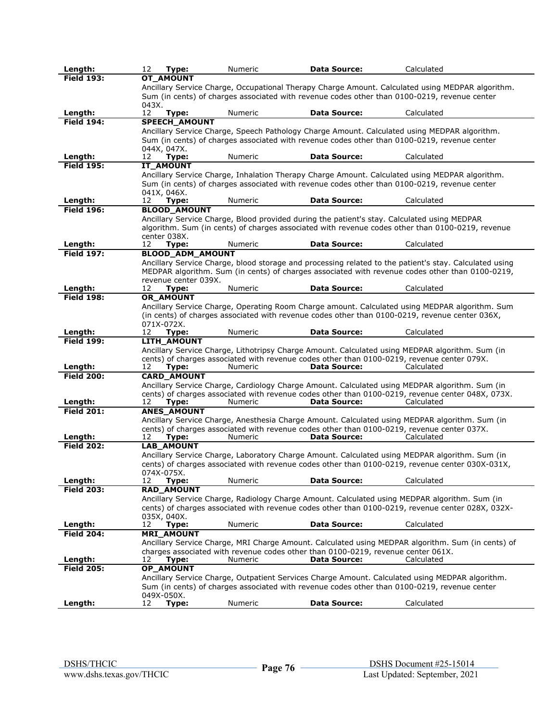| Length:           | Type:<br>12                         | Numeric | <b>Data Source:</b>                                                                                        | Calculated                                                                                             |
|-------------------|-------------------------------------|---------|------------------------------------------------------------------------------------------------------------|--------------------------------------------------------------------------------------------------------|
| <b>Field 193:</b> | <b>OT AMOUNT</b>                    |         |                                                                                                            |                                                                                                        |
|                   |                                     |         |                                                                                                            | Ancillary Service Charge, Occupational Therapy Charge Amount. Calculated using MEDPAR algorithm.       |
|                   |                                     |         |                                                                                                            | Sum (in cents) of charges associated with revenue codes other than 0100-0219, revenue center           |
| Length:           | 043X.<br>12<br>Type:                | Numeric | <b>Data Source:</b>                                                                                        | Calculated                                                                                             |
| <b>Field 194:</b> | SPEECH_AMOUNT                       |         |                                                                                                            |                                                                                                        |
|                   |                                     |         |                                                                                                            | Ancillary Service Charge, Speech Pathology Charge Amount. Calculated using MEDPAR algorithm.           |
|                   |                                     |         |                                                                                                            | Sum (in cents) of charges associated with revenue codes other than 0100-0219, revenue center           |
|                   | 044X, 047X.                         |         |                                                                                                            |                                                                                                        |
| Length:           | 12<br>Type:                         | Numeric | <b>Data Source:</b>                                                                                        | Calculated                                                                                             |
| <b>Field 195:</b> | <b>IT AMOUNT</b>                    |         |                                                                                                            |                                                                                                        |
|                   |                                     |         |                                                                                                            | Ancillary Service Charge, Inhalation Therapy Charge Amount. Calculated using MEDPAR algorithm.         |
|                   |                                     |         |                                                                                                            | Sum (in cents) of charges associated with revenue codes other than 0100-0219, revenue center           |
| Length:           | 041X, 046X.<br>Type:<br>12          | Numeric | <b>Data Source:</b>                                                                                        | Calculated                                                                                             |
| <b>Field 196:</b> | <b>BLOOD_AMOUNT</b>                 |         |                                                                                                            |                                                                                                        |
|                   |                                     |         | Ancillary Service Charge, Blood provided during the patient's stay. Calculated using MEDPAR                |                                                                                                        |
|                   |                                     |         |                                                                                                            | algorithm. Sum (in cents) of charges associated with revenue codes other than 0100-0219, revenue       |
|                   | center 038X.                        |         |                                                                                                            |                                                                                                        |
| Length:           | 12<br>Type:                         | Numeric | <b>Data Source:</b>                                                                                        | Calculated                                                                                             |
| <b>Field 197:</b> | <b>BLOOD_ADM_AMOUNT</b>             |         |                                                                                                            |                                                                                                        |
|                   |                                     |         |                                                                                                            | Ancillary Service Charge, blood storage and processing related to the patient's stay. Calculated using |
|                   |                                     |         |                                                                                                            | MEDPAR algorithm. Sum (in cents) of charges associated with revenue codes other than 0100-0219,        |
| Length:           | revenue center 039X.<br>12<br>Type: | Numeric | <b>Data Source:</b>                                                                                        | Calculated                                                                                             |
| <b>Field 198:</b> | <b>OR AMOUNT</b>                    |         |                                                                                                            |                                                                                                        |
|                   |                                     |         |                                                                                                            | Ancillary Service Charge, Operating Room Charge amount. Calculated using MEDPAR algorithm. Sum         |
|                   |                                     |         |                                                                                                            | (in cents) of charges associated with revenue codes other than 0100-0219, revenue center 036X,         |
|                   | 071X-072X.                          |         |                                                                                                            |                                                                                                        |
| Length:           | 12<br>Type:                         | Numeric | <b>Data Source:</b>                                                                                        | Calculated                                                                                             |
| <b>Field 199:</b> | LITH_AMOUNT                         |         |                                                                                                            |                                                                                                        |
|                   |                                     |         |                                                                                                            | Ancillary Service Charge, Lithotripsy Charge Amount. Calculated using MEDPAR algorithm. Sum (in        |
| Length:           | 12<br>Type:                         | Numeric | cents) of charges associated with revenue codes other than 0100-0219, revenue center 079X.<br>Data Source: | Calculated                                                                                             |
| <b>Field 200:</b> | <b>CARD_AMOUNT</b>                  |         |                                                                                                            |                                                                                                        |
|                   |                                     |         |                                                                                                            | Ancillary Service Charge, Cardiology Charge Amount. Calculated using MEDPAR algorithm. Sum (in         |
|                   |                                     |         |                                                                                                            | cents) of charges associated with revenue codes other than 0100-0219, revenue center 048X, 073X.       |
| Length:           | 12<br>Type:                         | Numeric | Data Source:                                                                                               | Calculated                                                                                             |
| <b>Field 201:</b> | <b>ANES_AMOUNT</b>                  |         |                                                                                                            |                                                                                                        |
|                   |                                     |         |                                                                                                            | Ancillary Service Charge, Anesthesia Charge Amount. Calculated using MEDPAR algorithm. Sum (in         |
| Length:           | 12<br>Type:                         | Numeric | cents) of charges associated with revenue codes other than 0100-0219, revenue center 037X.<br>Data Source: | Calculated                                                                                             |
| <b>Field 202:</b> | <b>LAB AMOUNT</b>                   |         |                                                                                                            |                                                                                                        |
|                   |                                     |         |                                                                                                            | Ancillary Service Charge, Laboratory Charge Amount. Calculated using MEDPAR algorithm. Sum (in         |
|                   |                                     |         |                                                                                                            | cents) of charges associated with revenue codes other than 0100-0219, revenue center 030X-031X,        |
|                   | 074X-075X.                          |         |                                                                                                            |                                                                                                        |
| Length:           | 12<br>Type:                         | Numeric | <b>Data Source:</b>                                                                                        | Calculated                                                                                             |
| <b>Field 203:</b> | RAD_AMOUNT                          |         |                                                                                                            |                                                                                                        |
|                   |                                     |         |                                                                                                            | Ancillary Service Charge, Radiology Charge Amount. Calculated using MEDPAR algorithm. Sum (in          |
|                   |                                     |         |                                                                                                            | cents) of charges associated with revenue codes other than 0100-0219, revenue center 028X, 032X-       |
| Length:           | 035X, 040X.<br>12<br>Type:          | Numeric | <b>Data Source:</b>                                                                                        | Calculated                                                                                             |
| <b>Field 204:</b> | <b>MRI_AMOUNT</b>                   |         |                                                                                                            |                                                                                                        |
|                   |                                     |         |                                                                                                            | Ancillary Service Charge, MRI Charge Amount. Calculated using MEDPAR algorithm. Sum (in cents) of      |
|                   |                                     |         | charges associated with revenue codes other than 0100-0219, revenue center 061X.                           |                                                                                                        |
| Length:           | 12<br>Type:                         | Numeric | Data Source:                                                                                               | Calculated                                                                                             |
| <b>Field 205:</b> | OP_AMOUNT                           |         |                                                                                                            |                                                                                                        |
|                   |                                     |         |                                                                                                            | Ancillary Service Charge, Outpatient Services Charge Amount. Calculated using MEDPAR algorithm.        |
|                   |                                     |         |                                                                                                            | Sum (in cents) of charges associated with revenue codes other than 0100-0219, revenue center           |
| Length:           | 049X-050X.<br>12<br>Type:           | Numeric | <b>Data Source:</b>                                                                                        | Calculated                                                                                             |
|                   |                                     |         |                                                                                                            |                                                                                                        |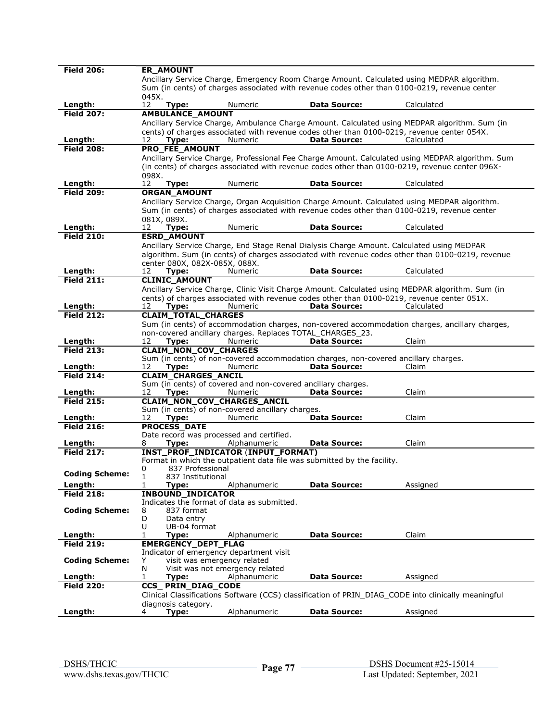| <b>Field 206:</b>     | <b>ER_AMOUNT</b>              |                                                                        |                                                                                                     |                                                                                                     |
|-----------------------|-------------------------------|------------------------------------------------------------------------|-----------------------------------------------------------------------------------------------------|-----------------------------------------------------------------------------------------------------|
|                       |                               |                                                                        |                                                                                                     | Ancillary Service Charge, Emergency Room Charge Amount. Calculated using MEDPAR algorithm.          |
|                       |                               |                                                                        |                                                                                                     | Sum (in cents) of charges associated with revenue codes other than 0100-0219, revenue center        |
|                       | 045X.                         |                                                                        |                                                                                                     |                                                                                                     |
| Length:               | 12<br>Type:                   | Numeric                                                                | <b>Data Source:</b>                                                                                 | Calculated                                                                                          |
| <b>Field 207:</b>     | <b>AMBULANCE_AMOUNT</b>       |                                                                        |                                                                                                     |                                                                                                     |
|                       |                               |                                                                        |                                                                                                     | Ancillary Service Charge, Ambulance Charge Amount. Calculated using MEDPAR algorithm. Sum (in       |
|                       |                               |                                                                        |                                                                                                     | cents) of charges associated with revenue codes other than 0100-0219, revenue center 054X.          |
| Length:               | 12<br>Type:                   | Numeric                                                                | <b>Data Source:</b>                                                                                 | Calculated                                                                                          |
| <b>Field 208:</b>     | PRO_FEE_AMOUNT                |                                                                        |                                                                                                     |                                                                                                     |
|                       |                               |                                                                        |                                                                                                     | Ancillary Service Charge, Professional Fee Charge Amount. Calculated using MEDPAR algorithm. Sum    |
|                       |                               |                                                                        |                                                                                                     | (in cents) of charges associated with revenue codes other than 0100-0219, revenue center 096X-      |
| Length:               | 098X.<br>12                   | Numeric                                                                | <b>Data Source:</b>                                                                                 | Calculated                                                                                          |
| <b>Field 209:</b>     | Type:                         |                                                                        |                                                                                                     |                                                                                                     |
|                       | ORGAN_AMOUNT                  |                                                                        |                                                                                                     |                                                                                                     |
|                       |                               |                                                                        |                                                                                                     | Ancillary Service Charge, Organ Acquisition Charge Amount. Calculated using MEDPAR algorithm.       |
|                       |                               |                                                                        |                                                                                                     | Sum (in cents) of charges associated with revenue codes other than 0100-0219, revenue center        |
| Length:               | 081X, 089X.<br>12<br>Type:    | Numeric                                                                | <b>Data Source:</b>                                                                                 | Calculated                                                                                          |
| <b>Field 210:</b>     | <b>ESRD_AMOUNT</b>            |                                                                        |                                                                                                     |                                                                                                     |
|                       |                               |                                                                        |                                                                                                     | Ancillary Service Charge, End Stage Renal Dialysis Charge Amount. Calculated using MEDPAR           |
|                       |                               |                                                                        |                                                                                                     | algorithm. Sum (in cents) of charges associated with revenue codes other than 0100-0219, revenue    |
|                       | center 080X, 082X-085X, 088X. |                                                                        |                                                                                                     |                                                                                                     |
| Length:               | 12<br>Type:                   | Numeric                                                                | <b>Data Source:</b>                                                                                 | Calculated                                                                                          |
| <b>Field 211:</b>     | <b>CLINIC_AMOUNT</b>          |                                                                        |                                                                                                     |                                                                                                     |
|                       |                               |                                                                        |                                                                                                     | Ancillary Service Charge, Clinic Visit Charge Amount. Calculated using MEDPAR algorithm. Sum (in    |
|                       |                               |                                                                        |                                                                                                     | cents) of charges associated with revenue codes other than 0100-0219, revenue center 051X.          |
| Length:               | 12<br>Type:                   | Numeric                                                                | <b>Data Source:</b>                                                                                 | Calculated                                                                                          |
| <b>Field 212:</b>     | <b>CLAIM_TOTAL_CHARGES</b>    |                                                                        |                                                                                                     |                                                                                                     |
|                       |                               |                                                                        |                                                                                                     | Sum (in cents) of accommodation charges, non-covered accommodation charges, ancillary charges,      |
|                       |                               |                                                                        | non-covered ancillary charges. Replaces TOTAL_CHARGES_23.                                           |                                                                                                     |
| Length:               | 12<br>Type:                   | Numeric                                                                | <b>Data Source:</b>                                                                                 | Claim                                                                                               |
| <b>Field 213:</b>     | <b>CLAIM_NON_COV_CHARGES</b>  |                                                                        |                                                                                                     |                                                                                                     |
| Length:               | 12<br>Type:                   | Numeric                                                                | Sum (in cents) of non-covered accommodation charges, non-covered ancillary charges.<br>Data Source: | Claim                                                                                               |
| <b>Field 214:</b>     | <b>CLAIM_CHARGES_ANCIL</b>    |                                                                        |                                                                                                     |                                                                                                     |
|                       |                               | Sum (in cents) of covered and non-covered ancillary charges.           |                                                                                                     |                                                                                                     |
| Length:               | 12<br>Type:                   | Numeric                                                                | <b>Data Source:</b>                                                                                 | Claim                                                                                               |
| <b>Field 215:</b>     |                               | CLAIM_NON_COV_CHARGES_ANCIL                                            |                                                                                                     |                                                                                                     |
|                       |                               | Sum (in cents) of non-covered ancillary charges.                       |                                                                                                     |                                                                                                     |
| Length:               | Type:<br>12                   | <b>Numeric</b>                                                         | <b>Data Source:</b>                                                                                 | Claim                                                                                               |
| <b>Field 216:</b>     | <b>PROCESS DATE</b>           |                                                                        |                                                                                                     |                                                                                                     |
|                       |                               | Date record was processed and certified.                               |                                                                                                     |                                                                                                     |
| Length:               | 8<br>Type:                    | Alphanumeric                                                           | <b>Data Source:</b>                                                                                 | Claim                                                                                               |
| <b>Field 217:</b>     |                               | <b>INST_PROF_INDICATOR (INPUT_FORMAT)</b>                              |                                                                                                     |                                                                                                     |
|                       | 837 Professional<br>0         |                                                                        | Format in which the outpatient data file was submitted by the facility.                             |                                                                                                     |
| <b>Coding Scheme:</b> | 1<br>837 Institutional        |                                                                        |                                                                                                     |                                                                                                     |
| Length:               | 1<br>Type:                    | Alphanumeric                                                           | <b>Data Source:</b>                                                                                 | Assigned                                                                                            |
| <b>Field 218:</b>     | <b>INBOUND_INDICATOR</b>      |                                                                        |                                                                                                     |                                                                                                     |
|                       |                               | Indicates the format of data as submitted.                             |                                                                                                     |                                                                                                     |
| <b>Coding Scheme:</b> | 837 format<br>8               |                                                                        |                                                                                                     |                                                                                                     |
|                       | D<br>Data entry               |                                                                        |                                                                                                     |                                                                                                     |
|                       | U<br>UB-04 format             |                                                                        |                                                                                                     |                                                                                                     |
| Length:               | 1<br>Type:                    | Alphanumeric                                                           | Data Source:                                                                                        | Claim                                                                                               |
| <b>Field 219:</b>     | <b>EMERGENCY DEPT FLAG</b>    |                                                                        |                                                                                                     |                                                                                                     |
| <b>Coding Scheme:</b> | Y                             | Indicator of emergency department visit<br>visit was emergency related |                                                                                                     |                                                                                                     |
|                       | N                             | Visit was not emergency related                                        |                                                                                                     |                                                                                                     |
| Length:               | 1<br>Type:                    | Alphanumeric                                                           | Data Source:                                                                                        | Assigned                                                                                            |
| <b>Field 220:</b>     | CCS_PRIN_DIAG_CODE            |                                                                        |                                                                                                     |                                                                                                     |
|                       |                               |                                                                        |                                                                                                     | Clinical Classifications Software (CCS) classification of PRIN_DIAG_CODE into clinically meaningful |
|                       | diagnosis category.           |                                                                        |                                                                                                     |                                                                                                     |
| Length:               | Type:<br>4                    | Alphanumeric                                                           | <b>Data Source:</b>                                                                                 | Assigned                                                                                            |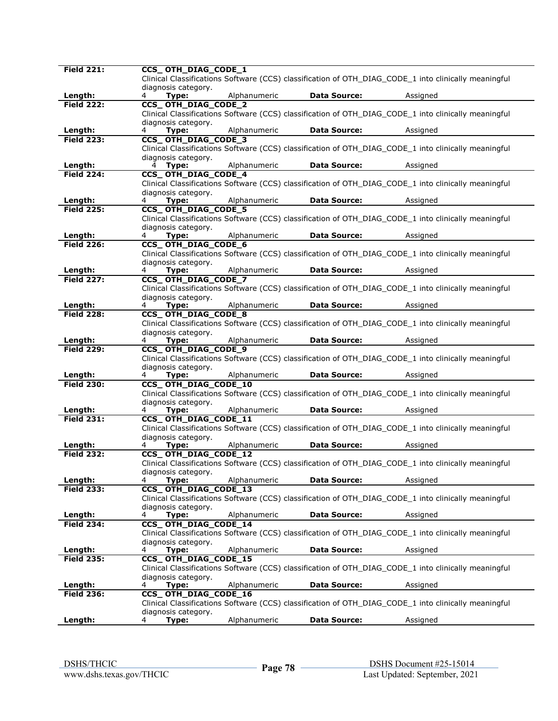| <b>Field 221:</b> | CCS_OTH_DIAG_CODE_1                                                                                  |
|-------------------|------------------------------------------------------------------------------------------------------|
|                   | Clinical Classifications Software (CCS) classification of OTH DIAG CODE 1 into clinically meaningful |
|                   | diagnosis category.                                                                                  |
| Length:           | Alphanumeric<br><b>Data Source:</b><br>4<br>Type:<br>Assigned                                        |
| <b>Field 222:</b> | CCS_OTH_DIAG_CODE_2                                                                                  |
|                   | Clinical Classifications Software (CCS) classification of OTH DIAG CODE 1 into clinically meaningful |
|                   | diagnosis category.                                                                                  |
| Length:           | Alphanumeric<br><b>Data Source:</b><br>4                                                             |
|                   | Type:<br>Assigned                                                                                    |
| <b>Field 223:</b> | CCS_OTH_DIAG_CODE_3                                                                                  |
|                   | Clinical Classifications Software (CCS) classification of OTH_DIAG_CODE_1 into clinically meaningful |
|                   | diagnosis category.                                                                                  |
| Length:           | Alphanumeric<br><b>Data Source:</b><br>4 Type:<br>Assigned                                           |
| <b>Field 224:</b> | CCS_OTH_DIAG_CODE_4                                                                                  |
|                   | Clinical Classifications Software (CCS) classification of OTH_DIAG_CODE_1 into clinically meaningful |
|                   | diagnosis category.                                                                                  |
| Length:           | Type:<br>Alphanumeric<br><b>Data Source:</b><br>Assigned<br>4                                        |
| <b>Field 225:</b> | CCS_OTH_DIAG_CODE_5                                                                                  |
|                   | Clinical Classifications Software (CCS) classification of OTH_DIAG_CODE_1 into clinically meaningful |
|                   |                                                                                                      |
|                   | diagnosis category.                                                                                  |
| Length:           | Alphanumeric<br><b>Data Source:</b><br>Type:<br>Assigned<br>4                                        |
| <b>Field 226:</b> | CCS_OTH_DIAG_CODE_6                                                                                  |
|                   | Clinical Classifications Software (CCS) classification of OTH DIAG CODE 1 into clinically meaningful |
|                   | diagnosis category.                                                                                  |
| Length:           | Alphanumeric<br><b>Data Source:</b><br>4<br>Type:<br>Assigned                                        |
| <b>Field 227:</b> | CCS_OTH_DIAG_CODE_7                                                                                  |
|                   | Clinical Classifications Software (CCS) classification of OTH_DIAG_CODE_1 into clinically meaningful |
|                   | diagnosis category.                                                                                  |
| Length:           | <b>Data Source:</b><br>Type:<br>Alphanumeric<br>Assigned<br>4                                        |
| <b>Field 228:</b> | CCS_OTH_DIAG_CODE_8                                                                                  |
|                   | Clinical Classifications Software (CCS) classification of OTH_DIAG_CODE_1 into clinically meaningful |
|                   |                                                                                                      |
|                   | diagnosis category.                                                                                  |
| Length:           | Alphanumeric<br><b>Data Source:</b><br>Type:<br>Assigned<br>4                                        |
| <b>Field 229:</b> | CCS_OTH_DIAG_CODE_9                                                                                  |
|                   | Clinical Classifications Software (CCS) classification of OTH_DIAG_CODE_1 into clinically meaningful |
|                   | diagnosis category.                                                                                  |
| Length:           | Alphanumeric<br><b>Data Source:</b><br>Type:<br>Assigned<br>4                                        |
| <b>Field 230:</b> | CCS_OTH_DIAG_CODE_10                                                                                 |
|                   | Clinical Classifications Software (CCS) classification of OTH_DIAG_CODE_1 into clinically meaningful |
|                   | diagnosis category.                                                                                  |
| Length:           | Alphanumeric<br><b>Data Source:</b><br>Type:<br>Assigned<br>4                                        |
| <b>Field 231:</b> | CCS_OTH_DIAG_CODE_11                                                                                 |
|                   | Clinical Classifications Software (CCS) classification of OTH DIAG CODE 1 into clinically meaningful |
|                   | diagnosis category.                                                                                  |
| Length:           | Alphanumeric<br><b>Data Source:</b><br>Assigned<br>4<br>Type:                                        |
| <b>Field 232:</b> | CCS_OTH_DIAG_CODE_12                                                                                 |
|                   |                                                                                                      |
|                   | Clinical Classifications Software (CCS) classification of OTH_DIAG_CODE_1 into clinically meaningful |
|                   | diagnosis category.                                                                                  |
| Length:           | <b>Data Source:</b><br>Type:<br>Alphanumeric<br>Assigned<br>4                                        |
| <b>Field 233:</b> | CCS_OTH_DIAG_CODE_13                                                                                 |
|                   | Clinical Classifications Software (CCS) classification of OTH_DIAG_CODE_1 into clinically meaningful |
|                   | diagnosis category.                                                                                  |
| Length:           | Alphanumeric<br><b>Data Source:</b><br>Type:<br>Assigned<br>4                                        |
| <b>Field 234:</b> | CCS_OTH_DIAG_CODE_14                                                                                 |
|                   | Clinical Classifications Software (CCS) classification of OTH_DIAG_CODE_1 into clinically meaningful |
|                   | diagnosis category.                                                                                  |
| Length:           | <b>Data Source:</b><br>Type:<br>Alphanumeric<br>Assigned<br>4                                        |
| <b>Field 235:</b> | CCS_OTH_DIAG_CODE_15                                                                                 |
|                   |                                                                                                      |
|                   | Clinical Classifications Software (CCS) classification of OTH DIAG CODE 1 into clinically meaningful |
|                   | diagnosis category.                                                                                  |
| Length:           | Alphanumeric<br><b>Data Source:</b><br>4<br>Type:<br>Assigned                                        |
| <b>Field 236:</b> | CCS_OTH_DIAG_CODE_16                                                                                 |
|                   | Clinical Classifications Software (CCS) classification of OTH_DIAG_CODE_1 into clinically meaningful |
|                   | diagnosis category.                                                                                  |
| Length:           | Alphanumeric<br><b>Data Source:</b><br>Type:<br>Assigned<br>4                                        |
|                   |                                                                                                      |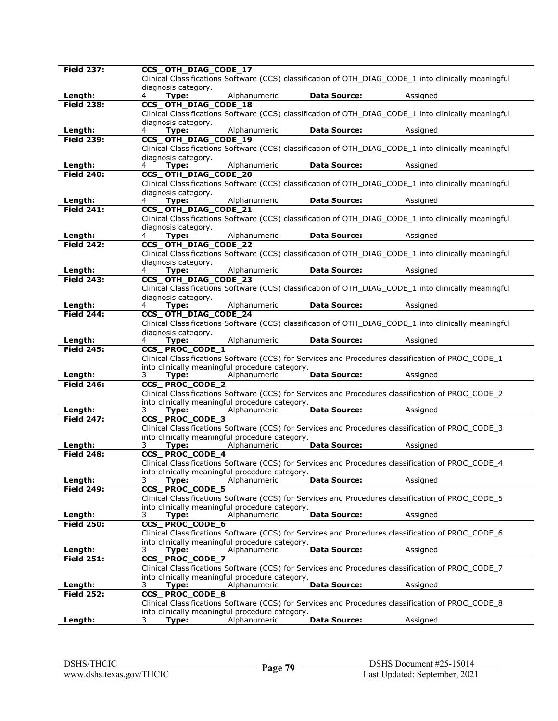| <b>Field 237:</b> | CCS_OTH_DIAG_CODE_17                                                                                 |
|-------------------|------------------------------------------------------------------------------------------------------|
|                   | Clinical Classifications Software (CCS) classification of OTH DIAG CODE 1 into clinically meaningful |
|                   | diagnosis category.                                                                                  |
| Length:           | Alphanumeric<br><b>Data Source:</b><br>4<br>Type:<br>Assigned                                        |
| <b>Field 238:</b> | <b>CCS_OTH_DIAG_CODE_18</b>                                                                          |
|                   |                                                                                                      |
|                   | Clinical Classifications Software (CCS) classification of OTH_DIAG_CODE_1 into clinically meaningful |
|                   | diagnosis category.                                                                                  |
| Length:           | <b>Data Source:</b><br>Type:<br>Alphanumeric<br>Assigned<br>4                                        |
| <b>Field 239:</b> | CCS_OTH_DIAG_CODE_19                                                                                 |
|                   | Clinical Classifications Software (CCS) classification of OTH_DIAG_CODE_1 into clinically meaningful |
|                   |                                                                                                      |
|                   | diagnosis category.                                                                                  |
| Length:           | Alphanumeric<br><b>Data Source:</b><br>Type:<br>Assigned<br>4                                        |
| <b>Field 240:</b> | CCS OTH DIAG CODE 20                                                                                 |
|                   | Clinical Classifications Software (CCS) classification of OTH_DIAG_CODE_1 into clinically meaningful |
|                   | diagnosis category.                                                                                  |
| Length:           | Alphanumeric<br><b>Data Source:</b><br>Type:<br>Assigned<br>4                                        |
| <b>Field 241:</b> |                                                                                                      |
|                   | CCS_OTH_DIAG_CODE_21                                                                                 |
|                   | Clinical Classifications Software (CCS) classification of OTH_DIAG_CODE_1 into clinically meaningful |
|                   | diagnosis category.                                                                                  |
| Length:           | Alphanumeric<br><b>Data Source:</b><br>Type:<br>Assigned<br>4                                        |
| <b>Field 242:</b> | CCS_OTH_DIAG_CODE_22                                                                                 |
|                   | Clinical Classifications Software (CCS) classification of OTH DIAG CODE 1 into clinically meaningful |
|                   |                                                                                                      |
|                   | diagnosis category.                                                                                  |
| Length:           | Alphanumeric<br><b>Data Source:</b><br>4<br>Type:<br>Assigned                                        |
| <b>Field 243:</b> | CCS_OTH_DIAG_CODE_23                                                                                 |
|                   | Clinical Classifications Software (CCS) classification of OTH DIAG CODE 1 into clinically meaningful |
|                   | diagnosis category.                                                                                  |
| Length:           | <b>Data Source:</b><br>Type:<br>Alphanumeric<br>Assigned<br>4                                        |
| <b>Field 244:</b> | CCS_OTH_DIAG_CODE_24                                                                                 |
|                   |                                                                                                      |
|                   | Clinical Classifications Software (CCS) classification of OTH_DIAG_CODE_1 into clinically meaningful |
|                   | diagnosis category.                                                                                  |
| Length:           | Alphanumeric<br><b>Data Source:</b><br>Type:<br>Assigned<br>4                                        |
| <b>Field 245:</b> | CCS_PROC_CODE_1                                                                                      |
|                   | Clinical Classifications Software (CCS) for Services and Procedures classification of PROC_CODE_1    |
|                   | into clinically meaningful procedure category.                                                       |
| Length:           | <b>Data Source:</b><br>Alphanumeric<br>3<br>Type:<br>Assigned                                        |
| <b>Field 246:</b> |                                                                                                      |
|                   | <b>CCS_PROC_CODE_2</b>                                                                               |
|                   | Clinical Classifications Software (CCS) for Services and Procedures classification of PROC_CODE_2    |
|                   | into clinically meaningful procedure category.                                                       |
| Length:           | <b>Data Source:</b><br>Alphanumeric<br>Assigned<br>3<br>Type:                                        |
| <b>Field 247:</b> | <b>CCS_PROC_CODE_3</b>                                                                               |
|                   | Clinical Classifications Software (CCS) for Services and Procedures classification of PROC_CODE_3    |
|                   | into clinically meaningful procedure category.                                                       |
| Length:           | Alphanumeric<br><b>Data Source:</b><br>Assigned                                                      |
|                   | 3<br>Type:                                                                                           |
| <b>Field 248:</b> | <b>CCS_PROC_CODE_4</b>                                                                               |
|                   | Clinical Classifications Software (CCS) for Services and Procedures classification of PROC_CODE_4    |
|                   | into clinically meaningful procedure category.                                                       |
| Length:           | Alphanumeric<br><b>Data Source:</b><br>Assigned<br>3<br>Type:                                        |
| <b>Field 249:</b> | <b>CCS_PROC_CODE_5</b>                                                                               |
|                   | Clinical Classifications Software (CCS) for Services and Procedures classification of PROC_CODE_5    |
|                   |                                                                                                      |
|                   | into clinically meaningful procedure category.                                                       |
| Length:           | Alphanumeric<br><b>Data Source:</b><br>3<br>Type:<br>Assigned                                        |
| <b>Field 250:</b> | <b>CCS_PROC_CODE_6</b>                                                                               |
|                   | Clinical Classifications Software (CCS) for Services and Procedures classification of PROC_CODE_6    |
|                   | into clinically meaningful procedure category.                                                       |
| Length:           | Alphanumeric<br><b>Data Source:</b><br>3<br>Type:<br>Assigned                                        |
| <b>Field 251:</b> | CCS_PROC_CODE_7                                                                                      |
|                   |                                                                                                      |
|                   | Clinical Classifications Software (CCS) for Services and Procedures classification of PROC CODE 7    |
|                   | into clinically meaningful procedure category.                                                       |
| Length:           | <b>Data Source:</b><br>Assigned<br>3<br>Type:<br>Alphanumeric                                        |
| <b>Field 252:</b> | <b>CCS_PROC_CODE_8</b>                                                                               |
|                   | Clinical Classifications Software (CCS) for Services and Procedures classification of PROC_CODE_8    |
|                   |                                                                                                      |
|                   | into clinically meaningful procedure category.                                                       |
| Length:           | Alphanumeric<br><b>Data Source:</b><br>3<br>Type:<br>Assigned                                        |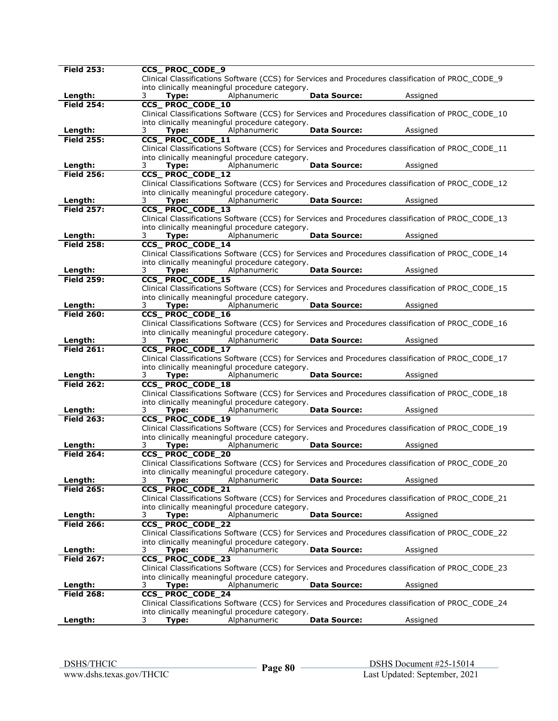| <b>Field 253:</b>            | <b>CCS_PROC_CODE_9</b>                                                                                                 |
|------------------------------|------------------------------------------------------------------------------------------------------------------------|
|                              | Clinical Classifications Software (CCS) for Services and Procedures classification of PROC_CODE_9                      |
|                              | into clinically meaningful procedure category.                                                                         |
| Length:                      | Alphanumeric<br><b>Data Source:</b><br>Assigned<br>3<br>Type:                                                          |
| <b>Field 254:</b>            | CCS_PROC_CODE_10                                                                                                       |
|                              | Clinical Classifications Software (CCS) for Services and Procedures classification of PROC_CODE_10                     |
|                              | into clinically meaningful procedure category.                                                                         |
| Length:                      | Alphanumeric<br><b>Data Source:</b><br>3<br>Type:<br>Assigned                                                          |
| <b>Field 255:</b>            | CCS_PROC_CODE_11                                                                                                       |
|                              | Clinical Classifications Software (CCS) for Services and Procedures classification of PROC_CODE_11                     |
|                              | into clinically meaningful procedure category.                                                                         |
| Length:                      | Alphanumeric<br><b>Data Source:</b><br>Assigned<br>3<br>Type:                                                          |
| <b>Field 256:</b>            | <b>CCS_PROC_CODE_12</b>                                                                                                |
|                              | Clinical Classifications Software (CCS) for Services and Procedures classification of PROC_CODE_12                     |
|                              | into clinically meaningful procedure category.                                                                         |
| Length:                      | Assigned<br>3<br>Type:<br>Alphanumeric<br><b>Data Source:</b>                                                          |
| <b>Field 257:</b>            | CCS_PROC_CODE_13                                                                                                       |
|                              | Clinical Classifications Software (CCS) for Services and Procedures classification of PROC_CODE_13                     |
|                              | into clinically meaningful procedure category.                                                                         |
| Length:                      | Alphanumeric<br><b>Data Source:</b><br>3<br>Type:<br>Assigned                                                          |
| <b>Field 258:</b>            | <b>CCS_PROC_CODE_14</b>                                                                                                |
|                              | Clinical Classifications Software (CCS) for Services and Procedures classification of PROC_CODE_14                     |
|                              | into clinically meaningful procedure category.<br><b>Data Source:</b><br>Assigned<br>Type:                             |
| Length:<br><b>Field 259:</b> | Alphanumeric<br>3<br>CCS_PROC_CODE_15                                                                                  |
|                              | Clinical Classifications Software (CCS) for Services and Procedures classification of PROC CODE 15                     |
|                              | into clinically meaningful procedure category.                                                                         |
| Length:                      | Alphanumeric<br>3<br>Type:<br><b>Data Source:</b><br>Assigned                                                          |
| <b>Field 260:</b>            | CCS_PROC_CODE_16                                                                                                       |
|                              | Clinical Classifications Software (CCS) for Services and Procedures classification of PROC_CODE_16                     |
|                              | into clinically meaningful procedure category.                                                                         |
| Length:                      | Alphanumeric<br><b>Data Source:</b><br>Assigned<br>3<br>Type:                                                          |
| <b>Field 261:</b>            | CCS_PROC_CODE_17                                                                                                       |
|                              | Clinical Classifications Software (CCS) for Services and Procedures classification of PROC_CODE_17                     |
|                              | into clinically meaningful procedure category.                                                                         |
| Length:                      | <b>Data Source:</b><br>Assigned<br>3<br>Alphanumeric<br>Type:                                                          |
| <b>Field 262:</b>            | <b>CCS_PROC_CODE_18</b>                                                                                                |
|                              | Clinical Classifications Software (CCS) for Services and Procedures classification of PROC_CODE_18                     |
|                              | into clinically meaningful procedure category.                                                                         |
| Length:                      | Alphanumeric<br><b>Data Source:</b><br>3<br>Type:<br>Assigned                                                          |
| <b>Field 263:</b>            | <b>CCS_PROC_CODE_19</b>                                                                                                |
|                              | Clinical Classifications Software (CCS) for Services and Procedures classification of PROC CODE 19                     |
|                              | into clinically meaningful procedure category.                                                                         |
| Length:                      | <b>Data Source:</b><br>Alphanumeric<br>Assigned<br>3<br>Type:                                                          |
| <b>Field 264:</b>            | CCS_PROC_CODE_20                                                                                                       |
|                              | Clinical Classifications Software (CCS) for Services and Procedures classification of PROC_CODE_20                     |
|                              | into clinically meaningful procedure category.                                                                         |
| Length:<br><b>Field 265:</b> | Alphanumeric<br><b>Data Source:</b><br>Assigned<br>3.<br>Type:                                                         |
|                              | CCS_PROC_CODE_21<br>Clinical Classifications Software (CCS) for Services and Procedures classification of PROC_CODE_21 |
|                              | into clinically meaningful procedure category.                                                                         |
| Length:                      | Alphanumeric<br><b>Data Source:</b><br>Assigned<br>3<br>Type:                                                          |
| <b>Field 266:</b>            | <b>CCS_PROC_CODE_22</b>                                                                                                |
|                              | Clinical Classifications Software (CCS) for Services and Procedures classification of PROC CODE 22                     |
|                              | into clinically meaningful procedure category.                                                                         |
| Length:                      | <b>Data Source:</b><br>Assigned<br>3<br>Type:<br>Alphanumeric                                                          |
| <b>Field 267:</b>            | <b>CCS_PROC_CODE_23</b>                                                                                                |
|                              | Clinical Classifications Software (CCS) for Services and Procedures classification of PROC_CODE_23                     |
|                              | into clinically meaningful procedure category.                                                                         |
| Length:                      | Alphanumeric<br>3<br>Type:<br><b>Data Source:</b><br>Assigned                                                          |
| <b>Field 268:</b>            | CCS_PROC_CODE_24                                                                                                       |
|                              | Clinical Classifications Software (CCS) for Services and Procedures classification of PROC CODE 24                     |
|                              | into clinically meaningful procedure category.                                                                         |
| Length:                      | Alphanumeric<br><b>Data Source:</b><br>Assigned<br>Type:<br>3                                                          |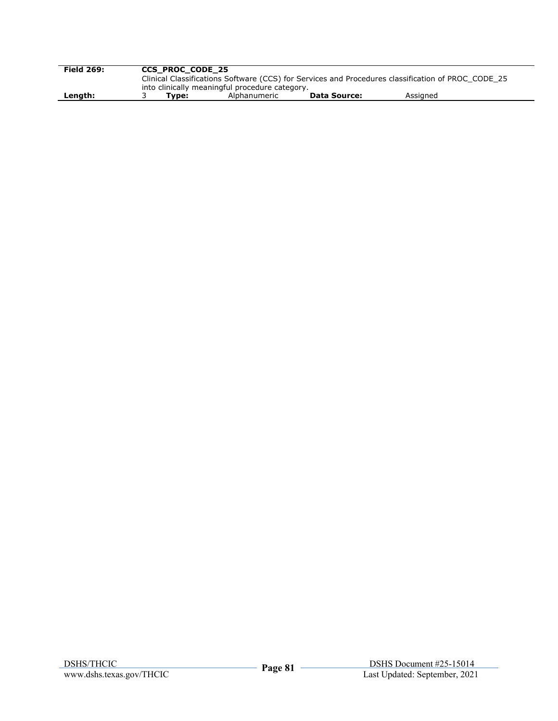| <b>Field 269:</b> | <b>CCS PROC CODE 25</b> |                                                |                     |                                                                                                    |  |
|-------------------|-------------------------|------------------------------------------------|---------------------|----------------------------------------------------------------------------------------------------|--|
|                   |                         |                                                |                     | Clinical Classifications Software (CCS) for Services and Procedures classification of PROC CODE 25 |  |
|                   |                         | into clinically meaningful procedure category. |                     |                                                                                                    |  |
| Length:           | Tvpe:                   | Alphanumeric                                   | <b>Data Source:</b> | Assigned                                                                                           |  |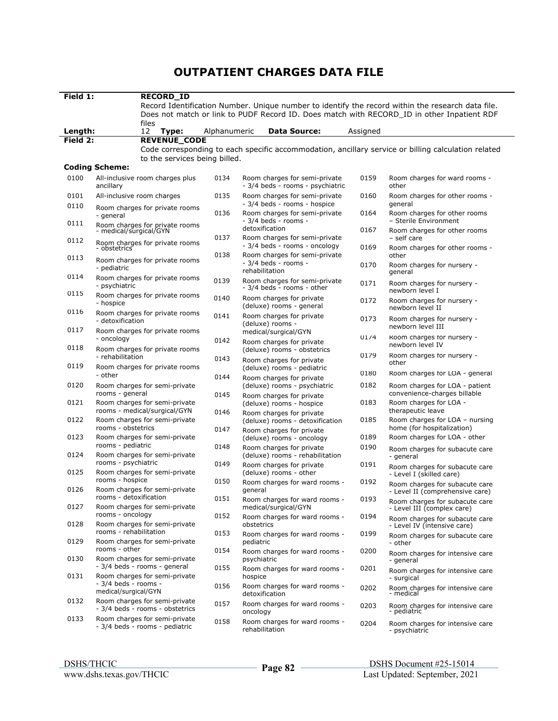## **OUTPATIENT CHARGES DATA FILE**

| Field 1:     |                                              | <b>RECORD ID</b>                                                 |              |                                                                         |          |                                                                                                     |
|--------------|----------------------------------------------|------------------------------------------------------------------|--------------|-------------------------------------------------------------------------|----------|-----------------------------------------------------------------------------------------------------|
|              |                                              |                                                                  |              |                                                                         |          | Record Identification Number. Unique number to identify the record within the research data file.   |
|              |                                              |                                                                  |              |                                                                         |          | Does not match or link to PUDF Record ID. Does match with RECORD ID in other Inpatient RDF          |
| Length:      |                                              | files<br>12<br>Type:                                             | Alphanumeric | <b>Data Source:</b>                                                     | Assigned |                                                                                                     |
| Field 2:     |                                              | <b>REVENUE CODE</b>                                              |              |                                                                         |          |                                                                                                     |
|              |                                              |                                                                  |              |                                                                         |          | Code corresponding to each specific accommodation, ancillary service or billing calculation related |
|              |                                              | to the services being billed.                                    |              |                                                                         |          |                                                                                                     |
|              | <b>Coding Scheme:</b>                        |                                                                  |              |                                                                         |          |                                                                                                     |
| 0100         | ancillary                                    | All-inclusive room charges plus                                  | 0134         | Room charges for semi-private<br>- 3/4 beds - rooms - psychiatric       | 0159     | Room charges for ward rooms -<br>other                                                              |
| 0101<br>0110 |                                              | All-inclusive room charges                                       | 0135         | Room charges for semi-private<br>- 3/4 beds - rooms - hospice           | 0160     | Room charges for other rooms -<br>general                                                           |
| 0111         | - general                                    | Room charges for private rooms                                   | 0136         | Room charges for semi-private<br>- 3/4 beds - rooms -                   | 0164     | Room charges for other rooms<br>- Sterile Environment                                               |
|              |                                              | Room charges for private rooms<br>- medical/surgical/GYN         | 0137         | detoxification<br>Room charges for semi-private                         | 0167     | Room charges for other rooms<br>- self care                                                         |
| 0112         | - obstetrics̃                                | Room charges for private rooms                                   |              | - 3/4 beds - rooms - oncology                                           | 0169     | Room charges for other rooms -                                                                      |
| 0113         | - pediatric                                  | Room charges for private rooms                                   | 0138         | Room charges for semi-private<br>- 3/4 beds - rooms -<br>rehabilitation | 0170     | other<br>Room charges for nursery -<br>general                                                      |
| 0114         | - psychiatric                                | Room charges for private rooms                                   | 0139         | Room charges for semi-private<br>- 3/4 beds - rooms - other             | 0171     | Room charges for nursery -                                                                          |
| 0115         | - hospice                                    | Room charges for private rooms                                   | 0140         | Room charges for private<br>(deluxe) rooms - general                    | 0172     | newborn level I<br>Room charges for nursery -<br>newborn level II                                   |
| 0116         | - detoxification                             | Room charges for private rooms                                   | 0141         | Room charges for private<br>(deluxe) rooms -                            | 0173     | Room charges for nursery -                                                                          |
| 0117         | - oncology                                   | Room charges for private rooms                                   | 0142         | medical/surgical/GYN<br>Room charges for private                        | 01/4     | newborn level III<br>Room charges for nursery -                                                     |
| 0118         | - rehabilitation                             | Room charges for private rooms                                   | 0143         | (deluxe) rooms - obstetrics                                             | 0179     | newborn level IV<br>Room charges for nursery -                                                      |
| 0119         |                                              | Room charges for private rooms                                   |              | Room charges for private<br>(deluxe) rooms - pediatric                  | 0180     | other<br>Room charges for LOA - general                                                             |
| 0120         | - other                                      | Room charges for semi-private                                    | 0144         | Room charges for private<br>(deluxe) rooms - psychiatric                | 0182     | Room charges for LOA - patient                                                                      |
|              | rooms - general                              |                                                                  | 0145         | Room charges for private                                                |          | convenience-charges billable                                                                        |
| 0121         |                                              | Room charges for semi-private<br>rooms - medical/surgical/GYN    | 0146         | (deluxe) rooms - hospice<br>Room charges for private                    | 0183     | Room charges for LOA -<br>therapeutic leave                                                         |
| 0122         | rooms - obstetrics                           | Room charges for semi-private                                    | 0147         | (deluxe) rooms - detoxification<br>Room charges for private             | 0185     | Room charges for LOA - nursing<br>home (for hospitalization)                                        |
| 0123         | rooms - pediatric                            | Room charges for semi-private                                    |              | (deluxe) rooms - oncology                                               | 0189     | Room charges for LOA - other                                                                        |
| 0124         |                                              | Room charges for semi-private                                    | 0148         | Room charges for private<br>(deluxe) rooms - rehabilitation             | 0190     | Room charges for subacute care<br>- general                                                         |
| 0125         | rooms - psychiatric                          | Room charges for semi-private                                    | 0149         | Room charges for private<br>(deluxe) rooms - other                      | 0191     | Room charges for subacute care<br>- Level I (skilled care)                                          |
| 0126         | rooms - hospice                              | Room charges for semi-private                                    | 0150         | Room charges for ward rooms -<br>general                                | 0192     | Room charges for subacute care<br>- Level II (comprehensive care)                                   |
| 0127         | rooms - detoxification                       | Room charges for semi-private                                    | 0151         | Room charges for ward rooms -<br>medical/surgical/GYN                   | 0193     | Room charges for subacute care<br>- Level III (complex care)                                        |
| 0128         | rooms - oncology                             | Room charges for semi-private                                    | 0152         | Room charges for ward rooms -<br>obstetrics                             | 0194     | Room charges for subacute care<br>- Level IV (intensive care)                                       |
| 0129         | rooms - rehabilitation                       | Room charges for semi-private                                    | 0153         | Room charges for ward rooms -<br>pediatric                              | 0199     | Room charges for subacute care<br>- other                                                           |
| 0130         | rooms - other                                | Room charges for semi-private                                    | 0154         | Room charges for ward rooms -<br>psychiatric                            | 0200     | Room charges for intensive care<br>- general                                                        |
| 0131         |                                              | - 3/4 beds - rooms - general<br>Room charges for semi-private    | 0155         | Room charges for ward rooms -<br>hospice                                | 0201     | Room charges for intensive care<br>- surgical                                                       |
|              | - 3/4 beds - rooms -<br>medical/surgical/GYN |                                                                  | 0156         | Room charges for ward rooms -<br>detoxification                         | 0202     | Room charges for intensive care<br>- medical                                                        |
| 0132         |                                              | Room charges for semi-private<br>- 3/4 beds - rooms - obstetrics | 0157         | Room charges for ward rooms -<br>oncology                               | 0203     | Room charges for intensive care<br>- pediatric                                                      |
| 0133         |                                              | Room charges for semi-private<br>- 3/4 beds - rooms - pediatric  | 0158         | Room charges for ward rooms -<br>rehabilitation                         | 0204     | Room charges for intensive care<br>- psychiatric                                                    |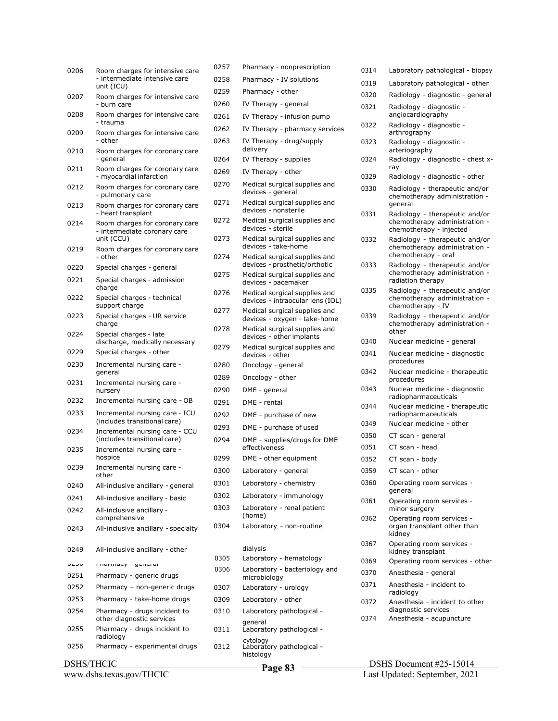| 0206       | Room charges for intensive care                                | 0257 | Pharmacy - nonprescription                                        |
|------------|----------------------------------------------------------------|------|-------------------------------------------------------------------|
|            | - intermediate intensive care<br>unit (ICU)                    | 0258 | Pharmacy - IV solutions                                           |
| 0207       | Room charges for intensive care                                | 0259 | Pharmacy - other                                                  |
|            | - burn care                                                    | 0260 | IV Therapy - general                                              |
| 0208       | Room charges for intensive care<br>- trauma                    | 0261 | IV Therapy - infusion pump                                        |
| 0209       | Room charges for intensive care                                | 0262 | IV Therapy - pharmacy services                                    |
| 0210       | - other<br>Room charges for coronary care                      | 0263 | IV Therapy - drug/supply<br>delivery                              |
| 0211       | - general<br>Room charges for coronary care                    | 0264 | IV Therapy - supplies                                             |
|            | - myocardial infarction                                        | 0269 | IV Therapy - other                                                |
| 0212       | Room charges for coronary care<br>- pulmonary care             | 0270 | Medical surgical supplies and<br>devices - general                |
| 0213       | Room charges for coronary care<br>- heart transplant           | 0271 | Medical surgical supplies and<br>devices - nonsterile             |
| 0214       | Room charges for coronary care<br>- intermediate coronary care | 0272 | Medical surgical supplies and<br>devices - sterile                |
| 0219       | unit (CCU)                                                     | 0273 | Medical surgical supplies and<br>devices - take-home              |
| 0220       | Room charges for coronary care<br>- other                      | 0274 | Medical surgical supplies and<br>devices - prosthetic/orthotic    |
| 0221       | Special charges - general                                      | 0275 | Medical surgical supplies and                                     |
|            | Special charges - admission<br>charge                          |      | devices - pacemaker                                               |
| 0222       | Special charges - technical<br>support charge                  | 0276 | Medical surgical supplies and<br>devices - intraocular lens (IOL) |
| 0223       | Special charges - UR service<br>charge                         | 0277 | Medical surgical supplies and<br>devices - oxygen - take-home     |
| 0224       | Special charges - late<br>discharge, medically necessary       | 0278 | Medical surgical supplies and<br>devices - other implants         |
| 0229       | Special charges - other                                        | 0279 | Medical surgical supplies and<br>devices - other                  |
| 0230       | Incremental nursing care -                                     | 0280 | Oncology - general                                                |
| 0231       | general<br>Incremental nursing care -                          | 0289 | Oncology - other                                                  |
|            | nursery                                                        | 0290 | DME - general                                                     |
| 0232       | Incremental nursing care - OB                                  | 0291 | DME - rental                                                      |
| 0233       | Incremental nursing care - ICU                                 | 0292 | DME - purchase of new                                             |
| 0234       | (includes transitional care)<br>Incremental nursing care - CCU | 0293 | DME - purchase of used                                            |
|            | (includes transitional care)                                   | 0294 | DME - supplies/drugs for DME<br>effectiveness                     |
| 0235       | Incremental nursing care -<br>hospice                          | 0299 | DME - other equipment                                             |
| 0239       | Incremental nursing care -                                     | 0300 | Laboratory - general                                              |
| 0240       | other<br>All-inclusive ancillary - general                     | 0301 | Laboratory - chemistry                                            |
| 0241       | All-inclusive ancillary - basic                                | 0302 | Laboratory - immunology                                           |
| 0242       | All-inclusive ancillary -                                      | 0303 | Laboratory - renal patient                                        |
|            | comprehensive                                                  |      | (home)                                                            |
| 0243       | All-inclusive ancillary - specialty                            | 0304 | Laboratory - non-routine                                          |
| 0249       | All-inclusive ancillary - other                                | 0305 | dialysis<br>Laboratory - hematology                               |
| ULJU       | niamiacy - general                                             | 0306 | Laboratory - bacteriology and                                     |
| 0251       | Pharmacy - generic drugs                                       |      | microbiology                                                      |
| 0252       | Pharmacy - non-generic drugs                                   | 0307 | Laboratory - urology                                              |
| 0253       | Pharmacy - take-home drugs                                     | 0309 | Laboratory - other                                                |
| 0254       | Pharmacy - drugs incident to<br>other diagnostic services      | 0310 | Laboratory pathological -                                         |
| 0255       | Pharmacy - drugs incident to<br>radiology                      | 0311 | general<br>Laboratory pathological -                              |
| 0256       | Pharmacy - experimental drugs                                  | 0312 | cytology<br>Laboratory pathological -<br>histology                |
| DSHS/THCIC |                                                                |      | $D_{\alpha\alpha\alpha}$ Q2                                       |

www.dshs.texas.gov/THCIC

| 0319 | Laboratory pathological - other                                                            |
|------|--------------------------------------------------------------------------------------------|
| 0320 | Radiology - diagnostic - general                                                           |
| 0321 | Radiology - diagnostic -<br>angiocardiography                                              |
| 0322 | Radiology - diagnostic -<br>arthrography                                                   |
| 0323 | Radiology - diagnostic -<br>arteriography                                                  |
| 0324 | Radiology - diagnostic - chest x-<br>ray                                                   |
| 0329 | Radiology - diagnostic - other                                                             |
| 0330 | Radiology - therapeutic and/or<br>chemotherapy administration -<br>aeneral                 |
| 0331 | Radiology - therapeutic and/or<br>chemotherapy administration -<br>chemotherapy - injected |
| 0332 | Radiology - therapeutic and/or<br>chemotherapy administration -<br>chemotherapy - oral     |
| 0333 | Radiology - therapeutic and/or<br>chemotherapy administration -<br>radiation therapy       |
| 0335 | Radiology - therapeutic and/or<br>chemotherapy administration -<br>chemotherapy - IV       |
| 0339 | Radiology - therapeutic and/or<br>chemotherapy administration -<br>other                   |
| 0340 | Nuclear medicine - general                                                                 |
| 0341 | Nuclear medicine - diagnostic<br>procedures                                                |
| 0342 | Nuclear medicine - therapeutic<br>procedures                                               |
| 0343 | Nuclear medicine - diagnostic<br>radiopharmaceuticals                                      |
| 0344 | Nuclear medicine - therapeutic<br>radiopharmaceuticals                                     |
| 0349 | Nuclear medicine - other                                                                   |
| 0350 | CT scan - general                                                                          |
| 0351 | CT scan - head                                                                             |
| 0352 | CT scan - body                                                                             |
| 0359 | CT scan - other                                                                            |
| 0360 | Operating room services -<br>general                                                       |
| 0361 | Operating room services -<br>minor surgery                                                 |
| 0362 | Operating room services -<br>organ transplant other than<br>kidney                         |
| 0367 | Operating room services -<br>kidney transplant                                             |
| 0369 | Operating room services - other                                                            |
| 0370 | Anesthesia - general                                                                       |
| 0371 | Anesthesia - incident to<br>radiology                                                      |
| 0372 | Anesthesia - incident to other<br>diagnostic services                                      |
| 0374 | Anesthesia - acupuncture                                                                   |

0314 Laboratory pathological - biopsy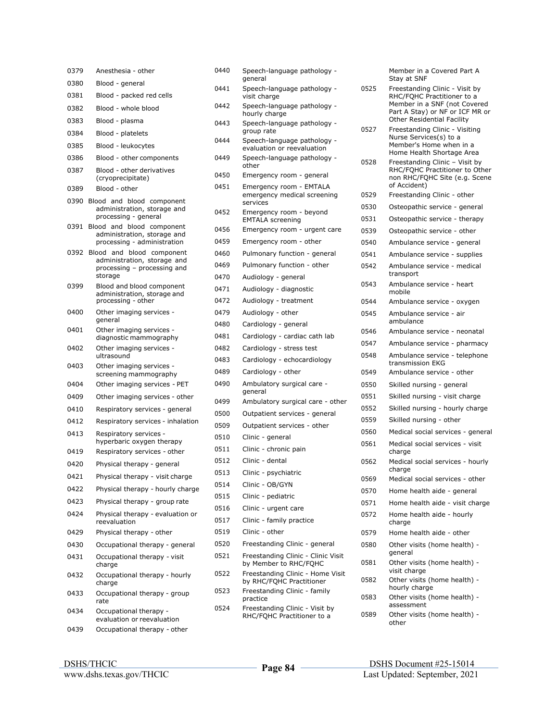| 0379 | Anesthesia - other                                                                                    |
|------|-------------------------------------------------------------------------------------------------------|
| 0380 | Blood - general                                                                                       |
| 0381 | Blood - packed red cells                                                                              |
| 0382 | Blood - whole blood                                                                                   |
| 0383 | Blood - plasma                                                                                        |
| 0384 | Blood - platelets                                                                                     |
| 0385 | Blood - leukocytes                                                                                    |
| 0386 | Blood - other components                                                                              |
| 0387 | Blood - other derivatives<br>(cryoprecipitate)                                                        |
| 0389 | Blood - other                                                                                         |
| 0390 | Blood and blood component<br>administration, storage and<br>processing - general                      |
| 0391 | Blood and blood component<br>administration, storage and<br>processing - administration               |
| 0392 | blood component<br>Blood and<br>administration, storage and<br>processing - processing and<br>storage |
| 0399 | Blood and blood component<br>administration, storage and<br>processing - other                        |
| 0400 | Other imaging services -<br>general                                                                   |
| 0401 | Other imaging services -<br>diagnostic mammography                                                    |
| 0402 | Other imaging services -<br>ultrasound                                                                |
| 0403 | Other imaging services -<br>screening mammography                                                     |
| 0404 | Other imaging services - PET                                                                          |
| 0409 | Other imaging services - other                                                                        |
| 0410 | Respiratory services - general                                                                        |
| 0412 | Respiratory services - inhalation                                                                     |
| 0413 | Respiratory services -<br>hyperbaric oxygen therapy                                                   |
| 0419 | Respiratory services - other                                                                          |
| 0420 | Physical therapy - general                                                                            |
| 0421 | Physical therapy - visit charge                                                                       |
| 0422 | Physical therapy - hourly charge                                                                      |
| 0423 | Physical therapy - group rate                                                                         |
| 0424 | Physical therapy - evaluation or<br>reevaluation                                                      |
| 0429 | Physical therapy - other                                                                              |
| 0430 | Occupational therapy - general                                                                        |
| 0431 | Occupational therapy - visit<br>charge                                                                |
| 0432 | Occupational therapy - hourly<br>charge                                                               |
| 0433 | Occupational therapy - group<br>rate                                                                  |
| 0434 | Occupational therapy -<br>evaluation or reevaluation                                                  |
| 0439 | Occupational therapy - other                                                                          |

|      | hourly charge                                                      |
|------|--------------------------------------------------------------------|
| 0443 | Speech-language pathology -<br>group rate                          |
| 0444 | Speech-language pathology -<br>evaluation or reevaluation          |
| 0449 | Speech-language pathology -<br>other                               |
| 0450 | Emergency room - general                                           |
| 0451 | Emergency room - EMTALA<br>emergency medical screening<br>services |
| 0452 | Emergency room - beyond<br><b>EMTALA</b> screening                 |
| 0456 | Emergency room - urgent care                                       |
| 0459 | Emergency room - other                                             |
| 0460 | Pulmonary function - general                                       |
| 0469 | Pulmonary function - other                                         |
| 0470 | Audiology - general                                                |
| 0471 | Audiology - diagnostic                                             |
| 0472 | Audiology - treatment                                              |
| 0479 | Audiology - other                                                  |
| 0480 | Cardiology - general                                               |
| 0481 | Cardiology - cardiac cath lab                                      |
| 0482 | Cardiology - stress test                                           |
| 0483 | Cardiology - echocardiology                                        |
| 0489 | Cardiology - other                                                 |
| 0490 | Ambulatory surgical care -<br>general                              |
| 0499 | Ambulatory surgical care - other                                   |
| 0500 | Outpatient services - general                                      |
| 0509 | Outpatient services - other                                        |
| 0510 | Clinic - general                                                   |
| 0511 | Clinic - chronic pain                                              |
| 0512 | Clinic - dental                                                    |
| 0513 | Clinic - psychiatric                                               |
| 0514 | Clinic - OB/GYN                                                    |
| 0515 | Clinic - pediatric                                                 |
| 0516 | Clinic - urgent care                                               |
| 0517 | Clinic - family practice                                           |
| 0519 | Clinic - other                                                     |
| 0520 | Freestanding Clinic - general                                      |
| 0521 | Freestanding Clinic - Clinic Visit<br>by Member to RHC/FQHC        |
| 0522 | Freestanding Clinic - Home Visit<br>by RHC/FQHC Practitioner       |
| 0523 | Freestanding Clinic - family<br>practice                           |
| 0524 | Freestanding Clinic - Visit by<br>RHC/FQHC Practitioner to a       |
|      |                                                                    |
|      | Page 84                                                            |

0440 Speech-language pathology -

0441 Speech-language pathology visit charge 0442 Speech-language pathology -

general

|      | Member in a Covered Part A<br>Stay at SNF                                                                                                                     |
|------|---------------------------------------------------------------------------------------------------------------------------------------------------------------|
| 0525 | Freestanding Clinic - Visit by<br>RHC/FQHC Practitioner to a<br>Member in a SNF (not Covered<br>Part A Stay) or NF or ICF MR or<br>Other Residential Facility |
| 0527 | Freestanding Clinic - Visiting<br>Nurse Services(s) to a<br>Member's Home when in a<br>Home Health Shortage Area                                              |
| 0528 | Freestanding Clinic - Visit by<br>RHC/FQHC Practitioner to Other<br>non RHC/FQHC Site (e.g. Scene<br>of Accident)                                             |
| 0529 | Freestanding Clinic - other                                                                                                                                   |
| 0530 | Osteopathic service - general                                                                                                                                 |
| 0531 | Osteopathic service - therapy                                                                                                                                 |
| 0539 | Osteopathic service - other                                                                                                                                   |
| 0540 | Ambulance service - general                                                                                                                                   |
| 0541 | Ambulance service - supplies                                                                                                                                  |
| 0542 | Ambulance service - medical<br>transport                                                                                                                      |
| 0543 | Ambulance service - heart<br>mobile                                                                                                                           |
| 0544 | Ambulance service - oxygen                                                                                                                                    |
| 0545 | Ambulance service - air<br>ambulance                                                                                                                          |
| 0546 | Ambulance service - neonatal                                                                                                                                  |
| 0547 | Ambulance service - pharmacy                                                                                                                                  |
| 0548 | Ambulance service - telephone<br>transmission EKG                                                                                                             |
| 0549 | Ambulance service - other                                                                                                                                     |
| 0550 | Skilled nursing - general                                                                                                                                     |
| 0551 | Skilled nursing - visit charge                                                                                                                                |
| 0552 | Skilled nursing - hourly charge                                                                                                                               |
| 0559 | Skilled nursing - other                                                                                                                                       |
| 0560 | Medical social services - general                                                                                                                             |
| 0561 | Medical social services - visit<br>charge                                                                                                                     |
| 0562 | Medical social services - hourly<br>charge                                                                                                                    |
| 0569 | Medical social services - other                                                                                                                               |
| 0570 | Home health aide - general                                                                                                                                    |
| 0571 | Home health aide - visit charge                                                                                                                               |
| 0572 | Home health aide - hourly<br>charge                                                                                                                           |
| 0579 | Home health aide - other                                                                                                                                      |
| 0580 | Other visits (home health) -<br>general                                                                                                                       |
| 0581 | Other visits (home health) -<br>visit charge                                                                                                                  |
| 0582 | Other visits (home health) -<br>hourly charge                                                                                                                 |
| 0583 | Other visits (home health) -<br>assessment                                                                                                                    |
| 0589 | Other visits (home health) -<br>other                                                                                                                         |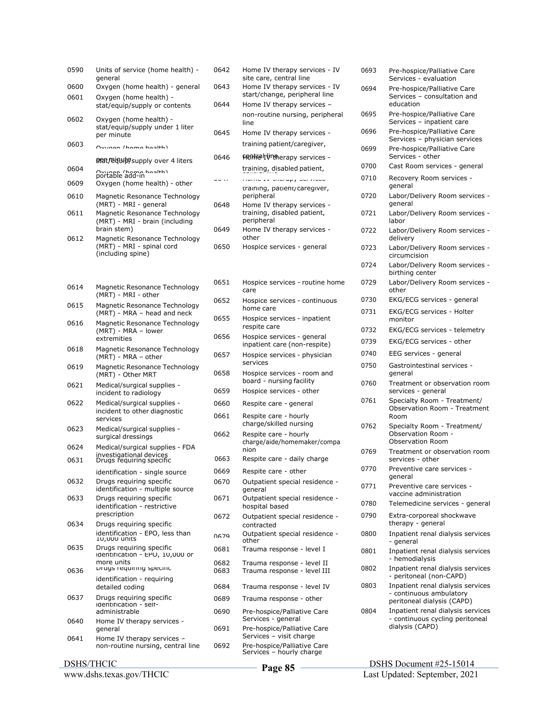| 0590 | Units of service (home health) -<br>general                                            | 0642         | Home IV therapy services - IV<br>site care, central line       |
|------|----------------------------------------------------------------------------------------|--------------|----------------------------------------------------------------|
| 0600 | Oxygen (home health) - general                                                         | 0643         | Home IV therapy services - IV<br>start/change, peripheral line |
| 0601 | Oxygen (home health) -<br>stat/equip/supply or contents                                | 0644         | Home IV therapy services -                                     |
| 0602 | Oxygen (home health) -                                                                 |              | non-routine nursing, periphera                                 |
|      | stat/equip/supply under 1 liter                                                        | 0645         | line<br>Home IV therapy services -                             |
| 0603 | per minute<br>Ownaan (hama haalth)                                                     |              | training patient/caregiver,                                    |
|      |                                                                                        | 0646         | <b>FRIME TVICA</b> erapy services -                            |
| 0604 | <b>ያይዢ/@uulp</b> supply over 4 liters                                                  |              | training, disabled patient,                                    |
| 0609 | Oxygon (home hoolth)<br>Oxygen (home health) - other                                   | .            | monic av undrupy och modo                                      |
| 0610 | Magnetic Resonance Technology                                                          |              | training, patient/caregiver,<br>peripheral                     |
|      | (MRT) - MRI - general                                                                  | 0648         | Home IV therapy services -                                     |
| 0611 | Magnetic Resonance Technology<br>(MRT) - MRI - brain (including                        |              | training, disabled patient,<br>peripheral                      |
|      | brain stem)                                                                            | 0649         | Home IV therapy services -                                     |
| 0612 | Magnetic Resonance Technology<br>(MRT) - MRI - spinal cord                             | 0650         | other<br>Hospice services - general                            |
|      | (including spine)                                                                      |              |                                                                |
|      |                                                                                        |              |                                                                |
| 0614 | Magnetic Resonance Technology                                                          | 0651         | Hospice services - routine hom<br>care                         |
| 0615 | (MRT) - MRI - other<br>Magnetic Resonance Technology                                   | 0652         | Hospice services - continuous<br>home care                     |
| 0616 | (MRT) - MRA - head and neck<br>Magnetic Resonance Technology                           | 0655         | Hospice services - inpatient<br>respite care                   |
|      | (MRT) - MRA - lower<br>extremities                                                     | 0656         | Hospice services - general                                     |
| 0618 | Magnetic Resonance Technology<br>(MRT) - MRA - other                                   | 0657         | inpatient care (non-respite)<br>Hospice services - physician   |
| 0619 | Magnetic Resonance Technology<br>(MRT) - Other MRT                                     | 0658         | services<br>Hospice services - room and                        |
| 0621 | Medical/surgical supplies -<br>incident to radiology                                   | 0659         | board - nursing facility<br>Hospice services - other           |
| 0622 | Medical/surgical supplies -                                                            | 0660         | Respite care - general                                         |
|      | incident to other diagnostic<br>services                                               | 0661         | Respite care - hourly                                          |
| 0623 | Medical/surgical supplies -                                                            |              | charge/skilled nursing                                         |
|      | surgical dressings                                                                     | 0662         | Respite care - hourly<br>charge/aide/homemaker/compa           |
| 0624 | Medical/surgical supplies - FDA<br>investigational devices<br>Drugs reguiring specific |              | nion                                                           |
| 0631 |                                                                                        | 0663         | Respite care - daily charge                                    |
| 0632 | identification - single source<br>Drugs requiring specific                             | 0669<br>0670 | Respite care - other<br>Outpatient special residence -         |
|      | identification - multiple source                                                       |              | qeneral                                                        |
| 0633 | Drugs requiring specific<br>identification - restrictive<br>prescription               | 0671         | Outpatient special residence -<br>hospital based               |
| 0634 | Drugs requiring specific                                                               | 0672         | Outpatient special residence -<br>contracted                   |
|      | identification - EPO, less than<br><b>10,000 UNITS</b>                                 | <b>N679</b>  | Outpatient special residence -<br>other                        |
| 0635 | Drugs requiring specific<br>identification - EPO, 10,000 or                            | 0681         | Trauma response - level I                                      |
|      | more units                                                                             | 0682         | Trauma response - level II                                     |
| 0636 | Drugs requiring specinc<br>identification - requiring                                  | 0683         | Trauma response - level III                                    |
|      | detailed coding                                                                        | 0684         | Trauma response - level IV                                     |
| 0637 | Drugs requiring specific<br>identification - seif-                                     | 0689         | Trauma response - other                                        |
|      | administrable                                                                          | 0690         | Pre-hospice/Palliative Care<br>Services - general              |
| 0640 | Home IV therapy services -<br>general                                                  | 0691         | Pre-hospice/Palliative Care                                    |
| 0641 | Home IV therapy services -                                                             |              | Services - visit charge                                        |
|      | non-routine nursing, central line                                                      | 0692         | Pre-hospice/Palliative Care<br>Services - hourly charge        |
|      | <b>DSHS/THCIC</b>                                                                      |              | $P2009$ 85                                                     |

| 0642         | Home IV therapy services - IV                               |
|--------------|-------------------------------------------------------------|
| 0643         | site care, central line<br>Home IV therapy services - IV    |
| 0644         | start/change, peripheral line<br>Home IV therapy services - |
|              | non-routine nursing, peripheral                             |
|              | line                                                        |
| 0645         | Home IV therapy services -                                  |
|              | training patient/caregiver,<br>FROM TO TURBER TO SERVICES - |
| 0646         | training, disabled patient,                                 |
| .            | rionio ex diorupy our                                       |
|              | training, patient/caregiver,                                |
| 0648         | peripheral<br>Home IV therapy services -                    |
|              | training, disabled patient,<br>peripheral                   |
| 0649         | Home IV therapy services -                                  |
| 0650         | other<br>Hospice services - general                         |
|              |                                                             |
|              |                                                             |
| 0651         | Hospice services - routine home<br>care                     |
| 0652         | Hospice services - continuous<br>home care                  |
| 0655         | Hospice services - inpatient<br>respite care                |
| 0656         | Hospice services - general<br>inpatient care (non-respite)  |
| 0657         | Hospice services - physician<br>services                    |
| 0658         | Hospice services - room and<br>board - nursing facility     |
| 0659         | Hospice services - other                                    |
| 0660         | Respite care - general                                      |
| 0661         | Respite care - hourly<br>charge/skilled nursing             |
| 0662         | Respite care - hourly                                       |
|              | charge/aide/homemaker/compa<br>nion                         |
| 0663         | Respite care - daily charge                                 |
| 0669         | Respite care - other                                        |
| 0670         | Outpatient special residence -<br>general                   |
| 0671         | Outpatient special residence -<br>hospital based            |
| 0672         | Outpatient special residence -<br>contracted                |
| N679         | Outpatient special residence -<br>other                     |
| 0681         | Trauma response - level I                                   |
| 0682<br>0683 | Trauma response - level II<br>Trauma response - level III   |
| 0684         | Trauma response - level IV                                  |
| 0689         | Trauma response - other                                     |
| 0690         | Pre-hospice/Palliative Care<br>Services - general           |
| 0691         | Pre-hospice/Palliative Care<br>Services - visit charge      |
| 0692         | Pre-hospice/Palliative Care                                 |

| 0693 | Pre-hospice/Palliative Care<br>Services - evaluation                                       |
|------|--------------------------------------------------------------------------------------------|
| 0694 | Pre-hospice/Palliative Care<br>Services - consultation and                                 |
| 0695 | education<br>Pre-hospice/Palliative Care<br>Services - inpatient care                      |
| 0696 | Pre-hospice/Palliative Care                                                                |
| 0699 | Services - physician services<br>Pre-hospice/Palliative Care                               |
| 0700 | Services - other<br>Cast Room services - general                                           |
| 0710 | Recovery Room services -<br>general                                                        |
| 0720 | Labor/Delivery Room services -<br>general                                                  |
| 0721 | Labor/Delivery Room services -<br>labor                                                    |
| 0722 | Labor/Delivery Room services -<br>delivery                                                 |
| 0723 | Labor/Delivery Room services -<br>circumcision                                             |
| 0724 | Labor/Delivery Room services -<br>birthing center                                          |
| 0729 | Labor/Delivery Room services -<br>other                                                    |
| 0730 | EKG/ECG services - general                                                                 |
| 0731 | EKG/ECG services - Holter<br>monitor                                                       |
| 0732 | EKG/ECG services - telemetry                                                               |
| 0739 | EKG/ECG services - other                                                                   |
| 0740 | EEG services - general                                                                     |
| 0750 | Gastrointestinal services -<br>general                                                     |
| 0760 | Treatment or observation room<br>services - general                                        |
| 0761 | Specialty Room - Treatment/<br>Observation Room - Treatment<br>Room                        |
| 0762 | Specialty Room - Treatment/<br>Observation Room -<br><b>Observation Room</b>               |
| 0769 | Treatment or observation room<br>services - other                                          |
| 0770 | Preventive care services -<br>general                                                      |
| 0771 | Preventive care services -<br>vaccine administration                                       |
| 0780 | Telemedicine services - general                                                            |
| 0790 | Extra-corporeal shockwave<br>therapy - general                                             |
| 0800 | Inpatient renal dialysis services<br>- general                                             |
| 0801 | Inpatient renal dialysis services<br>- hemodialysis                                        |
| 0802 | Inpatient renal dialysis services<br>- peritoneal (non-CAPD)                               |
| 0803 | Inpatient renal dialysis services<br>- continuous ambulatory<br>peritoneal dialysis (CAPD) |
| 0804 | Inpatient renal dialysis services<br>- continuous cycling peritoneal<br>dialysis (CAPD)    |
|      |                                                                                            |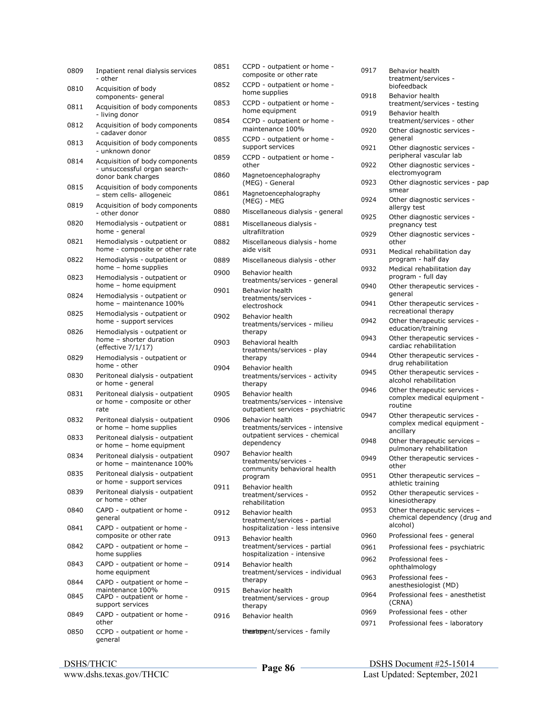| 0809 | Inpatient renal dialysis services<br>- other                                         |
|------|--------------------------------------------------------------------------------------|
| 0810 | Acquisition of body<br>components- general                                           |
| 0811 | Acquisition of body components<br>- living donor                                     |
| 0812 | Acquisition of body components<br>- cadaver donor                                    |
| 0813 | Acquisition of body components<br>unknown donor                                      |
| 0814 | Acquisition of body components<br>- unsuccessful organ search-<br>donor bank charges |
| 0815 | Acquisition of body components<br>- stem cells- allogeneic                           |
| 0819 | Acquisition of body components<br>- other donor                                      |
| 0820 | Hemodialysis - outpatient or<br>home - general                                       |
| 0821 | Hemodialysis - outpatient or<br>home - composite or other rate                       |
| 0822 | Hemodialysis - outpatient or<br>home - home supplies                                 |
| 0823 | Hemodialysis - outpatient or<br>home - home equipment                                |
| 0824 | Hemodialysis - outpatient or<br>home - maintenance 100%                              |
| 0825 | Hemodialysis - outpatient or<br>home - support services                              |
| 0826 | Hemodialysis - outpatient or<br>home - shorter duration<br>(effective 7/1/17)        |
| 0829 | Hemodialysis - outpatient or<br>home - other                                         |
| 0830 | Peritoneal dialysis - outpatient<br>or home - general                                |
| 0831 | Peritoneal dialysis - outpatient<br>or home - composite or other<br>rate             |
| 0832 | Peritoneal dialysis - outpatient<br>or home - home supplies                          |
| 0833 | Peritoneal dialysis - outpatient<br>or home - home equipment                         |
| 0834 | Peritoneal dialysis - outpatient<br>or home - maintenance 100%                       |
| 0835 | Peritoneal dialysis - outpatient<br>or home - support services                       |
| 0839 | Peritoneal dialysis - outpatient<br>or home - other                                  |
| 0840 | CAPD - outpatient or home -<br>general                                               |
| 0841 | CAPD - outpatient or home -<br>composite or other rate                               |
| 0842 | CAPD - outpatient or home -<br>home supplies                                         |
| 0843 | CAPD - outpatient or home -<br>home equipment                                        |
| 0844 | CAPD - outpatient or home -                                                          |
| 0845 | maintenance 100%<br>CAPD - outpatient or home -<br>support services                  |
| 0849 | CAPD - outpatient or home -<br>other                                                 |
| 0850 | CCPD - outpatient or home -<br>general                                               |

| 0851 | CCPD - outpatient or home -<br>composite or other rate                                                    |
|------|-----------------------------------------------------------------------------------------------------------|
| 0852 | CCPD - outpatient or home -<br>home supplies                                                              |
| 0853 | CCPD - outpatient or home -<br>home equipment                                                             |
| 0854 | CCPD - outpatient or home -<br>maintenance 100%                                                           |
| 0855 | CCPD - outpatient or home -<br>support services                                                           |
| 0859 | CCPD - outpatient or home -<br>other                                                                      |
| 0860 | Magnetoencephalography<br>(MEG) - General                                                                 |
| 0861 | Magnetoencephalography<br>(MEG) - MEG                                                                     |
| 0880 | Miscellaneous dialysis - general                                                                          |
| 0881 | Miscellaneous dialysis -<br>ultrafiltration                                                               |
| 0882 | Miscellaneous dialysis - home<br>aide visit                                                               |
| 0889 | Miscellaneous dialysis - other                                                                            |
| 0900 | Behavior health<br>treatments/services - general                                                          |
| 0901 | <b>Behavior health</b><br>treatments/services -<br>electroshock                                           |
| 0902 | <b>Behavior health</b><br>treatments/services - milieu<br>therapy                                         |
| 0903 | Behavioral health<br>treatments/services - play<br>therapy                                                |
| 0904 | Behavior health<br>treatments/services - activity<br>therapy                                              |
| 0905 | Behavior health<br>treatments/services - intensive<br>outpatient services - psychiatric                   |
| 0906 | <b>Behavior health</b><br>treatments/services - intensive<br>outpatient services - chemical<br>dependency |
| 0907 | Behavior health<br>treatments/services -<br>community behavioral health<br>program                        |
| 0911 | Behavior health<br>treatment/services -<br>rehabilitation                                                 |
| 0912 | <b>Behavior health</b><br>treatment/services - partial<br>hospitalization - less intensive                |
| 0913 | <b>Behavior health</b><br>treatment/services - partial<br>hospitalization - intensive                     |
| 0914 | Behavior health<br>treatment/services - individual<br>therapy                                             |
| 0915 | <b>Behavior health</b><br>treatment/services - group<br>therapy                                           |
| 0916 | Behavior health                                                                                           |
|      | theatapoent/services - family                                                                             |

| 0917 | Behavior health<br>treatment/services -<br>biofeedback                    |
|------|---------------------------------------------------------------------------|
| 0918 | Behavior health<br>treatment/services - testing                           |
| 0919 | <b>Behavior health</b><br>treatment/services - other                      |
| 0920 | Other diagnostic services -<br>general                                    |
| 0921 | Other diagnostic services -<br>peripheral vascular lab                    |
| 0922 | Other diagnostic services -<br>electromyogram                             |
| 0923 | Other diagnostic services - pap<br>smear                                  |
| 0924 | Other diagnostic services -<br>allergy test                               |
| 0925 | Other diagnostic services -<br>pregnancy test                             |
| 0929 | Other diagnostic services -<br>other                                      |
| 0931 | Medical rehabilitation day<br>program - half day                          |
| 0932 | Medical rehabilitation day<br>program - full day                          |
| 0940 | Other therapeutic services -<br>general                                   |
| 0941 | Other therapeutic services -<br>recreational therapy                      |
| 0942 | Other therapeutic services -<br>education/training                        |
| 0943 | Other therapeutic services -<br>cardiac rehabilitation                    |
| 0944 | Other therapeutic services -<br>drug rehabilitation                       |
| 0945 | Other therapeutic services -<br>alcohol rehabilitation                    |
| 0946 | Other therapeutic services -<br>complex medical equipment -<br>routine    |
| 0947 | Other therapeutic services -<br>complex medical equipment -<br>ancillary  |
| 0948 | Other therapeutic services -<br>pulmonary rehabilitation                  |
| 0949 | Other therapeutic services -<br>other                                     |
| 0951 | Other therapeutic services -<br>athletic training                         |
| 0952 | Other therapeutic services -<br>kinesiotherapy                            |
| 0953 | Other therapeutic services -<br>chemical dependency (drug and<br>alcohol) |
| 0960 | Professional fees - general                                               |
| 0961 | Professional fees - psychiatric                                           |
| 0962 | Professional fees -<br>ophthalmology                                      |
| 0963 | Professional fees -<br>anesthesiologist (MD)                              |
| 0964 | Professional fees - anesthetist<br>(CRNA)                                 |
| 0969 | Professional fees - other                                                 |
| 0971 | Professional fees - laboratory                                            |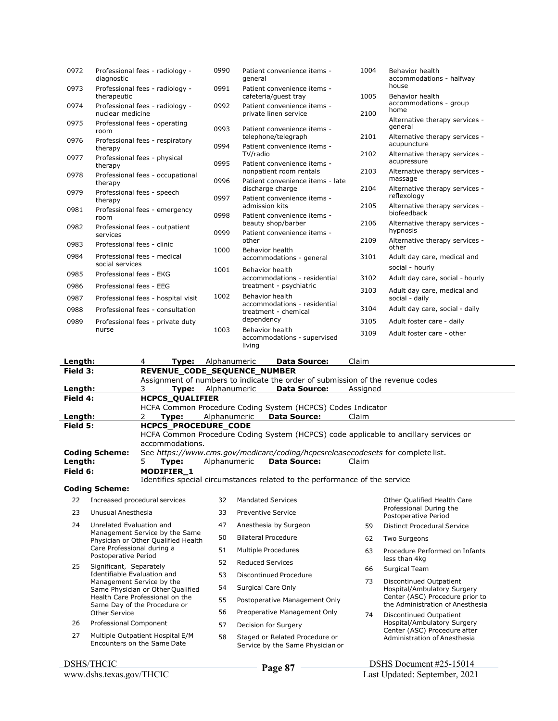| 0972 | Professional fees - radiology -<br>diagnostic       | 0990 | Patient convenience items -<br>general                      | 1004 | Behavior health<br>accommodations - halfway    |
|------|-----------------------------------------------------|------|-------------------------------------------------------------|------|------------------------------------------------|
| 0973 | Professional fees - radiology -<br>therapeutic      | 0991 | Patient convenience items -<br>cafeteria/quest tray         | 1005 | house<br><b>Behavior health</b>                |
| 0974 | Professional fees - radiology -<br>nuclear medicine | 0992 | Patient convenience items -<br>private linen service        | 2100 | accommodations - group<br>home                 |
| 0975 | Professional fees - operating<br>room               | 0993 | Patient convenience items -                                 |      | Alternative therapy services -<br>general      |
| 0976 | Professional fees - respiratory<br>therapy          | 0994 | telephone/telegraph<br>Patient convenience items -          | 2101 | Alternative therapy services -<br>acupuncture  |
| 0977 | Professional fees - physical<br>therapy             | 0995 | TV/radio<br>Patient convenience items -                     | 2102 | Alternative therapy services -<br>acupressure  |
| 0978 | Professional fees - occupational<br>therapy         | 0996 | nonpatient room rentals<br>Patient convenience items - late | 2103 | Alternative therapy services -<br>massage      |
| 0979 | Professional fees - speech<br>therapy               | 0997 | discharge charge<br>Patient convenience items -             | 2104 | Alternative therapy services -<br>reflexology  |
| 0981 | Professional fees - emergency<br>room               | 0998 | admission kits<br>Patient convenience items -               | 2105 | Alternative therapy services -<br>biofeedback  |
| 0982 | Professional fees - outpatient<br>services          | 0999 | beauty shop/barber<br>Patient convenience items -           | 2106 | Alternative therapy services -<br>hypnosis     |
| 0983 | Professional fees - clinic                          | 1000 | other<br><b>Behavior health</b>                             | 2109 | Alternative therapy services -<br>other        |
| 0984 | Professional fees - medical<br>social services      |      | accommodations - general                                    | 3101 | Adult day care, medical and<br>social - hourly |
| 0985 | Professional fees - EKG                             | 1001 | Behavior health<br>accommodations - residential             | 3102 | Adult day care, social - hourly                |
| 0986 | Professional fees - EEG                             |      | treatment - psychiatric                                     | 3103 | Adult day care, medical and                    |
| 0987 | Professional fees - hospital visit                  | 1002 | Behavior health<br>accommodations - residential             |      | social - daily                                 |
| 0988 | Professional fees - consultation                    |      | treatment - chemical                                        | 3104 | Adult day care, social - daily                 |
| 0989 | Professional fees - private duty                    |      | dependency                                                  | 3105 | Adult foster care - daily                      |
|      | nurse                                               | 1003 | Behavior health<br>accommodations - supervised<br>living    | 3109 | Adult foster care - other                      |
|      |                                                     |      |                                                             |      |                                                |

| Length:  |                                                                                                |                                                                                      | Tvpe:                  | Alphanumeric              |  | <b>Data Source:</b>                                         | Claim                                                                          |  |  |  |
|----------|------------------------------------------------------------------------------------------------|--------------------------------------------------------------------------------------|------------------------|---------------------------|--|-------------------------------------------------------------|--------------------------------------------------------------------------------|--|--|--|
| Field 3: |                                                                                                | REVENUE CODE SEQUENCE NUMBER                                                         |                        |                           |  |                                                             |                                                                                |  |  |  |
|          |                                                                                                |                                                                                      |                        |                           |  |                                                             | Assignment of numbers to indicate the order of submission of the revenue codes |  |  |  |
| Length:  |                                                                                                |                                                                                      |                        | <b>Type:</b> Alphanumeric |  | <b>Data Source:</b>                                         | Assigned                                                                       |  |  |  |
| Field 4: |                                                                                                |                                                                                      | <b>HCPCS QUALIFIER</b> |                           |  |                                                             |                                                                                |  |  |  |
|          |                                                                                                |                                                                                      |                        |                           |  | HCFA Common Procedure Coding System (HCPCS) Codes Indicator |                                                                                |  |  |  |
| Length:  |                                                                                                |                                                                                      | Tvpe:                  | Alphanumeric              |  | <b>Data Source:</b>                                         | Claim                                                                          |  |  |  |
| Field 5: |                                                                                                | <b>HCPCS PROCEDURE CODE</b>                                                          |                        |                           |  |                                                             |                                                                                |  |  |  |
|          |                                                                                                | HCFA Common Procedure Coding System (HCPCS) code applicable to ancillary services or |                        |                           |  |                                                             |                                                                                |  |  |  |
|          |                                                                                                | accommodations.                                                                      |                        |                           |  |                                                             |                                                                                |  |  |  |
|          | <b>Coding Scheme:</b>                                                                          | See https://www.cms.gov/medicare/coding/hcpcsreleasecodesets for complete list.      |                        |                           |  |                                                             |                                                                                |  |  |  |
| Length:  |                                                                                                | 5.                                                                                   | Tvpe:                  | Alphanumeric              |  | <b>Data Source:</b>                                         | Claim                                                                          |  |  |  |
|          | Field 6:<br><b>MODIFIER 1</b>                                                                  |                                                                                      |                        |                           |  |                                                             |                                                                                |  |  |  |
|          | Identifies special circumstances related to the performance of the service                     |                                                                                      |                        |                           |  |                                                             |                                                                                |  |  |  |
|          | <b>Coding Scheme:</b>                                                                          |                                                                                      |                        |                           |  |                                                             |                                                                                |  |  |  |
| 22       | Increased procedural services<br>32<br><b>Mandated Services</b><br>Other Qualified Health Care |                                                                                      |                        |                           |  |                                                             |                                                                                |  |  |  |

23 Unusual Anesthesia 24 Unrelated Evaluation and Management Service by the Same Physician or Other Qualified Health Care Professional during a Postoperative Period 25 Significant, Separately Identifiable Evaluation and Management Service by the Same Physician or Other Qualified Health Care Professional on the Same Day of the Procedure or Other Service 26 Professional Component 27 Multiple Outpatient Hospital E/M Encounters on the Same Date 33 Preventive Service 47 Anesthesia by Surgeon 50 Bilateral Procedure 51 Multiple Procedures 52 Reduced Services 53 Discontinued Procedure 54 Surgical Care Only 55 Postoperative Management Only 56 Preoperative Management Only 57 Decision for Surgery 58 Staged or Related Procedure or Service by the Same Physician or Professional During the Postoperative Period 59 Distinct Procedural Service 62 Two Surgeons 63 Procedure Performed on Infants less than 4kg 66 Surgical Team 73 Discontinued Outpatient Hospital/Ambulatory Surgery Center (ASC) Procedure prior to the Administration of Anesthesia 74 Discontinued Outpatient Hospital/Ambulatory Surgery Center (ASC) Procedure after Administration of Anesthesia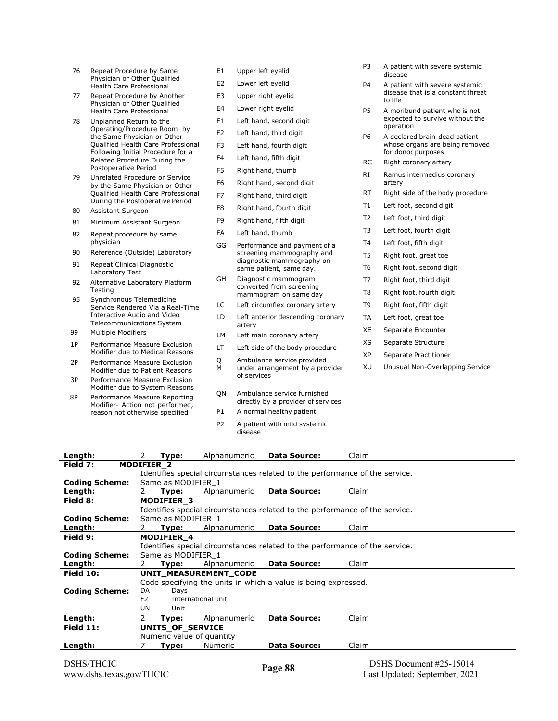- 76 Repeat Procedure by Same Physician or Other Qualified Health Care Professional
- 77 Repeat Procedure by Another Physician or Other Qualified Health Care Professional
- 78 Unplanned Return to the Operating/Procedure Room by the Same Physician or Other Qualified Health Care Professional Following Initial Procedure for a Related Procedure During the Postoperative Period
- 79 Unrelated Procedure or Service by the Same Physician or Other Qualified Health Care Professional During the Postoperative Period
- 80 Assistant Surgeon
- 81 Minimum Assistant Surgeon
- 82 Repeat procedure by same physician
- 90 Reference (Outside) Laboratory
- 91 Repeat Clinical Diagnostic Laboratory Test
- 92 Alternative Laboratory Platform **Testing**
- 95 Synchronous Telemedicine Service Rendered Via a Real-Time Interactive Audio and Video Telecommunications System
- 99 Multiple Modifiers
- 1P Performance Measure Exclusion Modifier due to Medical Reasons
- 2P Performance Measure Exclusion Modifier due to Patient Reasons
- 3P Performance Measure Exclusion Modifier due to System Reasons
- 8P Performance Measure Reporting Modifier- Action not performed, reason not otherwise specified
- E1 Upper left eyelid
- E2 Lower left eyelid
- E3 Upper right eyelid
- E4 Lower right eyelid
- F1 Left hand, second digit
- F2 Left hand, third digit
- F3 Left hand, fourth digit
- F4 Left hand, fifth digit
- F5 Right hand, thumb
- F6 Right hand, second digit
- F7 Right hand, third digit
- F8 Right hand, fourth digit
- F9 Right hand, fifth digit
- FA Left hand, thumb
- GG Performance and payment of a screening mammography and diagnostic mammography on same patient, same day.
- GH Diagnostic mammogram converted from screening mammogram on same day
- LC Left circumflex coronary artery
- LD Left anterior descending coronary artery
- LM Left main coronary artery
- LT Left side of the body procedure
- Q Ambulance service provided<br>M under arrangement by a pro
- under arrangement by a provider of services
- QN Ambulance service furnished directly by a provider of services
- P1 A normal healthy patient
- P2 A patient with mild systemic disease
- P3 A patient with severe systemic disease
- P4 A patient with severe systemic disease that is a constant threat to life
- P5 A moribund patient who is not expected to survive without the operation
- P6 A declared brain-dead patient whose organs are being removed for donor purposes
- RC Right coronary artery
- RI Ramus intermedius coronary artery
- RT Right side of the body procedure
- T1 Left foot, second digit
- T2 Left foot, third digit
- T3 Left foot, fourth digit
- T4 Left foot, fifth digit
- T5 Right foot, great toe
- T6 Right foot, second digit
- T7 Right foot, third digit
- T8 Right foot, fourth digit
- T9 Right foot, fifth digit
- TA Left foot, great toe
- XE Separate Encounter
- XS Separate Structure
- XP Separate Practitioner
- XU Unusual Non-Overlapping Service

| Length:               | 2                 | Type:                     | Alphanumeric          | <b>Data Source:</b>                                                         | Claim |  |
|-----------------------|-------------------|---------------------------|-----------------------|-----------------------------------------------------------------------------|-------|--|
| Field 7:              | <b>MODIFIER 2</b> |                           |                       |                                                                             |       |  |
|                       |                   |                           |                       | Identifies special circumstances related to the performance of the service. |       |  |
| <b>Coding Scheme:</b> |                   | Same as MODIFIER 1        |                       |                                                                             |       |  |
| Length:               | 2                 | Type:                     | Alphanumeric          | <b>Data Source:</b>                                                         | Claim |  |
| Field 8:              |                   | <b>MODIFIER 3</b>         |                       |                                                                             |       |  |
|                       |                   |                           |                       | Identifies special circumstances related to the performance of the service. |       |  |
| <b>Coding Scheme:</b> |                   | Same as MODIFIER 1        |                       |                                                                             |       |  |
| Length:               | 2.                | Type:                     | Alphanumeric          | <b>Data Source:</b>                                                         | Claim |  |
| Field 9:              |                   | <b>MODIFIER 4</b>         |                       |                                                                             |       |  |
|                       |                   |                           |                       | Identifies special circumstances related to the performance of the service. |       |  |
| <b>Coding Scheme:</b> |                   | Same as MODIFIER 1        |                       |                                                                             |       |  |
| Length:               | 2                 | Type:                     | Alphanumeric          | <b>Data Source:</b>                                                         | Claim |  |
| Field 10:             |                   |                           | UNIT MEASUREMENT CODE |                                                                             |       |  |
|                       |                   |                           |                       | Code specifying the units in which a value is being expressed.              |       |  |
| <b>Coding Scheme:</b> | DA                | Days                      |                       |                                                                             |       |  |
|                       | F <sub>2</sub>    |                           | International unit    |                                                                             |       |  |
|                       | UN                | Unit                      |                       |                                                                             |       |  |
| Length:               | 2                 | Type:                     | Alphanumeric          | <b>Data Source:</b>                                                         | Claim |  |
| Field $11$ :          |                   | <b>UNITS OF SERVICE</b>   |                       |                                                                             |       |  |
|                       |                   | Numeric value of quantity |                       |                                                                             |       |  |
| Length:               |                   | Type:                     | <b>Numeric</b>        | <b>Data Source:</b>                                                         | Claim |  |
|                       |                   |                           |                       |                                                                             |       |  |

 DSHS Document #25-15014 Last Updated: September, 2021 **Page 88**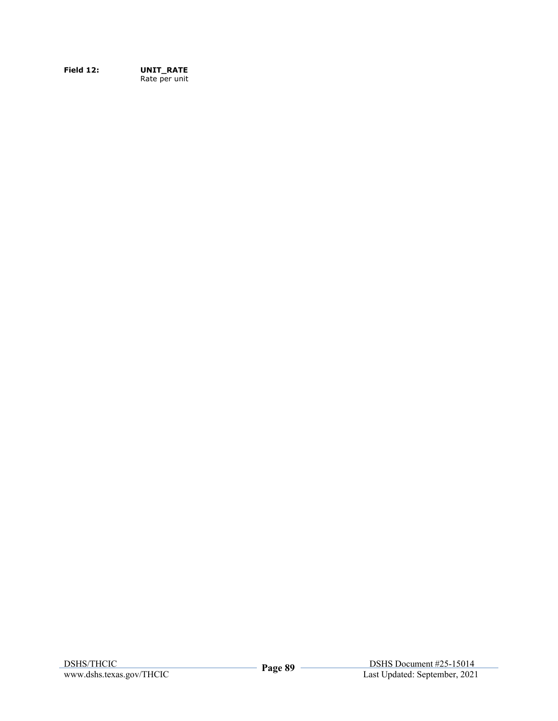**Field 12: UNIT\_RATE**  Rate per unit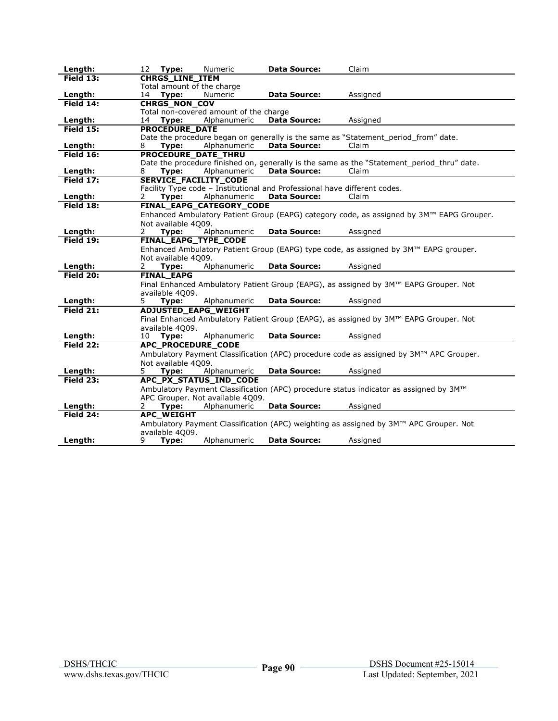| Length:                | 12<br>Type:<br>Numeric                                                    | <b>Data Source:</b> | Claim                                                                                       |
|------------------------|---------------------------------------------------------------------------|---------------------|---------------------------------------------------------------------------------------------|
| Field $13:$            | <b>CHRGS_LINE_ITEM</b>                                                    |                     |                                                                                             |
|                        | Total amount of the charge                                                |                     |                                                                                             |
| Length:                | Type:<br>Numeric<br>14                                                    | <b>Data Source:</b> | Assigned                                                                                    |
| Field 14:              | <b>CHRGS_NON_COV</b>                                                      |                     |                                                                                             |
|                        | Total non-covered amount of the charge                                    |                     |                                                                                             |
| Length:                | 14<br>Type:<br>Alphanumeric                                               | <b>Data Source:</b> | Assigned                                                                                    |
| Field $15:$            | <b>PROCEDURE DATE</b>                                                     |                     |                                                                                             |
|                        | Alphanumeric                                                              | <b>Data Source:</b> | Date the procedure began on generally is the same as "Statement_period_from" date.<br>Claim |
| Length:<br>Field $16:$ | 8<br>Type:                                                                |                     |                                                                                             |
|                        | <b>PROCEDURE DATE THRU</b>                                                |                     | Date the procedure finished on, generally is the same as the "Statement_period_thru" date.  |
| Length:                | Alphanumeric<br>Type:<br>8                                                | <b>Data Source:</b> | Claim                                                                                       |
| Field 17:              | <b>SERVICE FACILITY CODE</b>                                              |                     |                                                                                             |
|                        | Facility Type code - Institutional and Professional have different codes. |                     |                                                                                             |
| Length:                | Alphanumeric<br>Type:<br>2.                                               | <b>Data Source:</b> | Claim                                                                                       |
| Field 18:              | FINAL_EAPG_CATEGORY_CODE                                                  |                     |                                                                                             |
|                        |                                                                           |                     | Enhanced Ambulatory Patient Group (EAPG) category code, as assigned by 3M™ EAPG Grouper.    |
|                        | Not available 4009.                                                       |                     |                                                                                             |
| Length:                | Type:<br>Alphanumeric<br>2.                                               | <b>Data Source:</b> | Assigned                                                                                    |
| Field 19:              | FINAL EAPG TYPE CODE                                                      |                     |                                                                                             |
|                        |                                                                           |                     | Enhanced Ambulatory Patient Group (EAPG) type code, as assigned by 3M™ EAPG grouper.        |
|                        | Not available 4009.                                                       |                     |                                                                                             |
| Length:                | Alphanumeric<br>2<br>Type:                                                | <b>Data Source:</b> | Assigned                                                                                    |
| Field $20:$            | <b>FINAL EAPG</b>                                                         |                     |                                                                                             |
|                        |                                                                           |                     | Final Enhanced Ambulatory Patient Group (EAPG), as assigned by 3M™ EAPG Grouper. Not        |
|                        | available 4Q09.                                                           |                     |                                                                                             |
| Length:                | 5.<br>Type:<br>Alphanumeric                                               | <b>Data Source:</b> | Assigned                                                                                    |
| Field $21:$            | <b>ADJUSTED_EAPG_WEIGHT</b>                                               |                     |                                                                                             |
|                        |                                                                           |                     | Final Enhanced Ambulatory Patient Group (EAPG), as assigned by 3M™ EAPG Grouper. Not        |
|                        | available 4Q09.                                                           |                     |                                                                                             |
| Length:                | Alphanumeric<br>10<br>Type:                                               | <b>Data Source:</b> | Assigned                                                                                    |
| Field 22:              | <b>APC PROCEDURE CODE</b>                                                 |                     |                                                                                             |
|                        |                                                                           |                     | Ambulatory Payment Classification (APC) procedure code as assigned by 3M™ APC Grouper.      |
|                        | Not available 4009.                                                       |                     |                                                                                             |
| Length:                | 5.<br>Alphanumeric<br>Type:                                               | <b>Data Source:</b> | Assigned                                                                                    |
| Field 23:              | APC_PX_STATUS_IND_CODE                                                    |                     |                                                                                             |
|                        |                                                                           |                     | Ambulatory Payment Classification (APC) procedure status indicator as assigned by 3M™       |
|                        | APC Grouper. Not available 4Q09.                                          |                     |                                                                                             |
| Length:                | Alphanumeric<br>Type:<br>2                                                | <b>Data Source:</b> | Assigned                                                                                    |
| Field 24:              | <b>APC WEIGHT</b>                                                         |                     |                                                                                             |
|                        |                                                                           |                     | Ambulatory Payment Classification (APC) weighting as assigned by 3M™ APC Grouper. Not       |
|                        | available 4009.                                                           |                     |                                                                                             |
| Length:                | 9<br>Type:<br>Alphanumeric                                                | <b>Data Source:</b> | Assigned                                                                                    |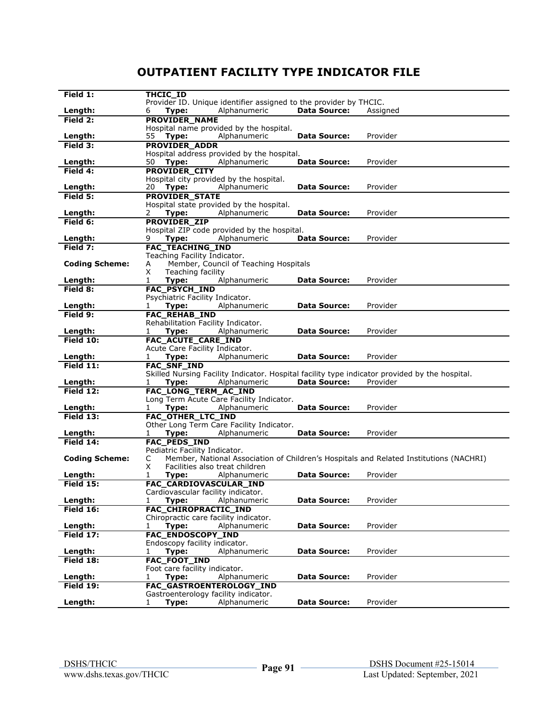## **OUTPATIENT FACILITY TYPE INDICATOR FILE**

| Field 1:              | THCIC ID                                                                                       |
|-----------------------|------------------------------------------------------------------------------------------------|
|                       | Provider ID. Unique identifier assigned to the provider by THCIC.                              |
| Length:               | Alphanumeric<br><b>Data Source:</b><br>Type:<br>Assigned<br>6                                  |
| Field $2:$            | <b>PROVIDER NAME</b>                                                                           |
|                       | Hospital name provided by the hospital.                                                        |
| Length:               | Alphanumeric<br>Provider<br>55<br>Type:<br><b>Data Source:</b>                                 |
|                       |                                                                                                |
| Field 3:              | <b>PROVIDER ADDR</b>                                                                           |
|                       | Hospital address provided by the hospital.                                                     |
| Length:               | Alphanumeric<br><b>Data Source:</b><br>Provider<br>50<br>Type:                                 |
| Field 4:              | <b>PROVIDER_CITY</b>                                                                           |
|                       | Hospital city provided by the hospital.                                                        |
| Length:               | Type:<br>Alphanumeric<br><b>Data Source:</b><br>Provider<br>20                                 |
| Field 5:              | <b>PROVIDER STATE</b>                                                                          |
|                       | Hospital state provided by the hospital.                                                       |
|                       |                                                                                                |
| Length:               | Alphanumeric<br>Provider<br>2<br>Type:<br>Data Source:                                         |
| Field $6:$            | <b>PROVIDER_ZIP</b>                                                                            |
|                       | Hospital ZIP code provided by the hospital.                                                    |
| Length:               | 9<br>Alphanumeric<br><b>Data Source:</b><br>Provider<br>Type:                                  |
| Field 7:              | FAC_TEACHING_IND                                                                               |
|                       | Teaching Facility Indicator.                                                                   |
| <b>Coding Scheme:</b> | Member, Council of Teaching Hospitals<br>А                                                     |
|                       | Teaching facility<br>X                                                                         |
|                       | Alphanumeric<br>Provider<br>1<br><b>Data Source:</b>                                           |
| Length:               | Type:                                                                                          |
| Field 8:              | <b>FAC_PSYCH_IND</b>                                                                           |
|                       | Psychiatric Facility Indicator.                                                                |
| Length:               | Alphanumeric<br>Data Source:<br>Provider<br>Type:<br>1                                         |
| Field 9:              | <b>FAC_REHAB_IND</b>                                                                           |
|                       | Rehabilitation Facility Indicator.                                                             |
| Length:               | Alphanumeric<br><b>Data Source:</b><br>Provider<br>1<br>Type:                                  |
| Field 10:             | FAC_ACUTE_CARE_IND                                                                             |
|                       | Acute Care Facility Indicator.                                                                 |
| Length:               | Alphanumeric<br><b>Data Source:</b><br>Provider<br>Type:<br>1                                  |
| Field 11:             | <b>FAC_SNF_IND</b>                                                                             |
|                       | Skilled Nursing Facility Indicator. Hospital facility type indicator provided by the hospital. |
| Length:               | <b>Data Source:</b><br>Provider<br>Type:<br>Alphanumeric<br>1                                  |
| Field 12:             | FAC_LONG_TERM_AC_IND                                                                           |
|                       |                                                                                                |
|                       | Long Term Acute Care Facility Indicator.                                                       |
| Length:               | Type:<br><b>Data Source:</b><br>Provider<br>1<br>Alphanumeric                                  |
| Field $13:$           | FAC OTHER LTC IND                                                                              |
|                       | Other Long Term Care Facility Indicator.                                                       |
| Length:               | Alphanumeric<br><b>Data Source:</b><br>Provider<br>1<br>Type:                                  |
| Field 14:             | <b>FAC_PEDS_IND</b>                                                                            |
|                       | Pediatric Facility Indicator.                                                                  |
| <b>Coding Scheme:</b> | Member, National Association of Children's Hospitals and Related Institutions (NACHRI)<br>C    |
|                       | X<br>Facilities also treat children                                                            |
| Length:               | <b>Data Source:</b><br>Provider<br>1<br>Type:<br>Alphanumeric                                  |
| <b>Field 15:</b>      | FAC_CARDIOVASCULAR_IND                                                                         |
|                       |                                                                                                |
|                       | Cardiovascular facility indicator.                                                             |
| Length:               | <b>Data Source:</b><br>Provider<br>1<br>Type:<br>Alphanumeric                                  |
| Field $16:$           | FAC CHIROPRACTIC IND                                                                           |
|                       | Chiropractic care facility indicator.                                                          |
| Length:               | Provider<br>Type:<br>Alphanumeric<br><b>Data Source:</b><br>1                                  |
| Field 17:             | <b>FAC ENDOSCOPY IND</b>                                                                       |
|                       | Endoscopy facility indicator.                                                                  |
| Length:               | Alphanumeric<br><b>Data Source:</b><br>Provider<br>Type:<br>1                                  |
| Field 18:             | <b>FAC FOOT IND</b>                                                                            |
|                       | Foot care facility indicator.                                                                  |
| Length:               | Provider<br>Alphanumeric<br><b>Data Source:</b><br>1<br>Type:                                  |
| Field 19:             | FAC GASTROENTEROLOGY IND                                                                       |
|                       |                                                                                                |
|                       | Gastroenterology facility indicator.                                                           |
| Length:               | Alphanumeric<br>Type:<br><b>Data Source:</b><br>Provider<br>$\mathbf{1}$                       |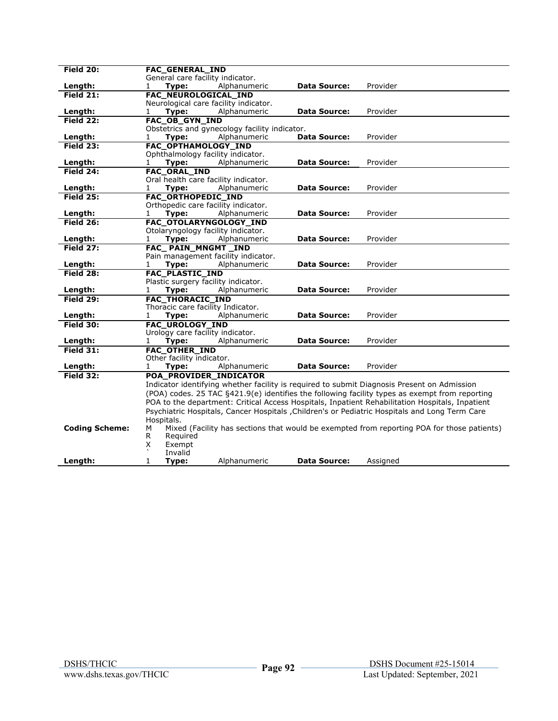| Field 20:             | <b>FAC GENERAL IND</b>                        |                     |                                                                                                 |
|-----------------------|-----------------------------------------------|---------------------|-------------------------------------------------------------------------------------------------|
|                       | General care facility indicator.              |                     |                                                                                                 |
| Length:               | Alphanumeric<br>$\mathbf{1}$<br>Type:         | <b>Data Source:</b> | Provider                                                                                        |
| Field 21:             | FAC_NEUROLOGICAL_IND                          |                     |                                                                                                 |
|                       | Neurological care facility indicator.         |                     |                                                                                                 |
| Length:               | Alphanumeric<br>1<br>Type:                    | <b>Data Source:</b> | Provider                                                                                        |
| Field 22:             | FAC_OB_GYN_IND                                |                     |                                                                                                 |
|                       | Obstetrics and gynecology facility indicator. |                     |                                                                                                 |
| Length:               | Alphanumeric<br>1<br>Type:                    | <b>Data Source:</b> | Provider                                                                                        |
| Field 23:             | <b>FAC OPTHAMOLOGY IND</b>                    |                     |                                                                                                 |
|                       | Ophthalmology facility indicator.             |                     |                                                                                                 |
| Length:               | Type:<br>Alphanumeric<br>1                    | <b>Data Source:</b> | Provider                                                                                        |
| Field $24$ :          | <b>FAC_ORAL_IND</b>                           |                     |                                                                                                 |
|                       | Oral health care facility indicator.          |                     |                                                                                                 |
| Length:               | $\mathbf{1}$<br>Type:<br>Alphanumeric         | <b>Data Source:</b> | Provider                                                                                        |
| <b>Field 25:</b>      | <b>FAC ORTHOPEDIC IND</b>                     |                     |                                                                                                 |
|                       | Orthopedic care facility indicator.           |                     |                                                                                                 |
| Length:               | Type:<br>Alphanumeric<br>1                    | <b>Data Source:</b> | Provider                                                                                        |
| Field 26:             | FAC_OTOLARYNGOLOGY_IND                        |                     |                                                                                                 |
|                       | Otolaryngology facility indicator.            |                     |                                                                                                 |
| Length:               | Type:<br>Alphanumeric<br>1                    | <b>Data Source:</b> | Provider                                                                                        |
| Field 27:             | FAC_PAIN_MNGMT_IND                            |                     |                                                                                                 |
|                       | Pain management facility indicator.           |                     |                                                                                                 |
| Length:               | Alphanumeric<br>1<br>Type:                    | Data Source:        | Provider                                                                                        |
| Field 28:             | <b>FAC PLASTIC IND</b>                        |                     |                                                                                                 |
|                       | Plastic surgery facility indicator.           |                     |                                                                                                 |
| Length:               | Alphanumeric<br>Type:<br>1                    | <b>Data Source:</b> | Provider                                                                                        |
| Field 29:             | <b>FAC_THORACIC_IND</b>                       |                     |                                                                                                 |
|                       | Thoracic care facility Indicator.             |                     |                                                                                                 |
| Length:               | Type:<br>Alphanumeric<br>1                    | <b>Data Source:</b> | Provider                                                                                        |
| Field 30:             | FAC_UROLOGY_IND                               |                     |                                                                                                 |
|                       | Urology care facility indicator.              |                     |                                                                                                 |
| Length:               | Alphanumeric<br>1<br>Type:                    | <b>Data Source:</b> | Provider                                                                                        |
| Field $31:$           | <b>FAC_OTHER_IND</b>                          |                     |                                                                                                 |
|                       | Other facility indicator.                     |                     |                                                                                                 |
| Length:               | Alphanumeric<br>1<br>Type:                    | <b>Data Source:</b> | Provider                                                                                        |
| Field 32:             | POA_PROVIDER_INDICATOR                        |                     |                                                                                                 |
|                       |                                               |                     | Indicator identifying whether facility is required to submit Diagnosis Present on Admission     |
|                       |                                               |                     | (POA) codes. 25 TAC §421.9(e) identifies the following facility types as exempt from reporting  |
|                       |                                               |                     | POA to the department: Critical Access Hospitals, Inpatient Rehabilitation Hospitals, Inpatient |
|                       |                                               |                     | Psychiatric Hospitals, Cancer Hospitals , Children's or Pediatric Hospitals and Long Term Care  |
|                       | Hospitals.                                    |                     |                                                                                                 |
| <b>Coding Scheme:</b> | м                                             |                     | Mixed (Facility has sections that would be exempted from reporting POA for those patients)      |
|                       | R<br>Required                                 |                     |                                                                                                 |
|                       | Exempt<br>X                                   |                     |                                                                                                 |
|                       | Invalid                                       |                     |                                                                                                 |
| Length:               | 1<br>Type:<br>Alphanumeric                    | <b>Data Source:</b> | Assigned                                                                                        |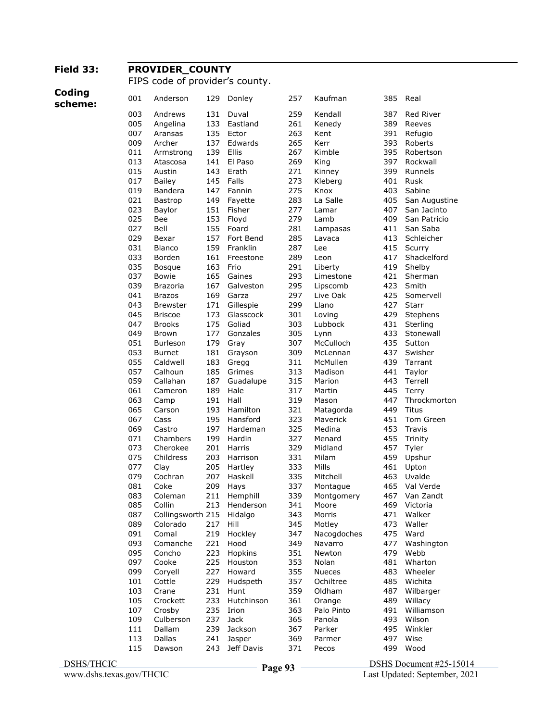#### **Field 33: PROVIDER\_COUNTY**

FIPS code of provider's county.

# **Coding**

| በበ1 | Anderson | 129 Don |  |
|-----|----------|---------|--|

| scheme: | 001 | Anderson          | 129 | Donley        | 257 | Kaufman       | 385 | Real          |
|---------|-----|-------------------|-----|---------------|-----|---------------|-----|---------------|
|         | 003 | Andrews           | 131 | Duval         | 259 | Kendall       | 387 | Red River     |
|         | 005 | Angelina          | 133 | Eastland      | 261 | Kenedy        | 389 | Reeves        |
|         | 007 | Aransas           | 135 | Ector         | 263 | Kent          | 391 | Refugio       |
|         | 009 | Archer            | 137 | Edwards       | 265 | Kerr          | 393 | Roberts       |
|         | 011 | Armstrong         | 139 | Ellis         | 267 | Kimble        | 395 | Robertson     |
|         | 013 | Atascosa          | 141 | El Paso       | 269 | King          | 397 | Rockwall      |
|         | 015 | Austin            | 143 | Erath         | 271 | Kinney        | 399 | Runnels       |
|         | 017 | <b>Bailey</b>     | 145 | Falls         | 273 | Kleberg       | 401 | Rusk          |
|         | 019 | Bandera           | 147 | Fannin        | 275 | Knox          | 403 | Sabine        |
|         | 021 | Bastrop           | 149 | Fayette       | 283 | La Salle      | 405 | San Augustine |
|         | 023 | Baylor            | 151 | Fisher        | 277 | Lamar         | 407 | San Jacinto   |
|         | 025 | Bee               | 153 | Floyd         | 279 | Lamb          | 409 | San Patricio  |
|         | 027 | Bell              | 155 | Foard         | 281 | Lampasas      | 411 | San Saba      |
|         | 029 | Bexar             | 157 | Fort Bend     | 285 | Lavaca        | 413 | Schleicher    |
|         | 031 | <b>Blanco</b>     | 159 | Franklin      | 287 | Lee           | 415 | Scurry        |
|         | 033 | Borden            | 161 | Freestone     | 289 | Leon          | 417 | Shackelford   |
|         | 035 | <b>Bosque</b>     | 163 | Frio          | 291 | Liberty       | 419 | Shelby        |
|         | 037 | <b>Bowie</b>      | 165 | Gaines        | 293 | Limestone     | 421 | Sherman       |
|         | 039 | <b>Brazoria</b>   | 167 | Galveston     | 295 | Lipscomb      | 423 | Smith         |
|         | 041 | <b>Brazos</b>     | 169 | Garza         | 297 | Live Oak      | 425 | Somervell     |
|         | 043 | Brewster          | 171 | Gillespie     | 299 | Llano         | 427 | <b>Starr</b>  |
|         | 045 | <b>Briscoe</b>    | 173 | Glasscock     | 301 | Loving        | 429 | Stephens      |
|         | 047 | <b>Brooks</b>     | 175 | Goliad        | 303 | Lubbock       | 431 | Sterling      |
|         | 049 | Brown             | 177 | Gonzales      | 305 | Lynn          | 433 | Stonewall     |
|         | 051 | <b>Burleson</b>   | 179 | Gray          | 307 | McCulloch     | 435 | Sutton        |
|         | 053 | <b>Burnet</b>     | 181 | Grayson       | 309 | McLennan      | 437 | Swisher       |
|         | 055 | Caldwell          | 183 | Gregg         | 311 | McMullen      | 439 | Tarrant       |
|         | 057 | Calhoun           | 185 | Grimes        | 313 | Madison       | 441 | Taylor        |
|         | 059 | Callahan          | 187 | Guadalupe     | 315 | Marion        | 443 | Terrell       |
|         | 061 | Cameron           | 189 | Hale          | 317 | Martin        | 445 | Terry         |
|         | 063 | Camp              | 191 | Hall          | 319 | Mason         | 447 | Throckmorton  |
|         | 065 | Carson            | 193 | Hamilton      | 321 | Matagorda     | 449 | Titus         |
|         | 067 | Cass              | 195 | Hansford      | 323 | Maverick      | 451 | Tom Green     |
|         | 069 | Castro            | 197 | Hardeman      | 325 | Medina        | 453 | Travis        |
|         | 071 | Chambers          | 199 | Hardin        | 327 | Menard        | 455 | Trinity       |
|         | 073 | Cherokee          | 201 | Harris        | 329 | Midland       | 457 | Tyler         |
|         | 075 | Childress         | 203 | Harrison      | 331 | Milam         | 459 | Upshur        |
|         | 077 | Clay              | 205 | Hartley       | 333 | Mills         | 461 | Upton         |
|         | 079 | Cochran           | 207 | Haskell       | 335 | Mitchell      | 463 | Uvalde        |
|         | 081 | Coke              | 209 | Hays          | 337 | Montague      | 465 | Val Verde     |
|         | 083 | Coleman           | 211 | Hemphill      | 339 | Montgomery    | 467 | Van Zandt     |
|         | 085 | Collin            |     | 213 Henderson | 341 | Moore         | 469 | Victoria      |
|         | 087 | Collingsworth 215 |     | Hidalgo       | 343 | Morris        | 471 | Walker        |
|         | 089 | Colorado          | 217 | Hill          | 345 | Motley        | 473 | Waller        |
|         | 091 | Comal             | 219 | Hockley       | 347 | Nacogdoches   | 475 | Ward          |
|         | 093 | Comanche          | 221 | Hood          | 349 | Navarro       | 477 | Washington    |
|         | 095 | Concho            | 223 | Hopkins       | 351 | Newton        | 479 | Webb          |
|         | 097 | Cooke             | 225 | Houston       | 353 | Nolan         | 481 | Wharton       |
|         | 099 | Coryell           | 227 | Howard        | 355 | <b>Nueces</b> | 483 | Wheeler       |
|         | 101 | Cottle            | 229 | Hudspeth      | 357 | Ochiltree     | 485 | Wichita       |
|         | 103 | Crane             | 231 | Hunt          | 359 | Oldham        | 487 | Wilbarger     |
|         | 105 | Crockett          | 233 | Hutchinson    | 361 | Orange        | 489 | Willacy       |
|         | 107 | Crosby            | 235 | Irion         | 363 | Palo Pinto    | 491 | Williamson    |
|         | 109 | Culberson         | 237 | Jack          | 365 | Panola        | 493 | Wilson        |
|         | 111 | Dallam            | 239 | Jackson       | 367 | Parker        | 495 | Winkler       |
|         | 113 | Dallas            | 241 | Jasper        | 369 | Parmer        | 497 | Wise          |
|         | 115 | Dawson            | 243 | Jeff Davis    | 371 | Pecos         | 499 | Wood          |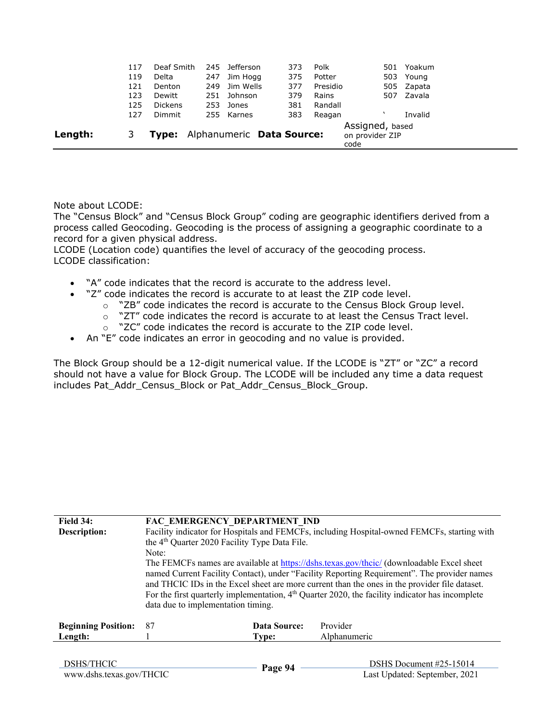|         | 119<br>121<br>123<br>125<br>127 | Delta<br>Denton<br>Dewitt<br><b>Dickens</b><br>Dimmit | 247<br>249<br>253               | Jim Hogg<br>Jim Wells<br>251 Johnson<br>Jones<br>255 Karnes | 375<br>377<br>379<br>381<br>383 | Potter<br>Presidio<br>Rains<br>Randall<br>Reagan |                                            | 503 Young<br>505 Zapata<br>507 Zavala<br>Invalid |  |
|---------|---------------------------------|-------------------------------------------------------|---------------------------------|-------------------------------------------------------------|---------------------------------|--------------------------------------------------|--------------------------------------------|--------------------------------------------------|--|
| Length: |                                 |                                                       | Type: Alphanumeric Data Source: |                                                             |                                 |                                                  | Assigned, based<br>on provider ZIP<br>code |                                                  |  |

Note about LCODE:

The "Census Block" and "Census Block Group" coding are geographic identifiers derived from a process called Geocoding. Geocoding is the process of assigning a geographic coordinate to a record for a given physical address.

LCODE (Location code) quantifies the level of accuracy of the geocoding process. LCODE classification:

- "A" code indicates that the record is accurate to the address level.
- "Z" code indicates the record is accurate to at least the ZIP code level.
	- o "ZB" code indicates the record is accurate to the Census Block Group level.
	- o "ZT" code indicates the record is accurate to at least the Census Tract level.
	- $\sim$  "ZC" code indicates the record is accurate to the ZIP code level.
- An "E" code indicates an error in geocoding and no value is provided.

The Block Group should be a 12-digit numerical value. If the LCODE is "ZT" or "ZC" a record should not have a value for Block Group. The LCODE will be included any time a data request includes Pat\_Addr\_Census\_Block or Pat\_Addr\_Census\_Block\_Group.

| Field 34:<br>Description:  | FAC EMERGENCY DEPARTMENT IND<br>the 4 <sup>th</sup> Quarter 2020 Facility Type Data File.<br>Note:<br>data due to implementation timing. |              | Facility indicator for Hospitals and FEMCFs, including Hospital-owned FEMCFs, starting with<br>The FEMCFs names are available at https://dshs.texas.gov/thcic/ (downloadable Excel sheet<br>named Current Facility Contact), under "Facility Reporting Requirement". The provider names<br>and THCIC IDs in the Excel sheet are more current than the ones in the provider file dataset.<br>For the first quarterly implementation, $4th$ Quarter 2020, the facility indicator has incomplete |
|----------------------------|------------------------------------------------------------------------------------------------------------------------------------------|--------------|-----------------------------------------------------------------------------------------------------------------------------------------------------------------------------------------------------------------------------------------------------------------------------------------------------------------------------------------------------------------------------------------------------------------------------------------------------------------------------------------------|
| <b>Beginning Position:</b> | 87                                                                                                                                       | Data Source: | Provider                                                                                                                                                                                                                                                                                                                                                                                                                                                                                      |
| Length:                    |                                                                                                                                          | Type:        | Alphanumeric                                                                                                                                                                                                                                                                                                                                                                                                                                                                                  |
|                            |                                                                                                                                          |              |                                                                                                                                                                                                                                                                                                                                                                                                                                                                                               |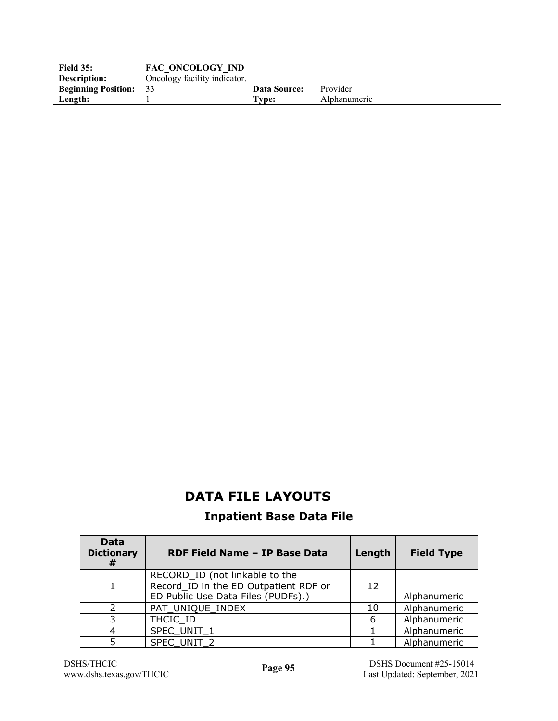| <b>Field 35:</b>              | FAC ONCOLOGY IND             |                     |              |
|-------------------------------|------------------------------|---------------------|--------------|
| Description:                  | Oncology facility indicator. |                     |              |
| <b>Beginning Position:</b> 33 |                              | <b>Data Source:</b> | Provider     |
| Length:                       |                              | $T$ vpe:            | Alphanumeric |

### **DATA FILE LAYOUTS**

#### **Inpatient Base Data File**

| Data<br><b>Dictionary</b><br># | RDF Field Name - IP Base Data                                                                                 | Length          | <b>Field Type</b> |
|--------------------------------|---------------------------------------------------------------------------------------------------------------|-----------------|-------------------|
|                                | RECORD_ID (not linkable to the<br>Record_ID in the ED Outpatient RDF or<br>ED Public Use Data Files (PUDFs).) | 12 <sup>1</sup> | Alphanumeric      |
|                                | PAT UNIQUE INDEX                                                                                              | 10              | Alphanumeric      |
| 3                              | THCIC ID                                                                                                      |                 | Alphanumeric      |
|                                | SPEC UNIT 1                                                                                                   |                 | Alphanumeric      |
|                                | SPEC UNIT 2                                                                                                   |                 | Alphanumeric      |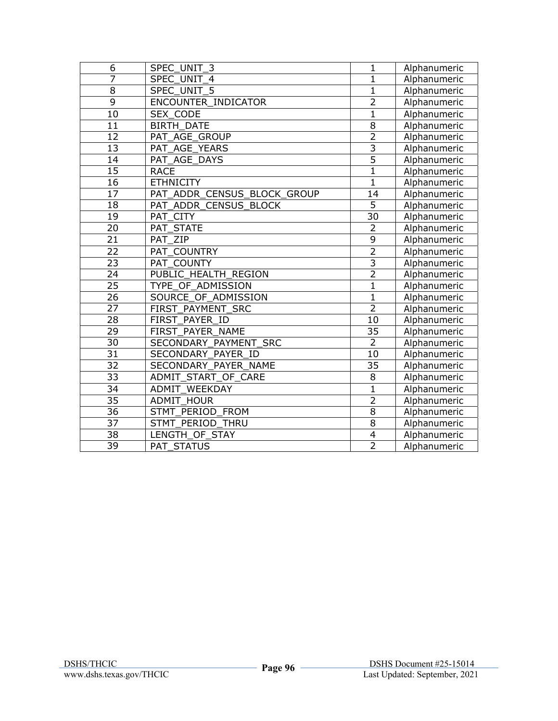| 6               | SPEC UNIT 3                          | $\mathbf{1}$    | Alphanumeric |
|-----------------|--------------------------------------|-----------------|--------------|
| $\overline{7}$  | SPEC UNIT 4                          | $\mathbf{1}$    | Alphanumeric |
| $\overline{8}$  | SPEC_UNIT_5                          | $\mathbf{1}$    | Alphanumeric |
| $\overline{9}$  | ENCOUNTER INDICATOR                  | $\overline{2}$  | Alphanumeric |
| 10              | SEX CODE                             | $\mathbf{1}$    | Alphanumeric |
| 11              | <b>BIRTH DATE</b>                    | $\overline{8}$  | Alphanumeric |
| $\overline{12}$ | PAT AGE GROUP                        | $\overline{2}$  | Alphanumeric |
| 13              | PAT AGE YEARS                        | 3               | Alphanumeric |
| 14              | PAT AGE_DAYS                         | $\overline{5}$  | Alphanumeric |
| $\overline{15}$ | <b>RACE</b>                          | $\overline{1}$  | Alphanumeric |
| 16              | <b>ETHNICITY</b>                     | $\mathbf{1}$    | Alphanumeric |
| $\overline{17}$ | PAT_ADDR_CENSUS_BLOCK_GROUP          | 14              | Alphanumeric |
| 18              | PAT_ADDR_CENSUS_BLOCK                | $\overline{5}$  | Alphanumeric |
| 19              | PAT CITY                             | $\overline{30}$ | Alphanumeric |
| 20              | PAT STATE                            | $\overline{2}$  | Alphanumeric |
| $\overline{21}$ | PAT ZIP                              | $\overline{9}$  | Alphanumeric |
| 22              | PAT COUNTRY                          | $\overline{2}$  | Alphanumeric |
| $\overline{23}$ | PAT COUNTY                           | $\overline{3}$  | Alphanumeric |
| 24              | PUBLIC HEALTH REGION                 | $\overline{2}$  | Alphanumeric |
| $\overline{25}$ | TYPE OF ADMISSION                    | $\overline{1}$  | Alphanumeric |
| $\overline{26}$ | SOURCE OF ADMISSION                  | $\mathbf{1}$    | Alphanumeric |
| 27              | FIRST PAYMENT SRC                    | $\overline{2}$  | Alphanumeric |
| $\overline{28}$ | FIRST PAYER ID                       | 10              | Alphanumeric |
| 29              | FIRST PAYER NAME                     | 35              | Alphanumeric |
| 30              | SECONDARY PAYMENT SRC                | $\overline{2}$  | Alphanumeric |
| $\overline{31}$ | SECONDARY_PAYER_ID                   | $\overline{10}$ | Alphanumeric |
| $\overline{32}$ | SECONDARY PAYER NAME                 | 35              | Alphanumeric |
| 33              | ADMIT_START_OF_CARE                  | 8               | Alphanumeric |
| $\overline{34}$ | ADMIT WEEKDAY                        | $\overline{1}$  | Alphanumeric |
| $\overline{35}$ | <b>ADMIT HOUR</b>                    | $\overline{2}$  | Alphanumeric |
| $\overline{36}$ | PERIOD<br><b>STMT</b><br><b>FROM</b> | $\overline{8}$  | Alphanumeric |
| 37              | PERIOD<br><b>STMT</b><br>THRU        | 8               | Alphanumeric |
| 38              | LENGTH OF STAY                       | 4               | Alphanumeric |
| $\overline{39}$ | <b>PAT STATUS</b>                    | $\overline{2}$  | Alphanumeric |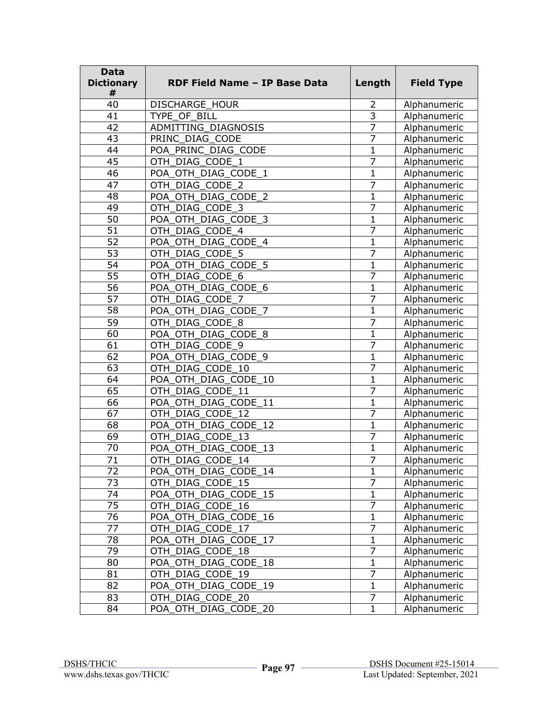| <b>Data</b><br><b>Dictionary</b><br># | RDF Field Name - IP Base Data | Length                  | <b>Field Type</b> |
|---------------------------------------|-------------------------------|-------------------------|-------------------|
| 40                                    | <b>DISCHARGE HOUR</b>         | 2                       | Alphanumeric      |
| 41                                    | TYPE_OF BILL                  | $\overline{\mathbf{3}}$ | Alphanumeric      |
| 42                                    | ADMITTING_DIAGNOSIS           | $\overline{7}$          | Alphanumeric      |
| 43                                    | PRINC_DIAG_CODE               | 7                       | Alphanumeric      |
| 44                                    | POA PRINC DIAG CODE           | 1                       | Alphanumeric      |
| 45                                    | OTH_DIAG_CODE_1               | 7                       | Alphanumeric      |
| 46                                    | POA_OTH_DIAG_CODE_1           | $\mathbf{1}$            | Alphanumeric      |
| 47                                    | OTH_DIAG_CODE_2               | 7                       | Alphanumeric      |
| 48                                    | POA OTH DIAG CODE 2           | $\mathbf{1}$            | Alphanumeric      |
| 49                                    | OTH DIAG CODE 3               | 7                       | Alphanumeric      |
| 50                                    | POA OTH DIAG CODE 3           | $\mathbf 1$             | Alphanumeric      |
| 51                                    | OTH DIAG CODE 4               | 7                       | Alphanumeric      |
| $\overline{52}$                       | POA_OTH_DIAG_CODE_4           | 1                       | Alphanumeric      |
| 53                                    | OTH_DIAG_CODE_5               | 7                       | Alphanumeric      |
| 54                                    | POA OTH DIAG CODE 5           | $\mathbf{1}$            | Alphanumeric      |
| $\overline{55}$                       | OTH_DIAG_CODE_6               | 7                       | Alphanumeric      |
| 56                                    | POA OTH_DIAG_CODE_6           | $\mathbf{1}$            | Alphanumeric      |
| 57                                    | OTH_DIAG_CODE_7               | $\overline{7}$          | Alphanumeric      |
| 58                                    | POA OTH DIAG CODE 7           | $\mathbf 1$             | Alphanumeric      |
| $\overline{59}$                       | OTH DIAG CODE 8               | 7                       | Alphanumeric      |
| 60                                    | POA_OTH_DIAG_CODE_8           | 1                       | Alphanumeric      |
| 61                                    | OTH DIAG CODE 9               | 7                       | Alphanumeric      |
| 62                                    | POA_OTH_DIAG_CODE_9           | 1                       | Alphanumeric      |
| 63                                    | OTH DIAG CODE 10              | 7                       | Alphanumeric      |
| 64                                    | POA OTH DIAG CODE 10          | $\mathbf{1}$            | Alphanumeric      |
| 65                                    | OTH_DIAG_CODE_11              | 7                       | Alphanumeric      |
| 66                                    | POA OTH DIAG CODE 11          | $\mathbf{1}$            | Alphanumeric      |
| 67                                    | OTH_DIAG_CODE_12              | $\overline{7}$          | Alphanumeric      |
| 68                                    | POA_OTH_DIAG_CODE_12          | 1                       | Alphanumeric      |
| 69                                    | OTH DIAG CODE 13              | 7                       | Alphanumeric      |
| 70                                    | POA_OTH_DIAG_CODE_13          | $\mathbf{1}$            | Alphanumeric      |
| 71                                    | OTH_DIAG_CODE 14              | 7                       | Alphanumeric      |
| 72                                    | POA_OTH_DIAG_CODE_14          | 1                       | Alphanumeric      |
| 73                                    | OTH_DIAG_CODE_15              | 7                       | Alphanumeric      |
| 74                                    | POA_OTH_DIAG_CODE_15          | $\mathbf{1}$            | Alphanumeric      |
| 75                                    | OTH_DIAG_CODE_16              | 7                       | Alphanumeric      |
| 76                                    | POA_OTH_DIAG_CODE_16          | $\mathbf{1}$            | Alphanumeric      |
| 77                                    | OTH_DIAG_CODE_17              | 7                       | Alphanumeric      |
| 78                                    | POA_OTH_DIAG_CODE_17          | 1                       | Alphanumeric      |
| 79                                    | OTH DIAG CODE 18              | 7                       | Alphanumeric      |
| 80                                    | POA_OTH_DIAG_CODE_18          | $\mathbf{1}$            | Alphanumeric      |
| 81                                    | OTH_DIAG_CODE_19              | 7                       | Alphanumeric      |
| 82                                    | POA_OTH_DIAG_CODE_19          | $\mathbf{1}$            | Alphanumeric      |
| 83                                    | OTH_DIAG_CODE_20              | 7                       | Alphanumeric      |
| 84                                    | POA_OTH_DIAG_CODE_20          | $\mathbf{1}$            | Alphanumeric      |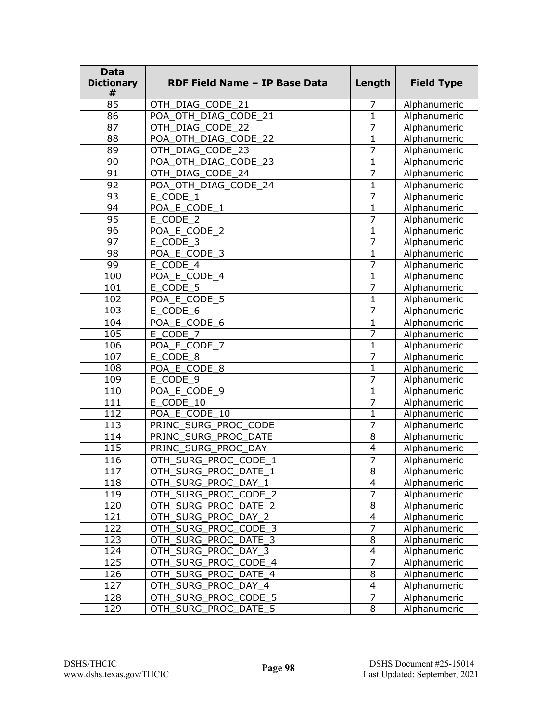| <b>Data</b><br><b>Dictionary</b><br># | <b>RDF Field Name - IP Base Data</b> | Length                   | <b>Field Type</b> |
|---------------------------------------|--------------------------------------|--------------------------|-------------------|
| 85                                    | OTH DIAG CODE 21                     | 7                        | Alphanumeric      |
| 86                                    | POA OTH DIAG CODE 21                 | 1                        | Alphanumeric      |
| 87                                    | OTH DIAG CODE 22                     | 7                        | Alphanumeric      |
| 88                                    | POA OTH DIAG CODE 22                 | 1                        | Alphanumeric      |
| 89                                    | OTH_DIAG_CODE_23                     | 7                        | Alphanumeric      |
| 90                                    | POA_OTH_DIAG_CODE_23                 | 1                        | Alphanumeric      |
| 91                                    | OTH_DIAG_CODE_24                     | 7                        | Alphanumeric      |
| 92                                    | POA OTH DIAG CODE 24                 | $\overline{1}$           | Alphanumeric      |
| 93                                    | E CODE 1                             | $\overline{7}$           | Alphanumeric      |
| 94                                    | POA E CODE_1                         | 1                        | Alphanumeric      |
| 95                                    | E CODE 2                             | 7                        | Alphanumeric      |
| 96                                    | POA E CODE_2                         | 1                        | Alphanumeric      |
| 97                                    | E CODE 3                             | 7                        | Alphanumeric      |
| 98                                    | POA_E_CODE_3                         | 1                        | Alphanumeric      |
| 99                                    | E CODE 4                             | $\overline{7}$           | Alphanumeric      |
| 100                                   | POA E CODE 4                         | $\mathbf{1}$             | Alphanumeric      |
| 101                                   | E CODE 5                             | 7                        | Alphanumeric      |
| 102                                   | POA E CODE 5                         | $\mathbf{1}$             | Alphanumeric      |
| 103                                   | E CODE 6                             | 7                        | Alphanumeric      |
| 104                                   | POA E CODE 6                         | 1                        | Alphanumeric      |
| 105                                   | E CODE 7                             | 7                        | Alphanumeric      |
| 106                                   | POA E CODE 7                         | 1                        | Alphanumeric      |
| 107                                   | E_CODE_8                             | 7                        | Alphanumeric      |
| 108                                   | POA_E_CODE_8                         | 1                        | Alphanumeric      |
| 109                                   | E_CODE_9                             | 7                        | Alphanumeric      |
| 110                                   | POA_E_CODE_9                         | $\mathbf{1}$             | Alphanumeric      |
| 111                                   | E CODE 10                            | 7                        | Alphanumeric      |
| 112                                   | POA E CODE 10                        | $\mathbf{1}$             | Alphanumeric      |
| 113                                   | PRINC_SURG_PROC_CODE                 | 7                        | Alphanumeric      |
| 114                                   | PRINC_SURG_PROC_DATE                 | 8                        | Alphanumeric      |
| 115                                   | PRINC_SURG_PROC_DAY                  | $\overline{4}$           | Alphanumeric      |
| 116                                   | OTH SURG PROC CODE 1                 | 7                        | Alphanumeric      |
| 117                                   | OTH SURG PROC DATE 1                 | $\overline{8}$           | Alphanumeric      |
| 118                                   | OTH_SURG_PROC_DAY_1                  | 4                        | Alphanumeric      |
| 119                                   | OTH_SURG_PROC_CODE_2                 | $\overline{7}$           | Alphanumeric      |
| 120                                   | OTH_SURG_PROC_DATE_2                 | $\overline{8}$           | Alphanumeric      |
| 121                                   | OTH_SURG_PROC_DAY_2                  | $\overline{\mathbf{4}}$  | Alphanumeric      |
| 122                                   | OTH_SURG_PROC_CODE_3                 | $\overline{7}$           | Alphanumeric      |
| 123                                   | OTH_SURG_PROC_DATE_3                 | $\overline{8}$           | Alphanumeric      |
| 124                                   | OTH_SURG_PROC_DAY_3                  | $\overline{4}$           | Alphanumeric      |
| 125                                   | OTH_SURG_PROC_CODE_4                 | $\overline{7}$           | Alphanumeric      |
| 126                                   | OTH_SURG_PROC_DATE_4                 | 8                        | Alphanumeric      |
| 127                                   | OTH_SURG_PROC_DAY_4                  | $\overline{\mathcal{L}}$ | Alphanumeric      |
| 128                                   | OTH_SURG_PROC_CODE_5                 | 7                        | Alphanumeric      |
| 129                                   | OTH_SURG_PROC_DATE_5                 | 8                        | Alphanumeric      |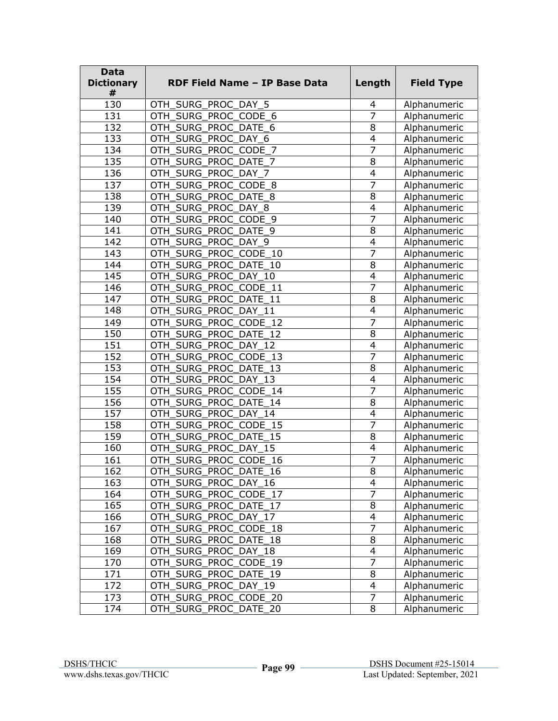| <b>Data</b><br><b>Dictionary</b><br># | <b>RDF Field Name - IP Base Data</b> | Length                   | <b>Field Type</b> |
|---------------------------------------|--------------------------------------|--------------------------|-------------------|
| 130                                   | OTH_SURG_PROC_DAY_5                  | 4                        | Alphanumeric      |
| 131                                   | OTH SURG PROC CODE 6                 | 7                        | Alphanumeric      |
| 132                                   | OTH_SURG_PROC_DATE_6                 | 8                        | Alphanumeric      |
| 133                                   | OTH_SURG_PROC_DAY_6                  | $\overline{4}$           | Alphanumeric      |
| 134                                   | OTH_SURG_PROC_CODE_7                 | $\overline{7}$           | Alphanumeric      |
| 135                                   | OTH_SURG_PROC_DATE_7                 | 8                        | Alphanumeric      |
| 136                                   | OTH_SURG_PROC_DAY_7                  | $\overline{4}$           | Alphanumeric      |
| 137                                   | OTH_SURG_PROC_CODE_8                 | 7                        | Alphanumeric      |
| 138                                   | OTH SURG PROC DATE 8                 | 8                        | Alphanumeric      |
| 139                                   | SURG_PROC_DAY_8<br>OTH               | $\overline{4}$           | Alphanumeric      |
| 140                                   | SURG_PROC_CODE_9<br>OTH              | 7                        | Alphanumeric      |
| 141                                   | OTH_SURG_PROC_DATE_9                 | 8                        | Alphanumeric      |
| 142                                   | OTH_SURG_PROC_DAY_9                  | $\overline{\mathbf{4}}$  | Alphanumeric      |
| 143                                   | OTH_SURG_PROC_CODE_10                | 7                        | Alphanumeric      |
| 144                                   | OTH_SURG_PROC_DATE_10                | 8                        | Alphanumeric      |
| 145                                   | OTH_SURG_PROC_DAY_10                 | $\overline{4}$           | Alphanumeric      |
| 146                                   | OTH_SURG_PROC_CODE_11                | $\overline{7}$           | Alphanumeric      |
| 147                                   | OTH_SURG_PROC_DATE 11                | 8                        | Alphanumeric      |
| 148                                   | OTH_SURG_PROC_DAY_11                 | $\overline{4}$           | Alphanumeric      |
| 149                                   | OTH SURG PROC CODE 12                | 7                        | Alphanumeric      |
| 150                                   | SURG_PROC_DATE_12<br>OTH             | 8                        | Alphanumeric      |
| 151                                   | OTH SURG PROC DAY 12                 | $\overline{4}$           | Alphanumeric      |
| 152                                   | OTH_SURG_PROC_CODE_13                | 7                        | Alphanumeric      |
| 153                                   | OTH_SURG_PROC_DATE_13                | 8                        | Alphanumeric      |
| 154                                   | OTH_SURG_PROC_DAY_13                 | 4                        | Alphanumeric      |
| 155                                   | OTH_SURG_PROC_CODE_14                | 7                        | Alphanumeric      |
| 156                                   | OTH_SURG_PROC_DATE_14                | 8                        | Alphanumeric      |
| 157                                   | OTH_SURG_PROC_DAY_14                 | $\overline{4}$           | Alphanumeric      |
| 158                                   | OTH SURG PROC CODE 15                | 7                        | Alphanumeric      |
| 159                                   | _SURG_PROC_DATE_15<br>OTH            | 8                        | Alphanumeric      |
| 160                                   | OTH_SURG_PROC_DAY_15                 | $\overline{4}$           | Alphanumeric      |
| 161                                   | OTH SURG PROC CODE 16                | 7                        | Alphanumeric      |
| 162                                   | OTH_SURG_PROC_DATE 16                | $\overline{8}$           | Alphanumeric      |
| 163                                   | OTH_SURG_PROC_DAY_16                 | 4                        | Alphanumeric      |
| 164                                   | OTH_SURG_PROC_CODE_17                | 7                        | Alphanumeric      |
| 165                                   | OTH_SURG_PROC_DATE_17                | $\overline{8}$           | Alphanumeric      |
| 166                                   | OTH SURG PROC DAY 17                 | $\overline{\mathbf{4}}$  | Alphanumeric      |
| 167                                   | OTH_SURG_PROC_CODE 18                | $\overline{7}$           | Alphanumeric      |
| 168                                   | OTH_SURG_PROC_DATE_18                | $\overline{8}$           | Alphanumeric      |
| 169                                   | OTH SURG PROC DAY 18                 | $\overline{4}$           | Alphanumeric      |
| 170                                   | OTH_SURG_PROC_CODE_19                | $\overline{7}$           | Alphanumeric      |
| 171                                   | OTH_SURG_PROC_DATE_19                | 8                        | Alphanumeric      |
| 172                                   | OTH_SURG_PROC_DAY_19                 | $\overline{\mathcal{L}}$ | Alphanumeric      |
| 173                                   | OTH_SURG_PROC_CODE_20                | 7                        | Alphanumeric      |
| 174                                   | OTH SURG PROC DATE 20                | 8                        | Alphanumeric      |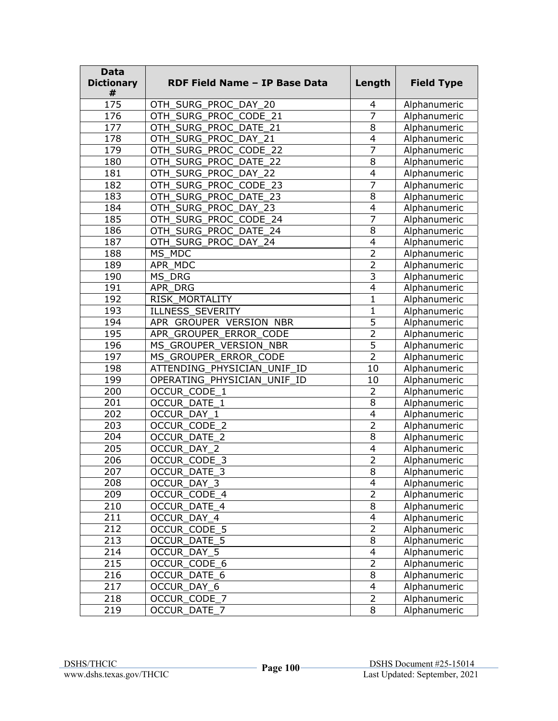| <b>Data</b><br><b>Dictionary</b><br># | RDF Field Name - IP Base Data | Length                  | <b>Field Type</b> |
|---------------------------------------|-------------------------------|-------------------------|-------------------|
| 175                                   | OTH_SURG_PROC_DAY_20          | 4                       | Alphanumeric      |
| 176                                   | OTH SURG PROC CODE 21         | 7                       | Alphanumeric      |
| 177                                   | OTH SURG PROC DATE 21         | 8                       | Alphanumeric      |
| 178                                   | OTH_SURG_PROC_DAY_21          | $\overline{4}$          | Alphanumeric      |
| 179                                   | OTH_SURG_PROC_CODE_22         | 7                       | Alphanumeric      |
| 180                                   | OTH_SURG_PROC_DATE_22         | 8                       | Alphanumeric      |
| 181                                   | OTH_SURG_PROC_DAY_22          | 4                       | Alphanumeric      |
| 182                                   | OTH_SURG_PROC_CODE_23         | 7                       | Alphanumeric      |
| 183                                   | OTH SURG PROC DATE 23         | 8                       | Alphanumeric      |
| 184                                   | OTH SURG PROC DAY 23          | $\overline{4}$          | Alphanumeric      |
| 185                                   | SURG PROC CODE 24<br>OTH      | 7                       | Alphanumeric      |
| 186                                   | OTH SURG PROC DATE 24         | 8                       | Alphanumeric      |
| 187                                   | OTH SURG PROC DAY 24          | $\overline{4}$          | Alphanumeric      |
| 188                                   | MS_MDC                        | $\overline{2}$          | Alphanumeric      |
| 189                                   | APR MDC                       | $\overline{2}$          | Alphanumeric      |
| 190                                   | MS DRG                        | $\overline{3}$          | Alphanumeric      |
| 191                                   | <b>APR DRG</b>                | $\overline{4}$          | Alphanumeric      |
| 192                                   | RISK_MORTALITY                | 1                       | Alphanumeric      |
| 193                                   | <b>ILLNESS SEVERITY</b>       | 1                       | Alphanumeric      |
| 194                                   | APR GROUPER VERSION NBR       | 5                       | Alphanumeric      |
| 195                                   | APR GROUPER ERROR CODE        | $\overline{2}$          | Alphanumeric      |
| 196                                   | MS GROUPER VERSION NBR        | $\overline{5}$          | Alphanumeric      |
| 197                                   | MS_GROUPER_ERROR_CODE         | $\overline{2}$          | Alphanumeric      |
| 198                                   | ATTENDING PHYSICIAN UNIF ID   | 10                      | Alphanumeric      |
| 199                                   | OPERATING PHYSICIAN UNIF ID   | 10                      | Alphanumeric      |
| 200                                   | OCCUR_CODE_1                  | $\overline{2}$          | Alphanumeric      |
| 201                                   | <b>OCCUR DATE 1</b>           | 8                       | Alphanumeric      |
| 202                                   | OCCUR DAY 1                   | $\overline{4}$          | Alphanumeric      |
| 203                                   | <b>OCCUR CODE 2</b>           | $\overline{2}$          | Alphanumeric      |
| 204                                   | <b>OCCUR DATE 2</b>           | 8                       | Alphanumeric      |
| 205                                   | OCCUR DAY 2                   | $\overline{\mathbf{4}}$ | Alphanumeric      |
| 206                                   | OCCUR_CODE_3                  | $\overline{2}$          | Alphanumeric      |
| 207                                   | OCCUR_DATE_3                  | 8                       | Alphanumeric      |
| 208                                   | OCCUR_DAY_3                   | $\overline{4}$          | Alphanumeric      |
| 209                                   | OCCUR CODE 4                  | 2                       | Alphanumeric      |
| 210                                   | <b>OCCUR DATE 4</b>           | 8                       | Alphanumeric      |
| 211                                   | OCCUR_DAY_4                   | 4                       | Alphanumeric      |
| 212                                   | OCCUR_CODE_5                  | $\overline{2}$          | Alphanumeric      |
| 213                                   | OCCUR_DATE_5                  | $\overline{8}$          | Alphanumeric      |
| 214                                   | OCCUR_DAY_5                   | $\overline{4}$          | Alphanumeric      |
| 215                                   | OCCUR_CODE_6                  | $\overline{2}$          | Alphanumeric      |
| 216                                   | <b>OCCUR DATE 6</b>           | 8                       | Alphanumeric      |
| 217                                   | OCCUR_DAY_6                   | $\overline{4}$          | Alphanumeric      |
| 218                                   | OCCUR_CODE_7                  | $\overline{2}$          | Alphanumeric      |
| 219                                   | OCCUR DATE 7                  | $\overline{8}$          | Alphanumeric      |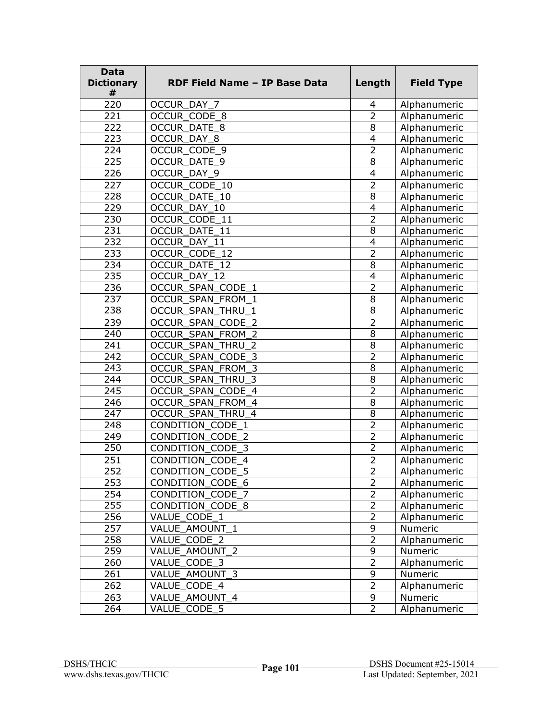| Data<br><b>Dictionary</b><br># | <b>RDF Field Name - IP Base Data</b>     | Length         | <b>Field Type</b> |
|--------------------------------|------------------------------------------|----------------|-------------------|
| 220                            | OCCUR DAY 7                              | 4              | Alphanumeric      |
| 221                            | OCCUR_CODE_8                             | $\overline{2}$ | Alphanumeric      |
| 222                            | <b>OCCUR DATE 8</b>                      | 8              | Alphanumeric      |
| 223                            | OCCUR DAY 8                              | $\overline{4}$ | Alphanumeric      |
| 224                            | OCCUR CODE 9                             | $\overline{2}$ | Alphanumeric      |
| 225                            | OCCUR_DATE_9                             | 8              | Alphanumeric      |
| 226                            | OCCUR_DAY_9                              | $\overline{4}$ | Alphanumeric      |
| 227                            | OCCUR CODE 10                            | $\overline{2}$ | Alphanumeric      |
| 228                            | <b>OCCUR DATE 10</b>                     | 8              | Alphanumeric      |
| 229                            | OCCUR DAY 10                             | 4              | Alphanumeric      |
| 230                            | OCCUR CODE 11                            | $\overline{2}$ | Alphanumeric      |
| 231                            | OCCUR DATE 11                            | 8              | Alphanumeric      |
| 232                            | OCCUR DAY 11                             | $\overline{4}$ | Alphanumeric      |
| 233                            | OCCUR CODE 12                            | $\overline{2}$ | Alphanumeric      |
| 234                            | OCCUR DATE 12                            | 8              | Alphanumeric      |
| 235                            | OCCUR DAY 12                             | $\overline{4}$ | Alphanumeric      |
| 236                            | OCCUR SPAN CODE 1                        | $\overline{2}$ | Alphanumeric      |
| 237                            | OCCUR_SPAN_FROM_1                        | 8              | Alphanumeric      |
| 238                            | OCCUR SPAN THRU 1                        | 8              | Alphanumeric      |
| 239                            | <b>OCCUR SPAN CODE</b><br>$\overline{2}$ | 2              | Alphanumeric      |
| 240                            | <b>OCCUR SPAN FROM 2</b>                 | $\overline{8}$ | Alphanumeric      |
| 241                            | OCCUR_SPAN_THRU_2                        | 8              | Alphanumeric      |
| 242                            | OCCUR_SPAN_CODE_3                        | $\overline{2}$ | Alphanumeric      |
| 243                            | OCCUR_SPAN_FROM_3                        | 8              | Alphanumeric      |
| 244                            | OCCUR_SPAN_THRU_3                        | 8              | Alphanumeric      |
| 245                            | OCCUR_SPAN_CODE_4                        | $\overline{2}$ | Alphanumeric      |
| $\overline{246}$               | OCCUR_SPAN_FROM_4                        | $\overline{8}$ | Alphanumeric      |
| 247                            | OCCUR_SPAN_THRU_4                        | 8              | Alphanumeric      |
| 248                            | CONDITION_CODE 1                         | $\overline{2}$ | Alphanumeric      |
| 249                            | CONDITION CODE 2                         | $\overline{2}$ | Alphanumeric      |
| 250                            | <b>CONDITION CODE 3</b>                  | $\overline{2}$ | Alphanumeric      |
| 251                            | CONDITION_CODE_4                         | 2              | Alphanumeric      |
| 252                            | CONDITION_CODE_5                         | 2              | Alphanumeric      |
| 253                            | CONDITION_CODE_6                         | $\overline{2}$ | Alphanumeric      |
| 254                            | CONDITION_CODE_7                         | $\overline{2}$ | Alphanumeric      |
| 255                            | CONDITION_CODE_8                         | $\overline{2}$ | Alphanumeric      |
| 256                            | VALUE_CODE_1                             | $\overline{2}$ | Alphanumeric      |
| 257                            | VALUE_AMOUNT_1                           | 9              | Numeric           |
| 258                            | VALUE_CODE_2                             | $\overline{2}$ | Alphanumeric      |
| 259                            | VALUE AMOUNT 2                           | $\overline{9}$ | Numeric           |
| 260                            | VALUE_CODE_3                             | $\overline{2}$ | Alphanumeric      |
| 261                            | VALUE AMOUNT 3                           | 9              | Numeric           |
| 262                            | VALUE CODE 4                             | $\overline{2}$ | Alphanumeric      |
| 263                            | VALUE AMOUNT 4                           | $\overline{9}$ | Numeric           |
| 264                            | VALUE CODE 5                             | $\overline{2}$ | Alphanumeric      |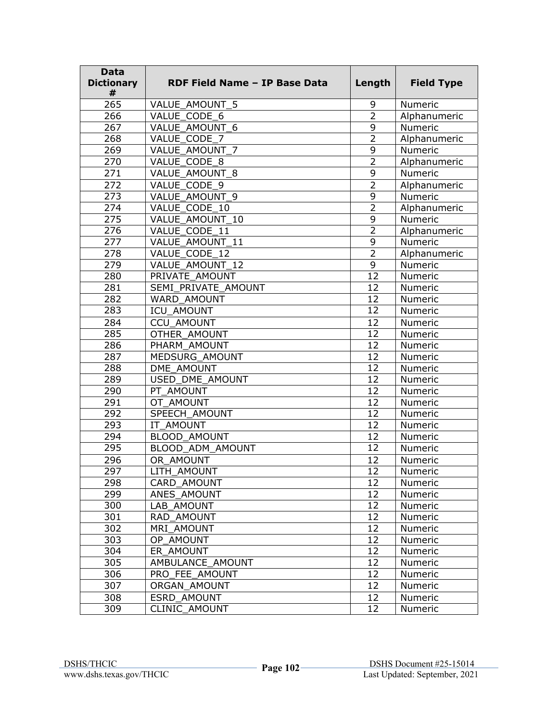| <b>Data</b><br><b>Dictionary</b><br># | RDF Field Name - IP Base Data | Length          | <b>Field Type</b> |
|---------------------------------------|-------------------------------|-----------------|-------------------|
| 265                                   | VALUE AMOUNT 5                | 9               | Numeric           |
| 266                                   | VALUE CODE 6                  | $\overline{2}$  | Alphanumeric      |
| 267                                   | VALUE AMOUNT 6                | 9               | Numeric           |
| 268                                   | VALUE CODE 7                  | $\overline{2}$  | Alphanumeric      |
| 269                                   | VALUE AMOUNT 7                | 9               | Numeric           |
| 270                                   | VALUE_CODE_8                  | $\overline{2}$  | Alphanumeric      |
| 271                                   | VALUE AMOUNT 8                | 9               | Numeric           |
| 272                                   | VALUE CODE 9                  | $\overline{2}$  | Alphanumeric      |
| 273                                   | VALUE AMOUNT 9                | 9               | Numeric           |
| 274                                   | VALUE CODE 10                 | $\overline{2}$  | Alphanumeric      |
| $\overline{275}$                      | VALUE AMOUNT 10               | 9               | Numeric           |
| 276                                   | VALUE CODE 11                 | $\overline{2}$  | Alphanumeric      |
| 277                                   | VALUE AMOUNT 11               | 9               | Numeric           |
| 278                                   | VALUE CODE 12                 | $\overline{2}$  | Alphanumeric      |
| 279                                   | VALUE AMOUNT_12               | 9               | Numeric           |
| 280                                   | PRIVATE AMOUNT                | 12              | Numeric           |
| 281                                   | SEMI PRIVATE AMOUNT           | 12              | Numeric           |
| 282                                   | WARD AMOUNT                   | 12              | Numeric           |
| 283                                   | ICU AMOUNT                    | 12              | Numeric           |
| 284                                   | <b>CCU AMOUNT</b>             | 12              | Numeric           |
| 285                                   | OTHER AMOUNT                  | 12              | Numeric           |
| 286                                   | PHARM AMOUNT                  | 12              | Numeric           |
| 287                                   | MEDSURG_AMOUNT                | 12              | Numeric           |
| 288                                   | DME AMOUNT                    | $\overline{12}$ | Numeric           |
| 289                                   | USED DME AMOUNT               | 12              | Numeric           |
| 290                                   | PT AMOUNT                     | 12              | Numeric           |
| 291                                   | OT AMOUNT                     | 12              | Numeric           |
| 292                                   | SPEECH AMOUNT                 | 12              | Numeric           |
| 293                                   | IT AMOUNT                     | 12              | Numeric           |
| 294                                   | <b>BLOOD AMOUNT</b>           | 12              | Numeric           |
| 295                                   | BLOOD ADM AMOUNT              | 12              | <b>Numeric</b>    |
| 296                                   | OR AMOUNT                     | 12              | <b>Numeric</b>    |
| 297                                   | LITH_AMOUNT                   | 12              | Numeric           |
| 298                                   | CARD AMOUNT                   | 12              | Numeric           |
| 299                                   | ANES AMOUNT                   | 12              | Numeric           |
| 300                                   | LAB_AMOUNT                    | 12              | Numeric           |
| 301                                   | RAD AMOUNT                    | 12              | Numeric           |
| 302                                   | MRI AMOUNT                    | 12              | Numeric           |
| 303                                   | OP AMOUNT                     | 12              | Numeric           |
| 304                                   | ER AMOUNT                     | 12              | Numeric           |
| 305                                   | AMBULANCE AMOUNT              | 12              | Numeric           |
| 306                                   | PRO FEE AMOUNT                | 12              | Numeric           |
| 307                                   | ORGAN AMOUNT                  | 12              | Numeric           |
| 308                                   | ESRD AMOUNT                   | 12              | Numeric           |
| 309                                   | <b>CLINIC AMOUNT</b>          | 12              | Numeric           |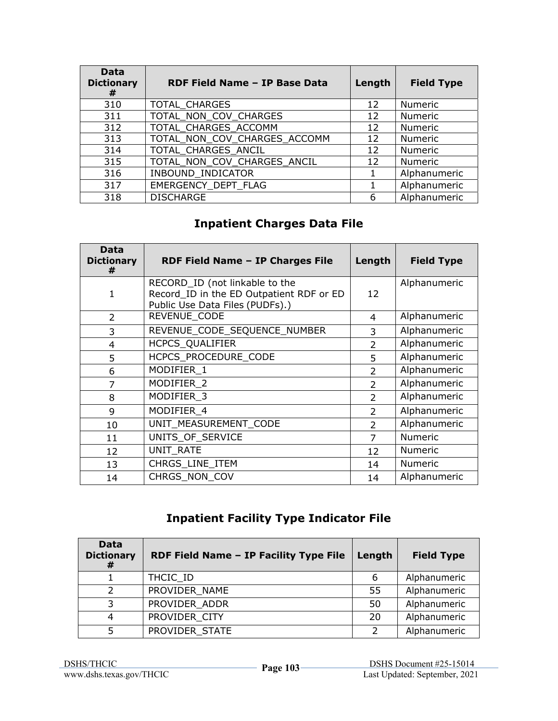| Data<br><b>Dictionary</b><br># | RDF Field Name - IP Base Data | Length | <b>Field Type</b> |
|--------------------------------|-------------------------------|--------|-------------------|
| 310                            | TOTAL CHARGES                 | 12     | <b>Numeric</b>    |
| 311                            | TOTAL_NON_COV_CHARGES         | 12     | Numeric           |
| 312                            | TOTAL CHARGES ACCOMM          | 12     | Numeric           |
| 313                            | TOTAL NON COV CHARGES ACCOMM  | 12     | Numeric           |
| 314                            | TOTAL CHARGES ANCIL           | 12     | Numeric           |
| 315                            | TOTAL_NON_COV_CHARGES_ANCIL   | 12     | Numeric           |
| 316                            | INBOUND_INDICATOR             |        | Alphanumeric      |
| 317                            | EMERGENCY DEPT FLAG           |        | Alphanumeric      |
| 318                            | <b>DISCHARGE</b>              | 6      | Alphanumeric      |

# **Inpatient Charges Data File**

| Data<br><b>Dictionary</b><br># | RDF Field Name - IP Charges File                                                                              | Length         | <b>Field Type</b> |
|--------------------------------|---------------------------------------------------------------------------------------------------------------|----------------|-------------------|
| 1                              | RECORD_ID (not linkable to the<br>Record ID in the ED Outpatient RDF or ED<br>Public Use Data Files (PUDFs).) | 12             | Alphanumeric      |
| $\overline{2}$                 | REVENUE CODE                                                                                                  | 4              | Alphanumeric      |
| 3                              | REVENUE_CODE_SEQUENCE_NUMBER                                                                                  | 3              | Alphanumeric      |
| 4                              | HCPCS_QUALIFIER                                                                                               | $\overline{2}$ | Alphanumeric      |
| 5                              | HCPCS_PROCEDURE_CODE                                                                                          | 5              | Alphanumeric      |
| 6                              | MODIFIER 1                                                                                                    | $\overline{2}$ | Alphanumeric      |
| 7                              | MODIFIER 2                                                                                                    | $\overline{2}$ | Alphanumeric      |
| 8                              | MODIFIER 3                                                                                                    | 2              | Alphanumeric      |
| 9                              | MODIFIER 4                                                                                                    | $\mathcal{P}$  | Alphanumeric      |
| 10                             | UNIT MEASUREMENT CODE                                                                                         | $\mathcal{P}$  | Alphanumeric      |
| 11                             | UNITS_OF_SERVICE                                                                                              | $\overline{7}$ | <b>Numeric</b>    |
| 12                             | UNIT_RATE                                                                                                     | 12             | Numeric           |
| 13                             | CHRGS LINE ITEM                                                                                               | 14             | <b>Numeric</b>    |
| 14                             | CHRGS NON COV                                                                                                 | 14             | Alphanumeric      |

# **Inpatient Facility Type Indicator File**

| Data<br><b>Dictionary</b><br># | RDF Field Name - IP Facility Type File | Length | <b>Field Type</b> |
|--------------------------------|----------------------------------------|--------|-------------------|
|                                | THCIC ID                               | 6      | Alphanumeric      |
| $\mathcal{P}$                  | PROVIDER_NAME                          | 55     | Alphanumeric      |
| 3                              | PROVIDER ADDR                          | 50     | Alphanumeric      |
| $\overline{4}$                 | PROVIDER CITY                          | 20     | Alphanumeric      |
|                                | PROVIDER STATE                         |        | Alphanumeric      |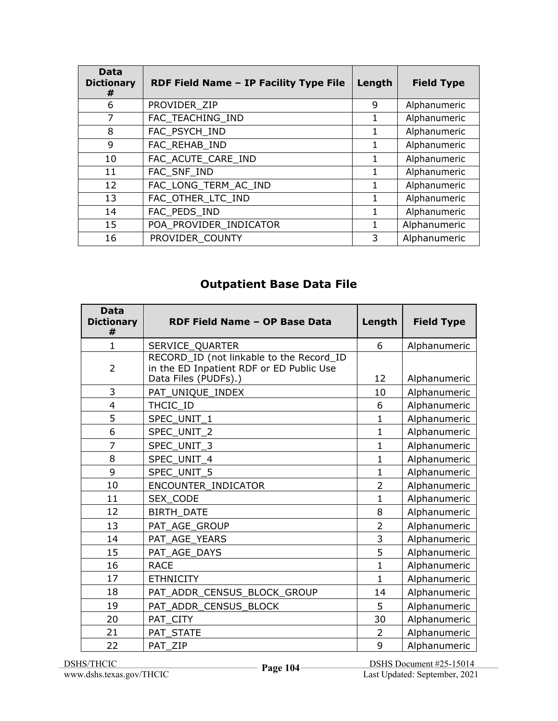| Data<br><b>Dictionary</b><br># | RDF Field Name - IP Facility Type File | Length | <b>Field Type</b> |
|--------------------------------|----------------------------------------|--------|-------------------|
| 6                              | PROVIDER ZIP                           | 9      | Alphanumeric      |
| 7                              | FAC TEACHING IND                       | L      | Alphanumeric      |
| 8                              | FAC PSYCH IND                          |        | Alphanumeric      |
| 9                              | FAC REHAB IND                          |        | Alphanumeric      |
| 10                             | FAC_ACUTE_CARE_IND                     |        | Alphanumeric      |
| 11                             | FAC SNF IND                            | 1      | Alphanumeric      |
| 12                             | FAC_LONG_TERM_AC_IND                   |        | Alphanumeric      |
| 13                             | FAC OTHER_LTC_IND                      |        | Alphanumeric      |
| 14                             | FAC PEDS IND                           | 1.     | Alphanumeric      |
| 15                             | POA PROVIDER_INDICATOR                 |        | Alphanumeric      |
| 16                             | PROVIDER COUNTY                        | 3      | Alphanumeric      |

# **Outpatient Base Data File**

| <b>Data</b><br><b>Dictionary</b><br># | RDF Field Name - OP Base Data                                                                                | Length         | <b>Field Type</b> |
|---------------------------------------|--------------------------------------------------------------------------------------------------------------|----------------|-------------------|
| $\mathbf{1}$                          | SERVICE_QUARTER                                                                                              | 6              | Alphanumeric      |
| $\overline{2}$                        | RECORD_ID (not linkable to the Record_ID<br>in the ED Inpatient RDF or ED Public Use<br>Data Files (PUDFs).) | 12             | Alphanumeric      |
| 3                                     | PAT_UNIQUE_INDEX                                                                                             | 10             | Alphanumeric      |
| 4                                     | THCIC ID                                                                                                     | 6              | Alphanumeric      |
| 5                                     | SPEC_UNIT_1                                                                                                  | $\mathbf{1}$   | Alphanumeric      |
| 6                                     | SPEC_UNIT_2                                                                                                  | 1              | Alphanumeric      |
| $\overline{7}$                        | SPEC_UNIT_3                                                                                                  | 1              | Alphanumeric      |
| 8                                     | SPEC UNIT_4                                                                                                  | $\mathbf{1}$   | Alphanumeric      |
| 9                                     | SPEC UNIT 5                                                                                                  | $\mathbf{1}$   | Alphanumeric      |
| 10                                    | ENCOUNTER INDICATOR                                                                                          | $\overline{2}$ | Alphanumeric      |
| 11                                    | SEX_CODE                                                                                                     | $\mathbf{1}$   | Alphanumeric      |
| 12                                    | <b>BIRTH DATE</b>                                                                                            | 8              | Alphanumeric      |
| 13                                    | PAT AGE GROUP                                                                                                | $\overline{2}$ | Alphanumeric      |
| 14                                    | PAT_AGE_YEARS                                                                                                | 3              | Alphanumeric      |
| 15                                    | PAT AGE DAYS                                                                                                 | 5              | Alphanumeric      |
| 16                                    | <b>RACE</b>                                                                                                  | $\mathbf{1}$   | Alphanumeric      |
| 17                                    | <b>ETHNICITY</b>                                                                                             | $\mathbf{1}$   | Alphanumeric      |
| 18                                    | PAT_ADDR_CENSUS_BLOCK_GROUP                                                                                  | 14             | Alphanumeric      |
| 19                                    | PAT_ADDR_CENSUS_BLOCK                                                                                        | 5              | Alphanumeric      |
| 20                                    | PAT CITY                                                                                                     | 30             | Alphanumeric      |
| 21                                    | PAT STATE                                                                                                    | 2              | Alphanumeric      |
| 22                                    | PAT ZIP                                                                                                      | 9              | Alphanumeric      |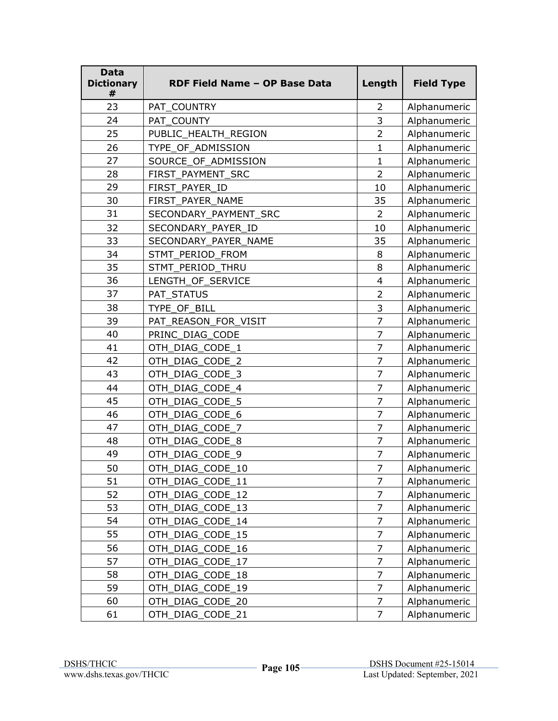| <b>Data</b><br><b>Dictionary</b><br># | RDF Field Name - OP Base Data | Length                  | <b>Field Type</b> |
|---------------------------------------|-------------------------------|-------------------------|-------------------|
| 23                                    | PAT_COUNTRY                   | $\overline{2}$          | Alphanumeric      |
| 24                                    | PAT COUNTY                    | 3                       | Alphanumeric      |
| 25                                    | PUBLIC_HEALTH_REGION          | $\overline{2}$          | Alphanumeric      |
| 26                                    | TYPE_OF_ADMISSION             | $\mathbf{1}$            | Alphanumeric      |
| 27                                    | SOURCE_OF_ADMISSION           | $\mathbf{1}$            | Alphanumeric      |
| 28                                    | FIRST_PAYMENT_SRC             | $\overline{2}$          | Alphanumeric      |
| 29                                    | FIRST_PAYER_ID                | 10                      | Alphanumeric      |
| 30                                    | FIRST PAYER NAME              | 35                      | Alphanumeric      |
| 31                                    | SECONDARY_PAYMENT_SRC         | 2                       | Alphanumeric      |
| 32                                    | SECONDARY_PAYER_ID            | 10                      | Alphanumeric      |
| 33                                    | SECONDARY PAYER NAME          | 35                      | Alphanumeric      |
| 34                                    | STMT PERIOD FROM              | 8                       | Alphanumeric      |
| 35                                    | STMT_PERIOD_THRU              | 8                       | Alphanumeric      |
| 36                                    | LENGTH_OF_SERVICE             | $\overline{\mathbf{4}}$ | Alphanumeric      |
| 37                                    | PAT_STATUS                    | $\overline{2}$          | Alphanumeric      |
| 38                                    | TYPE OF BILL                  | 3                       | Alphanumeric      |
| 39                                    | PAT_REASON_FOR_VISIT          | 7                       | Alphanumeric      |
| 40                                    | PRINC_DIAG_CODE               | $\overline{7}$          | Alphanumeric      |
| 41                                    | OTH_DIAG_CODE_1               | $\overline{7}$          | Alphanumeric      |
| 42                                    | OTH_DIAG_CODE_2               | $\overline{7}$          | Alphanumeric      |
| 43                                    | OTH_DIAG_CODE_3               | $\overline{7}$          | Alphanumeric      |
| 44                                    | OTH DIAG CODE 4               | $\overline{7}$          | Alphanumeric      |
| 45                                    | OTH_DIAG_CODE_5               | $\overline{7}$          | Alphanumeric      |
| 46                                    | OTH_DIAG_CODE_6               | $\overline{7}$          | Alphanumeric      |
| 47                                    | OTH_DIAG_CODE_7               | $\overline{7}$          | Alphanumeric      |
| 48                                    | OTH DIAG CODE 8               | 7                       | Alphanumeric      |
| 49                                    | OTH_DIAG_CODE_9               | $\overline{7}$          | Alphanumeric      |
| 50                                    | OTH DIAG CODE 10              | $\overline{7}$          | Alphanumeric      |
| 51                                    | OTH_DIAG_CODE_11              | $\overline{7}$          | Alphanumeric      |
| 52                                    | OTH_DIAG_CODE_12              | $\overline{7}$          | Alphanumeric      |
| 53                                    | OTH_DIAG_CODE_13              | $\overline{7}$          | Alphanumeric      |
| 54                                    | DIAG_CODE_14<br><b>OTH</b>    | $\overline{7}$          | Alphanumeric      |
| 55                                    | DIAG_CODE_15<br>OTH           | $\overline{7}$          | Alphanumeric      |
| 56                                    | DIAG_CODE_16<br><b>OTH</b>    | $\overline{7}$          | Alphanumeric      |
| 57                                    | OTH DIAG CODE 17              | 7                       | Alphanumeric      |
| 58                                    | DIAG CODE 18<br><b>OTH</b>    | $\overline{7}$          | Alphanumeric      |
| 59                                    | OTH_DIAG_CODE_19              | $\overline{7}$          | Alphanumeric      |
| 60                                    | OTH_DIAG_CODE_20              | $\overline{7}$          | Alphanumeric      |
| 61                                    | OTH_DIAG_CODE_21              | $\overline{7}$          | Alphanumeric      |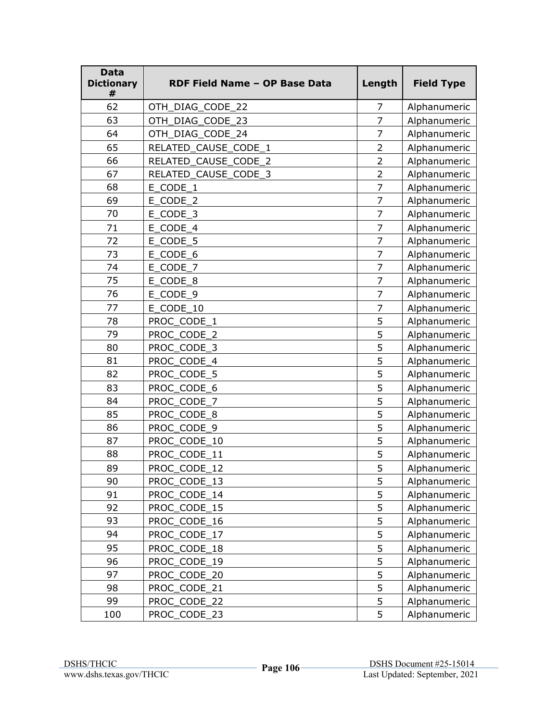| <b>Data</b><br><b>Dictionary</b><br># | RDF Field Name - OP Base Data | Length         | <b>Field Type</b> |
|---------------------------------------|-------------------------------|----------------|-------------------|
| 62                                    | OTH_DIAG_CODE_22              | $\overline{7}$ | Alphanumeric      |
| 63                                    | OTH DIAG CODE 23              | $\overline{7}$ | Alphanumeric      |
| 64                                    | OTH_DIAG_CODE_24              | $\overline{7}$ | Alphanumeric      |
| 65                                    | RELATED CAUSE CODE 1          | $\overline{2}$ | Alphanumeric      |
| 66                                    | RELATED_CAUSE_CODE_2          | $\overline{2}$ | Alphanumeric      |
| 67                                    | RELATED CAUSE CODE 3          | $\overline{2}$ | Alphanumeric      |
| 68                                    | E_CODE_1                      | $\overline{7}$ | Alphanumeric      |
| 69                                    | E_CODE_2                      | $\overline{7}$ | Alphanumeric      |
| 70                                    | E_CODE_3                      | $\overline{7}$ | Alphanumeric      |
| 71                                    | E_CODE_4                      | 7              | Alphanumeric      |
| 72                                    | E CODE 5                      | $\overline{7}$ | Alphanumeric      |
| 73                                    | E CODE 6                      | $\overline{7}$ | Alphanumeric      |
| 74                                    | E_CODE_7                      | $\overline{7}$ | Alphanumeric      |
| 75                                    | E_CODE_8                      | $\overline{7}$ | Alphanumeric      |
| 76                                    | E_CODE_9                      | $\overline{7}$ | Alphanumeric      |
| 77                                    | E CODE_10                     | $\overline{7}$ | Alphanumeric      |
| 78                                    | PROC_CODE_1                   | 5              | Alphanumeric      |
| 79                                    | PROC CODE 2                   | 5              | Alphanumeric      |
| 80                                    | PROC_CODE_3                   | 5              | Alphanumeric      |
| 81                                    | PROC_CODE_4                   | 5              | Alphanumeric      |
| 82                                    | PROC_CODE_5                   | 5              | Alphanumeric      |
| 83                                    | PROC CODE 6                   | 5              | Alphanumeric      |
| 84                                    | PROC_CODE_7                   | 5              | Alphanumeric      |
| 85                                    | PROC_CODE_8                   | 5              | Alphanumeric      |
| 86                                    | PROC_CODE_9                   | 5              | Alphanumeric      |
| 87                                    | PROC_CODE_10                  | 5              | Alphanumeric      |
| 88                                    | PROC_CODE_11                  | 5              | Alphanumeric      |
| 89                                    | PROC CODE 12                  | 5              | Alphanumeric      |
| 90                                    | PROC_CODE_13                  | 5              | Alphanumeric      |
| 91                                    | PROC_CODE_14                  | 5              | Alphanumeric      |
| 92                                    | PROC CODE 15                  | 5              | Alphanumeric      |
| 93                                    | PROC_CODE_16                  | 5              | Alphanumeric      |
| 94                                    | PROC_CODE_17                  | 5              | Alphanumeric      |
| 95                                    | PROC_CODE_18                  | 5              | Alphanumeric      |
| 96                                    | PROC CODE 19                  | 5              | Alphanumeric      |
| 97                                    | PROC CODE 20                  | 5              | Alphanumeric      |
| 98                                    | PROC_CODE_21                  | 5              | Alphanumeric      |
| 99                                    | PROC_CODE_22                  | 5              | Alphanumeric      |
| 100                                   | PROC_CODE_23                  | 5              | Alphanumeric      |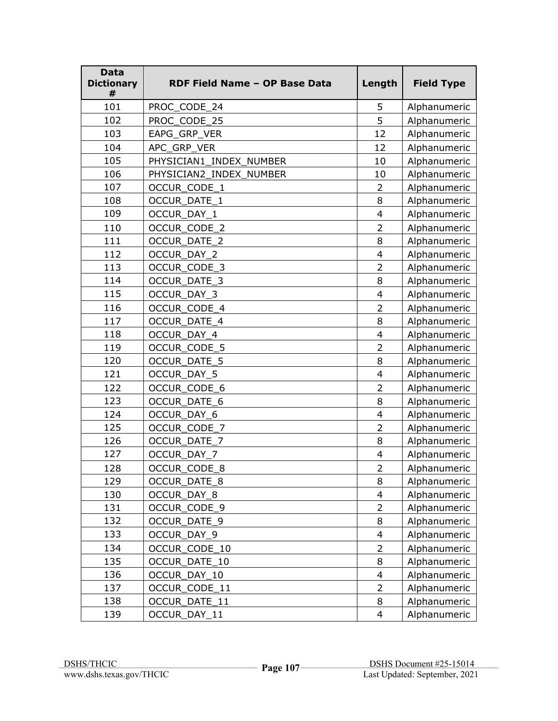| <b>Data</b><br><b>Dictionary</b><br># | RDF Field Name - OP Base Data | Length                   | <b>Field Type</b> |
|---------------------------------------|-------------------------------|--------------------------|-------------------|
| 101                                   | PROC_CODE_24                  | 5                        | Alphanumeric      |
| 102                                   | PROC CODE 25                  | 5                        | Alphanumeric      |
| 103                                   | EAPG_GRP_VER                  | 12                       | Alphanumeric      |
| 104                                   | APC_GRP_VER                   | 12                       | Alphanumeric      |
| 105                                   | PHYSICIAN1 INDEX NUMBER       | 10                       | Alphanumeric      |
| 106                                   | PHYSICIAN2_INDEX_NUMBER       | 10                       | Alphanumeric      |
| 107                                   | OCCUR_CODE_1                  | $\overline{2}$           | Alphanumeric      |
| 108                                   | OCCUR_DATE_1                  | 8                        | Alphanumeric      |
| 109                                   | OCCUR_DAY_1                   | $\overline{\mathcal{L}}$ | Alphanumeric      |
| 110                                   | OCCUR_CODE_2                  | $\overline{2}$           | Alphanumeric      |
| 111                                   | <b>OCCUR DATE 2</b>           | 8                        | Alphanumeric      |
| 112                                   | OCCUR_DAY_2                   | $\overline{4}$           | Alphanumeric      |
| 113                                   | OCCUR_CODE_3                  | $\overline{2}$           | Alphanumeric      |
| 114                                   | <b>OCCUR DATE 3</b>           | 8                        | Alphanumeric      |
| 115                                   | OCCUR_DAY_3                   | $\overline{4}$           | Alphanumeric      |
| 116                                   | OCCUR_CODE_4                  | $\overline{2}$           | Alphanumeric      |
| 117                                   | <b>OCCUR DATE 4</b>           | 8                        | Alphanumeric      |
| 118                                   | OCCUR DAY 4                   | $\overline{\mathcal{L}}$ | Alphanumeric      |
| 119                                   | OCCUR_CODE_5                  | $\overline{2}$           | Alphanumeric      |
| 120                                   | OCCUR_DATE_5                  | 8                        | Alphanumeric      |
| 121                                   | OCCUR_DAY_5                   | $\overline{\mathbf{4}}$  | Alphanumeric      |
| 122                                   | OCCUR CODE 6                  | $\overline{2}$           | Alphanumeric      |
| 123                                   | OCCUR_DATE_6                  | 8                        | Alphanumeric      |
| 124                                   | OCCUR_DAY_6                   | 4                        | Alphanumeric      |
| 125                                   | OCCUR_CODE_7                  | $\overline{2}$           | Alphanumeric      |
| 126                                   | OCCUR_DATE_7                  | 8                        | Alphanumeric      |
| 127                                   | OCCUR_DAY_7                   | $\overline{\mathcal{A}}$ | Alphanumeric      |
| 128                                   | <b>OCCUR CODE 8</b>           | $\overline{2}$           | Alphanumeric      |
| 129                                   | OCCUR_DATE_8                  | 8                        | Alphanumeric      |
| 130                                   | OCCUR_DAY_8                   | $\overline{4}$           | Alphanumeric      |
| 131                                   | OCCUR_CODE_9                  | $\overline{2}$           | Alphanumeric      |
| 132                                   | OCCUR_DATE_9                  | 8                        | Alphanumeric      |
| 133                                   | OCCUR_DAY_9                   | $\overline{4}$           | Alphanumeric      |
| 134                                   | OCCUR_CODE_10                 | $\overline{2}$           | Alphanumeric      |
| 135                                   | OCCUR_DATE_10                 | 8                        | Alphanumeric      |
| 136                                   | OCCUR DAY 10                  | $\overline{\mathcal{A}}$ | Alphanumeric      |
| 137                                   | OCCUR_CODE_11                 | $\overline{2}$           | Alphanumeric      |
| 138                                   | OCCUR_DATE_11                 | 8                        | Alphanumeric      |
| 139                                   | OCCUR_DAY_11                  | $\overline{4}$           | Alphanumeric      |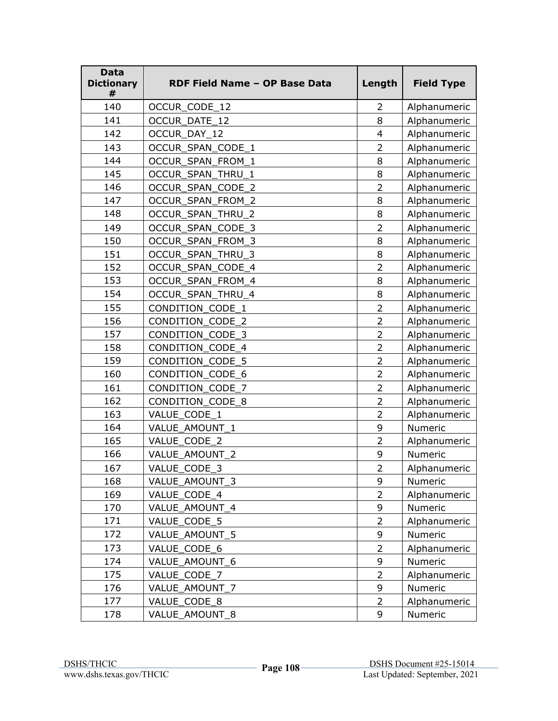| <b>Data</b><br><b>Dictionary</b><br># | RDF Field Name - OP Base Data | Length         | <b>Field Type</b> |
|---------------------------------------|-------------------------------|----------------|-------------------|
| 140                                   | OCCUR_CODE_12                 | $\overline{2}$ | Alphanumeric      |
| 141                                   | <b>OCCUR DATE 12</b>          | 8              | Alphanumeric      |
| 142                                   | OCCUR_DAY_12                  | $\overline{4}$ | Alphanumeric      |
| 143                                   | OCCUR_SPAN_CODE_1             | $\overline{2}$ | Alphanumeric      |
| 144                                   | OCCUR SPAN FROM 1             | 8              | Alphanumeric      |
| 145                                   | OCCUR_SPAN_THRU_1             | 8              | Alphanumeric      |
| 146                                   | OCCUR_SPAN_CODE_2             | $\overline{2}$ | Alphanumeric      |
| 147                                   | OCCUR_SPAN_FROM_2             | 8              | Alphanumeric      |
| 148                                   | OCCUR_SPAN_THRU_2             | 8              | Alphanumeric      |
| 149                                   | OCCUR_SPAN_CODE_3             | $\overline{2}$ | Alphanumeric      |
| 150                                   | <b>OCCUR SPAN FROM 3</b>      | 8              | Alphanumeric      |
| 151                                   | OCCUR_SPAN_THRU_3             | 8              | Alphanumeric      |
| 152                                   | OCCUR SPAN CODE 4             | $\overline{2}$ | Alphanumeric      |
| 153                                   | OCCUR_SPAN_FROM_4             | 8              | Alphanumeric      |
| 154                                   | OCCUR_SPAN_THRU_4             | 8              | Alphanumeric      |
| 155                                   | CONDITION CODE 1              | $\overline{2}$ | Alphanumeric      |
| 156                                   | CONDITION CODE 2              | $\overline{2}$ | Alphanumeric      |
| 157                                   | CONDITION_CODE_3              | $\overline{2}$ | Alphanumeric      |
| 158                                   | CONDITION_CODE 4              | $\overline{2}$ | Alphanumeric      |
| 159                                   | CONDITION_CODE_5              | $\overline{2}$ | Alphanumeric      |
| 160                                   | CONDITION_CODE_6              | $\overline{2}$ | Alphanumeric      |
| 161                                   | CONDITION_CODE_7              | $\overline{2}$ | Alphanumeric      |
| 162                                   | CONDITION_CODE_8              | $\overline{2}$ | Alphanumeric      |
| 163                                   | VALUE CODE 1                  | $\overline{2}$ | Alphanumeric      |
| 164                                   | VALUE_AMOUNT_1                | 9              | Numeric           |
| 165                                   | VALUE CODE 2                  | $\overline{2}$ | Alphanumeric      |
| 166                                   | VALUE_AMOUNT_2                | 9              | Numeric           |
| 167                                   | VALUE CODE 3                  | $\overline{2}$ | Alphanumeric      |
| 168                                   | VALUE_AMOUNT_3                | 9              | Numeric           |
| 169                                   | VALUE CODE 4                  | $\overline{2}$ | Alphanumeric      |
| 170                                   | VALUE_AMOUNT_4                | 9              | Numeric           |
| 171                                   | VALUE CODE 5                  | $\overline{2}$ | Alphanumeric      |
| 172                                   | VALUE_AMOUNT_5                | 9              | Numeric           |
| 173                                   | VALUE_CODE_6                  | $\overline{2}$ | Alphanumeric      |
| 174                                   | VALUE_AMOUNT_6                | 9              | Numeric           |
| 175                                   | VALUE_CODE_7                  | $\overline{2}$ | Alphanumeric      |
| 176                                   | VALUE_AMOUNT_7                | 9              | Numeric           |
| 177                                   | VALUE_CODE_8                  | $\overline{2}$ | Alphanumeric      |
| 178                                   | VALUE_AMOUNT_8                | 9              | Numeric           |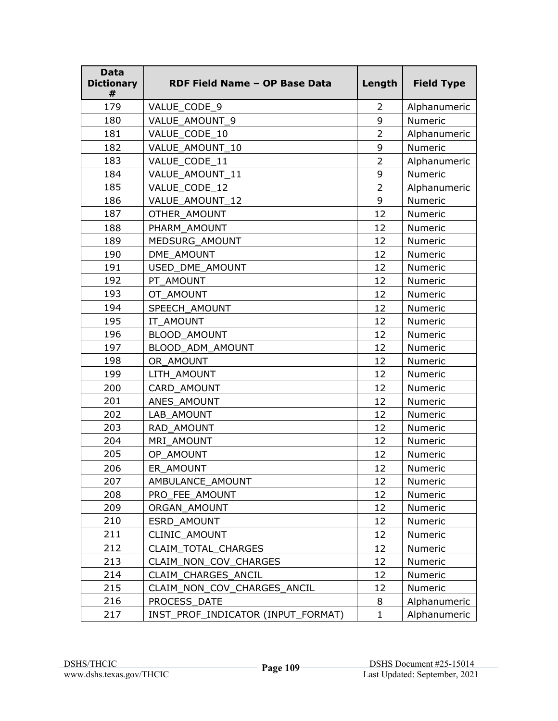| <b>Data</b><br><b>Dictionary</b><br># | RDF Field Name - OP Base Data      | Length         | <b>Field Type</b> |
|---------------------------------------|------------------------------------|----------------|-------------------|
| 179                                   | VALUE_CODE_9                       | $\overline{2}$ | Alphanumeric      |
| 180                                   | VALUE AMOUNT 9                     | 9              | Numeric           |
| 181                                   | VALUE_CODE_10                      | $\overline{2}$ | Alphanumeric      |
| 182                                   | VALUE AMOUNT 10                    | 9              | Numeric           |
| 183                                   | VALUE CODE 11                      | $\overline{2}$ | Alphanumeric      |
| 184                                   | VALUE AMOUNT 11                    | 9              | Numeric           |
| 185                                   | VALUE_CODE_12                      | $\overline{2}$ | Alphanumeric      |
| 186                                   | VALUE_AMOUNT_12                    | 9              | Numeric           |
| 187                                   | OTHER AMOUNT                       | 12             | Numeric           |
| 188                                   | PHARM AMOUNT                       | 12             | Numeric           |
| 189                                   | MEDSURG AMOUNT                     | 12             | Numeric           |
| 190                                   | DME AMOUNT                         | 12             | Numeric           |
| 191                                   | USED DME AMOUNT                    | 12             | Numeric           |
| 192                                   | PT_AMOUNT                          | 12             | Numeric           |
| 193                                   | OT AMOUNT                          | 12             | Numeric           |
| 194                                   | SPEECH_AMOUNT                      | 12             | Numeric           |
| 195                                   | IT AMOUNT                          | 12             | Numeric           |
| 196                                   | <b>BLOOD AMOUNT</b>                | 12             | Numeric           |
| 197                                   | BLOOD ADM AMOUNT                   | 12             | Numeric           |
| 198                                   | OR AMOUNT                          | 12             | Numeric           |
| 199                                   | LITH AMOUNT                        | 12             | Numeric           |
| 200                                   | CARD AMOUNT                        | 12             | Numeric           |
| 201                                   | ANES AMOUNT                        | 12             | Numeric           |
| 202                                   | LAB AMOUNT                         | 12             | Numeric           |
| 203                                   | RAD AMOUNT                         | 12             | Numeric           |
| 204                                   | MRI_AMOUNT                         | 12             | Numeric           |
| 205                                   | OP_AMOUNT                          | 12             | Numeric           |
| 206                                   | ER AMOUNT                          | 12             | Numeric           |
| 207                                   | AMBULANCE AMOUNT                   | 12             | Numeric           |
| 208                                   | PRO_FEE_AMOUNT                     | 12             | Numeric           |
| 209                                   | ORGAN AMOUNT                       | 12             | Numeric           |
| 210                                   | ESRD AMOUNT                        | 12             | Numeric           |
| 211                                   | <b>CLINIC AMOUNT</b>               | 12             | Numeric           |
| 212                                   | <b>CLAIM TOTAL CHARGES</b>         | 12             | Numeric           |
| 213                                   | CLAIM_NON_COV_CHARGES              | 12             | Numeric           |
| 214                                   | CLAIM CHARGES ANCIL                | 12             | Numeric           |
| 215                                   | CLAIM NON COV CHARGES ANCIL        | 12             | Numeric           |
| 216                                   | PROCESS_DATE                       | 8              | Alphanumeric      |
| 217                                   | INST_PROF_INDICATOR (INPUT_FORMAT) | $\mathbf{1}$   | Alphanumeric      |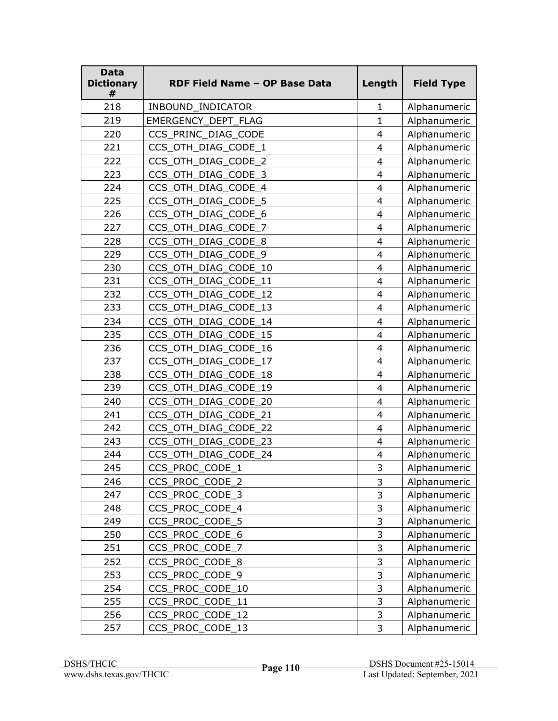| <b>Data</b><br><b>Dictionary</b><br># | RDF Field Name - OP Base Data | Length                   | <b>Field Type</b> |
|---------------------------------------|-------------------------------|--------------------------|-------------------|
| 218                                   | INBOUND_INDICATOR             | 1                        | Alphanumeric      |
| 219                                   | EMERGENCY_DEPT_FLAG           | $\mathbf{1}$             | Alphanumeric      |
| 220                                   | CCS_PRINC_DIAG_CODE           | $\overline{4}$           | Alphanumeric      |
| 221                                   | CCS_OTH_DIAG_CODE_1           | 4                        | Alphanumeric      |
| 222                                   | CCS_OTH_DIAG_CODE_2           | $\overline{4}$           | Alphanumeric      |
| 223                                   | CCS_OTH_DIAG_CODE_3           | 4                        | Alphanumeric      |
| 224                                   | CCS_OTH_DIAG_CODE_4           | $\overline{\mathbf{4}}$  | Alphanumeric      |
| 225                                   | CCS OTH DIAG CODE 5           | $\overline{4}$           | Alphanumeric      |
| 226                                   | CCS_OTH_DIAG_CODE_6           | 4                        | Alphanumeric      |
| 227                                   | CCS_OTH_DIAG_CODE_7           | $\overline{4}$           | Alphanumeric      |
| 228                                   | CCS OTH DIAG CODE 8           | $\overline{\mathcal{A}}$ | Alphanumeric      |
| 229                                   | CCS_OTH_DIAG_CODE_9           | $\overline{4}$           | Alphanumeric      |
| 230                                   | CCS OTH DIAG CODE 10          | $\overline{4}$           | Alphanumeric      |
| 231                                   | CCS OTH DIAG CODE 11          | $\overline{\mathbf{4}}$  | Alphanumeric      |
| 232                                   | CCS_OTH_DIAG_CODE_12          | $\overline{\mathbf{4}}$  | Alphanumeric      |
| 233                                   | CCS OTH DIAG CODE 13          | $\overline{4}$           | Alphanumeric      |
| 234                                   | CCS OTH DIAG CODE 14          | $\overline{\mathbf{4}}$  | Alphanumeric      |
| 235                                   | CCS OTH DIAG CODE 15          | $\overline{4}$           | Alphanumeric      |
| 236                                   | CCS_OTH_DIAG_CODE_16          | $\overline{4}$           | Alphanumeric      |
| 237                                   | CCS_OTH_DIAG_CODE_17          | 4                        | Alphanumeric      |
| 238                                   | CCS_OTH_DIAG_CODE_18          | $\overline{4}$           | Alphanumeric      |
| 239                                   | CCS_OTH_DIAG_CODE_19          | 4                        | Alphanumeric      |
| 240                                   | CCS OTH_DIAG_CODE_20          | $\overline{4}$           | Alphanumeric      |
| 241                                   | CCS_OTH_DIAG_CODE_21          | $\overline{4}$           | Alphanumeric      |
| 242                                   | CCS_OTH_DIAG_CODE_22          | $\overline{\mathbf{4}}$  | Alphanumeric      |
| 243                                   | CCS_OTH_DIAG_CODE_23          | $\overline{4}$           | Alphanumeric      |
| 244                                   | CCS_OTH_DIAG_CODE_24          | 4                        | Alphanumeric      |
| 245                                   | CCS PROC CODE 1               | 3                        | Alphanumeric      |
| 246                                   | CCS_PROC_CODE_2               | 3                        | Alphanumeric      |
| 247                                   | CCS_PROC_CODE_3               | 3                        | Alphanumeric      |
| 248                                   | CCS_PROC_CODE_4               | 3                        | Alphanumeric      |
| 249                                   | CCS_PROC_CODE_5               | $\mathsf{3}$             | Alphanumeric      |
| 250                                   | CCS_PROC_CODE_6               | $\mathsf 3$              | Alphanumeric      |
| 251                                   | CCS_PROC_CODE_7               | 3                        | Alphanumeric      |
| 252                                   | CCS_PROC_CODE_8               | 3                        | Alphanumeric      |
| 253                                   | CCS_PROC_CODE_9               | $\mathsf{3}$             | Alphanumeric      |
| 254                                   | CCS_PROC_CODE_10              | 3                        | Alphanumeric      |
| 255                                   | CCS_PROC_CODE_11              | 3                        | Alphanumeric      |
| 256                                   | CCS_PROC_CODE_12              | 3                        | Alphanumeric      |
| 257                                   | CCS_PROC_CODE_13              | 3                        | Alphanumeric      |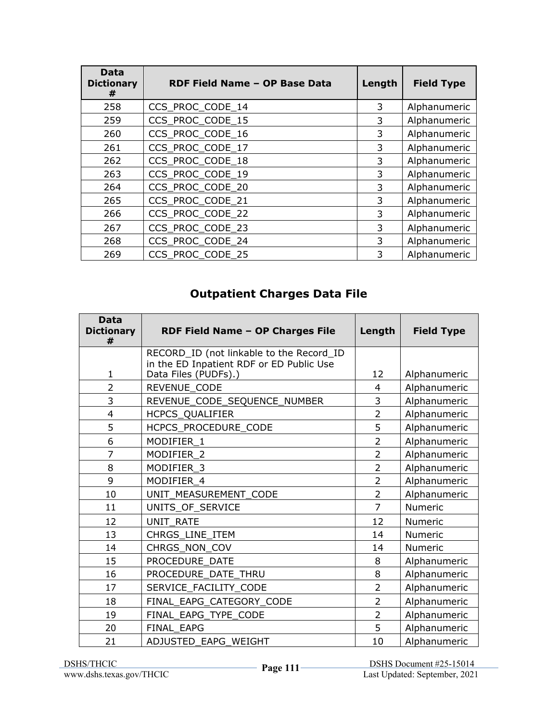| Data<br><b>Dictionary</b><br># | RDF Field Name - OP Base Data | Length | <b>Field Type</b> |
|--------------------------------|-------------------------------|--------|-------------------|
| 258                            | CCS_PROC_CODE_14              | 3      | Alphanumeric      |
| 259                            | CCS_PROC_CODE_15              | 3      | Alphanumeric      |
| 260                            | CCS_PROC_CODE_16              | 3      | Alphanumeric      |
| 261                            | CCS_PROC_CODE_17              | 3      | Alphanumeric      |
| 262                            | CCS PROC CODE 18              | 3      | Alphanumeric      |
| 263                            | CCS PROC CODE 19              | 3      | Alphanumeric      |
| 264                            | CCS PROC CODE 20              | 3      | Alphanumeric      |
| 265                            | CCS_PROC_CODE_21              | 3      | Alphanumeric      |
| 266                            | CCS_PROC_CODE_22              | 3      | Alphanumeric      |
| 267                            | CCS PROC CODE 23              | 3      | Alphanumeric      |
| 268                            | CCS_PROC_CODE_24              | 3      | Alphanumeric      |
| 269                            | CCS PROC CODE 25              | 3      | Alphanumeric      |

## **Outpatient Charges Data File**

| <b>Data</b><br><b>Dictionary</b><br># | RDF Field Name - OP Charges File                                 | Length         | <b>Field Type</b> |
|---------------------------------------|------------------------------------------------------------------|----------------|-------------------|
|                                       | RECORD_ID (not linkable to the Record_ID                         |                |                   |
| $\mathbf{1}$                          | in the ED Inpatient RDF or ED Public Use<br>Data Files (PUDFs).) | 12             | Alphanumeric      |
| $\overline{2}$                        | REVENUE_CODE                                                     | 4              | Alphanumeric      |
| 3                                     | REVENUE_CODE_SEQUENCE_NUMBER                                     | 3              | Alphanumeric      |
| $\overline{4}$                        | HCPCS_QUALIFIER                                                  | $\overline{2}$ | Alphanumeric      |
| 5                                     | HCPCS_PROCEDURE_CODE                                             | 5              | Alphanumeric      |
| 6                                     | MODIFIER 1                                                       | $\overline{2}$ | Alphanumeric      |
| $\overline{7}$                        | MODIFIER 2                                                       | $\overline{2}$ | Alphanumeric      |
| 8                                     | MODIFIER_3                                                       | $\overline{2}$ | Alphanumeric      |
| 9                                     | MODIFIER 4                                                       | $\overline{2}$ | Alphanumeric      |
| 10                                    | UNIT_MEASUREMENT_CODE                                            | $\overline{2}$ | Alphanumeric      |
| 11                                    | UNITS_OF_SERVICE                                                 | $\overline{7}$ | <b>Numeric</b>    |
| 12                                    | UNIT RATE                                                        | 12             | Numeric           |
| 13                                    | CHRGS_LINE_ITEM                                                  | 14             | Numeric           |
| 14                                    | CHRGS_NON_COV                                                    | 14             | Numeric           |
| 15                                    | PROCEDURE DATE                                                   | 8              | Alphanumeric      |
| 16                                    | PROCEDURE DATE THRU                                              | 8              | Alphanumeric      |
| 17                                    | SERVICE_FACILITY_CODE                                            | $\overline{2}$ | Alphanumeric      |
| 18                                    | FINAL_EAPG_CATEGORY_CODE                                         | 2              | Alphanumeric      |
| 19                                    | FINAL_EAPG_TYPE_CODE                                             | $\overline{2}$ | Alphanumeric      |
| 20                                    | <b>FINAL EAPG</b>                                                | 5              | Alphanumeric      |
| 21                                    | ADJUSTED EAPG WEIGHT                                             | 10             | Alphanumeric      |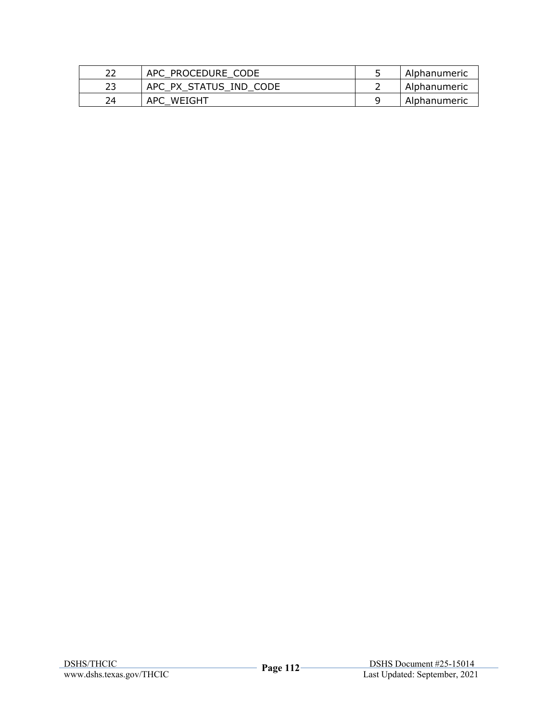| 22 | APC PROCEDURE CODE     | Alphanumeric |
|----|------------------------|--------------|
| 23 | APC PX STATUS IND CODE | Alphanumeric |
| 24 | APC WEIGHT             | Alphanumeric |